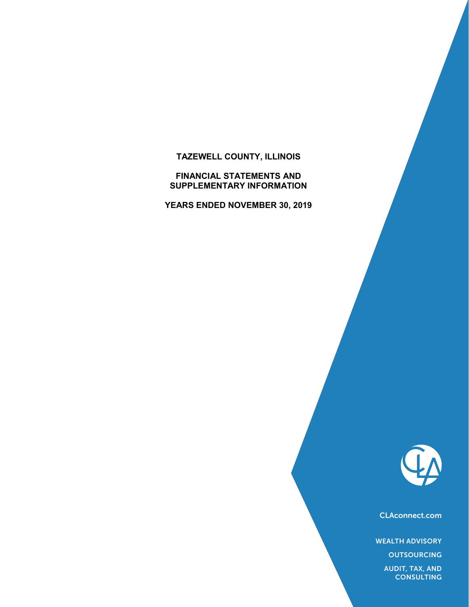# **TAZEWELL COUNTY, ILLINOIS**

#### **FINANCIAL STATEMENTS AND SUPPLEMENTARY INFORMATION**

**YEARS ENDED NOVEMBER 30, 2019**



CLAconnect.com

WEALTH ADVISORY

**OUTSOURCING** 

AUDIT, TAX, AND **CONSULTING**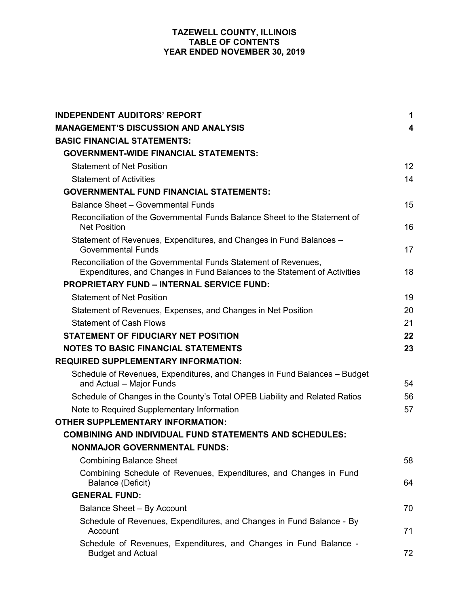#### **TAZEWELL COUNTY, ILLINOIS TABLE OF CONTENTS YEAR ENDED NOVEMBER 30, 2019**

| <b>INDEPENDENT AUDITORS' REPORT</b>                                                                                                          | 1                       |
|----------------------------------------------------------------------------------------------------------------------------------------------|-------------------------|
| <b>MANAGEMENT'S DISCUSSION AND ANALYSIS</b>                                                                                                  | $\overline{\mathbf{4}}$ |
| <b>BASIC FINANCIAL STATEMENTS:</b>                                                                                                           |                         |
| <b>GOVERNMENT-WIDE FINANCIAL STATEMENTS:</b>                                                                                                 |                         |
| <b>Statement of Net Position</b>                                                                                                             | 12                      |
| <b>Statement of Activities</b>                                                                                                               | 14                      |
| <b>GOVERNMENTAL FUND FINANCIAL STATEMENTS:</b>                                                                                               |                         |
| <b>Balance Sheet - Governmental Funds</b>                                                                                                    | 15                      |
| Reconciliation of the Governmental Funds Balance Sheet to the Statement of<br><b>Net Position</b>                                            | 16                      |
| Statement of Revenues, Expenditures, and Changes in Fund Balances -<br><b>Governmental Funds</b>                                             | 17                      |
| Reconciliation of the Governmental Funds Statement of Revenues,<br>Expenditures, and Changes in Fund Balances to the Statement of Activities | 18                      |
| <b>PROPRIETARY FUND - INTERNAL SERVICE FUND:</b>                                                                                             |                         |
| <b>Statement of Net Position</b>                                                                                                             | 19                      |
| Statement of Revenues, Expenses, and Changes in Net Position                                                                                 | 20                      |
| <b>Statement of Cash Flows</b>                                                                                                               | 21                      |
| <b>STATEMENT OF FIDUCIARY NET POSITION</b>                                                                                                   | 22                      |
| <b>NOTES TO BASIC FINANCIAL STATEMENTS</b>                                                                                                   | 23                      |
| <b>REQUIRED SUPPLEMENTARY INFORMATION:</b>                                                                                                   |                         |
| Schedule of Revenues, Expenditures, and Changes in Fund Balances - Budget<br>and Actual - Major Funds                                        | 54                      |
| Schedule of Changes in the County's Total OPEB Liability and Related Ratios                                                                  | 56                      |
| Note to Required Supplementary Information                                                                                                   | 57                      |
| <b>OTHER SUPPLEMENTARY INFORMATION:</b>                                                                                                      |                         |
| <b>COMBINING AND INDIVIDUAL FUND STATEMENTS AND SCHEDULES:</b>                                                                               |                         |
| <b>NONMAJOR GOVERNMENTAL FUNDS:</b>                                                                                                          |                         |
| <b>Combining Balance Sheet</b>                                                                                                               | 58                      |
| Combining Schedule of Revenues, Expenditures, and Changes in Fund<br><b>Balance (Deficit)</b>                                                | 64                      |
| <b>GENERAL FUND:</b>                                                                                                                         |                         |
| Balance Sheet - By Account                                                                                                                   | 70                      |
| Schedule of Revenues, Expenditures, and Changes in Fund Balance - By<br>Account                                                              | 71                      |
| Schedule of Revenues, Expenditures, and Changes in Fund Balance -<br><b>Budget and Actual</b>                                                | 72                      |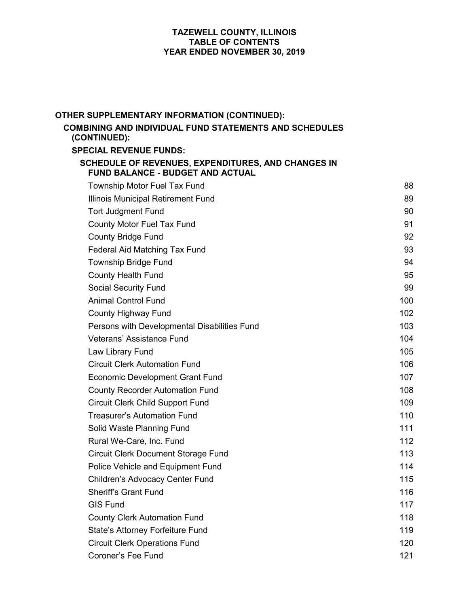#### **TAZEWELL COUNTY, ILLINOIS TABLE OF CONTENTS YEAR ENDED NOVEMBER 30, 2019**

| OTHER SUPPLEMENTARY INFORMATION (CONTINUED):                                                  |     |
|-----------------------------------------------------------------------------------------------|-----|
| <b>COMBINING AND INDIVIDUAL FUND STATEMENTS AND SCHEDULES</b><br>(CONTINUED):                 |     |
| <b>SPECIAL REVENUE FUNDS:</b>                                                                 |     |
| SCHEDULE OF REVENUES, EXPENDITURES, AND CHANGES IN<br><b>FUND BALANCE - BUDGET AND ACTUAL</b> |     |
| <b>Township Motor Fuel Tax Fund</b>                                                           | 88  |
| Illinois Municipal Retirement Fund                                                            | 89  |
| <b>Tort Judgment Fund</b>                                                                     | 90  |
| County Motor Fuel Tax Fund                                                                    | 91  |
| <b>County Bridge Fund</b>                                                                     | 92  |
| <b>Federal Aid Matching Tax Fund</b>                                                          | 93  |
| <b>Township Bridge Fund</b>                                                                   | 94  |
| <b>County Health Fund</b>                                                                     | 95  |
| <b>Social Security Fund</b>                                                                   | 99  |
| <b>Animal Control Fund</b>                                                                    | 100 |
| <b>County Highway Fund</b>                                                                    | 102 |
| Persons with Developmental Disabilities Fund                                                  | 103 |
| Veterans' Assistance Fund                                                                     | 104 |
| Law Library Fund                                                                              | 105 |
| <b>Circuit Clerk Automation Fund</b>                                                          | 106 |
| <b>Economic Development Grant Fund</b>                                                        | 107 |
| <b>County Recorder Automation Fund</b>                                                        | 108 |
| <b>Circuit Clerk Child Support Fund</b>                                                       | 109 |
| <b>Treasurer's Automation Fund</b>                                                            | 110 |
| Solid Waste Planning Fund                                                                     | 111 |
| Rural We-Care, Inc. Fund                                                                      | 112 |
| <b>Circuit Clerk Document Storage Fund</b>                                                    | 113 |
| Police Vehicle and Equipment Fund                                                             | 114 |
| <b>Children's Advocacy Center Fund</b>                                                        | 115 |
| <b>Sheriff's Grant Fund</b>                                                                   | 116 |
| <b>GIS Fund</b>                                                                               | 117 |
| <b>County Clerk Automation Fund</b>                                                           | 118 |
| State's Attorney Forfeiture Fund                                                              | 119 |
| <b>Circuit Clerk Operations Fund</b>                                                          | 120 |
| Coroner's Fee Fund                                                                            | 121 |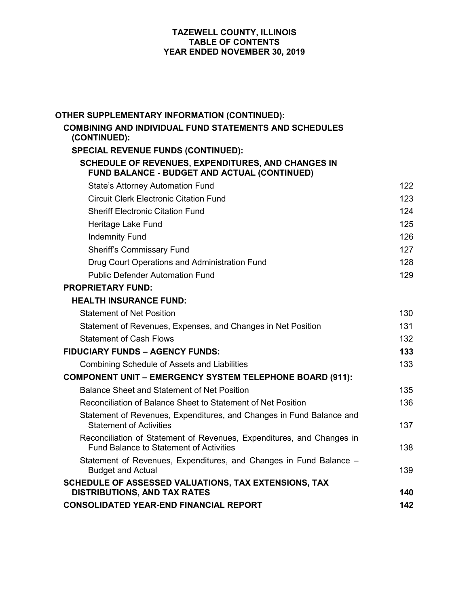### **TAZEWELL COUNTY, ILLINOIS TABLE OF CONTENTS YEAR ENDED NOVEMBER 30, 2019**

| OTHER SUPPLEMENTARY INFORMATION (CONTINUED):                                                                            |     |
|-------------------------------------------------------------------------------------------------------------------------|-----|
| <b>COMBINING AND INDIVIDUAL FUND STATEMENTS AND SCHEDULES</b><br>(CONTINUED):                                           |     |
| <b>SPECIAL REVENUE FUNDS (CONTINUED):</b>                                                                               |     |
| SCHEDULE OF REVENUES, EXPENDITURES, AND CHANGES IN<br>FUND BALANCE - BUDGET AND ACTUAL (CONTINUED)                      |     |
| <b>State's Attorney Automation Fund</b>                                                                                 | 122 |
| <b>Circuit Clerk Electronic Citation Fund</b>                                                                           | 123 |
| <b>Sheriff Electronic Citation Fund</b>                                                                                 | 124 |
| Heritage Lake Fund                                                                                                      | 125 |
| <b>Indemnity Fund</b>                                                                                                   | 126 |
| <b>Sheriff's Commissary Fund</b>                                                                                        | 127 |
| Drug Court Operations and Administration Fund                                                                           | 128 |
| <b>Public Defender Automation Fund</b>                                                                                  | 129 |
| <b>PROPRIETARY FUND:</b>                                                                                                |     |
| <b>HEALTH INSURANCE FUND:</b>                                                                                           |     |
| <b>Statement of Net Position</b>                                                                                        | 130 |
| Statement of Revenues, Expenses, and Changes in Net Position                                                            | 131 |
| <b>Statement of Cash Flows</b>                                                                                          | 132 |
| <b>FIDUCIARY FUNDS - AGENCY FUNDS:</b>                                                                                  | 133 |
| <b>Combining Schedule of Assets and Liabilities</b>                                                                     | 133 |
| <b>COMPONENT UNIT - EMERGENCY SYSTEM TELEPHONE BOARD (911):</b>                                                         |     |
| <b>Balance Sheet and Statement of Net Position</b>                                                                      | 135 |
| Reconciliation of Balance Sheet to Statement of Net Position                                                            | 136 |
| Statement of Revenues, Expenditures, and Changes in Fund Balance and<br><b>Statement of Activities</b>                  | 137 |
| Reconciliation of Statement of Revenues, Expenditures, and Changes in<br><b>Fund Balance to Statement of Activities</b> | 138 |
| Statement of Revenues, Expenditures, and Changes in Fund Balance -<br><b>Budget and Actual</b>                          | 139 |
| SCHEDULE OF ASSESSED VALUATIONS, TAX EXTENSIONS, TAX<br><b>DISTRIBUTIONS, AND TAX RATES</b>                             | 140 |
| <b>CONSOLIDATED YEAR-END FINANCIAL REPORT</b>                                                                           | 142 |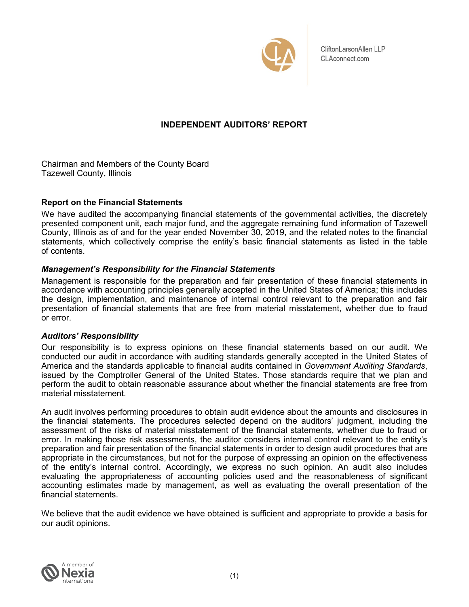

CliftonLarsonAllen LLP CLAconnect.com

# **INDEPENDENT AUDITORS' REPORT**

Chairman and Members of the County Board Tazewell County, Illinois

## **Report on the Financial Statements**

We have audited the accompanying financial statements of the governmental activities, the discretely presented component unit, each major fund, and the aggregate remaining fund information of Tazewell County, Illinois as of and for the year ended November 30, 2019, and the related notes to the financial statements, which collectively comprise the entity's basic financial statements as listed in the table of contents.

## *Management's Responsibility for the Financial Statements*

Management is responsible for the preparation and fair presentation of these financial statements in accordance with accounting principles generally accepted in the United States of America; this includes the design, implementation, and maintenance of internal control relevant to the preparation and fair presentation of financial statements that are free from material misstatement, whether due to fraud or error.

#### *Auditors' Responsibility*

Our responsibility is to express opinions on these financial statements based on our audit. We conducted our audit in accordance with auditing standards generally accepted in the United States of America and the standards applicable to financial audits contained in *Government Auditing Standards*, issued by the Comptroller General of the United States. Those standards require that we plan and perform the audit to obtain reasonable assurance about whether the financial statements are free from material misstatement.

An audit involves performing procedures to obtain audit evidence about the amounts and disclosures in the financial statements. The procedures selected depend on the auditors' judgment, including the assessment of the risks of material misstatement of the financial statements, whether due to fraud or error. In making those risk assessments, the auditor considers internal control relevant to the entity's preparation and fair presentation of the financial statements in order to design audit procedures that are appropriate in the circumstances, but not for the purpose of expressing an opinion on the effectiveness of the entity's internal control. Accordingly, we express no such opinion. An audit also includes evaluating the appropriateness of accounting policies used and the reasonableness of significant accounting estimates made by management, as well as evaluating the overall presentation of the financial statements.

We believe that the audit evidence we have obtained is sufficient and appropriate to provide a basis for our audit opinions.

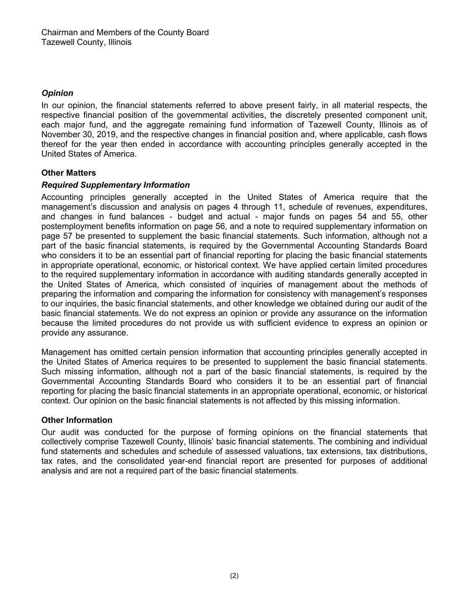## *Opinion*

In our opinion, the financial statements referred to above present fairly, in all material respects, the respective financial position of the governmental activities, the discretely presented component unit, each major fund, and the aggregate remaining fund information of Tazewell County, Illinois as of November 30, 2019, and the respective changes in financial position and, where applicable, cash flows thereof for the year then ended in accordance with accounting principles generally accepted in the United States of America.

## **Other Matters**

## *Required Supplementary Information*

Accounting principles generally accepted in the United States of America require that the management's discussion and analysis on pages 4 through 11, schedule of revenues, expenditures, and changes in fund balances - budget and actual - major funds on pages 54 and 55, other postemployment benefits information on page 56, and a note to required supplementary information on page 57 be presented to supplement the basic financial statements. Such information, although not a part of the basic financial statements, is required by the Governmental Accounting Standards Board who considers it to be an essential part of financial reporting for placing the basic financial statements in appropriate operational, economic, or historical context. We have applied certain limited procedures to the required supplementary information in accordance with auditing standards generally accepted in the United States of America, which consisted of inquiries of management about the methods of preparing the information and comparing the information for consistency with management's responses to our inquiries, the basic financial statements, and other knowledge we obtained during our audit of the basic financial statements. We do not express an opinion or provide any assurance on the information because the limited procedures do not provide us with sufficient evidence to express an opinion or provide any assurance.

Management has omitted certain pension information that accounting principles generally accepted in the United States of America requires to be presented to supplement the basic financial statements. Such missing information, although not a part of the basic financial statements, is required by the Governmental Accounting Standards Board who considers it to be an essential part of financial reporting for placing the basic financial statements in an appropriate operational, economic, or historical context. Our opinion on the basic financial statements is not affected by this missing information.

## **Other Information**

Our audit was conducted for the purpose of forming opinions on the financial statements that collectively comprise Tazewell County, Illinois' basic financial statements. The combining and individual fund statements and schedules and schedule of assessed valuations, tax extensions, tax distributions, tax rates, and the consolidated year-end financial report are presented for purposes of additional analysis and are not a required part of the basic financial statements.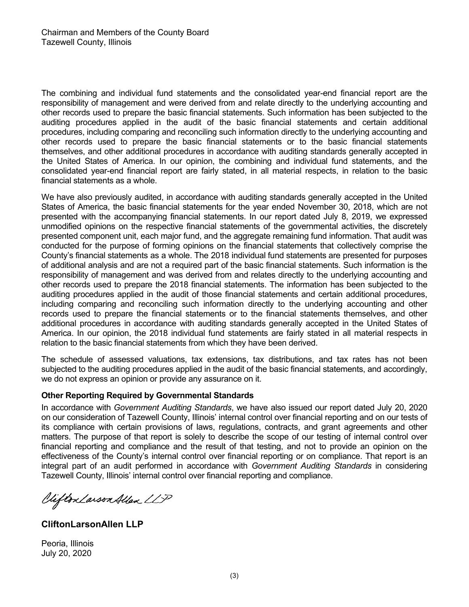The combining and individual fund statements and the consolidated year-end financial report are the responsibility of management and were derived from and relate directly to the underlying accounting and other records used to prepare the basic financial statements. Such information has been subjected to the auditing procedures applied in the audit of the basic financial statements and certain additional procedures, including comparing and reconciling such information directly to the underlying accounting and other records used to prepare the basic financial statements or to the basic financial statements themselves, and other additional procedures in accordance with auditing standards generally accepted in the United States of America. In our opinion, the combining and individual fund statements, and the consolidated year-end financial report are fairly stated, in all material respects, in relation to the basic financial statements as a whole.

We have also previously audited, in accordance with auditing standards generally accepted in the United States of America, the basic financial statements for the year ended November 30, 2018, which are not presented with the accompanying financial statements. In our report dated July 8, 2019, we expressed unmodified opinions on the respective financial statements of the governmental activities, the discretely presented component unit, each major fund, and the aggregate remaining fund information. That audit was conducted for the purpose of forming opinions on the financial statements that collectively comprise the County's financial statements as a whole. The 2018 individual fund statements are presented for purposes of additional analysis and are not a required part of the basic financial statements. Such information is the responsibility of management and was derived from and relates directly to the underlying accounting and other records used to prepare the 2018 financial statements. The information has been subjected to the auditing procedures applied in the audit of those financial statements and certain additional procedures, including comparing and reconciling such information directly to the underlying accounting and other records used to prepare the financial statements or to the financial statements themselves, and other additional procedures in accordance with auditing standards generally accepted in the United States of America. In our opinion, the 2018 individual fund statements are fairly stated in all material respects in relation to the basic financial statements from which they have been derived.

The schedule of assessed valuations, tax extensions, tax distributions, and tax rates has not been subjected to the auditing procedures applied in the audit of the basic financial statements, and accordingly, we do not express an opinion or provide any assurance on it.

#### **Other Reporting Required by Governmental Standards**

In accordance with *Government Auditing Standards*, we have also issued our report dated July 20, 2020 on our consideration of Tazewell County, Illinois' internal control over financial reporting and on our tests of its compliance with certain provisions of laws, regulations, contracts, and grant agreements and other matters. The purpose of that report is solely to describe the scope of our testing of internal control over financial reporting and compliance and the result of that testing, and not to provide an opinion on the effectiveness of the County's internal control over financial reporting or on compliance. That report is an integral part of an audit performed in accordance with *Government Auditing Standards* in considering Tazewell County, Illinois' internal control over financial reporting and compliance.

Vifton Larson Allen LLP

**CliftonLarsonAllen LLP**

Peoria, Illinois July 20, 2020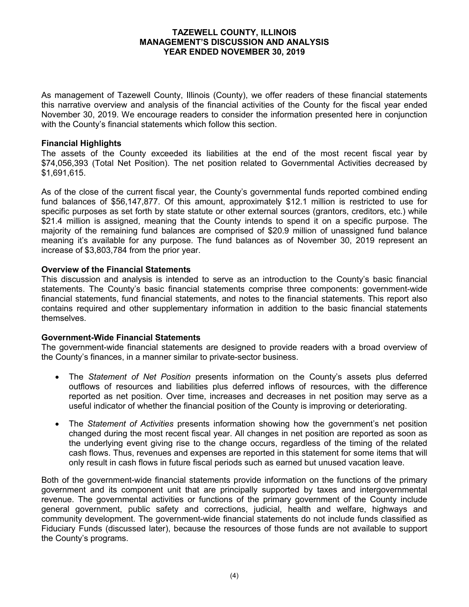As management of Tazewell County, Illinois (County), we offer readers of these financial statements this narrative overview and analysis of the financial activities of the County for the fiscal year ended November 30, 2019. We encourage readers to consider the information presented here in conjunction with the County's financial statements which follow this section.

## **Financial Highlights**

The assets of the County exceeded its liabilities at the end of the most recent fiscal year by \$74,056,393 (Total Net Position). The net position related to Governmental Activities decreased by \$1,691,615.

As of the close of the current fiscal year, the County's governmental funds reported combined ending fund balances of \$56,147,877. Of this amount, approximately \$12.1 million is restricted to use for specific purposes as set forth by state statute or other external sources (grantors, creditors, etc.) while \$21.4 million is assigned, meaning that the County intends to spend it on a specific purpose. The majority of the remaining fund balances are comprised of \$20.9 million of unassigned fund balance meaning it's available for any purpose. The fund balances as of November 30, 2019 represent an increase of \$3,803,784 from the prior year.

## **Overview of the Financial Statements**

This discussion and analysis is intended to serve as an introduction to the County's basic financial statements. The County's basic financial statements comprise three components: government-wide financial statements, fund financial statements, and notes to the financial statements. This report also contains required and other supplementary information in addition to the basic financial statements themselves.

## **Government-Wide Financial Statements**

The government-wide financial statements are designed to provide readers with a broad overview of the County's finances, in a manner similar to private-sector business.

- The *Statement of Net Position* presents information on the County's assets plus deferred outflows of resources and liabilities plus deferred inflows of resources, with the difference reported as net position. Over time, increases and decreases in net position may serve as a useful indicator of whether the financial position of the County is improving or deteriorating.
- The *Statement of Activities* presents information showing how the government's net position changed during the most recent fiscal year. All changes in net position are reported as soon as the underlying event giving rise to the change occurs, regardless of the timing of the related cash flows. Thus, revenues and expenses are reported in this statement for some items that will only result in cash flows in future fiscal periods such as earned but unused vacation leave.

Both of the government-wide financial statements provide information on the functions of the primary government and its component unit that are principally supported by taxes and intergovernmental revenue. The governmental activities or functions of the primary government of the County include general government, public safety and corrections, judicial, health and welfare, highways and community development. The government-wide financial statements do not include funds classified as Fiduciary Funds (discussed later), because the resources of those funds are not available to support the County's programs.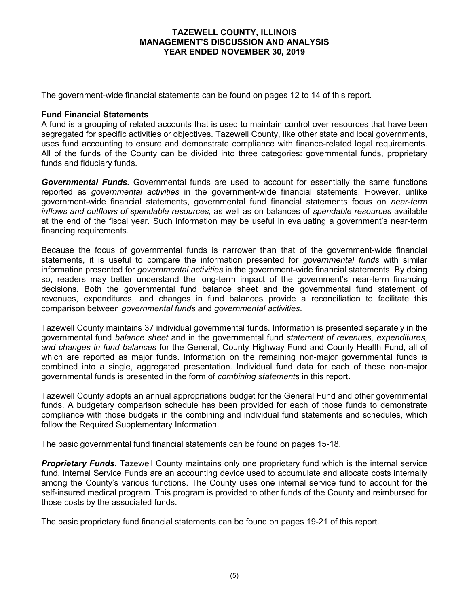The government-wide financial statements can be found on pages 12 to 14 of this report.

#### **Fund Financial Statements**

A fund is a grouping of related accounts that is used to maintain control over resources that have been segregated for specific activities or objectives. Tazewell County, like other state and local governments, uses fund accounting to ensure and demonstrate compliance with finance-related legal requirements. All of the funds of the County can be divided into three categories: governmental funds, proprietary funds and fiduciary funds.

*Governmental Funds.* Governmental funds are used to account for essentially the same functions reported as *governmental activities* in the government-wide financial statements. However, unlike government-wide financial statements, governmental fund financial statements focus on *near-term inflows and outflows of spendable resources*, as well as on balances of *spendable resources* available at the end of the fiscal year. Such information may be useful in evaluating a government's near-term financing requirements.

Because the focus of governmental funds is narrower than that of the government-wide financial statements, it is useful to compare the information presented for *governmental funds* with similar information presented for *governmental activities* in the government-wide financial statements. By doing so, readers may better understand the long-term impact of the government's near-term financing decisions. Both the governmental fund balance sheet and the governmental fund statement of revenues, expenditures, and changes in fund balances provide a reconciliation to facilitate this comparison between *governmental funds* and *governmental activities*.

Tazewell County maintains 37 individual governmental funds. Information is presented separately in the governmental fund *balance sheet* and in the governmental fund *statement of revenues, expenditures, and changes in fund balances* for the General, County Highway Fund and County Health Fund, all of which are reported as major funds. Information on the remaining non-major governmental funds is combined into a single, aggregated presentation. Individual fund data for each of these non-major governmental funds is presented in the form of *combining statements* in this report.

Tazewell County adopts an annual appropriations budget for the General Fund and other governmental funds. A budgetary comparison schedule has been provided for each of those funds to demonstrate compliance with those budgets in the combining and individual fund statements and schedules, which follow the Required Supplementary Information.

The basic governmental fund financial statements can be found on pages 15-18.

*Proprietary Funds*. Tazewell County maintains only one proprietary fund which is the internal service fund. Internal Service Funds are an accounting device used to accumulate and allocate costs internally among the County's various functions. The County uses one internal service fund to account for the self-insured medical program. This program is provided to other funds of the County and reimbursed for those costs by the associated funds.

The basic proprietary fund financial statements can be found on pages 19-21 of this report.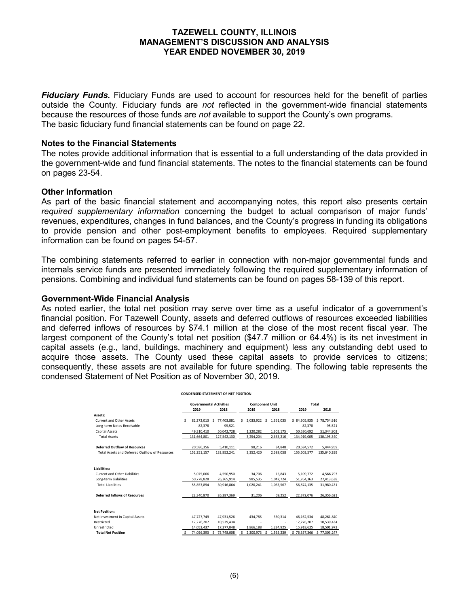*Fiduciary Funds.* Fiduciary Funds are used to account for resources held for the benefit of parties outside the County. Fiduciary funds are *not* reflected in the government-wide financial statements because the resources of those funds are *not* available to support the County's own programs. The basic fiduciary fund financial statements can be found on page 22.

#### **Notes to the Financial Statements**

The notes provide additional information that is essential to a full understanding of the data provided in the government-wide and fund financial statements. The notes to the financial statements can be found on pages 23-54.

#### **Other Information**

As part of the basic financial statement and accompanying notes, this report also presents certain *required supplementary information* concerning the budget to actual comparison of major funds' revenues, expenditures, changes in fund balances, and the County's progress in funding its obligations to provide pension and other post-employment benefits to employees. Required supplementary information can be found on pages 54-57.

The combining statements referred to earlier in connection with non-major governmental funds and internals service funds are presented immediately following the required supplementary information of pensions. Combining and individual fund statements can be found on pages 58-139 of this report.

#### **Government-Wide Financial Analysis**

As noted earlier, the total net position may serve over time as a useful indicator of a government's financial position. For Tazewell County, assets and deferred outflows of resources exceeded liabilities and deferred inflows of resources by \$74.1 million at the close of the most recent fiscal year. The largest component of the County's total net position (\$47.7 million or 64.4%) is its net investment in capital assets (e.g., land, buildings, machinery and equipment) less any outstanding debt used to acquire those assets. The County used these capital assets to provide services to citizens; consequently, these assets are not available for future spending. The following table represents the condensed Statement of Net Position as of November 30, 2019.

| <b>CONDENSED STATEMENT OF NET POSITION</b>     |    |                                |    |             |    |                       |    |           |              |              |  |  |
|------------------------------------------------|----|--------------------------------|----|-------------|----|-----------------------|----|-----------|--------------|--------------|--|--|
|                                                |    | <b>Governmental Activities</b> |    |             |    | <b>Component Unit</b> |    |           |              | Total        |  |  |
|                                                |    | 2019                           |    | 2018        |    | 2019                  |    | 2018      | 2019         | 2018         |  |  |
| Assets:                                        |    |                                |    |             |    |                       |    |           |              |              |  |  |
| <b>Current and Other Assets</b>                | Ś. | 82.272.013                     | Ŝ. | 77,403.881  | Ŝ. | 2.033.922             | Ŝ. | 1.351.035 | \$84,305,935 | \$78,754,916 |  |  |
| Long-term Notes Receivable                     |    | 82.378                         |    | 95,521      |    |                       |    |           | 82.378       | 95,521       |  |  |
| <b>Capital Assets</b>                          |    | 49,310,410                     |    | 50,042,728  |    | 1.220.282             |    | 1,302,175 | 50,530,692   | 51,344,903   |  |  |
| <b>Total Assets</b>                            |    | 131,664,801                    |    | 127,542,130 |    | 3,254,204             |    | 2,653,210 | 134,919,005  | 130,195,340  |  |  |
|                                                |    |                                |    |             |    |                       |    |           |              |              |  |  |
| <b>Deferred Outflow of Resources</b>           |    | 20.586.356                     |    | 5,410,111   |    | 98.216                |    | 34,848    | 20,684,572   | 5,444,959    |  |  |
| Total Assets and Deferred Outflow of Resources |    | 152,251,157                    |    | 132,952,241 |    | 3,352,420             |    | 2,688,058 | 155,603,577  | 135,640,299  |  |  |
|                                                |    |                                |    |             |    |                       |    |           |              |              |  |  |
| Liabilities:                                   |    |                                |    |             |    |                       |    |           |              |              |  |  |
| Current and Other Liabilities                  |    | 5,075,066                      |    | 4,550,950   |    | 34.706                |    | 15.843    | 5,109,772    | 4,566,793    |  |  |
| Long-term Liabilities                          |    | 50,778,828                     |    | 26,365,914  |    | 985,535               |    | 1,047,724 | 51,764,363   | 27,413,638   |  |  |
| <b>Total Liabilities</b>                       |    | 55,853,894                     |    | 30,916,864  |    | 1,020,241             |    | 1,063,567 | 56,874,135   | 31,980,431   |  |  |
| <b>Deferred Inflows of Resources</b>           |    | 22.340.870                     |    | 26,287,369  |    | 31.206                |    | 69.252    | 22,372,076   | 26,356,621   |  |  |
| <b>Net Position:</b>                           |    |                                |    |             |    |                       |    |           |              |              |  |  |
| Net Investment in Capital Assets               |    | 47,727,749                     |    | 47,931,526  |    | 434.785               |    | 330.314   | 48.162.534   | 48,261,840   |  |  |
| Restricted                                     |    | 12,276,207                     |    | 10,539,434  |    |                       |    |           | 12,276,207   | 10,539,434   |  |  |
| Unrestricted                                   |    | 14,052,437                     |    | 17.277.048  |    | 1.866.188             |    | 1.224.925 | 15,918,625   | 18,501,973   |  |  |
| <b>Total Net Position</b>                      | Ś. | 74.056.393                     | Ś. | 75.748.008  | \$ | 2.300.973             | Ś  | 1,555,239 | \$76,357,366 | \$77.303.247 |  |  |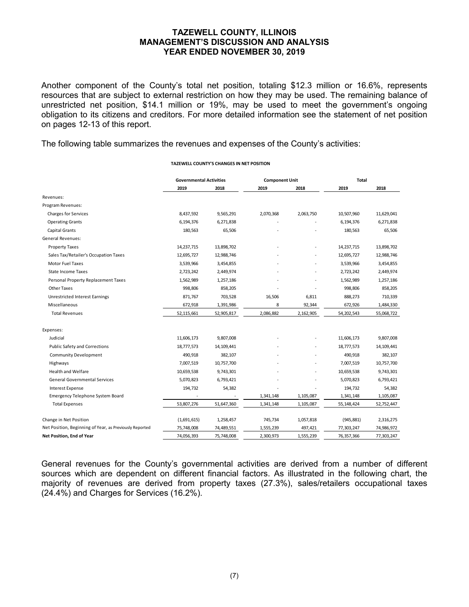Another component of the County's total net position, totaling \$12.3 million or 16.6%, represents resources that are subject to external restriction on how they may be used. The remaining balance of unrestricted net position, \$14.1 million or 19%, may be used to meet the government's ongoing obligation to its citizens and creditors. For more detailed information see the statement of net position on pages 12-13 of this report.

The following table summarizes the revenues and expenses of the County's activities:

|                                                         | <b>Governmental Activities</b> |            | <b>Component Unit</b> |           | <b>Total</b> |            |  |
|---------------------------------------------------------|--------------------------------|------------|-----------------------|-----------|--------------|------------|--|
|                                                         | 2019                           | 2018       | 2019                  | 2018      | 2019         | 2018       |  |
| Revenues:                                               |                                |            |                       |           |              |            |  |
| Program Revenues:                                       |                                |            |                       |           |              |            |  |
| <b>Charges for Services</b>                             | 8,437,592                      | 9,565,291  | 2,070,368             | 2,063,750 | 10,507,960   | 11,629,041 |  |
| <b>Operating Grants</b>                                 | 6,194,376                      | 6,271,838  |                       |           | 6,194,376    | 6,271,838  |  |
| <b>Capital Grants</b>                                   | 180,563                        | 65,506     |                       |           | 180,563      | 65,506     |  |
| <b>General Revenues:</b>                                |                                |            |                       |           |              |            |  |
| <b>Property Taxes</b>                                   | 14,237,715                     | 13,898,702 |                       |           | 14,237,715   | 13,898,702 |  |
| Sales Tax/Retailer's Occupation Taxes                   | 12,695,727                     | 12,988,746 |                       |           | 12,695,727   | 12,988,746 |  |
| Motor Fuel Taxes                                        | 3,539,966                      | 3,454,855  |                       |           | 3,539,966    | 3,454,855  |  |
| <b>State Income Taxes</b>                               | 2,723,242                      | 2,449,974  |                       |           | 2,723,242    | 2,449,974  |  |
| Personal Property Replacement Taxes                     | 1,562,989                      | 1,257,186  |                       |           | 1,562,989    | 1,257,186  |  |
| <b>Other Taxes</b>                                      | 998,806                        | 858,205    |                       |           | 998,806      | 858,205    |  |
| <b>Unrestricted Interest Earnings</b>                   | 871,767                        | 703,528    | 16,506                | 6,811     | 888,273      | 710,339    |  |
| Miscellaneous                                           | 672,918                        | 1,391,986  | 8                     | 92,344    | 672,926      | 1,484,330  |  |
| <b>Total Revenues</b>                                   | 52,115,661                     | 52,905,817 | 2,086,882             | 2,162,905 | 54,202,543   | 55,068,722 |  |
| Expenses:                                               |                                |            |                       |           |              |            |  |
| Judicial                                                | 11,606,173                     | 9,807,008  |                       |           | 11,606,173   | 9,807,008  |  |
| Public Safety and Corrections                           | 18,777,573                     | 14,109,441 |                       |           | 18,777,573   | 14,109,441 |  |
| Community Development                                   | 490,918                        | 382,107    |                       |           | 490,918      | 382,107    |  |
| Highways                                                | 7,007,519                      | 10,757,700 |                       |           | 7,007,519    | 10,757,700 |  |
| <b>Health and Welfare</b>                               | 10,659,538                     | 9,743,301  |                       |           | 10,659,538   | 9,743,301  |  |
| <b>General Governmental Services</b>                    | 5,070,823                      | 6,793,421  |                       |           | 5,070,823    | 6,793,421  |  |
| <b>Interest Expense</b>                                 | 194,732                        | 54,382     |                       |           | 194,732      | 54,382     |  |
| <b>Emergency Telephone System Board</b>                 |                                |            | 1,341,148             | 1,105,087 | 1,341,148    | 1,105,087  |  |
| <b>Total Expenses</b>                                   | 53,807,276                     | 51,647,360 | 1,341,148             | 1,105,087 | 55,148,424   | 52,752,447 |  |
| Change in Net Position                                  | (1,691,615)                    | 1,258,457  | 745,734               | 1,057,818 | (945, 881)   | 2,316,275  |  |
| Net Position, Beginning of Year, as Previously Reported | 75,748,008                     | 74,489,551 | 1,555,239             | 497,421   | 77,303,247   | 74,986,972 |  |
| Net Position, End of Year                               | 74,056,393                     | 75,748,008 | 2,300,973             | 1,555,239 | 76,357,366   | 77,303,247 |  |

#### **TAZEWELL COUNTY'S CHANGES IN NET POSITION**

General revenues for the County's governmental activities are derived from a number of different sources which are dependent on different financial factors. As illustrated in the following chart, the majority of revenues are derived from property taxes (27.3%), sales/retailers occupational taxes (24.4%) and Charges for Services (16.2%).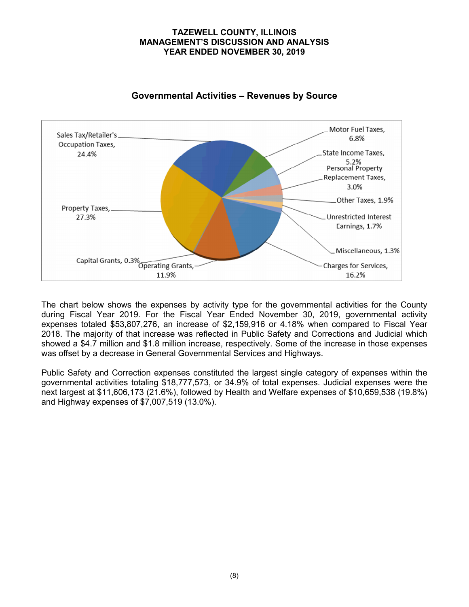

## **Governmental Activities – Revenues by Source**

The chart below shows the expenses by activity type for the governmental activities for the County during Fiscal Year 2019. For the Fiscal Year Ended November 30, 2019, governmental activity expenses totaled \$53,807,276, an increase of \$2,159,916 or 4.18% when compared to Fiscal Year 2018. The majority of that increase was reflected in Public Safety and Corrections and Judicial which showed a \$4.7 million and \$1.8 million increase, respectively. Some of the increase in those expenses was offset by a decrease in General Governmental Services and Highways.

Public Safety and Correction expenses constituted the largest single category of expenses within the governmental activities totaling \$18,777,573, or 34.9% of total expenses. Judicial expenses were the next largest at \$11,606,173 (21.6%), followed by Health and Welfare expenses of \$10,659,538 (19.8%) and Highway expenses of \$7,007,519 (13.0%).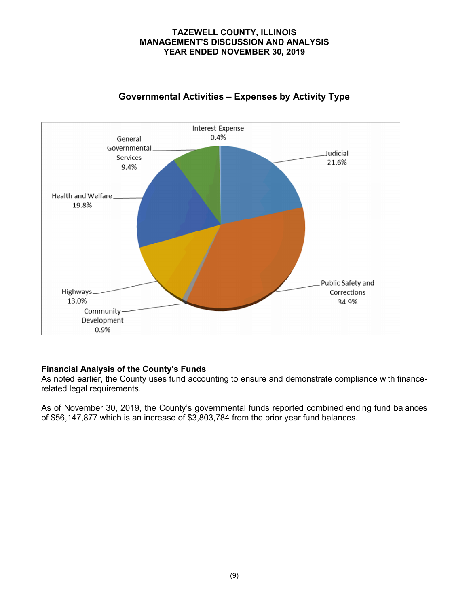

# **Governmental Activities – Expenses by Activity Type**

## **Financial Analysis of the County's Funds**

As noted earlier, the County uses fund accounting to ensure and demonstrate compliance with financerelated legal requirements.

As of November 30, 2019, the County's governmental funds reported combined ending fund balances of \$56,147,877 which is an increase of \$3,803,784 from the prior year fund balances.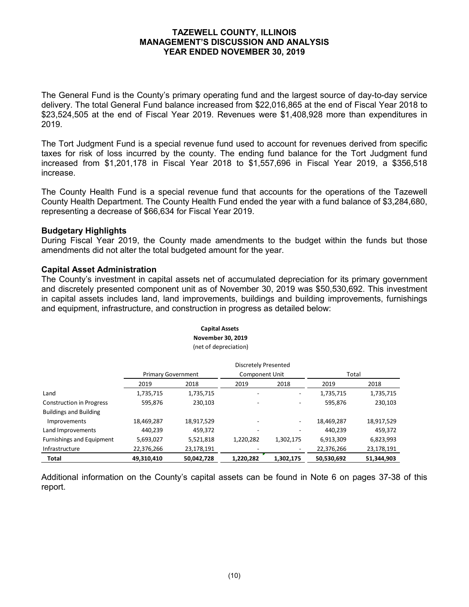The General Fund is the County's primary operating fund and the largest source of day-to-day service delivery. The total General Fund balance increased from \$22,016,865 at the end of Fiscal Year 2018 to \$23,524,505 at the end of Fiscal Year 2019. Revenues were \$1,408,928 more than expenditures in 2019.

The Tort Judgment Fund is a special revenue fund used to account for revenues derived from specific taxes for risk of loss incurred by the county. The ending fund balance for the Tort Judgment fund increased from \$1,201,178 in Fiscal Year 2018 to \$1,557,696 in Fiscal Year 2019, a \$356,518 increase.

The County Health Fund is a special revenue fund that accounts for the operations of the Tazewell County Health Department. The County Health Fund ended the year with a fund balance of \$3,284,680, representing a decrease of \$66,634 for Fiscal Year 2019.

#### **Budgetary Highlights**

During Fiscal Year 2019, the County made amendments to the budget within the funds but those amendments did not alter the total budgeted amount for the year.

## **Capital Asset Administration**

The County's investment in capital assets net of accumulated depreciation for its primary government and discretely presented component unit as of November 30, 2019 was \$50,530,692. This investment in capital assets includes land, land improvements, buildings and building improvements, furnishings and equipment, infrastructure, and construction in progress as detailed below:

## **Capital Assets November 30, 2019**

(net of depreciation)

|                                 | <b>Discretely Presented</b> |            |                |           |            |            |  |  |  |  |  |  |  |
|---------------------------------|-----------------------------|------------|----------------|-----------|------------|------------|--|--|--|--|--|--|--|
|                                 | <b>Primary Government</b>   |            | Component Unit |           | Total      |            |  |  |  |  |  |  |  |
|                                 | 2019                        | 2018       | 2019           | 2018      | 2019       | 2018       |  |  |  |  |  |  |  |
| Land                            | 1,735,715                   | 1,735,715  |                |           | 1,735,715  | 1,735,715  |  |  |  |  |  |  |  |
| <b>Construction in Progress</b> | 595,876                     | 230,103    |                |           | 595,876    | 230,103    |  |  |  |  |  |  |  |
| <b>Buildings and Building</b>   |                             |            |                |           |            |            |  |  |  |  |  |  |  |
| Improvements                    | 18,469,287                  | 18,917,529 |                | ۰.        | 18,469,287 | 18,917,529 |  |  |  |  |  |  |  |
| Land Improvements               | 440,239                     | 459,372    |                |           | 440,239    | 459,372    |  |  |  |  |  |  |  |
| Furnishings and Equipment       | 5,693,027                   | 5,521,818  | 1,220,282      | 1,302,175 | 6,913,309  | 6,823,993  |  |  |  |  |  |  |  |
| Infrastructure                  | 22,376,266                  | 23,178,191 |                |           | 22,376,266 | 23,178,191 |  |  |  |  |  |  |  |
| Total                           | 49,310,410                  | 50,042,728 | 1,220,282      | 1,302,175 | 50,530,692 | 51,344,903 |  |  |  |  |  |  |  |

Additional information on the County's capital assets can be found in Note 6 on pages 37-38 of this report.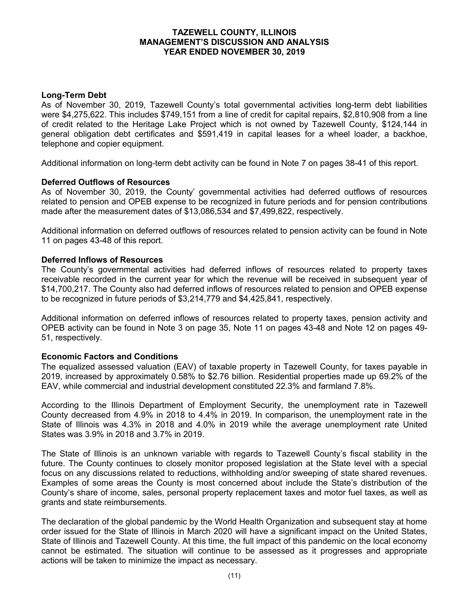## **Long-Term Debt**

As of November 30, 2019, Tazewell County's total governmental activities long-term debt liabilities were \$4,275,622. This includes \$749,151 from a line of credit for capital repairs, \$2,810,908 from a line of credit related to the Heritage Lake Project which is not owned by Tazewell County, \$124,144 in general obligation debt certificates and \$591,419 in capital leases for a wheel loader, a backhoe, telephone and copier equipment.

Additional information on long-term debt activity can be found in Note 7 on pages 38-41 of this report.

## **Deferred Outflows of Resources**

As of November 30, 2019, the County' governmental activities had deferred outflows of resources related to pension and OPEB expense to be recognized in future periods and for pension contributions made after the measurement dates of \$13,086,534 and \$7,499,822, respectively.

Additional information on deferred outflows of resources related to pension activity can be found in Note 11 on pages 43-48 of this report.

## **Deferred Inflows of Resources**

The County's governmental activities had deferred inflows of resources related to property taxes receivable recorded in the current year for which the revenue will be received in subsequent year of \$14,700,217. The County also had deferred inflows of resources related to pension and OPEB expense to be recognized in future periods of \$3,214,779 and \$4,425,841, respectively.

Additional information on deferred inflows of resources related to property taxes, pension activity and OPEB activity can be found in Note 3 on page 35, Note 11 on pages 43-48 and Note 12 on pages 49- 51, respectively.

#### **Economic Factors and Conditions**

The equalized assessed valuation (EAV) of taxable property in Tazewell County, for taxes payable in 2019, increased by approximately 0.58% to \$2.76 billion. Residential properties made up 69.2% of the EAV, while commercial and industrial development constituted 22.3% and farmland 7.8%.

According to the Illinois Department of Employment Security, the unemployment rate in Tazewell County decreased from 4.9% in 2018 to 4.4% in 2019. In comparison, the unemployment rate in the State of Illinois was 4.3% in 2018 and 4.0% in 2019 while the average unemployment rate United States was 3.9% in 2018 and 3.7% in 2019.

The State of Illinois is an unknown variable with regards to Tazewell County's fiscal stability in the future. The County continues to closely monitor proposed legislation at the State level with a special focus on any discussions related to reductions, withholding and/or sweeping of state shared revenues. Examples of some areas the County is most concerned about include the State's distribution of the County's share of income, sales, personal property replacement taxes and motor fuel taxes, as well as grants and state reimbursements.

The declaration of the global pandemic by the World Health Organization and subsequent stay at home order issued for the State of Illinois in March 2020 will have a significant impact on the United States, State of Illinois and Tazewell County. At this time, the full impact of this pandemic on the local economy cannot be estimated. The situation will continue to be assessed as it progresses and appropriate actions will be taken to minimize the impact as necessary.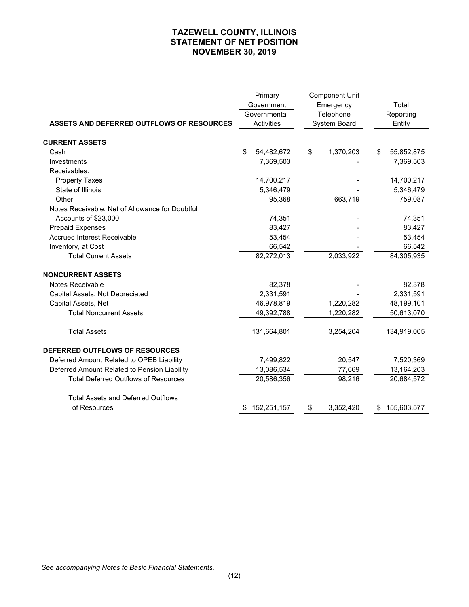## **TAZEWELL COUNTY, ILLINOIS STATEMENT OF NET POSITION NOVEMBER 30, 2019**

|                                                 |            | Primary      | <b>Component Unit</b> |                   |  |  |
|-------------------------------------------------|------------|--------------|-----------------------|-------------------|--|--|
|                                                 | Government |              | Emergency             | Total             |  |  |
|                                                 |            | Governmental | Telephone             | Reporting         |  |  |
| ASSETS AND DEFERRED OUTFLOWS OF RESOURCES       |            | Activities   | System Board          | Entity            |  |  |
| <b>CURRENT ASSETS</b>                           |            |              |                       |                   |  |  |
| Cash                                            | \$         | 54,482,672   | \$<br>1,370,203       | \$<br>55,852,875  |  |  |
| Investments                                     |            | 7,369,503    |                       | 7,369,503         |  |  |
| Receivables:                                    |            |              |                       |                   |  |  |
| <b>Property Taxes</b>                           |            | 14,700,217   |                       | 14,700,217        |  |  |
| State of Illinois                               |            | 5,346,479    |                       | 5,346,479         |  |  |
| Other                                           |            | 95,368       | 663,719               | 759,087           |  |  |
| Notes Receivable, Net of Allowance for Doubtful |            |              |                       |                   |  |  |
| Accounts of \$23,000                            |            | 74,351       |                       | 74,351            |  |  |
| <b>Prepaid Expenses</b>                         |            | 83,427       |                       | 83,427            |  |  |
| <b>Accrued Interest Receivable</b>              |            | 53,454       |                       | 53,454            |  |  |
| Inventory, at Cost                              |            | 66,542       |                       | 66,542            |  |  |
| <b>Total Current Assets</b>                     |            | 82,272,013   | 2,033,922             | 84,305,935        |  |  |
| <b>NONCURRENT ASSETS</b>                        |            |              |                       |                   |  |  |
| Notes Receivable                                |            | 82,378       |                       | 82,378            |  |  |
| Capital Assets, Not Depreciated                 |            | 2,331,591    |                       | 2,331,591         |  |  |
| Capital Assets, Net                             |            | 46,978,819   | 1,220,282             | 48,199,101        |  |  |
| <b>Total Noncurrent Assets</b>                  |            | 49,392,788   | 1,220,282             | 50,613,070        |  |  |
| <b>Total Assets</b>                             |            | 131,664,801  | 3,254,204             | 134,919,005       |  |  |
| <b>DEFERRED OUTFLOWS OF RESOURCES</b>           |            |              |                       |                   |  |  |
| Deferred Amount Related to OPEB Liability       |            | 7,499,822    | 20,547                | 7,520,369         |  |  |
| Deferred Amount Related to Pension Liability    |            | 13,086,534   | 77,669                | 13,164,203        |  |  |
| <b>Total Deferred Outflows of Resources</b>     |            | 20,586,356   | 98,216                | 20,684,572        |  |  |
| <b>Total Assets and Deferred Outflows</b>       |            |              |                       |                   |  |  |
| of Resources                                    |            | 152,251,157  | \$<br>3,352,420       | \$<br>155,603,577 |  |  |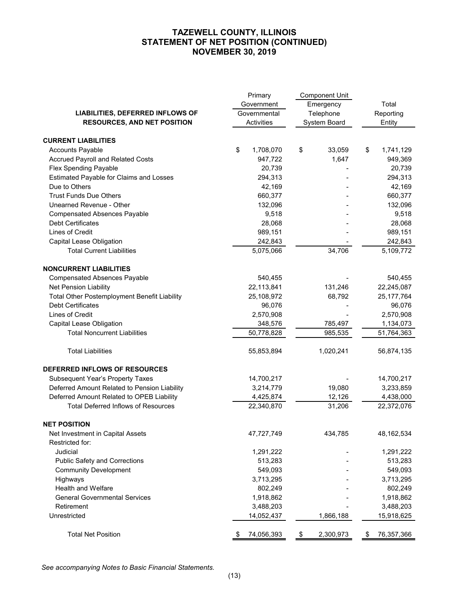## **TAZEWELL COUNTY, ILLINOIS STATEMENT OF NET POSITION (CONTINUED) NOVEMBER 30, 2019**

|                                              | Primary          | <b>Component Unit</b> |                              |              |  |
|----------------------------------------------|------------------|-----------------------|------------------------------|--------------|--|
|                                              | Government       | Emergency             | Total<br>Reporting<br>Entity |              |  |
| LIABILITIES, DEFERRED INFLOWS OF             | Governmental     | Telephone             |                              |              |  |
| <b>RESOURCES, AND NET POSITION</b>           | Activities       | System Board          |                              |              |  |
| <b>CURRENT LIABILITIES</b>                   |                  |                       |                              |              |  |
| Accounts Payable                             | \$<br>1,708,070  | \$<br>33,059          | \$                           | 1,741,129    |  |
| <b>Accrued Payroll and Related Costs</b>     | 947,722          | 1,647                 |                              | 949,369      |  |
| <b>Flex Spending Payable</b>                 | 20,739           |                       |                              | 20,739       |  |
| Estimated Payable for Claims and Losses      | 294,313          |                       |                              | 294,313      |  |
| Due to Others                                | 42,169           |                       |                              | 42,169       |  |
| <b>Trust Funds Due Others</b>                | 660,377          |                       |                              | 660,377      |  |
| Unearned Revenue - Other                     | 132,096          |                       |                              | 132,096      |  |
| <b>Compensated Absences Payable</b>          | 9,518            |                       |                              | 9,518        |  |
| <b>Debt Certificates</b>                     | 28,068           |                       |                              | 28,068       |  |
| <b>Lines of Credit</b>                       | 989,151          |                       |                              | 989,151      |  |
| <b>Capital Lease Obligation</b>              | 242,843          |                       |                              | 242,843      |  |
| <b>Total Current Liabilities</b>             | 5,075,066        | 34,706                |                              | 5,109,772    |  |
| <b>NONCURRENT LIABILITIES</b>                |                  |                       |                              |              |  |
| <b>Compensated Absences Payable</b>          | 540,455          |                       |                              | 540,455      |  |
| Net Pension Liability                        | 22,113,841       | 131,246               |                              | 22,245,087   |  |
| Total Other Postemployment Benefit Liability | 25,108,972       | 68,792                |                              | 25, 177, 764 |  |
| <b>Debt Certificates</b>                     | 96,076           |                       |                              | 96,076       |  |
| <b>Lines of Credit</b>                       | 2,570,908        |                       |                              | 2,570,908    |  |
| Capital Lease Obligation                     | 348,576          | 785,497               |                              | 1,134,073    |  |
| <b>Total Noncurrent Liabilities</b>          | 50,778,828       | 985,535               |                              | 51,764,363   |  |
|                                              |                  |                       |                              |              |  |
| <b>Total Liabilities</b>                     | 55,853,894       | 1,020,241             |                              | 56,874,135   |  |
| DEFERRED INFLOWS OF RESOURCES                |                  |                       |                              |              |  |
| <b>Subsequent Year's Property Taxes</b>      | 14,700,217       |                       |                              | 14,700,217   |  |
| Deferred Amount Related to Pension Liability | 3,214,779        | 19,080                |                              | 3,233,859    |  |
| Deferred Amount Related to OPEB Liability    | 4,425,874        | 12,126                |                              | 4,438,000    |  |
| <b>Total Deferred Inflows of Resources</b>   | 22,340,870       | 31,206                |                              | 22,372,076   |  |
| <b>NET POSITION</b>                          |                  |                       |                              |              |  |
| Net Investment in Capital Assets             | 47,727,749       | 434,785               |                              | 48, 162, 534 |  |
| Restricted for:                              |                  |                       |                              |              |  |
| Judicial                                     | 1,291,222        |                       |                              | 1,291,222    |  |
| <b>Public Safety and Corrections</b>         | 513,283          |                       |                              | 513,283      |  |
| <b>Community Development</b>                 | 549,093          |                       |                              | 549,093      |  |
| Highways                                     | 3,713,295        |                       |                              | 3,713,295    |  |
| <b>Health and Welfare</b>                    | 802,249          |                       |                              | 802,249      |  |
| <b>General Governmental Services</b>         | 1,918,862        |                       |                              | 1,918,862    |  |
| Retirement                                   | 3,488,203        |                       |                              | 3,488,203    |  |
| Unrestricted                                 | 14,052,437       | 1,866,188             |                              | 15,918,625   |  |
| <b>Total Net Position</b>                    | \$<br>74,056,393 | \$<br>2,300,973       | \$                           | 76,357,366   |  |

*See accompanying Notes to Basic Financial Statements.*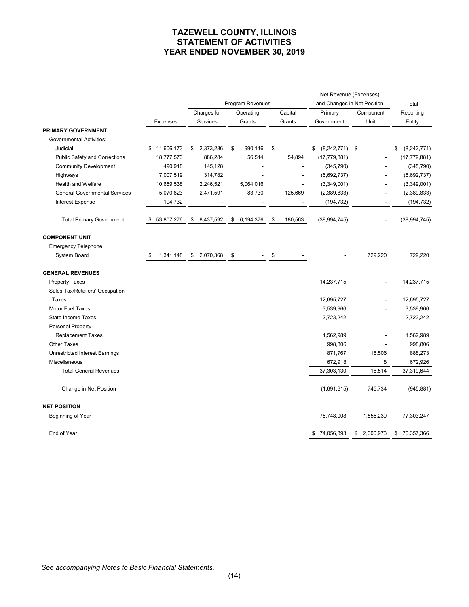## **TAZEWELL COUNTY, ILLINOIS STATEMENT OF ACTIVITIES YEAR ENDED NOVEMBER 30, 2019**

|                                      |    |            |    |                 |                  |           |    |         | Net Revenue (Expenses)      |                 |                   |
|--------------------------------------|----|------------|----|-----------------|------------------|-----------|----|---------|-----------------------------|-----------------|-------------------|
|                                      |    |            |    |                 | Program Revenues |           |    |         | and Changes in Net Position |                 | Total             |
|                                      |    |            |    | Charges for     |                  | Operating |    | Capital | Primary                     | Component       | Reporting         |
|                                      |    | Expenses   |    | <b>Services</b> |                  | Grants    |    | Grants  | Government                  | Unit            | Entity            |
| PRIMARY GOVERNMENT                   |    |            |    |                 |                  |           |    |         |                             |                 |                   |
| <b>Governmental Activities:</b>      |    |            |    |                 |                  |           |    |         |                             |                 |                   |
| Judicial                             | \$ | 11,606,173 | \$ | 2,373,286       | \$               | 990,116   | \$ |         | $(8,242,771)$ \$<br>\$      |                 | (8,242,771)<br>\$ |
| Public Safety and Corrections        |    | 18,777,573 |    | 886,284         |                  | 56,514    |    | 54,894  | (17, 779, 881)              |                 | (17, 779, 881)    |
| <b>Community Development</b>         |    | 490,918    |    | 145,128         |                  |           |    |         | (345, 790)                  |                 | (345, 790)        |
| Highways                             |    | 7,007,519  |    | 314,782         |                  |           |    |         | (6,692,737)                 |                 | (6,692,737)       |
| <b>Health and Welfare</b>            |    | 10,659,538 |    | 2,246,521       |                  | 5,064,016 |    |         | (3,349,001)                 |                 | (3,349,001)       |
| <b>General Governmental Services</b> |    | 5,070,823  |    | 2,471,591       |                  | 83,730    |    | 125,669 | (2,389,833)                 |                 | (2,389,833)       |
| <b>Interest Expense</b>              |    | 194,732    |    |                 |                  |           |    |         | (194, 732)                  |                 | (194, 732)        |
| <b>Total Primary Government</b>      | S  | 53,807,276 | \$ | 8,437,592       | \$               | 6,194,376 | \$ | 180,563 | (38, 994, 745)              |                 | (38, 994, 745)    |
| <b>COMPONENT UNIT</b>                |    |            |    |                 |                  |           |    |         |                             |                 |                   |
| <b>Emergency Telephone</b>           |    |            |    |                 |                  |           |    |         |                             |                 |                   |
| System Board                         | \$ | 1,341,148  |    | \$2,070,368     | \$               |           | \$ |         |                             | 729,220         | 729,220           |
| <b>GENERAL REVENUES</b>              |    |            |    |                 |                  |           |    |         |                             |                 |                   |
| <b>Property Taxes</b>                |    |            |    |                 |                  |           |    |         | 14,237,715                  |                 | 14,237,715        |
| Sales Tax/Retailers' Occupation      |    |            |    |                 |                  |           |    |         |                             |                 |                   |
| Taxes                                |    |            |    |                 |                  |           |    |         | 12,695,727                  |                 | 12,695,727        |
| <b>Motor Fuel Taxes</b>              |    |            |    |                 |                  |           |    |         | 3,539,966                   |                 | 3,539,966         |
| <b>State Income Taxes</b>            |    |            |    |                 |                  |           |    |         | 2,723,242                   |                 | 2,723,242         |
| Personal Property                    |    |            |    |                 |                  |           |    |         |                             |                 |                   |
| <b>Replacement Taxes</b>             |    |            |    |                 |                  |           |    |         | 1,562,989                   |                 | 1,562,989         |
| <b>Other Taxes</b>                   |    |            |    |                 |                  |           |    |         | 998,806                     |                 | 998,806           |
| Unrestricted Interest Earnings       |    |            |    |                 |                  |           |    |         | 871,767                     | 16,506          | 888,273           |
| Miscellaneous                        |    |            |    |                 |                  |           |    |         | 672,918                     | 8               | 672,926           |
| <b>Total General Revenues</b>        |    |            |    |                 |                  |           |    |         | 37,303,130                  | 16,514          | 37,319,644        |
| Change in Net Position               |    |            |    |                 |                  |           |    |         | (1,691,615)                 | 745,734         | (945, 881)        |
| <b>NET POSITION</b>                  |    |            |    |                 |                  |           |    |         |                             |                 |                   |
| Beginning of Year                    |    |            |    |                 |                  |           |    |         | 75,748,008                  | 1,555,239       | 77,303,247        |
| End of Year                          |    |            |    |                 |                  |           |    |         | 74,056,393<br>\$            | 2,300,973<br>\$ | \$76,357,366      |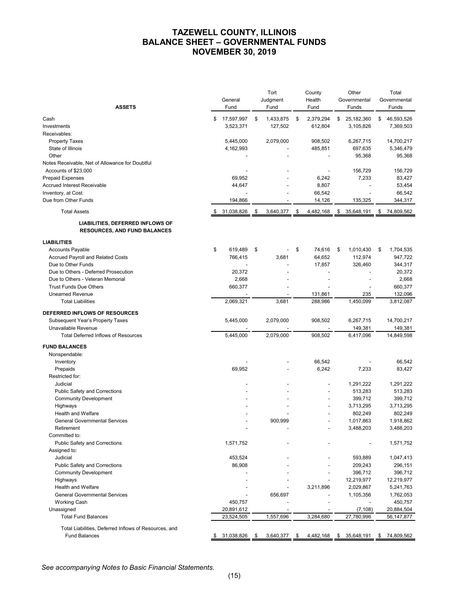## **TAZEWELL COUNTY, ILLINOIS BALANCE SHEET – GOVERNMENTAL FUNDS NOVEMBER 30, 2019**

| <b>ASSETS</b>                                                           |    | General<br>Fund | Tort<br>Judgment<br>Fund | County<br>Health<br>Fund | Other<br>Governmental<br>Funds | Total<br>Governmental<br>Funds |
|-------------------------------------------------------------------------|----|-----------------|--------------------------|--------------------------|--------------------------------|--------------------------------|
| Cash                                                                    | \$ | 17,597,997      | \$<br>1,433,875          | \$<br>2,379,294          | \$<br>25,182,360               | \$<br>46,593,526               |
| Investments                                                             |    | 3,523,371       | 127,502                  | 612,804                  | 3,105,826                      | 7,369,503                      |
| Receivables:                                                            |    |                 |                          |                          |                                |                                |
| <b>Property Taxes</b>                                                   |    | 5,445,000       | 2,079,000                | 908,502                  | 6,267,715                      | 14,700,217                     |
| State of Illinois                                                       |    | 4,162,993       |                          | 485,851                  | 697,635                        | 5,346,479                      |
| Other                                                                   |    |                 |                          |                          | 95,368                         | 95,368                         |
| Notes Receivable, Net of Allowance for Doubtful                         |    |                 |                          |                          |                                |                                |
| Accounts of \$23,000                                                    |    |                 |                          |                          | 156,729                        | 156,729                        |
| <b>Prepaid Expenses</b>                                                 |    | 69,952          |                          | 6,242                    | 7,233                          | 83,427                         |
| <b>Accrued Interest Receivable</b>                                      |    |                 |                          |                          |                                |                                |
|                                                                         |    | 44,647          |                          | 8,807                    |                                | 53,454                         |
| Inventory, at Cost                                                      |    |                 |                          | 66,542                   |                                | 66,542                         |
| Due from Other Funds                                                    |    | 194,866         |                          | 14,126                   | 135,325                        | 344,317                        |
| <b>Total Assets</b>                                                     |    | 31,038,826      | \$<br>3,640,377          | \$<br>4,482,168          | \$<br>35,648,191               | \$<br>74,809,562               |
| LIABILITIES, DEFERRED INFLOWS OF<br><b>RESOURCES, AND FUND BALANCES</b> |    |                 |                          |                          |                                |                                |
| <b>LIABILITIES</b>                                                      |    |                 |                          |                          |                                |                                |
| <b>Accounts Payable</b>                                                 | \$ | 619,489         | \$                       | \$<br>74.616             | \$<br>1,010,430                | \$<br>1,704,535                |
| <b>Accrued Payroll and Related Costs</b>                                |    | 766,415         | 3,681                    | 64,652                   | 112,974                        | 947,722                        |
| Due to Other Funds                                                      |    | -               |                          | 17,857                   | 326,460                        | 344,317                        |
| Due to Others - Deferred Prosecution                                    |    | 20,372          |                          |                          |                                | 20,372                         |
| Due to Others - Veteran Memorial                                        |    | 2,668           |                          |                          |                                | 2,668                          |
| <b>Trust Funds Due Others</b>                                           |    | 660,377         |                          |                          |                                | 660,377                        |
| <b>Unearned Revenue</b>                                                 |    |                 |                          | 131,861                  | 235                            | 132,096                        |
| <b>Total Liabilities</b>                                                |    | 2,069,321       | 3,681                    | 288,986                  | 1,450,099                      | 3,812,087                      |
|                                                                         |    |                 |                          |                          |                                |                                |
| DEFERRED INFLOWS OF RESOURCES                                           |    |                 |                          |                          |                                |                                |
| Subsequent Year's Property Taxes                                        |    | 5,445,000       | 2,079,000                | 908,502                  | 6,267,715                      | 14,700,217                     |
| Unavailable Revenue                                                     |    |                 |                          |                          | 149,381                        | 149,381                        |
| <b>Total Deferred Inflows of Resources</b>                              |    | 5,445,000       | 2,079,000                | 908,502                  | 6,417,096                      | 14,849,598                     |
| <b>FUND BALANCES</b>                                                    |    |                 |                          |                          |                                |                                |
| Nonspendable:                                                           |    |                 |                          |                          |                                |                                |
| Inventory                                                               |    |                 |                          | 66,542                   |                                | 66,542                         |
| Prepaids                                                                |    | 69,952          |                          | 6,242                    | 7,233                          | 83,427                         |
| Restricted for:                                                         |    |                 |                          |                          |                                |                                |
| Judicial                                                                |    |                 |                          |                          | 1,291,222                      | 1,291,222                      |
|                                                                         |    |                 |                          |                          |                                |                                |
| <b>Public Safety and Corrections</b>                                    |    |                 |                          |                          | 513,283                        | 513,283                        |
| <b>Community Development</b>                                            |    |                 |                          |                          | 399,712                        | 399,712                        |
| Highways                                                                |    |                 |                          |                          | 3,713,295                      | 3,713,295                      |
| <b>Health and Welfare</b>                                               |    |                 |                          |                          | 802,249                        | 802,249                        |
| <b>General Governmental Services</b>                                    |    |                 | 900.999                  |                          | 1,017,863                      | 1,918,862                      |
| Retirement                                                              |    |                 |                          |                          | 3,488,203                      | 3,488,203                      |
| Committed to:                                                           |    |                 |                          |                          |                                |                                |
| <b>Public Safety and Corrections</b>                                    |    | 1,571,752       |                          |                          |                                | 1,571,752                      |
| Assigned to:                                                            |    |                 |                          |                          |                                |                                |
| Judicial                                                                |    | 453,524         |                          |                          | 593,889                        | 1,047,413                      |
| Public Safety and Corrections                                           |    | 86,908          |                          |                          | 209,243                        | 296,151                        |
| <b>Community Development</b>                                            |    |                 |                          |                          | 396,712                        | 396,712                        |
| Highways                                                                |    |                 |                          |                          | 12,219,977                     | 12,219,977                     |
| <b>Health and Welfare</b>                                               |    |                 |                          | 3,211,896                | 2,029,867                      | 5,241,763                      |
| <b>General Governmental Services</b>                                    |    |                 | 656,697                  |                          | 1,105,356                      | 1,762,053                      |
| <b>Working Cash</b>                                                     |    | 450,757         |                          |                          |                                | 450,757                        |
| Unassigned                                                              |    | 20,891,612      |                          |                          | (7, 108)                       | 20,884,504                     |
| <b>Total Fund Balances</b>                                              |    | 23,524,505      | 1,557,696                | 3,284,680                | 27,780,996                     | 56, 147, 877                   |
|                                                                         |    |                 |                          |                          |                                |                                |
| Total Liabilities, Deferred Inflows of Resources, and                   |    |                 |                          |                          |                                |                                |
| <b>Fund Balances</b>                                                    | S. | 31,038,826      | \$<br>3,640,377          | \$<br>4,482,168          | \$<br>35,648,191               | \$74,809,562                   |

*See accompanying Notes to Basic Financial Statements.*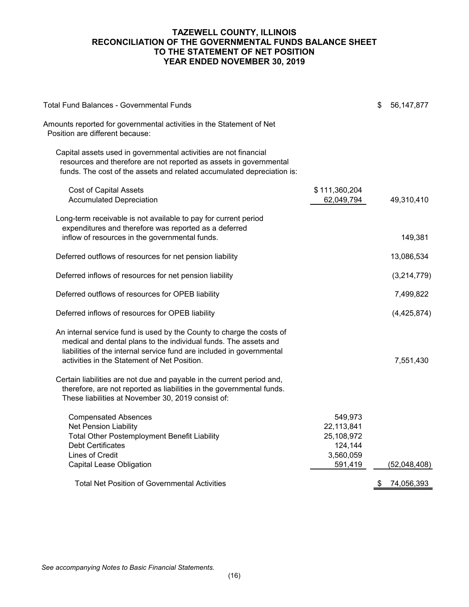## **TAZEWELL COUNTY, ILLINOIS RECONCILIATION OF THE GOVERNMENTAL FUNDS BALANCE SHEET TO THE STATEMENT OF NET POSITION YEAR ENDED NOVEMBER 30, 2019**

| <b>Total Fund Balances - Governmental Funds</b>                                                                                                                                                                                                                    |                                                             | S  | 56, 147, 877 |
|--------------------------------------------------------------------------------------------------------------------------------------------------------------------------------------------------------------------------------------------------------------------|-------------------------------------------------------------|----|--------------|
| Amounts reported for governmental activities in the Statement of Net<br>Position are different because:                                                                                                                                                            |                                                             |    |              |
| Capital assets used in governmental activities are not financial<br>resources and therefore are not reported as assets in governmental<br>funds. The cost of the assets and related accumulated depreciation is:                                                   |                                                             |    |              |
| <b>Cost of Capital Assets</b><br><b>Accumulated Depreciation</b>                                                                                                                                                                                                   | \$111,360,204<br>62,049,794                                 |    | 49,310,410   |
| Long-term receivable is not available to pay for current period<br>expenditures and therefore was reported as a deferred<br>inflow of resources in the governmental funds.                                                                                         |                                                             |    | 149,381      |
| Deferred outflows of resources for net pension liability                                                                                                                                                                                                           |                                                             |    | 13,086,534   |
| Deferred inflows of resources for net pension liability                                                                                                                                                                                                            |                                                             |    | (3,214,779)  |
| Deferred outflows of resources for OPEB liability                                                                                                                                                                                                                  |                                                             |    | 7,499,822    |
| Deferred inflows of resources for OPEB liability                                                                                                                                                                                                                   |                                                             |    | (4,425,874)  |
| An internal service fund is used by the County to charge the costs of<br>medical and dental plans to the individual funds. The assets and<br>liabilities of the internal service fund are included in governmental<br>activities in the Statement of Net Position. |                                                             |    | 7,551,430    |
| Certain liabilities are not due and payable in the current period and,<br>therefore, are not reported as liabilities in the governmental funds.<br>These liabilities at November 30, 2019 consist of:                                                              |                                                             |    |              |
| <b>Compensated Absences</b><br>Net Pension Liability<br><b>Total Other Postemployment Benefit Liability</b><br><b>Debt Certificates</b><br><b>Lines of Credit</b>                                                                                                  | 549,973<br>22,113,841<br>25,108,972<br>124,144<br>3,560,059 |    |              |
| Capital Lease Obligation                                                                                                                                                                                                                                           | 591,419                                                     |    | (52,048,408) |
| Total Net Position of Governmental Activities                                                                                                                                                                                                                      |                                                             | \$ | 74,056,393   |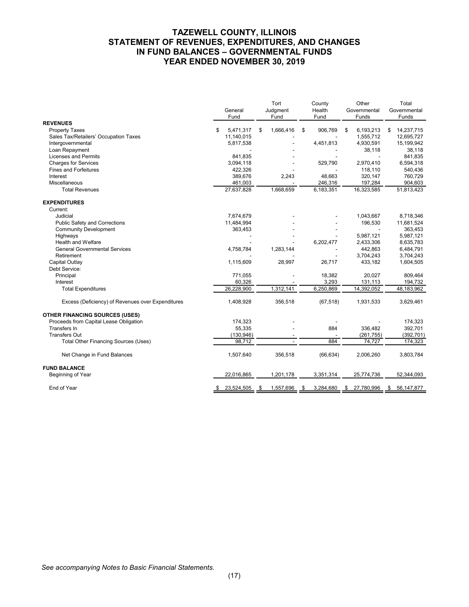## **TAZEWELL COUNTY, ILLINOIS STATEMENT OF REVENUES, EXPENDITURES, AND CHANGES IN FUND BALANCES – GOVERNMENTAL FUNDS YEAR ENDED NOVEMBER 30, 2019**

|                                                   |    | General<br>Fund |    | Tort<br>Judgment<br>Fund |    | County<br>Health<br>Fund |    | Other<br>Governmental<br>Funds |    | Total<br>Governmental<br>Funds |
|---------------------------------------------------|----|-----------------|----|--------------------------|----|--------------------------|----|--------------------------------|----|--------------------------------|
| <b>REVENUES</b>                                   |    |                 |    |                          |    |                          |    |                                |    |                                |
| <b>Property Taxes</b>                             | \$ | 5,471,317       | \$ | 1,666,416                | \$ | 906,769                  | \$ | 6,193,213                      | \$ | 14,237,715                     |
| Sales Tax/Retailers' Occupation Taxes             |    | 11,140,015      |    |                          |    |                          |    | 1.555.712                      |    | 12,695,727                     |
| Intergovernmental                                 |    | 5,817,538       |    |                          |    | 4,451,813                |    | 4,930,591                      |    | 15,199,942                     |
| Loan Repayment                                    |    |                 |    |                          |    |                          |    | 38,118                         |    | 38,118                         |
| <b>Licenses and Permits</b>                       |    | 841,835         |    |                          |    |                          |    |                                |    | 841,835                        |
| <b>Charges for Services</b>                       |    | 3,094,118       |    |                          |    | 529,790                  |    | 2,970,410                      |    | 6,594,318                      |
| <b>Fines and Forfeitures</b>                      |    | 422,326         |    |                          |    |                          |    | 118,110                        |    | 540,436                        |
| Interest                                          |    | 389,676         |    | 2,243                    |    | 48,663                   |    | 320,147                        |    | 760,729                        |
| Miscellaneous                                     |    | 461,003         |    |                          |    | 246,316                  |    | 197,284                        |    | 904,603                        |
| <b>Total Revenues</b>                             |    | 27,637,828      |    | 1,668,659                |    | 6,183,351                |    | 16,323,585                     |    | 51,813,423                     |
| <b>EXPENDITURES</b>                               |    |                 |    |                          |    |                          |    |                                |    |                                |
| Current:                                          |    |                 |    |                          |    |                          |    |                                |    |                                |
| Judicial                                          |    | 7,674,679       |    |                          |    |                          |    | 1,043,667                      |    | 8,718,346                      |
| Public Safety and Corrections                     |    | 11,484,994      |    |                          |    |                          |    | 196,530                        |    | 11,681,524                     |
| <b>Community Development</b>                      |    | 363,453         |    |                          |    |                          |    |                                |    | 363,453                        |
| Highways                                          |    |                 |    |                          |    |                          |    | 5,987,121                      |    | 5,987,121                      |
| <b>Health and Welfare</b>                         |    |                 |    |                          |    | 6,202,477                |    | 2,433,306                      |    | 8,635,783                      |
| <b>General Governmental Services</b>              |    | 4,758,784       |    | 1,283,144                |    |                          |    | 442,863                        |    | 6,484,791                      |
| Retirement                                        |    |                 |    |                          |    |                          |    | 3,704,243                      |    | 3,704,243                      |
| Capital Outlay                                    |    | 1,115,609       |    | 28,997                   |    | 26,717                   |    | 433,182                        |    | 1,604,505                      |
| Debt Service:                                     |    |                 |    |                          |    |                          |    |                                |    |                                |
| Principal                                         |    | 771,055         |    |                          |    | 18,382                   |    | 20,027                         |    | 809,464                        |
| Interest                                          |    | 60,326          |    |                          |    | 3,293                    |    | 131,113                        |    | 194,732                        |
| <b>Total Expenditures</b>                         |    | 26,228,900      |    | 1,312,141                |    | 6,250,869                |    | 14,392,052                     |    | 48,183,962                     |
| Excess (Deficiency) of Revenues over Expenditures |    | 1,408,928       |    | 356,518                  |    | (67, 518)                |    | 1,931,533                      |    | 3,629,461                      |
| <b>OTHER FINANCING SOURCES (USES)</b>             |    |                 |    |                          |    |                          |    |                                |    |                                |
| Proceeds from Capital Lease Obligation            |    | 174,323         |    |                          |    |                          |    |                                |    | 174,323                        |
| Transfers In                                      |    | 55,335          |    |                          |    | 884                      |    | 336,482                        |    | 392,701                        |
| <b>Transfers Out</b>                              |    | (130, 946)      |    |                          |    |                          |    | (261, 755)                     |    | (392, 701)                     |
| Total Other Financing Sources (Uses)              |    | 98,712          |    |                          |    | 884                      |    | 74,727                         |    | 174,323                        |
| Net Change in Fund Balances                       |    | 1,507,640       |    | 356,518                  |    | (66, 634)                |    | 2,006,260                      |    | 3,803,784                      |
| <b>FUND BALANCE</b>                               |    |                 |    |                          |    |                          |    |                                |    |                                |
| Beginning of Year                                 |    | 22,016,865      |    | 1,201,178                |    | 3,351,314                |    | 25,774,736                     |    | 52,344,093                     |
| End of Year                                       | S  | 23,524,505      | \$ | 1,557,696                | \$ | 3,284,680                | \$ | 27,780,996                     | \$ | 56, 147, 877                   |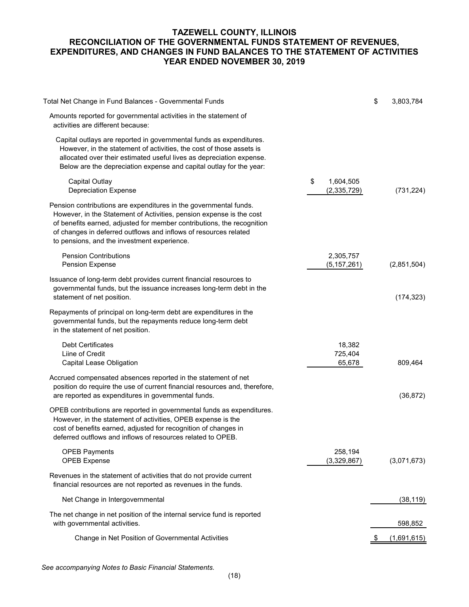## **TAZEWELL COUNTY, ILLINOIS RECONCILIATION OF THE GOVERNMENTAL FUNDS STATEMENT OF REVENUES, EXPENDITURES, AND CHANGES IN FUND BALANCES TO THE STATEMENT OF ACTIVITIES YEAR ENDED NOVEMBER 30, 2019**

| Total Net Change in Fund Balances - Governmental Funds                                                                                                                                                                                                                                                                                 |                                  | \$<br>3,803,784 |
|----------------------------------------------------------------------------------------------------------------------------------------------------------------------------------------------------------------------------------------------------------------------------------------------------------------------------------------|----------------------------------|-----------------|
| Amounts reported for governmental activities in the statement of<br>activities are different because:                                                                                                                                                                                                                                  |                                  |                 |
| Capital outlays are reported in governmental funds as expenditures.<br>However, in the statement of activities, the cost of those assets is<br>allocated over their estimated useful lives as depreciation expense.<br>Below are the depreciation expense and capital outlay for the year:                                             |                                  |                 |
| Capital Outlay<br><b>Depreciation Expense</b>                                                                                                                                                                                                                                                                                          | \$<br>1,604,505<br>(2, 335, 729) | (731, 224)      |
| Pension contributions are expenditures in the governmental funds.<br>However, in the Statement of Activities, pension expense is the cost<br>of benefits earned, adjusted for member contributions, the recognition<br>of changes in deferred outflows and inflows of resources related<br>to pensions, and the investment experience. |                                  |                 |
| <b>Pension Contributions</b><br><b>Pension Expense</b>                                                                                                                                                                                                                                                                                 | 2,305,757<br>(5, 157, 261)       | (2,851,504)     |
| Issuance of long-term debt provides current financial resources to<br>governmental funds, but the issuance increases long-term debt in the<br>statement of net position.                                                                                                                                                               |                                  | (174, 323)      |
| Repayments of principal on long-term debt are expenditures in the<br>governmental funds, but the repayments reduce long-term debt<br>in the statement of net position.                                                                                                                                                                 |                                  |                 |
| <b>Debt Certificates</b><br>Liine of Credit<br>Capital Lease Obligation                                                                                                                                                                                                                                                                | 18,382<br>725,404<br>65,678      | 809,464         |
| Accrued compensated absences reported in the statement of net<br>position do require the use of current financial resources and, therefore,<br>are reported as expenditures in governmental funds.                                                                                                                                     |                                  | (36, 872)       |
| OPEB contributions are reported in governmental funds as expenditures.<br>However, in the statement of activities, OPEB expense is the<br>cost of benefits earned, adjusted for recognition of changes in<br>deferred outflows and inflows of resources related to OPEB.                                                               |                                  |                 |
| <b>OPEB Payments</b><br><b>OPEB Expense</b>                                                                                                                                                                                                                                                                                            | 258,194<br>(3,329,867)           | (3,071,673)     |
| Revenues in the statement of activities that do not provide current<br>financial resources are not reported as revenues in the funds.                                                                                                                                                                                                  |                                  |                 |
| Net Change in Intergovernmental                                                                                                                                                                                                                                                                                                        |                                  | (38, 119)       |
| The net change in net position of the internal service fund is reported<br>with governmental activities.                                                                                                                                                                                                                               |                                  | 598,852         |
| Change in Net Position of Governmental Activities                                                                                                                                                                                                                                                                                      |                                  | (1,691,615)     |
|                                                                                                                                                                                                                                                                                                                                        |                                  |                 |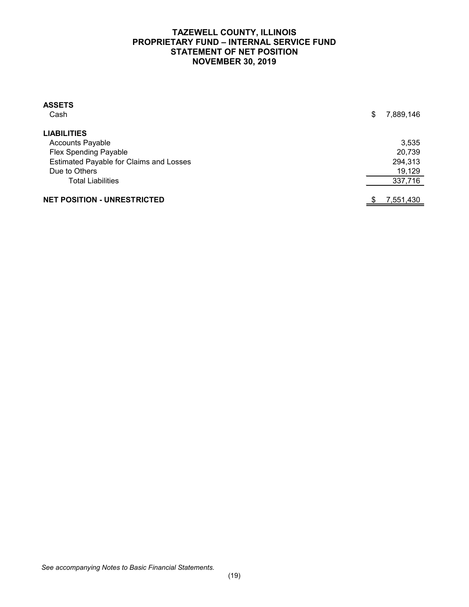## **TAZEWELL COUNTY, ILLINOIS PROPRIETARY FUND – INTERNAL SERVICE FUND STATEMENT OF NET POSITION NOVEMBER 30, 2019**

| <b>ASSETS</b>                                  |                 |
|------------------------------------------------|-----------------|
| Cash                                           | \$<br>7,889,146 |
| <b>LIABILITIES</b>                             |                 |
| <b>Accounts Payable</b>                        | 3,535           |
| <b>Flex Spending Payable</b>                   | 20,739          |
| <b>Estimated Payable for Claims and Losses</b> | 294,313         |
| Due to Others                                  | 19,129          |
| <b>Total Liabilities</b>                       | 337,716         |
|                                                |                 |
| <b>NET POSITION - UNRESTRICTED</b>             | 7,551,430       |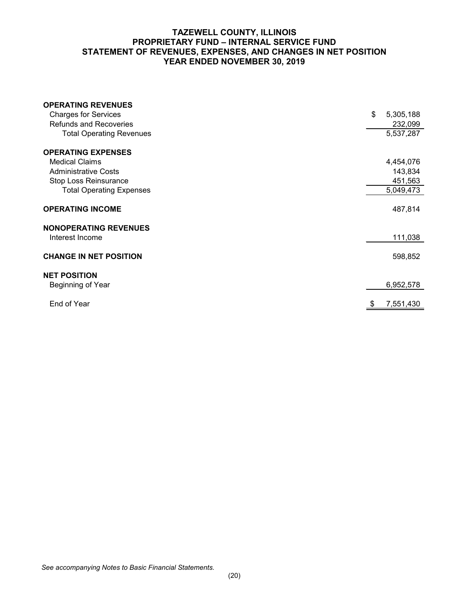## **TAZEWELL COUNTY, ILLINOIS PROPRIETARY FUND – INTERNAL SERVICE FUND STATEMENT OF REVENUES, EXPENSES, AND CHANGES IN NET POSITION YEAR ENDED NOVEMBER 30, 2019**

| <b>OPERATING REVENUES</b>       |                 |
|---------------------------------|-----------------|
| <b>Charges for Services</b>     | \$<br>5,305,188 |
| <b>Refunds and Recoveries</b>   | 232,099         |
| <b>Total Operating Revenues</b> | 5,537,287       |
| <b>OPERATING EXPENSES</b>       |                 |
| <b>Medical Claims</b>           | 4,454,076       |
| <b>Administrative Costs</b>     | 143,834         |
| Stop Loss Reinsurance           | 451,563         |
| <b>Total Operating Expenses</b> | 5,049,473       |
|                                 |                 |
| <b>OPERATING INCOME</b>         | 487,814         |
| <b>NONOPERATING REVENUES</b>    |                 |
| Interest Income                 | 111,038         |
| <b>CHANGE IN NET POSITION</b>   | 598,852         |
| <b>NET POSITION</b>             |                 |
| Beginning of Year               | 6,952,578       |
| End of Year                     | 7,551,430       |
|                                 |                 |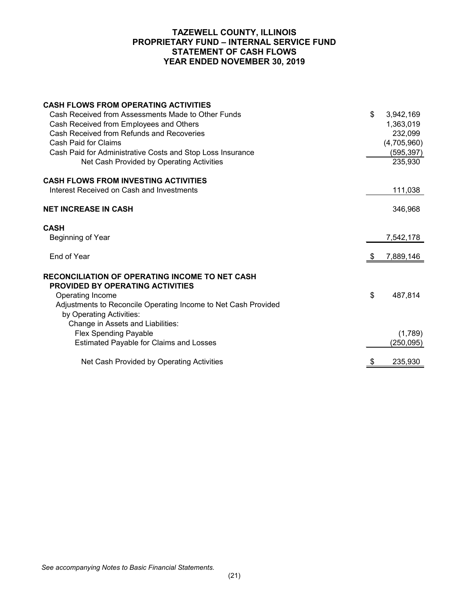## **TAZEWELL COUNTY, ILLINOIS PROPRIETARY FUND – INTERNAL SERVICE FUND STATEMENT OF CASH FLOWS YEAR ENDED NOVEMBER 30, 2019**

| <b>CASH FLOWS FROM OPERATING ACTIVITIES</b>                    |                 |
|----------------------------------------------------------------|-----------------|
| Cash Received from Assessments Made to Other Funds             | \$<br>3,942,169 |
| Cash Received from Employees and Others                        | 1,363,019       |
| Cash Received from Refunds and Recoveries                      | 232,099         |
| Cash Paid for Claims                                           | (4,705,960)     |
| Cash Paid for Administrative Costs and Stop Loss Insurance     | (595, 397)      |
| Net Cash Provided by Operating Activities                      | 235,930         |
| <b>CASH FLOWS FROM INVESTING ACTIVITIES</b>                    |                 |
| Interest Received on Cash and Investments                      | 111,038         |
| <b>NET INCREASE IN CASH</b>                                    | 346,968         |
| <b>CASH</b>                                                    |                 |
| Beginning of Year                                              | 7,542,178       |
| End of Year                                                    | 7,889,146       |
| <b>RECONCILIATION OF OPERATING INCOME TO NET CASH</b>          |                 |
| <b>PROVIDED BY OPERATING ACTIVITIES</b>                        |                 |
| Operating Income                                               | \$<br>487,814   |
| Adjustments to Reconcile Operating Income to Net Cash Provided |                 |
| by Operating Activities:                                       |                 |
| Change in Assets and Liabilities:                              |                 |
| <b>Flex Spending Payable</b>                                   | (1,789)         |
| <b>Estimated Payable for Claims and Losses</b>                 | (250, 095)      |
| Net Cash Provided by Operating Activities                      | \$<br>235,930   |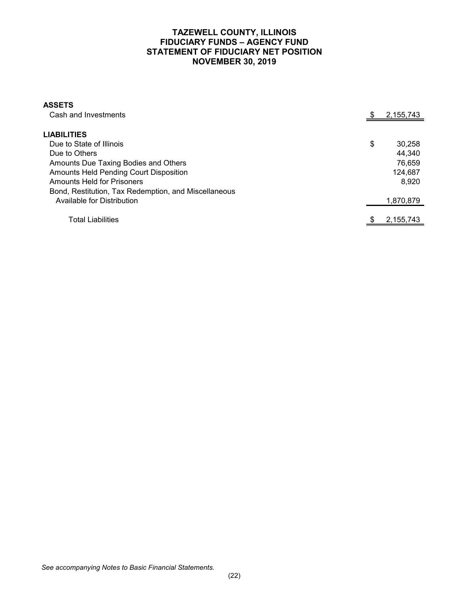## **TAZEWELL COUNTY, ILLINOIS FIDUCIARY FUNDS – AGENCY FUND STATEMENT OF FIDUCIARY NET POSITION NOVEMBER 30, 2019**

| <b>ASSETS</b><br>Cash and Investments                |              |
|------------------------------------------------------|--------------|
|                                                      | 2,155,743    |
| <b>LIABILITIES</b>                                   |              |
| Due to State of Illinois                             | \$<br>30,258 |
| Due to Others                                        | 44,340       |
| Amounts Due Taxing Bodies and Others                 | 76,659       |
| Amounts Held Pending Court Disposition               | 124.687      |
| <b>Amounts Held for Prisoners</b>                    | 8,920        |
| Bond, Restitution, Tax Redemption, and Miscellaneous |              |
| Available for Distribution                           | 1,870,879    |
| <b>Total Liabilities</b>                             | 2,155,743    |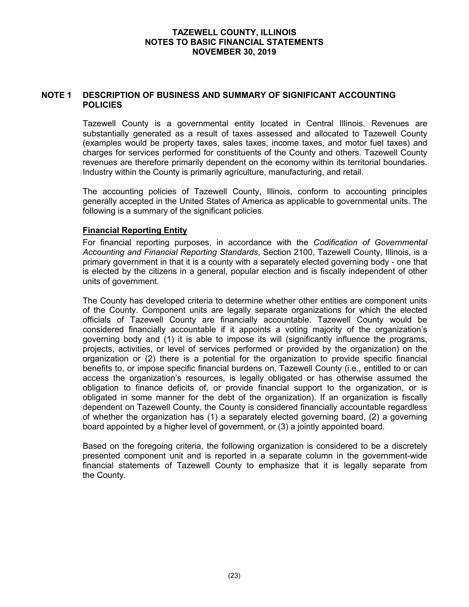#### **NOTE 1 DESCRIPTION OF BUSINESS AND SUMMARY OF SIGNIFICANT ACCOUNTING POLICIES**

Tazewell County is a governmental entity located in Central Illinois. Revenues are substantially generated as a result of taxes assessed and allocated to Tazewell County (examples would be property taxes, sales taxes, income taxes, and motor fuel taxes) and charges for services performed for constituents of the County and others. Tazewell County revenues are therefore primarily dependent on the economy within its territorial boundaries. Industry within the County is primarily agriculture, manufacturing, and retail.

The accounting policies of Tazewell County, Illinois, conform to accounting principles generally accepted in the United States of America as applicable to governmental units. The following is a summary of the significant policies.

## **Financial Reporting Entity**

For financial reporting purposes, in accordance with the *Codification of Governmental Accounting and Financial Reporting Standards*, Section 2100, Tazewell County, Illinois, is a primary government in that it is a county with a separately elected governing body - one that is elected by the citizens in a general, popular election and is fiscally independent of other units of government.

The County has developed criteria to determine whether other entities are component units of the County. Component units are legally separate organizations for which the elected officials of Tazewell County are financially accountable. Tazewell County would be considered financially accountable if it appoints a voting majority of the organization's governing body and (1) it is able to impose its will (significantly influence the programs, projects, activities, or level of services performed or provided by the organization) on the organization or (2) there is a potential for the organization to provide specific financial benefits to, or impose specific financial burdens on, Tazewell County (i.e., entitled to or can access the organization's resources, is legally obligated or has otherwise assumed the obligation to finance deficits of, or provide financial support to the organization, or is obligated in some manner for the debt of the organization). If an organization is fiscally dependent on Tazewell County, the County is considered financially accountable regardless of whether the organization has (1) a separately elected governing board, (2) a governing board appointed by a higher level of government, or (3) a jointly appointed board.

Based on the foregoing criteria, the following organization is considered to be a discretely presented component unit and is reported in a separate column in the government-wide financial statements of Tazewell County to emphasize that it is legally separate from the County.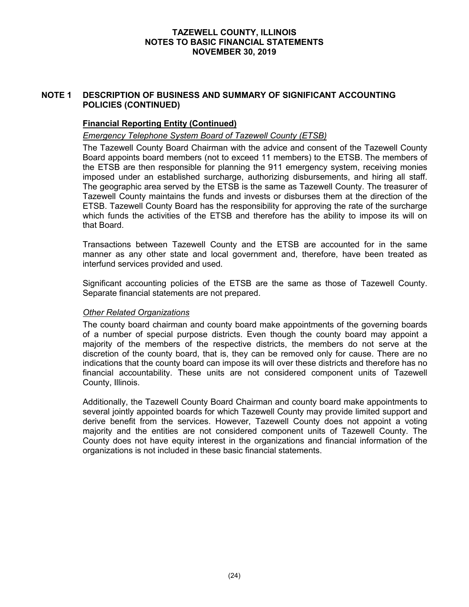## **NOTE 1 DESCRIPTION OF BUSINESS AND SUMMARY OF SIGNIFICANT ACCOUNTING POLICIES (CONTINUED)**

## **Financial Reporting Entity (Continued)**

## *Emergency Telephone System Board of Tazewell County (ETSB)*

The Tazewell County Board Chairman with the advice and consent of the Tazewell County Board appoints board members (not to exceed 11 members) to the ETSB. The members of the ETSB are then responsible for planning the 911 emergency system, receiving monies imposed under an established surcharge, authorizing disbursements, and hiring all staff. The geographic area served by the ETSB is the same as Tazewell County. The treasurer of Tazewell County maintains the funds and invests or disburses them at the direction of the ETSB. Tazewell County Board has the responsibility for approving the rate of the surcharge which funds the activities of the ETSB and therefore has the ability to impose its will on that Board.

Transactions between Tazewell County and the ETSB are accounted for in the same manner as any other state and local government and, therefore, have been treated as interfund services provided and used.

Significant accounting policies of the ETSB are the same as those of Tazewell County. Separate financial statements are not prepared.

#### *Other Related Organizations*

The county board chairman and county board make appointments of the governing boards of a number of special purpose districts. Even though the county board may appoint a majority of the members of the respective districts, the members do not serve at the discretion of the county board, that is, they can be removed only for cause. There are no indications that the county board can impose its will over these districts and therefore has no financial accountability. These units are not considered component units of Tazewell County, Illinois.

Additionally, the Tazewell County Board Chairman and county board make appointments to several jointly appointed boards for which Tazewell County may provide limited support and derive benefit from the services. However, Tazewell County does not appoint a voting majority and the entities are not considered component units of Tazewell County. The County does not have equity interest in the organizations and financial information of the organizations is not included in these basic financial statements.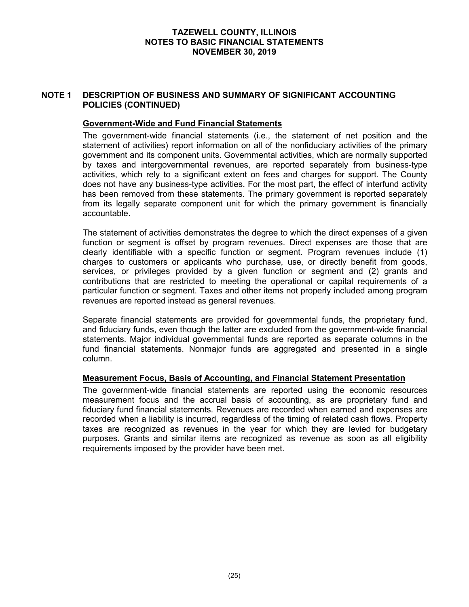## **NOTE 1 DESCRIPTION OF BUSINESS AND SUMMARY OF SIGNIFICANT ACCOUNTING POLICIES (CONTINUED)**

## **Government-Wide and Fund Financial Statements**

The government-wide financial statements (i.e., the statement of net position and the statement of activities) report information on all of the nonfiduciary activities of the primary government and its component units. Governmental activities, which are normally supported by taxes and intergovernmental revenues, are reported separately from business-type activities, which rely to a significant extent on fees and charges for support. The County does not have any business-type activities. For the most part, the effect of interfund activity has been removed from these statements. The primary government is reported separately from its legally separate component unit for which the primary government is financially accountable.

The statement of activities demonstrates the degree to which the direct expenses of a given function or segment is offset by program revenues. Direct expenses are those that are clearly identifiable with a specific function or segment. Program revenues include (1) charges to customers or applicants who purchase, use, or directly benefit from goods, services, or privileges provided by a given function or segment and (2) grants and contributions that are restricted to meeting the operational or capital requirements of a particular function or segment. Taxes and other items not properly included among program revenues are reported instead as general revenues.

Separate financial statements are provided for governmental funds, the proprietary fund, and fiduciary funds, even though the latter are excluded from the government-wide financial statements. Major individual governmental funds are reported as separate columns in the fund financial statements. Nonmajor funds are aggregated and presented in a single column.

#### **Measurement Focus, Basis of Accounting, and Financial Statement Presentation**

The government-wide financial statements are reported using the economic resources measurement focus and the accrual basis of accounting, as are proprietary fund and fiduciary fund financial statements. Revenues are recorded when earned and expenses are recorded when a liability is incurred, regardless of the timing of related cash flows. Property taxes are recognized as revenues in the year for which they are levied for budgetary purposes. Grants and similar items are recognized as revenue as soon as all eligibility requirements imposed by the provider have been met.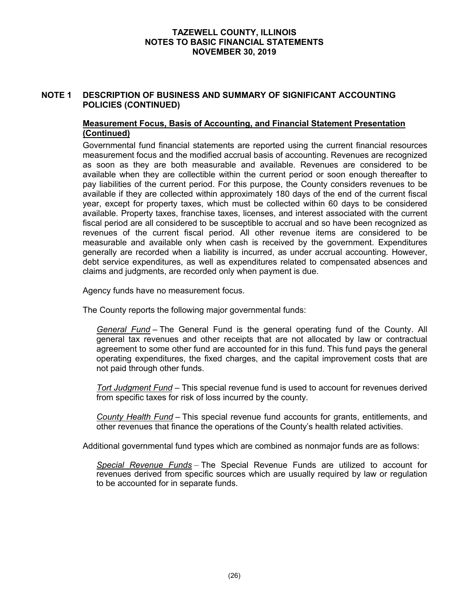## **NOTE 1 DESCRIPTION OF BUSINESS AND SUMMARY OF SIGNIFICANT ACCOUNTING POLICIES (CONTINUED)**

## **Measurement Focus, Basis of Accounting, and Financial Statement Presentation (Continued)**

Governmental fund financial statements are reported using the current financial resources measurement focus and the modified accrual basis of accounting. Revenues are recognized as soon as they are both measurable and available. Revenues are considered to be available when they are collectible within the current period or soon enough thereafter to pay liabilities of the current period. For this purpose, the County considers revenues to be available if they are collected within approximately 180 days of the end of the current fiscal year, except for property taxes, which must be collected within 60 days to be considered available. Property taxes, franchise taxes, licenses, and interest associated with the current fiscal period are all considered to be susceptible to accrual and so have been recognized as revenues of the current fiscal period. All other revenue items are considered to be measurable and available only when cash is received by the government. Expenditures generally are recorded when a liability is incurred, as under accrual accounting. However, debt service expenditures, as well as expenditures related to compensated absences and claims and judgments, are recorded only when payment is due.

Agency funds have no measurement focus.

The County reports the following major governmental funds:

*General Fund* – The General Fund is the general operating fund of the County. All general tax revenues and other receipts that are not allocated by law or contractual agreement to some other fund are accounted for in this fund. This fund pays the general operating expenditures, the fixed charges, and the capital improvement costs that are not paid through other funds.

*Tort Judgment Fund* – This special revenue fund is used to account for revenues derived from specific taxes for risk of loss incurred by the county.

*County Health Fund* – This special revenue fund accounts for grants, entitlements, and other revenues that finance the operations of the County's health related activities.

Additional governmental fund types which are combined as nonmajor funds are as follows:

*Special Revenue Funds* – The Special Revenue Funds are utilized to account for revenues derived from specific sources which are usually required by law or regulation to be accounted for in separate funds.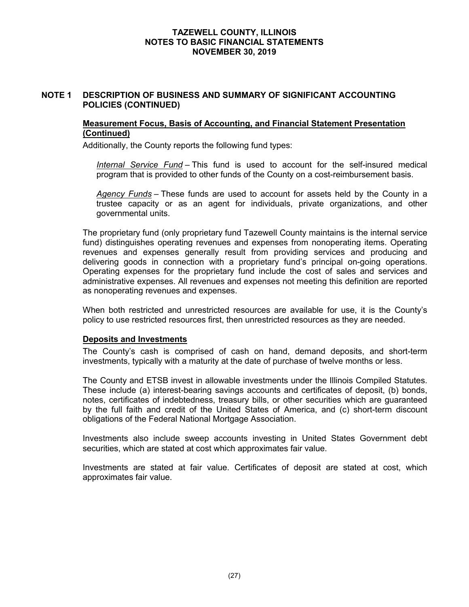## **NOTE 1 DESCRIPTION OF BUSINESS AND SUMMARY OF SIGNIFICANT ACCOUNTING POLICIES (CONTINUED)**

#### **Measurement Focus, Basis of Accounting, and Financial Statement Presentation (Continued)**

Additionally, the County reports the following fund types:

*Internal Service Fund* – This fund is used to account for the self-insured medical program that is provided to other funds of the County on a cost-reimbursement basis.

*Agency Funds* – These funds are used to account for assets held by the County in a trustee capacity or as an agent for individuals, private organizations, and other governmental units.

The proprietary fund (only proprietary fund Tazewell County maintains is the internal service fund) distinguishes operating revenues and expenses from nonoperating items. Operating revenues and expenses generally result from providing services and producing and delivering goods in connection with a proprietary fund's principal on-going operations. Operating expenses for the proprietary fund include the cost of sales and services and administrative expenses. All revenues and expenses not meeting this definition are reported as nonoperating revenues and expenses.

When both restricted and unrestricted resources are available for use, it is the County's policy to use restricted resources first, then unrestricted resources as they are needed.

## **Deposits and Investments**

The County's cash is comprised of cash on hand, demand deposits, and short-term investments, typically with a maturity at the date of purchase of twelve months or less.

The County and ETSB invest in allowable investments under the Illinois Compiled Statutes. These include (a) interest-bearing savings accounts and certificates of deposit, (b) bonds, notes, certificates of indebtedness, treasury bills, or other securities which are guaranteed by the full faith and credit of the United States of America, and (c) short-term discount obligations of the Federal National Mortgage Association.

Investments also include sweep accounts investing in United States Government debt securities, which are stated at cost which approximates fair value.

Investments are stated at fair value. Certificates of deposit are stated at cost, which approximates fair value.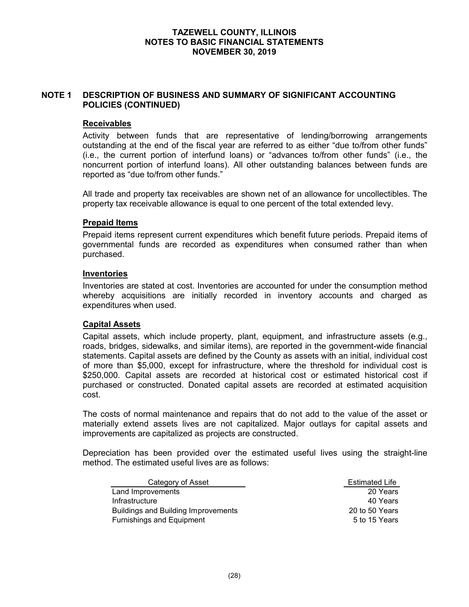## **NOTE 1 DESCRIPTION OF BUSINESS AND SUMMARY OF SIGNIFICANT ACCOUNTING POLICIES (CONTINUED)**

## **Receivables**

Activity between funds that are representative of lending/borrowing arrangements outstanding at the end of the fiscal year are referred to as either "due to/from other funds" (i.e., the current portion of interfund loans) or "advances to/from other funds" (i.e., the noncurrent portion of interfund loans). All other outstanding balances between funds are reported as "due to/from other funds."

All trade and property tax receivables are shown net of an allowance for uncollectibles. The property tax receivable allowance is equal to one percent of the total extended levy.

## **Prepaid Items**

Prepaid items represent current expenditures which benefit future periods. Prepaid items of governmental funds are recorded as expenditures when consumed rather than when purchased.

#### **Inventories**

Inventories are stated at cost. Inventories are accounted for under the consumption method whereby acquisitions are initially recorded in inventory accounts and charged as expenditures when used.

#### **Capital Assets**

Capital assets, which include property, plant, equipment, and infrastructure assets (e.g., roads, bridges, sidewalks, and similar items), are reported in the government-wide financial statements. Capital assets are defined by the County as assets with an initial, individual cost of more than \$5,000, except for infrastructure, where the threshold for individual cost is \$250,000. Capital assets are recorded at historical cost or estimated historical cost if purchased or constructed. Donated capital assets are recorded at estimated acquisition cost.

The costs of normal maintenance and repairs that do not add to the value of the asset or materially extend assets lives are not capitalized. Major outlays for capital assets and improvements are capitalized as projects are constructed.

Depreciation has been provided over the estimated useful lives using the straight-line method. The estimated useful lives are as follows:

| Category of Asset                          | <b>Estimated Life</b> |
|--------------------------------------------|-----------------------|
| Land Improvements                          | 20 Years              |
| Infrastructure                             | 40 Years              |
| <b>Buildings and Building Improvements</b> | 20 to 50 Years        |
| <b>Furnishings and Equipment</b>           | 5 to 15 Years         |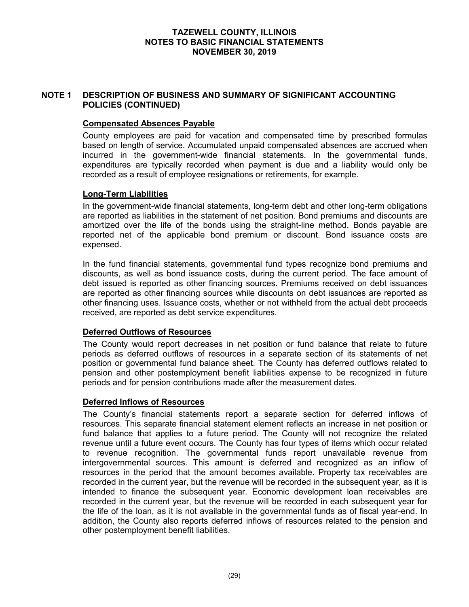## **NOTE 1 DESCRIPTION OF BUSINESS AND SUMMARY OF SIGNIFICANT ACCOUNTING POLICIES (CONTINUED)**

## **Compensated Absences Payable**

County employees are paid for vacation and compensated time by prescribed formulas based on length of service. Accumulated unpaid compensated absences are accrued when incurred in the government-wide financial statements. In the governmental funds, expenditures are typically recorded when payment is due and a liability would only be recorded as a result of employee resignations or retirements, for example.

#### **Long-Term Liabilities**

In the government-wide financial statements, long-term debt and other long-term obligations are reported as liabilities in the statement of net position. Bond premiums and discounts are amortized over the life of the bonds using the straight-line method. Bonds payable are reported net of the applicable bond premium or discount. Bond issuance costs are expensed.

In the fund financial statements, governmental fund types recognize bond premiums and discounts, as well as bond issuance costs, during the current period. The face amount of debt issued is reported as other financing sources. Premiums received on debt issuances are reported as other financing sources while discounts on debt issuances are reported as other financing uses. Issuance costs, whether or not withheld from the actual debt proceeds received, are reported as debt service expenditures.

## **Deferred Outflows of Resources**

The County would report decreases in net position or fund balance that relate to future periods as deferred outflows of resources in a separate section of its statements of net position or governmental fund balance sheet. The County has deferred outflows related to pension and other postemployment benefit liabilities expense to be recognized in future periods and for pension contributions made after the measurement dates.

## **Deferred Inflows of Resources**

The County's financial statements report a separate section for deferred inflows of resources. This separate financial statement element reflects an increase in net position or fund balance that applies to a future period. The County will not recognize the related revenue until a future event occurs. The County has four types of items which occur related to revenue recognition. The governmental funds report unavailable revenue from intergovernmental sources. This amount is deferred and recognized as an inflow of resources in the period that the amount becomes available. Property tax receivables are recorded in the current year, but the revenue will be recorded in the subsequent year, as it is intended to finance the subsequent year. Economic development loan receivables are recorded in the current year, but the revenue will be recorded in each subsequent year for the life of the loan, as it is not available in the governmental funds as of fiscal year-end. In addition, the County also reports deferred inflows of resources related to the pension and other postemployment benefit liabilities.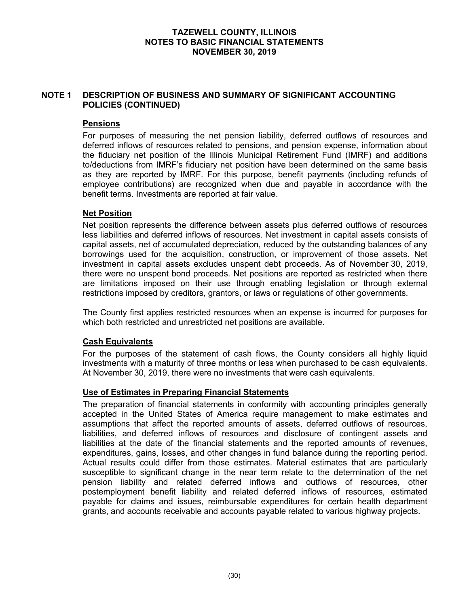## **NOTE 1 DESCRIPTION OF BUSINESS AND SUMMARY OF SIGNIFICANT ACCOUNTING POLICIES (CONTINUED)**

## **Pensions**

For purposes of measuring the net pension liability, deferred outflows of resources and deferred inflows of resources related to pensions, and pension expense, information about the fiduciary net position of the Illinois Municipal Retirement Fund (IMRF) and additions to/deductions from IMRF's fiduciary net position have been determined on the same basis as they are reported by IMRF. For this purpose, benefit payments (including refunds of employee contributions) are recognized when due and payable in accordance with the benefit terms. Investments are reported at fair value.

## **Net Position**

Net position represents the difference between assets plus deferred outflows of resources less liabilities and deferred inflows of resources. Net investment in capital assets consists of capital assets, net of accumulated depreciation, reduced by the outstanding balances of any borrowings used for the acquisition, construction, or improvement of those assets. Net investment in capital assets excludes unspent debt proceeds. As of November 30, 2019, there were no unspent bond proceeds. Net positions are reported as restricted when there are limitations imposed on their use through enabling legislation or through external restrictions imposed by creditors, grantors, or laws or regulations of other governments.

The County first applies restricted resources when an expense is incurred for purposes for which both restricted and unrestricted net positions are available.

## **Cash Equivalents**

For the purposes of the statement of cash flows, the County considers all highly liquid investments with a maturity of three months or less when purchased to be cash equivalents. At November 30, 2019, there were no investments that were cash equivalents.

#### **Use of Estimates in Preparing Financial Statements**

The preparation of financial statements in conformity with accounting principles generally accepted in the United States of America require management to make estimates and assumptions that affect the reported amounts of assets, deferred outflows of resources, liabilities, and deferred inflows of resources and disclosure of contingent assets and liabilities at the date of the financial statements and the reported amounts of revenues, expenditures, gains, losses, and other changes in fund balance during the reporting period. Actual results could differ from those estimates. Material estimates that are particularly susceptible to significant change in the near term relate to the determination of the net pension liability and related deferred inflows and outflows of resources, other postemployment benefit liability and related deferred inflows of resources, estimated payable for claims and issues, reimbursable expenditures for certain health department grants, and accounts receivable and accounts payable related to various highway projects.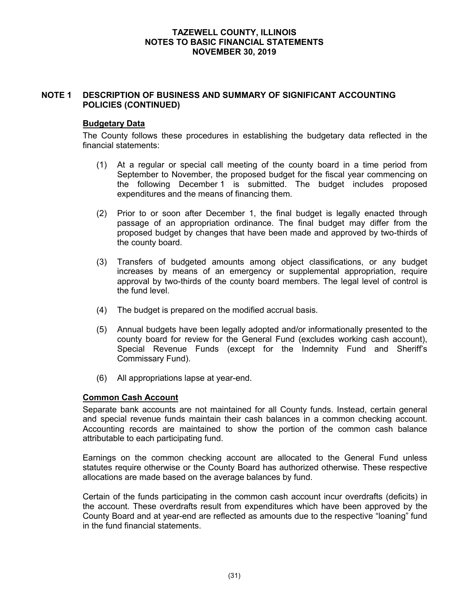## **NOTE 1 DESCRIPTION OF BUSINESS AND SUMMARY OF SIGNIFICANT ACCOUNTING POLICIES (CONTINUED)**

## **Budgetary Data**

The County follows these procedures in establishing the budgetary data reflected in the financial statements:

- (1) At a regular or special call meeting of the county board in a time period from September to November, the proposed budget for the fiscal year commencing on the following December 1 is submitted. The budget includes proposed expenditures and the means of financing them.
- (2) Prior to or soon after December 1, the final budget is legally enacted through passage of an appropriation ordinance. The final budget may differ from the proposed budget by changes that have been made and approved by two-thirds of the county board.
- (3) Transfers of budgeted amounts among object classifications, or any budget increases by means of an emergency or supplemental appropriation, require approval by two-thirds of the county board members. The legal level of control is the fund level.
- (4) The budget is prepared on the modified accrual basis.
- (5) Annual budgets have been legally adopted and/or informationally presented to the county board for review for the General Fund (excludes working cash account), Special Revenue Funds (except for the Indemnity Fund and Sheriff's Commissary Fund).
- (6) All appropriations lapse at year-end.

#### **Common Cash Account**

Separate bank accounts are not maintained for all County funds. Instead, certain general and special revenue funds maintain their cash balances in a common checking account. Accounting records are maintained to show the portion of the common cash balance attributable to each participating fund.

Earnings on the common checking account are allocated to the General Fund unless statutes require otherwise or the County Board has authorized otherwise. These respective allocations are made based on the average balances by fund.

Certain of the funds participating in the common cash account incur overdrafts (deficits) in the account. These overdrafts result from expenditures which have been approved by the County Board and at year-end are reflected as amounts due to the respective "loaning" fund in the fund financial statements.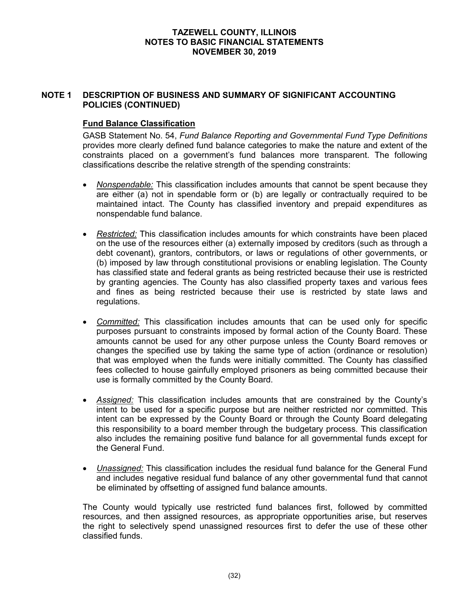## **NOTE 1 DESCRIPTION OF BUSINESS AND SUMMARY OF SIGNIFICANT ACCOUNTING POLICIES (CONTINUED)**

## **Fund Balance Classification**

GASB Statement No. 54, *Fund Balance Reporting and Governmental Fund Type Definitions*  provides more clearly defined fund balance categories to make the nature and extent of the constraints placed on a government's fund balances more transparent. The following classifications describe the relative strength of the spending constraints:

- *Nonspendable:* This classification includes amounts that cannot be spent because they are either (a) not in spendable form or (b) are legally or contractually required to be maintained intact. The County has classified inventory and prepaid expenditures as nonspendable fund balance.
- *Restricted:* This classification includes amounts for which constraints have been placed on the use of the resources either (a) externally imposed by creditors (such as through a debt covenant), grantors, contributors, or laws or regulations of other governments, or (b) imposed by law through constitutional provisions or enabling legislation. The County has classified state and federal grants as being restricted because their use is restricted by granting agencies. The County has also classified property taxes and various fees and fines as being restricted because their use is restricted by state laws and regulations.
- *Committed:* This classification includes amounts that can be used only for specific purposes pursuant to constraints imposed by formal action of the County Board. These amounts cannot be used for any other purpose unless the County Board removes or changes the specified use by taking the same type of action (ordinance or resolution) that was employed when the funds were initially committed. The County has classified fees collected to house gainfully employed prisoners as being committed because their use is formally committed by the County Board.
- *Assigned:* This classification includes amounts that are constrained by the County's intent to be used for a specific purpose but are neither restricted nor committed. This intent can be expressed by the County Board or through the County Board delegating this responsibility to a board member through the budgetary process. This classification also includes the remaining positive fund balance for all governmental funds except for the General Fund.
- *Unassigned:* This classification includes the residual fund balance for the General Fund and includes negative residual fund balance of any other governmental fund that cannot be eliminated by offsetting of assigned fund balance amounts.

The County would typically use restricted fund balances first, followed by committed resources, and then assigned resources, as appropriate opportunities arise, but reserves the right to selectively spend unassigned resources first to defer the use of these other classified funds.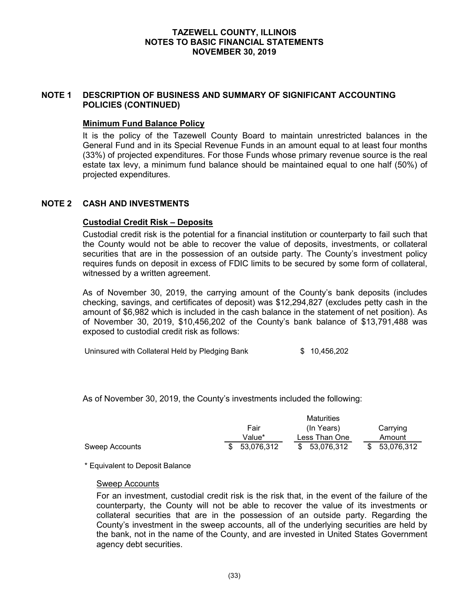## **NOTE 1 DESCRIPTION OF BUSINESS AND SUMMARY OF SIGNIFICANT ACCOUNTING POLICIES (CONTINUED)**

## **Minimum Fund Balance Policy**

It is the policy of the Tazewell County Board to maintain unrestricted balances in the General Fund and in its Special Revenue Funds in an amount equal to at least four months (33%) of projected expenditures. For those Funds whose primary revenue source is the real estate tax levy, a minimum fund balance should be maintained equal to one half (50%) of projected expenditures.

### **NOTE 2 CASH AND INVESTMENTS**

#### **Custodial Credit Risk – Deposits**

Custodial credit risk is the potential for a financial institution or counterparty to fail such that the County would not be able to recover the value of deposits, investments, or collateral securities that are in the possession of an outside party. The County's investment policy requires funds on deposit in excess of FDIC limits to be secured by some form of collateral, witnessed by a written agreement.

As of November 30, 2019, the carrying amount of the County's bank deposits (includes checking, savings, and certificates of deposit) was \$12,294,827 (excludes petty cash in the amount of \$6,982 which is included in the cash balance in the statement of net position). As of November 30, 2019, \$10,456,202 of the County's bank balance of \$13,791,488 was exposed to custodial credit risk as follows:

Uninsured with Collateral Held by Pledging Bank  $$10,456,202$ 

As of November 30, 2019, the County's investments included the following:

|                |               | Maturities    |               |
|----------------|---------------|---------------|---------------|
|                | Fair          | Carrying      |               |
|                | Value*        | Less Than One | Amount        |
| Sweep Accounts | \$ 53.076.312 | \$ 53,076,312 | \$ 53,076,312 |

\* Equivalent to Deposit Balance

#### Sweep Accounts

For an investment, custodial credit risk is the risk that, in the event of the failure of the counterparty, the County will not be able to recover the value of its investments or collateral securities that are in the possession of an outside party. Regarding the County's investment in the sweep accounts, all of the underlying securities are held by the bank, not in the name of the County, and are invested in United States Government agency debt securities.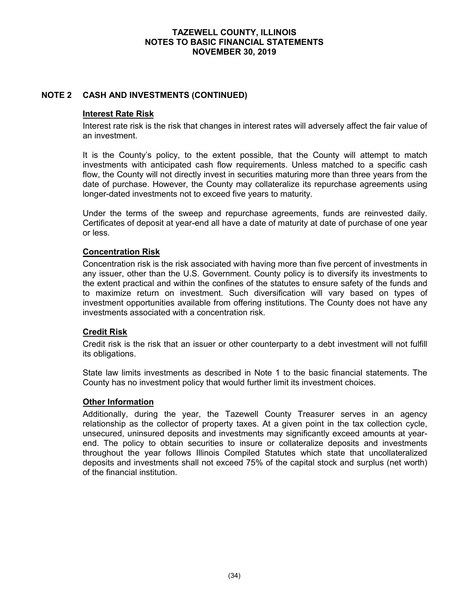## **NOTE 2 CASH AND INVESTMENTS (CONTINUED)**

#### **Interest Rate Risk**

Interest rate risk is the risk that changes in interest rates will adversely affect the fair value of an investment.

It is the County's policy, to the extent possible, that the County will attempt to match investments with anticipated cash flow requirements. Unless matched to a specific cash flow, the County will not directly invest in securities maturing more than three years from the date of purchase. However, the County may collateralize its repurchase agreements using longer-dated investments not to exceed five years to maturity.

Under the terms of the sweep and repurchase agreements, funds are reinvested daily. Certificates of deposit at year-end all have a date of maturity at date of purchase of one year or less.

# **Concentration Risk**

Concentration risk is the risk associated with having more than five percent of investments in any issuer, other than the U.S. Government. County policy is to diversify its investments to the extent practical and within the confines of the statutes to ensure safety of the funds and to maximize return on investment. Such diversification will vary based on types of investment opportunities available from offering institutions. The County does not have any investments associated with a concentration risk.

# **Credit Risk**

Credit risk is the risk that an issuer or other counterparty to a debt investment will not fulfill its obligations.

State law limits investments as described in Note 1 to the basic financial statements. The County has no investment policy that would further limit its investment choices.

# **Other Information**

Additionally, during the year, the Tazewell County Treasurer serves in an agency relationship as the collector of property taxes. At a given point in the tax collection cycle, unsecured, uninsured deposits and investments may significantly exceed amounts at yearend. The policy to obtain securities to insure or collateralize deposits and investments throughout the year follows Illinois Compiled Statutes which state that uncollateralized deposits and investments shall not exceed 75% of the capital stock and surplus (net worth) of the financial institution.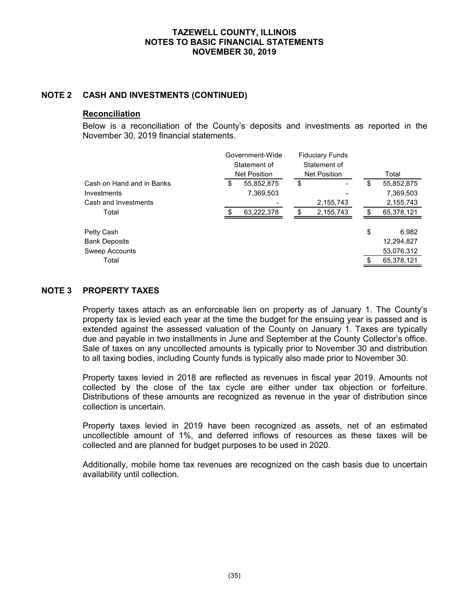### **NOTE 2 CASH AND INVESTMENTS (CONTINUED)**

#### **Reconciliation**

Below is a reconciliation of the County's deposits and investments as reported in the November 30, 2019 financial statements.

|                           | Government-Wide<br>Statement of<br><b>Net Position</b> | <b>Fiduciary Funds</b><br>Statement of<br><b>Net Position</b> |    | Total      |  |  |
|---------------------------|--------------------------------------------------------|---------------------------------------------------------------|----|------------|--|--|
| Cash on Hand and in Banks | \$<br>55,852,875                                       | \$                                                            | S  | 55,852,875 |  |  |
| <b>Investments</b>        | 7,369,503                                              |                                                               |    | 7,369,503  |  |  |
| Cash and Investments      |                                                        | 2,155,743                                                     |    | 2,155,743  |  |  |
| Total                     | 63,222,378                                             | 2,155,743                                                     |    | 65,378,121 |  |  |
| Petty Cash                |                                                        |                                                               | \$ | 6.982      |  |  |
| <b>Bank Deposits</b>      |                                                        |                                                               |    | 12,294,827 |  |  |
| Sweep Accounts            |                                                        |                                                               |    | 53,076,312 |  |  |
| Total                     |                                                        |                                                               |    | 65,378,121 |  |  |

## **NOTE 3 PROPERTY TAXES**

Property taxes attach as an enforceable lien on property as of January 1. The County's property tax is levied each year at the time the budget for the ensuing year is passed and is extended against the assessed valuation of the County on January 1. Taxes are typically due and payable in two installments in June and September at the County Collector's office. Sale of taxes on any uncollected amounts is typically prior to November 30 and distribution to all taxing bodies, including County funds is typically also made prior to November 30.

Property taxes levied in 2018 are reflected as revenues in fiscal year 2019. Amounts not collected by the close of the tax cycle are either under tax objection or forfeiture. Distributions of these amounts are recognized as revenue in the year of distribution since collection is uncertain.

Property taxes levied in 2019 have been recognized as assets, net of an estimated uncollectible amount of 1%, and deferred inflows of resources as these taxes will be collected and are planned for budget purposes to be used in 2020.

Additionally, mobile home tax revenues are recognized on the cash basis due to uncertain availability until collection.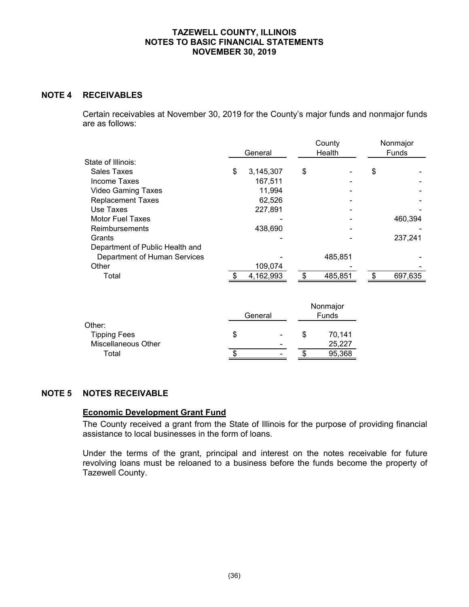## **NOTE 4 RECEIVABLES**

Certain receivables at November 30, 2019 for the County's major funds and nonmajor funds are as follows:

|                                 | General         | County<br>Health | Nonmajor<br>Funds |
|---------------------------------|-----------------|------------------|-------------------|
| State of Illinois:              |                 |                  |                   |
| Sales Taxes                     | \$<br>3,145,307 | \$               | \$                |
| Income Taxes                    | 167,511         |                  |                   |
| <b>Video Gaming Taxes</b>       | 11,994          |                  |                   |
| <b>Replacement Taxes</b>        | 62,526          |                  |                   |
| Use Taxes                       | 227,891         |                  |                   |
| <b>Motor Fuel Taxes</b>         |                 |                  | 460,394           |
| <b>Reimbursements</b>           | 438,690         |                  |                   |
| Grants                          |                 |                  | 237.241           |
| Department of Public Health and |                 |                  |                   |
| Department of Human Services    |                 | 485,851          |                   |
| Other                           | 109,074         |                  |                   |
| Total                           | 4,162,993       | \$<br>485.851    | 697,635           |

|   |                          | Nonmajor<br>Funds |        |  |  |
|---|--------------------------|-------------------|--------|--|--|
|   |                          |                   |        |  |  |
| S | ۰                        | S                 | 70,141 |  |  |
|   | $\overline{\phantom{0}}$ |                   | 25,227 |  |  |
|   | -                        |                   | 95,368 |  |  |
|   |                          | General           |        |  |  |

# **NOTE 5 NOTES RECEIVABLE**

### **Economic Development Grant Fund**

The County received a grant from the State of Illinois for the purpose of providing financial assistance to local businesses in the form of loans.

Under the terms of the grant, principal and interest on the notes receivable for future revolving loans must be reloaned to a business before the funds become the property of Tazewell County.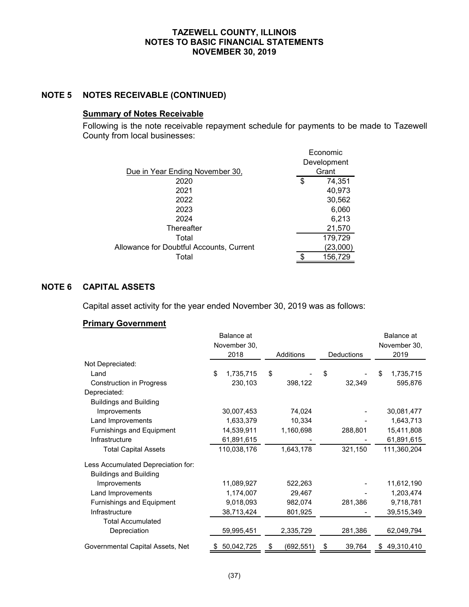# **NOTE 5 NOTES RECEIVABLE (CONTINUED)**

### **Summary of Notes Receivable**

Following is the note receivable repayment schedule for payments to be made to Tazewell County from local businesses:

| Due in Year Ending November 30,          |   | Economic<br>Development<br>Grant |
|------------------------------------------|---|----------------------------------|
| 2020                                     | S | 74,351                           |
| 2021                                     |   | 40,973                           |
| 2022                                     |   | 30,562                           |
| 2023                                     |   | 6,060                            |
| 2024                                     |   | 6,213                            |
| Thereafter                               |   | 21,570                           |
| Total                                    |   | 179,729                          |
| Allowance for Doubtful Accounts, Current |   | (23,000)                         |
| Total                                    |   | 156.729                          |

# **NOTE 6 CAPITAL ASSETS**

Capital asset activity for the year ended November 30, 2019 was as follows:

#### **Primary Government**

|                                    | Balance at      |                  |                   | Balance at       |
|------------------------------------|-----------------|------------------|-------------------|------------------|
|                                    | November 30,    |                  |                   | November 30,     |
|                                    | 2018            | Additions        | <b>Deductions</b> | 2019             |
| Not Depreciated:                   |                 |                  |                   |                  |
| Land                               | \$<br>1,735,715 | \$               | \$                | 1,735,715<br>\$  |
| <b>Construction in Progress</b>    | 230,103         | 398,122          | 32,349            | 595,876          |
| Depreciated:                       |                 |                  |                   |                  |
| <b>Buildings and Building</b>      |                 |                  |                   |                  |
| Improvements                       | 30,007,453      | 74,024           |                   | 30,081,477       |
| Land Improvements                  | 1,633,379       | 10,334           |                   | 1,643,713        |
| Furnishings and Equipment          | 14,539,911      | 1,160,698        | 288,801           | 15,411,808       |
| Infrastructure                     | 61,891,615      |                  |                   | 61,891,615       |
| <b>Total Capital Assets</b>        | 110,038,176     | 1,643,178        | 321,150           | 111,360,204      |
| Less Accumulated Depreciation for: |                 |                  |                   |                  |
| <b>Buildings and Building</b>      |                 |                  |                   |                  |
| Improvements                       | 11,089,927      | 522,263          |                   | 11,612,190       |
| Land Improvements                  | 1,174,007       | 29,467           |                   | 1,203,474        |
| <b>Furnishings and Equipment</b>   | 9,018,093       | 982,074          | 281,386           | 9,718,781        |
| Infrastructure                     | 38,713,424      | 801,925          |                   | 39,515,349       |
| <b>Total Accumulated</b>           |                 |                  |                   |                  |
| Depreciation                       | 59,995,451      | 2,335,729        | 281,386           | 62,049,794       |
| Governmental Capital Assets, Net   | 50,042,725<br>S | (692, 551)<br>\$ | 39,764<br>\$      | 49,310,410<br>\$ |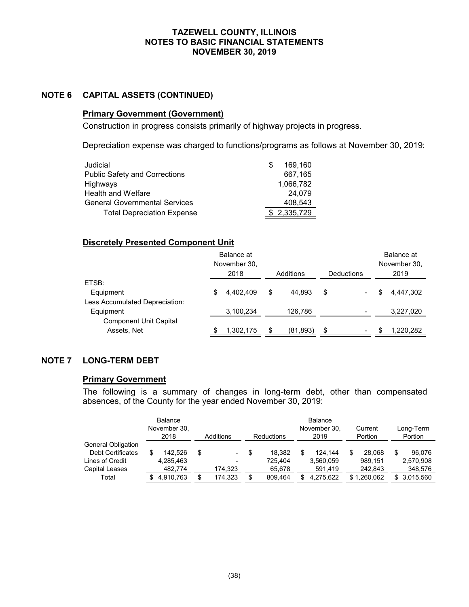# **NOTE 6 CAPITAL ASSETS (CONTINUED)**

### **Primary Government (Government)**

Construction in progress consists primarily of highway projects in progress.

Depreciation expense was charged to functions/programs as follows at November 30, 2019:

| Judicial                             | 169.160   |
|--------------------------------------|-----------|
| <b>Public Safety and Corrections</b> | 667,165   |
| Highways                             | 1,066,782 |
| <b>Health and Welfare</b>            | 24,079    |
| <b>General Governmental Services</b> | 408.543   |
| <b>Total Depreciation Expense</b>    | 2,335,729 |

# **Discretely Presented Component Unit**

|                                |   | Balance at<br>November 30,<br>2018 |     | Additions | Deductions |                          |   | Balance at<br>November 30,<br>2019 |
|--------------------------------|---|------------------------------------|-----|-----------|------------|--------------------------|---|------------------------------------|
| ETSB:                          |   |                                    |     |           |            |                          |   |                                    |
| Equipment                      | S | 4,402,409                          | \$  | 44.893    | \$         | $\overline{\phantom{a}}$ | S | 4.447.302                          |
| Less Accumulated Depreciation: |   |                                    |     |           |            |                          |   |                                    |
| Equipment                      |   | 3,100,234                          |     | 126.786   |            | $\qquad \qquad$          |   | 3,227,020                          |
| <b>Component Unit Capital</b>  |   |                                    |     |           |            |                          |   |                                    |
| Assets, Net                    |   | 1,302,175                          | \$. | (81, 893) | S          | $\,$                     |   | 1,220,282                          |

# **NOTE 7 LONG-TERM DEBT**

# **Primary Government**

The following is a summary of changes in long-term debt, other than compensated absences, of the County for the year ended November 30, 2019:

|                          | <b>Balance</b> |                          |              | Balance      |          |           |
|--------------------------|----------------|--------------------------|--------------|--------------|----------|-----------|
|                          | November 30,   |                          |              | November 30, | Current  | Long-Term |
|                          | 2018           | Additions                | Reductions   | 2019         | Portion  | Portion   |
| General Obligation       |                |                          |              |              |          |           |
| <b>Debt Certificates</b> | 142.526        | \$<br>-                  | \$<br>18.382 | 124.144      | 28.068   | 96.076    |
| Lines of Credit          | 4,285,463      | $\overline{\phantom{0}}$ | 725.404      | 3,560,059    | 989.151  | 2,570,908 |
| Capital Leases           | 482,774        | 174,323                  | 65,678       | 591.419      | 242,843  | 348,576   |
| Total                    | 4,910,763      | 174,323                  | 809,464      | 4.275.622    | .260,062 | 3.015,560 |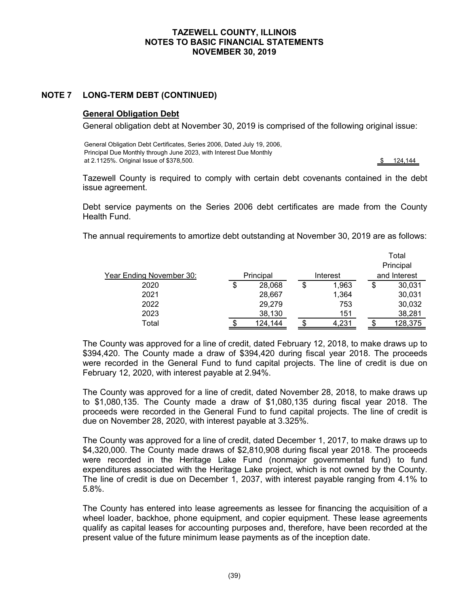# **NOTE 7 LONG-TERM DEBT (CONTINUED)**

### **General Obligation Debt**

General obligation debt at November 30, 2019 is comprised of the following original issue:

Principal Due Monthly through June 2023, with Interest Due Monthly at 2.1125%. Original Issue of \$378,500. **\$ 124,144** at 2.1125%. Original Issue of \$378,500. General Obligation Debt Certificates, Series 2006, Dated July 19, 2006,

Total

Tazewell County is required to comply with certain debt covenants contained in the debt issue agreement.

Debt service payments on the Series 2006 debt certificates are made from the County Health Fund.

The annual requirements to amortize debt outstanding at November 30, 2019 are as follows:

|                          |                  |    |          |   | .            |
|--------------------------|------------------|----|----------|---|--------------|
|                          |                  |    |          |   | Principal    |
| Year Ending November 30: | <b>Principal</b> |    | Interest |   | and Interest |
| 2020                     | \$<br>28,068     | \$ | 1,963    | S | 30,031       |
| 2021                     | 28,667           |    | 1,364    |   | 30,031       |
| 2022                     | 29,279           |    | 753      |   | 30,032       |
| 2023                     | 38,130           |    | 151      |   | 38,281       |
| Total                    | 124,144          |    | 4,231    |   | 128,375      |

The County was approved for a line of credit, dated February 12, 2018, to make draws up to \$394,420. The County made a draw of \$394,420 during fiscal year 2018. The proceeds were recorded in the General Fund to fund capital projects. The line of credit is due on February 12, 2020, with interest payable at 2.94%.

The County was approved for a line of credit, dated November 28, 2018, to make draws up to \$1,080,135. The County made a draw of \$1,080,135 during fiscal year 2018. The proceeds were recorded in the General Fund to fund capital projects. The line of credit is due on November 28, 2020, with interest payable at 3.325%.

The County was approved for a line of credit, dated December 1, 2017, to make draws up to \$4,320,000. The County made draws of \$2,810,908 during fiscal year 2018. The proceeds were recorded in the Heritage Lake Fund (nonmajor governmental fund) to fund expenditures associated with the Heritage Lake project, which is not owned by the County. The line of credit is due on December 1, 2037, with interest payable ranging from 4.1% to 5.8%.

The County has entered into lease agreements as lessee for financing the acquisition of a wheel loader, backhoe, phone equipment, and copier equipment. These lease agreements qualify as capital leases for accounting purposes and, therefore, have been recorded at the present value of the future minimum lease payments as of the inception date.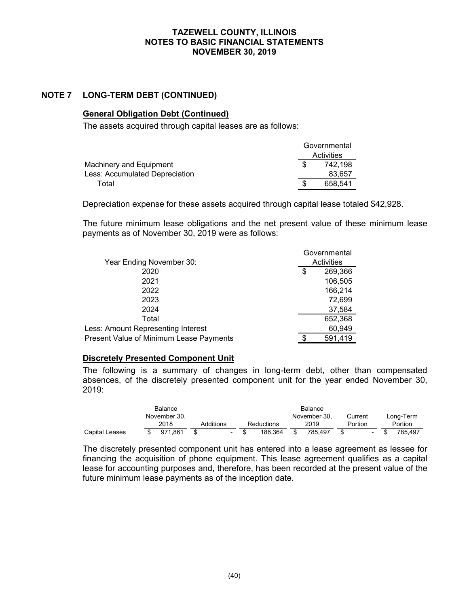# **NOTE 7 LONG-TERM DEBT (CONTINUED)**

## **General Obligation Debt (Continued)**

The assets acquired through capital leases are as follows:

|                                       |     | Governmental |
|---------------------------------------|-----|--------------|
|                                       |     | Activities   |
| Machinery and Equipment               |     | 742.198      |
| <b>Less: Accumulated Depreciation</b> |     | 83.657       |
| Total                                 | \$. | 658.541      |

Depreciation expense for these assets acquired through capital lease totaled \$42,928.

The future minimum lease obligations and the net present value of these minimum lease payments as of November 30, 2019 were as follows:

|                                         |   | Governmental |
|-----------------------------------------|---|--------------|
| Year Ending November 30:                |   | Activities   |
| 2020                                    | S | 269,366      |
| 2021                                    |   | 106,505      |
| 2022                                    |   | 166,214      |
| 2023                                    |   | 72,699       |
| 2024                                    |   | 37,584       |
| Total                                   |   | 652,368      |
| Less: Amount Representing Interest      |   | 60,949       |
| Present Value of Minimum Lease Payments |   | 591,419      |

# **Discretely Presented Component Unit**

The following is a summary of changes in long-term debt, other than compensated absences, of the discretely presented component unit for the year ended November 30, 2019:

| Balance               |  |              |  |           |  |  |            | Balance |              |         |         |                          |           |
|-----------------------|--|--------------|--|-----------|--|--|------------|---------|--------------|---------|---------|--------------------------|-----------|
|                       |  | November 30. |  |           |  |  |            |         | November 30. |         | Current |                          | Long-Term |
|                       |  | 2018         |  | Additions |  |  | Reductions | 2019    |              | Portion |         | Portion                  |           |
| <b>Capital Leases</b> |  | 971.861      |  | $\sim$    |  |  | 186.364    | \$      | 785.497      |         |         | $\overline{\phantom{0}}$ | 785.497   |

The discretely presented component unit has entered into a lease agreement as lessee for financing the acquisition of phone equipment. This lease agreement qualifies as a capital lease for accounting purposes and, therefore, has been recorded at the present value of the future minimum lease payments as of the inception date.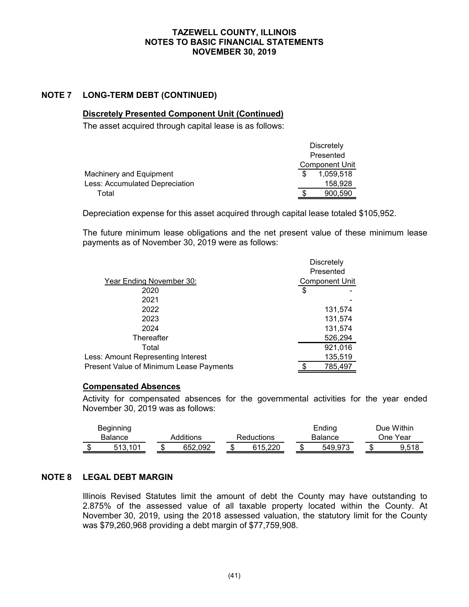# **NOTE 7 LONG-TERM DEBT (CONTINUED)**

### **Discretely Presented Component Unit (Continued)**

The asset acquired through capital lease is as follows:

|                                | <b>Discretely</b>     |
|--------------------------------|-----------------------|
|                                | Presented             |
|                                | <b>Component Unit</b> |
| Machinery and Equipment        | 1.059.518             |
| Less: Accumulated Depreciation | 158.928               |
| Total                          | 900,590               |
|                                |                       |

Depreciation expense for this asset acquired through capital lease totaled \$105,952.

The future minimum lease obligations and the net present value of these minimum lease payments as of November 30, 2019 were as follows:

|                                         | <b>Discretely</b> |                |  |  |  |
|-----------------------------------------|-------------------|----------------|--|--|--|
|                                         |                   | Presented      |  |  |  |
| Year Ending November 30:                |                   | Component Unit |  |  |  |
| 2020                                    | \$                |                |  |  |  |
| 2021                                    |                   |                |  |  |  |
| 2022                                    |                   | 131,574        |  |  |  |
| 2023                                    |                   | 131,574        |  |  |  |
| 2024                                    |                   | 131,574        |  |  |  |
| Thereafter                              |                   | 526,294        |  |  |  |
| Total                                   |                   | 921,016        |  |  |  |
| Less: Amount Representing Interest      |                   | 135,519        |  |  |  |
| Present Value of Minimum Lease Payments |                   | 785,497        |  |  |  |

#### **Compensated Absences**

Activity for compensated absences for the governmental activities for the year ended November 30, 2019 was as follows:

| Beginning      |           |                   |         |    | Ending         |  | Due Within |
|----------------|-----------|-------------------|---------|----|----------------|--|------------|
| <b>Balance</b> | Additions | <b>Reductions</b> |         |    | <b>Balance</b> |  | วne Year   |
| 513.101        | 652.092   |                   | 615.220 | J. | 549.973        |  |            |

# **NOTE 8 LEGAL DEBT MARGIN**

Illinois Revised Statutes limit the amount of debt the County may have outstanding to 2.875% of the assessed value of all taxable property located within the County. At November 30, 2019, using the 2018 assessed valuation, the statutory limit for the County was \$79,260,968 providing a debt margin of \$77,759,908.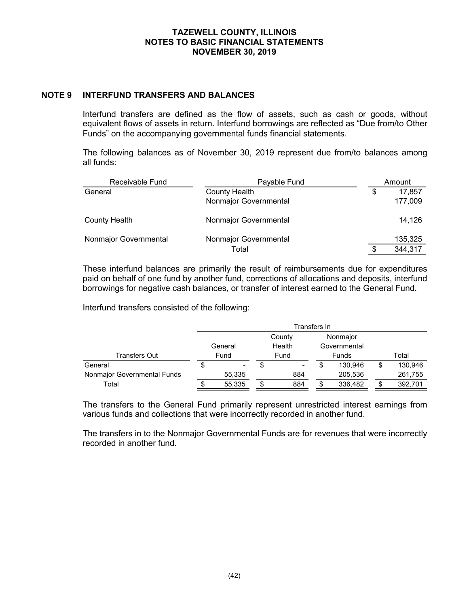# **NOTE 9 INTERFUND TRANSFERS AND BALANCES**

Interfund transfers are defined as the flow of assets, such as cash or goods, without equivalent flows of assets in return. Interfund borrowings are reflected as "Due from/to Other Funds" on the accompanying governmental funds financial statements.

The following balances as of November 30, 2019 represent due from/to balances among all funds:

| Receivable Fund<br>Payable Fund |                       |   | Amount  |  |  |  |
|---------------------------------|-----------------------|---|---------|--|--|--|
| General                         | <b>County Health</b>  | S | 17,857  |  |  |  |
|                                 | Nonmajor Governmental |   | 177,009 |  |  |  |
| County Health                   | Nonmajor Governmental |   | 14,126  |  |  |  |
| Nonmajor Governmental           | Nonmajor Governmental |   | 135,325 |  |  |  |
|                                 | Total                 |   | 344,317 |  |  |  |

These interfund balances are primarily the result of reimbursements due for expenditures paid on behalf of one fund by another fund, corrections of allocations and deposits, interfund borrowings for negative cash balances, or transfer of interest earned to the General Fund.

Interfund transfers consisted of the following:

|                             |    | Transfers In             |   |                          |              |          |    |         |  |
|-----------------------------|----|--------------------------|---|--------------------------|--------------|----------|----|---------|--|
|                             |    |                          |   | County                   |              | Nonmajor |    |         |  |
|                             |    | General                  |   | Health                   | Governmental |          |    |         |  |
| Transfers Out               |    | Fund                     |   | Fund                     |              | Funds    |    | Total   |  |
| General                     | \$ | $\overline{\phantom{a}}$ | Ф | $\overline{\phantom{a}}$ | S            | 130.946  | \$ | 130,946 |  |
| Nonmajor Governmental Funds |    | 55,335                   |   | 884                      |              | 205,536  |    | 261,755 |  |
| Total                       | σ  | 55,335                   |   | 884                      |              | 336,482  |    | 392,701 |  |

The transfers to the General Fund primarily represent unrestricted interest earnings from various funds and collections that were incorrectly recorded in another fund.

The transfers in to the Nonmajor Governmental Funds are for revenues that were incorrectly recorded in another fund.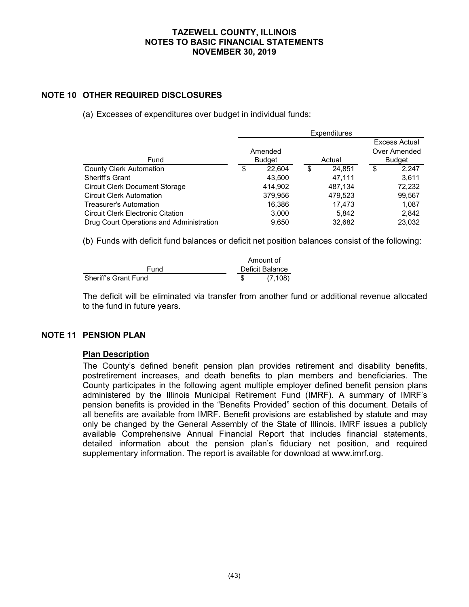# **NOTE 10 OTHER REQUIRED DISCLOSURES**

(a) Excesses of expenditures over budget in individual funds:

|                                          | <b>Expenditures</b> |               |    |         |    |               |  |
|------------------------------------------|---------------------|---------------|----|---------|----|---------------|--|
|                                          |                     |               |    |         |    | Excess Actual |  |
|                                          |                     | Amended       |    |         |    | Over Amended  |  |
| Fund                                     |                     | <b>Budget</b> |    | Actual  |    | <b>Budget</b> |  |
| <b>County Clerk Automation</b>           | \$                  | 22,604        | \$ | 24,851  | \$ | 2,247         |  |
| <b>Sheriff's Grant</b>                   |                     | 43.500        |    | 47.111  |    | 3,611         |  |
| <b>Circuit Clerk Document Storage</b>    |                     | 414,902       |    | 487,134 |    | 72,232        |  |
| <b>Circuit Clerk Automation</b>          |                     | 379,956       |    | 479,523 |    | 99,567        |  |
| <b>Treasurer's Automation</b>            |                     | 16.386        |    | 17.473  |    | 1.087         |  |
| <b>Circuit Clerk Electronic Citation</b> |                     | 3.000         |    | 5,842   |    | 2,842         |  |
| Drug Court Operations and Administration |                     | 9,650         |    | 32,682  |    | 23,032        |  |

(b) Funds with deficit fund balances or deficit net position balances consist of the following:

|                      | Amount of       |
|----------------------|-----------------|
| Fund                 | Deficit Balance |
| Sheriff's Grant Fund | (7.108)         |

The deficit will be eliminated via transfer from another fund or additional revenue allocated to the fund in future years.

# **NOTE 11 PENSION PLAN**

#### **Plan Description**

The County's defined benefit pension plan provides retirement and disability benefits, postretirement increases, and death benefits to plan members and beneficiaries. The County participates in the following agent multiple employer defined benefit pension plans administered by the Illinois Municipal Retirement Fund (IMRF). A summary of IMRF's pension benefits is provided in the "Benefits Provided" section of this document. Details of all benefits are available from IMRF. Benefit provisions are established by statute and may only be changed by the General Assembly of the State of Illinois. IMRF issues a publicly available Comprehensive Annual Financial Report that includes financial statements, detailed information about the pension plan's fiduciary net position, and required supplementary information. The report is available for download at www.imrf.org.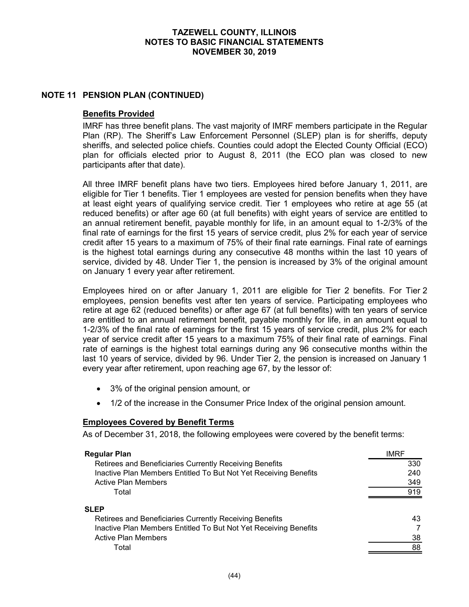## **NOTE 11 PENSION PLAN (CONTINUED)**

### **Benefits Provided**

IMRF has three benefit plans. The vast majority of IMRF members participate in the Regular Plan (RP). The Sheriff's Law Enforcement Personnel (SLEP) plan is for sheriffs, deputy sheriffs, and selected police chiefs. Counties could adopt the Elected County Official (ECO) plan for officials elected prior to August 8, 2011 (the ECO plan was closed to new participants after that date).

All three IMRF benefit plans have two tiers. Employees hired before January 1, 2011, are eligible for Tier 1 benefits. Tier 1 employees are vested for pension benefits when they have at least eight years of qualifying service credit. Tier 1 employees who retire at age 55 (at reduced benefits) or after age 60 (at full benefits) with eight years of service are entitled to an annual retirement benefit, payable monthly for life, in an amount equal to 1-2/3% of the final rate of earnings for the first 15 years of service credit, plus 2% for each year of service credit after 15 years to a maximum of 75% of their final rate earnings. Final rate of earnings is the highest total earnings during any consecutive 48 months within the last 10 years of service, divided by 48. Under Tier 1, the pension is increased by 3% of the original amount on January 1 every year after retirement.

Employees hired on or after January 1, 2011 are eligible for Tier 2 benefits. For Tier 2 employees, pension benefits vest after ten years of service. Participating employees who retire at age 62 (reduced benefits) or after age 67 (at full benefits) with ten years of service are entitled to an annual retirement benefit, payable monthly for life, in an amount equal to 1-2/3% of the final rate of earnings for the first 15 years of service credit, plus 2% for each year of service credit after 15 years to a maximum 75% of their final rate of earnings. Final rate of earnings is the highest total earnings during any 96 consecutive months within the last 10 years of service, divided by 96. Under Tier 2, the pension is increased on January 1 every year after retirement, upon reaching age 67, by the lessor of:

- 3% of the original pension amount, or
- 1/2 of the increase in the Consumer Price Index of the original pension amount.

#### **Employees Covered by Benefit Terms**

As of December 31, 2018, the following employees were covered by the benefit terms:

| Regular Plan                                                     | <b>IMRF</b> |
|------------------------------------------------------------------|-------------|
| Retirees and Beneficiaries Currently Receiving Benefits          | 330         |
| Inactive Plan Members Entitled To But Not Yet Receiving Benefits | 240         |
| <b>Active Plan Members</b>                                       | 349         |
| Total                                                            | 919         |
| SLEP                                                             |             |
| Retirees and Beneficiaries Currently Receiving Benefits          | 43          |
| Inactive Plan Members Entitled To But Not Yet Receiving Benefits |             |
| <b>Active Plan Members</b>                                       | 38          |
| Total                                                            | 88          |
|                                                                  |             |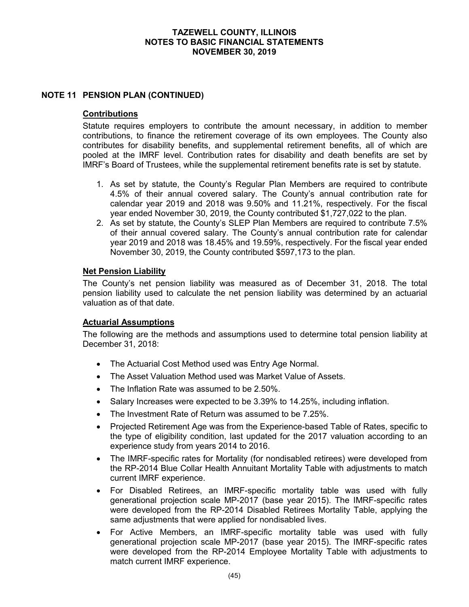# **NOTE 11 PENSION PLAN (CONTINUED)**

### **Contributions**

Statute requires employers to contribute the amount necessary, in addition to member contributions, to finance the retirement coverage of its own employees. The County also contributes for disability benefits, and supplemental retirement benefits, all of which are pooled at the IMRF level. Contribution rates for disability and death benefits are set by IMRF's Board of Trustees, while the supplemental retirement benefits rate is set by statute.

- 1. As set by statute, the County's Regular Plan Members are required to contribute 4.5% of their annual covered salary. The County's annual contribution rate for calendar year 2019 and 2018 was 9.50% and 11.21%, respectively. For the fiscal year ended November 30, 2019, the County contributed \$1,727,022 to the plan.
- 2. As set by statute, the County's SLEP Plan Members are required to contribute 7.5% of their annual covered salary. The County's annual contribution rate for calendar year 2019 and 2018 was 18.45% and 19.59%, respectively. For the fiscal year ended November 30, 2019, the County contributed \$597,173 to the plan.

### **Net Pension Liability**

The County's net pension liability was measured as of December 31, 2018. The total pension liability used to calculate the net pension liability was determined by an actuarial valuation as of that date.

# **Actuarial Assumptions**

The following are the methods and assumptions used to determine total pension liability at December 31, 2018:

- The Actuarial Cost Method used was Entry Age Normal.
- The Asset Valuation Method used was Market Value of Assets.
- The Inflation Rate was assumed to be 2.50%.
- Salary Increases were expected to be 3.39% to 14.25%, including inflation.
- The Investment Rate of Return was assumed to be 7.25%.
- Projected Retirement Age was from the Experience-based Table of Rates, specific to the type of eligibility condition, last updated for the 2017 valuation according to an experience study from years 2014 to 2016.
- The IMRF-specific rates for Mortality (for nondisabled retirees) were developed from the RP-2014 Blue Collar Health Annuitant Mortality Table with adjustments to match current IMRF experience.
- For Disabled Retirees, an IMRF-specific mortality table was used with fully generational projection scale MP-2017 (base year 2015). The IMRF-specific rates were developed from the RP-2014 Disabled Retirees Mortality Table, applying the same adjustments that were applied for nondisabled lives.
- For Active Members, an IMRF-specific mortality table was used with fully generational projection scale MP-2017 (base year 2015). The IMRF-specific rates were developed from the RP-2014 Employee Mortality Table with adjustments to match current IMRF experience.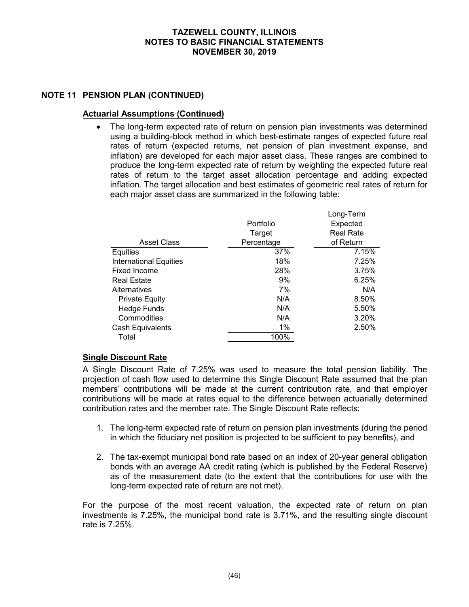# **NOTE 11 PENSION PLAN (CONTINUED)**

## **Actuarial Assumptions (Continued)**

• The long-term expected rate of return on pension plan investments was determined using a building-block method in which best-estimate ranges of expected future real rates of return (expected returns, net pension of plan investment expense, and inflation) are developed for each major asset class. These ranges are combined to produce the long-term expected rate of return by weighting the expected future real rates of return to the target asset allocation percentage and adding expected inflation. The target allocation and best estimates of geometric real rates of return for each major asset class are summarized in the following table:

|                               | Portfolio  | Long-Term<br>Expected |
|-------------------------------|------------|-----------------------|
|                               | Target     | <b>Real Rate</b>      |
| <b>Asset Class</b>            | Percentage | of Return             |
| Equities                      | 37%        | 7.15%                 |
| <b>International Equities</b> | 18%        | 7.25%                 |
| Fixed Income                  | 28%        | 3.75%                 |
| <b>Real Estate</b>            | 9%         | 6.25%                 |
| Alternatives                  | 7%         | N/A                   |
| <b>Private Equity</b>         | N/A        | 8.50%                 |
| Hedge Funds                   | N/A        | 5.50%                 |
| Commodities                   | N/A        | 3.20%                 |
| Cash Equivalents              | 1%         | 2.50%                 |
| Total                         | 100%       |                       |

# **Single Discount Rate**

A Single Discount Rate of 7.25% was used to measure the total pension liability. The projection of cash flow used to determine this Single Discount Rate assumed that the plan members' contributions will be made at the current contribution rate, and that employer contributions will be made at rates equal to the difference between actuarially determined contribution rates and the member rate. The Single Discount Rate reflects:

- 1. The long-term expected rate of return on pension plan investments (during the period in which the fiduciary net position is projected to be sufficient to pay benefits), and
- 2. The tax-exempt municipal bond rate based on an index of 20-year general obligation bonds with an average AA credit rating (which is published by the Federal Reserve) as of the measurement date (to the extent that the contributions for use with the long-term expected rate of return are not met).

For the purpose of the most recent valuation, the expected rate of return on plan investments is 7.25%, the municipal bond rate is 3.71%, and the resulting single discount rate is 7.25%.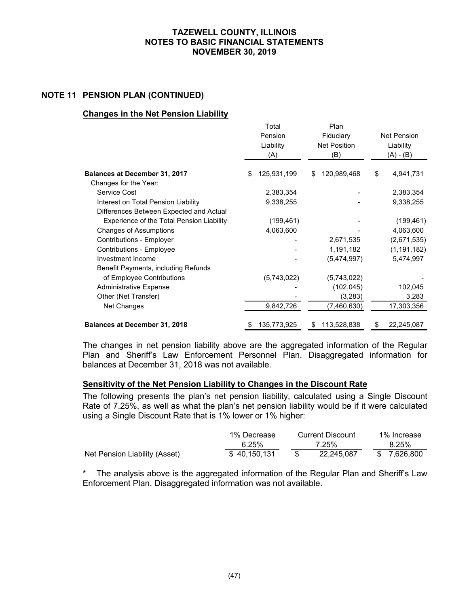# **NOTE 11 PENSION PLAN (CONTINUED)**

## **Changes in the Net Pension Liability**

|                                           |    | Total<br>Pension<br>Liability<br>(A) |   | Plan<br>Fiduciary<br><b>Net Position</b><br>(B) |    | <b>Net Pension</b><br>Liability<br>$(A) - (B)$ |  |
|-------------------------------------------|----|--------------------------------------|---|-------------------------------------------------|----|------------------------------------------------|--|
| <b>Balances at December 31, 2017</b>      | \$ | 125,931,199                          | S | 120,989,468                                     | \$ | 4,941,731                                      |  |
| Changes for the Year:                     |    |                                      |   |                                                 |    |                                                |  |
| Service Cost                              |    | 2,383,354                            |   |                                                 |    | 2,383,354                                      |  |
| Interest on Total Pension Liability       |    | 9,338,255                            |   |                                                 |    | 9,338,255                                      |  |
| Differences Between Expected and Actual   |    |                                      |   |                                                 |    |                                                |  |
| Experience of the Total Pension Liability |    | (199, 461)                           |   |                                                 |    | (199, 461)                                     |  |
| Changes of Assumptions                    |    | 4,063,600                            |   |                                                 |    | 4,063,600                                      |  |
| <b>Contributions - Employer</b>           |    |                                      |   | 2,671,535                                       |    | (2,671,535)                                    |  |
| <b>Contributions - Employee</b>           |    |                                      |   | 1,191,182                                       |    | (1, 191, 182)                                  |  |
| Investment Income                         |    |                                      |   | (5,474,997)                                     |    | 5,474,997                                      |  |
| Benefit Payments, including Refunds       |    |                                      |   |                                                 |    |                                                |  |
| of Employee Contributions                 |    | (5,743,022)                          |   | (5,743,022)                                     |    |                                                |  |
| <b>Administrative Expense</b>             |    |                                      |   | (102, 045)                                      |    | 102,045                                        |  |
| Other (Net Transfer)                      |    |                                      |   | (3, 283)                                        |    | 3,283                                          |  |
| Net Changes                               |    | 9,842,726                            |   | (7,460,630)                                     |    | 17,303,356                                     |  |
| <b>Balances at December 31, 2018</b>      | \$ | 135,773,925                          | S | 113,528,838                                     | S  | 22,245,087                                     |  |

The changes in net pension liability above are the aggregated information of the Regular Plan and Sheriff's Law Enforcement Personnel Plan. Disaggregated information for balances at December 31, 2018 was not available.

# **Sensitivity of the Net Pension Liability to Changes in the Discount Rate**

The following presents the plan's net pension liability, calculated using a Single Discount Rate of 7.25%, as well as what the plan's net pension liability would be if it were calculated using a Single Discount Rate that is 1% lower or 1% higher:

|                               | 1% Decrease  |       | Current Discount | 1% Increase  |
|-------------------------------|--------------|-------|------------------|--------------|
|                               | 6.25%        | 7.25% |                  | 8.25%        |
| Net Pension Liability (Asset) | \$40.150.131 |       | 22.245.087       | \$ 7.626.800 |

\* The analysis above is the aggregated information of the Regular Plan and Sheriff's Law Enforcement Plan. Disaggregated information was not available.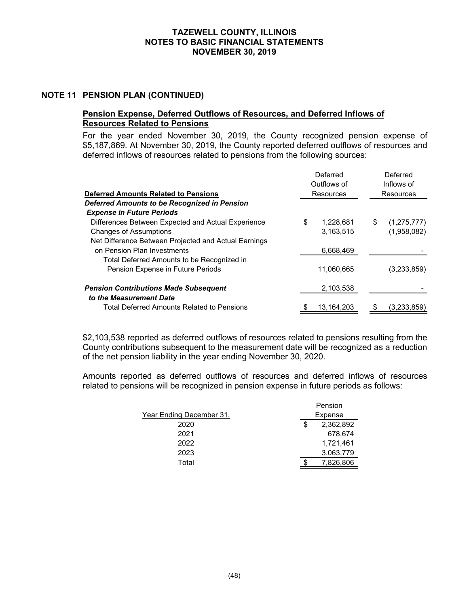## **NOTE 11 PENSION PLAN (CONTINUED)**

## **Pension Expense, Deferred Outflows of Resources, and Deferred Inflows of Resources Related to Pensions**

For the year ended November 30, 2019, the County recognized pension expense of \$5,187,869. At November 30, 2019, the County reported deferred outflows of resources and deferred inflows of resources related to pensions from the following sources:

|                                                      |    | Deferred<br>Outflows of |    | Deferred<br>Inflows of |  |
|------------------------------------------------------|----|-------------------------|----|------------------------|--|
| <b>Deferred Amounts Related to Pensions</b>          |    | Resources               |    | Resources              |  |
| Deferred Amounts to be Recognized in Pension         |    |                         |    |                        |  |
| <b>Expense in Future Periods</b>                     |    |                         |    |                        |  |
| Differences Between Expected and Actual Experience   | \$ | 1,228,681               | \$ | (1,275,777)            |  |
| <b>Changes of Assumptions</b>                        |    | 3,163,515               |    | (1,958,082)            |  |
| Net Difference Between Projected and Actual Earnings |    |                         |    |                        |  |
| on Pension Plan Investments                          |    | 6,668,469               |    |                        |  |
| Total Deferred Amounts to be Recognized in           |    |                         |    |                        |  |
| Pension Expense in Future Periods                    |    | 11,060,665              |    | (3,233,859)            |  |
| <b>Pension Contributions Made Subsequent</b>         |    | 2,103,538               |    |                        |  |
| to the Measurement Date                              |    |                         |    |                        |  |
| Total Deferred Amounts Related to Pensions           | æ. | 13,164,203              |    | (3,233,859)            |  |

\$2,103,538 reported as deferred outflows of resources related to pensions resulting from the County contributions subsequent to the measurement date will be recognized as a reduction of the net pension liability in the year ending November 30, 2020.

Amounts reported as deferred outflows of resources and deferred inflows of resources related to pensions will be recognized in pension expense in future periods as follows:

| Year Ending December 31, |   | Pension<br>Expense |
|--------------------------|---|--------------------|
| 2020                     | S | 2,362,892          |
| 2021                     |   | 678,674            |
| 2022                     |   | 1,721,461          |
| 2023                     |   | 3,063,779          |
| Total                    |   | 7,826,806          |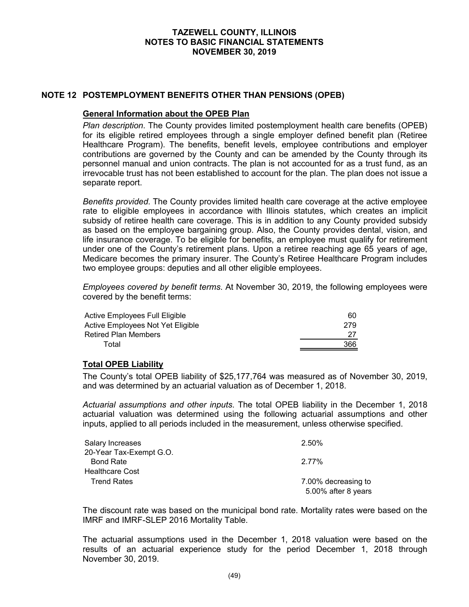### **NOTE 12 POSTEMPLOYMENT BENEFITS OTHER THAN PENSIONS (OPEB)**

### **General Information about the OPEB Plan**

*Plan description*. The County provides limited postemployment health care benefits (OPEB) for its eligible retired employees through a single employer defined benefit plan (Retiree Healthcare Program). The benefits, benefit levels, employee contributions and employer contributions are governed by the County and can be amended by the County through its personnel manual and union contracts. The plan is not accounted for as a trust fund, as an irrevocable trust has not been established to account for the plan. The plan does not issue a separate report.

*Benefits provided*. The County provides limited health care coverage at the active employee rate to eligible employees in accordance with Illinois statutes, which creates an implicit subsidy of retiree health care coverage. This is in addition to any County provided subsidy as based on the employee bargaining group. Also, the County provides dental, vision, and life insurance coverage. To be eligible for benefits, an employee must qualify for retirement under one of the County's retirement plans. Upon a retiree reaching age 65 years of age, Medicare becomes the primary insurer. The County's Retiree Healthcare Program includes two employee groups: deputies and all other eligible employees.

*Employees covered by benefit terms*. At November 30, 2019, the following employees were covered by the benefit terms:

| Active Employees Full Eligible    | 60   |
|-----------------------------------|------|
| Active Employees Not Yet Eligible | 279  |
| <b>Retired Plan Members</b>       | - 27 |
| Total                             | 366  |

#### **Total OPEB Liability**

The County's total OPEB liability of \$25,177,764 was measured as of November 30, 2019, and was determined by an actuarial valuation as of December 1, 2018.

*Actuarial assumptions and other inputs*. The total OPEB liability in the December 1, 2018 actuarial valuation was determined using the following actuarial assumptions and other inputs, applied to all periods included in the measurement, unless otherwise specified.

| Salary Increases        | 2.50%               |
|-------------------------|---------------------|
| 20-Year Tax-Exempt G.O. |                     |
| <b>Bond Rate</b>        | 2.77%               |
| <b>Healthcare Cost</b>  |                     |
| <b>Trend Rates</b>      | 7.00% decreasing to |
|                         | 5.00% after 8 years |

The discount rate was based on the municipal bond rate. Mortality rates were based on the IMRF and IMRF-SLEP 2016 Mortality Table.

The actuarial assumptions used in the December 1, 2018 valuation were based on the results of an actuarial experience study for the period December 1, 2018 through November 30, 2019.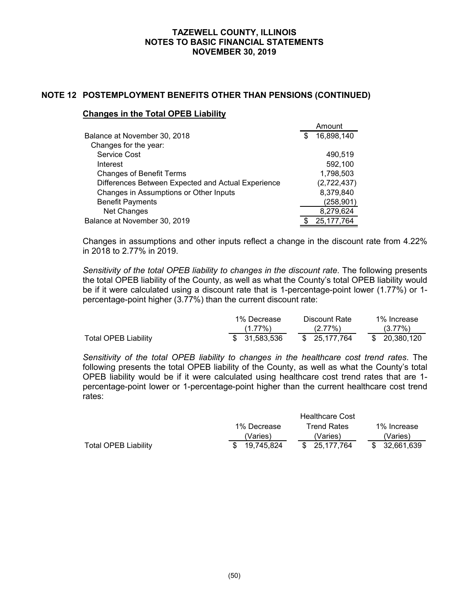## **NOTE 12 POSTEMPLOYMENT BENEFITS OTHER THAN PENSIONS (CONTINUED)**

### **Changes in the Total OPEB Liability**

|                                                    |   | Amount       |
|----------------------------------------------------|---|--------------|
| Balance at November 30, 2018                       | S | 16,898,140   |
| Changes for the year:                              |   |              |
| Service Cost                                       |   | 490,519      |
| Interest                                           |   | 592,100      |
| <b>Changes of Benefit Terms</b>                    |   | 1,798,503    |
| Differences Between Expected and Actual Experience |   | (2,722,437)  |
| Changes in Assumptions or Other Inputs             |   | 8,379,840    |
| <b>Benefit Payments</b>                            |   | (258, 901)   |
| Net Changes                                        |   | 8,279,624    |
| Balance at November 30, 2019                       |   | 25, 177, 764 |

Changes in assumptions and other inputs reflect a change in the discount rate from 4.22% in 2018 to 2.77% in 2019.

*Sensitivity of the total OPEB liability to changes in the discount rate*. The following presents the total OPEB liability of the County, as well as what the County's total OPEB liability would be if it were calculated using a discount rate that is 1-percentage-point lower (1.77%) or 1 percentage-point higher (3.77%) than the current discount rate:

|                      | 1% Decrease   | Discount Rate | 1% Increase   |
|----------------------|---------------|---------------|---------------|
|                      | $(1.77\%)$    | $(2.77\%)$    | $(3.77\%)$    |
| Total OPEB Liability | \$ 31.583.536 | \$ 25.177.764 | \$ 20,380,120 |

*Sensitivity of the total OPEB liability to changes in the healthcare cost trend rates*. The following presents the total OPEB liability of the County, as well as what the County's total OPEB liability would be if it were calculated using healthcare cost trend rates that are 1 percentage-point lower or 1-percentage-point higher than the current healthcare cost trend rates:

|                      |                   | <b>Healthcare Cost</b> |               |
|----------------------|-------------------|------------------------|---------------|
|                      | 1% Decrease       | Trend Rates            | 1% Increase   |
|                      | 'Varies)          | (Varies)               | (Varies       |
| Total OPEB Liability | 19.745.824<br>\$. | \$ 25.177.764          | \$ 32.661.639 |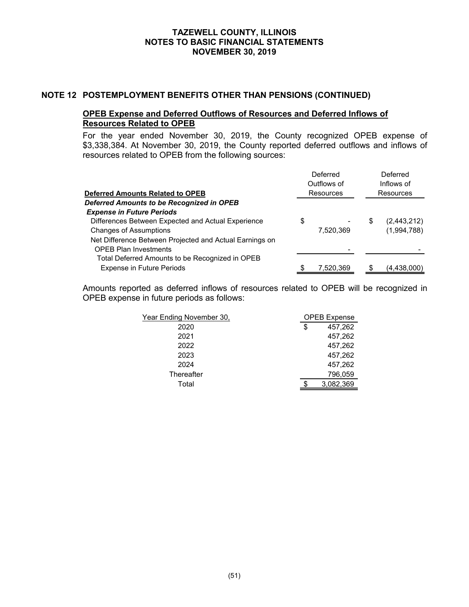## **NOTE 12 POSTEMPLOYMENT BENEFITS OTHER THAN PENSIONS (CONTINUED)**

### **OPEB Expense and Deferred Outflows of Resources and Deferred Inflows of Resources Related to OPEB**

For the year ended November 30, 2019, the County recognized OPEB expense of \$3,338,384. At November 30, 2019, the County reported deferred outflows and inflows of resources related to OPEB from the following sources:

| <b>Deferred Amounts Related to OPEB</b>                 | Deferred<br>Outflows of<br><b>Resources</b> | Deferred<br>Inflows of<br><b>Resources</b> |
|---------------------------------------------------------|---------------------------------------------|--------------------------------------------|
| Deferred Amounts to be Recognized in OPEB               |                                             |                                            |
| <b>Expense in Future Periods</b>                        |                                             |                                            |
| Differences Between Expected and Actual Experience      | \$                                          | \$<br>(2,443,212)                          |
| <b>Changes of Assumptions</b>                           | 7,520,369                                   | (1,994,788)                                |
| Net Difference Between Projected and Actual Earnings on |                                             |                                            |
| <b>OPEB Plan Investments</b>                            |                                             |                                            |
| Total Deferred Amounts to be Recognized in OPEB         |                                             |                                            |
| <b>Expense in Future Periods</b>                        | 7,520,369                                   | (4,438,000)                                |

Amounts reported as deferred inflows of resources related to OPEB will be recognized in OPEB expense in future periods as follows:

| Year Ending November 30, | <b>OPEB Expense</b> |  |  |
|--------------------------|---------------------|--|--|
| 2020                     | \$<br>457,262       |  |  |
| 2021                     | 457,262             |  |  |
| 2022                     | 457,262             |  |  |
| 2023                     | 457,262             |  |  |
| 2024                     | 457,262             |  |  |
| Thereafter               | 796,059             |  |  |
| Total                    | 3,082,369           |  |  |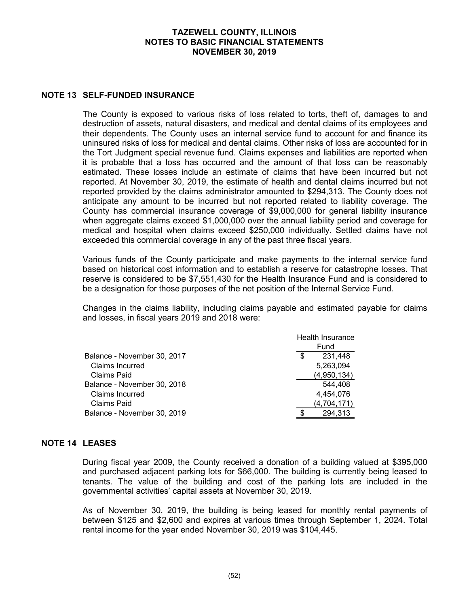### **NOTE 13 SELF-FUNDED INSURANCE**

The County is exposed to various risks of loss related to torts, theft of, damages to and destruction of assets, natural disasters, and medical and dental claims of its employees and their dependents. The County uses an internal service fund to account for and finance its uninsured risks of loss for medical and dental claims. Other risks of loss are accounted for in the Tort Judgment special revenue fund. Claims expenses and liabilities are reported when it is probable that a loss has occurred and the amount of that loss can be reasonably estimated. These losses include an estimate of claims that have been incurred but not reported. At November 30, 2019, the estimate of health and dental claims incurred but not reported provided by the claims administrator amounted to \$294,313. The County does not anticipate any amount to be incurred but not reported related to liability coverage. The County has commercial insurance coverage of \$9,000,000 for general liability insurance when aggregate claims exceed \$1,000,000 over the annual liability period and coverage for medical and hospital when claims exceed \$250,000 individually. Settled claims have not exceeded this commercial coverage in any of the past three fiscal years.

Various funds of the County participate and make payments to the internal service fund based on historical cost information and to establish a reserve for catastrophe losses. That reserve is considered to be \$7,551,430 for the Health Insurance Fund and is considered to be a designation for those purposes of the net position of the Internal Service Fund.

Changes in the claims liability, including claims payable and estimated payable for claims and losses, in fiscal years 2019 and 2018 were:

|                             |   | Fund        |
|-----------------------------|---|-------------|
|                             |   |             |
| Balance - November 30, 2017 | S | 231,448     |
| <b>Claims Incurred</b>      |   | 5,263,094   |
| Claims Paid                 |   | (4,950,134) |
| Balance - November 30, 2018 |   | 544,408     |
| <b>Claims Incurred</b>      |   | 4,454,076   |
| Claims Paid                 |   | (4,704,171) |
| Balance - November 30, 2019 |   | 294,313     |

### **NOTE 14 LEASES**

During fiscal year 2009, the County received a donation of a building valued at \$395,000 and purchased adjacent parking lots for \$66,000. The building is currently being leased to tenants. The value of the building and cost of the parking lots are included in the governmental activities' capital assets at November 30, 2019.

As of November 30, 2019, the building is being leased for monthly rental payments of between \$125 and \$2,600 and expires at various times through September 1, 2024. Total rental income for the year ended November 30, 2019 was \$104,445.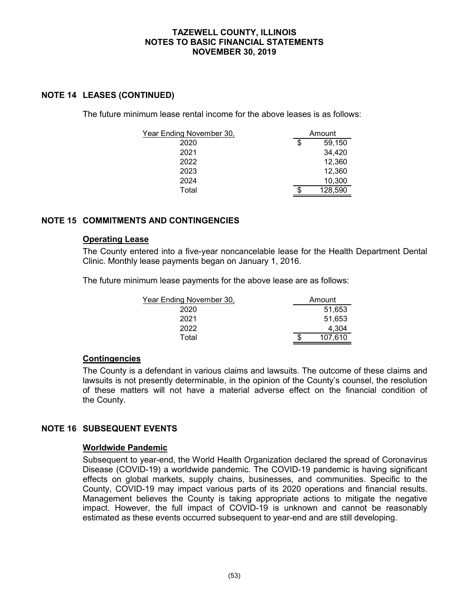# **NOTE 14 LEASES (CONTINUED)**

The future minimum lease rental income for the above leases is as follows:

| Year Ending November 30, |    | Amount  |  |
|--------------------------|----|---------|--|
| 2020                     | \$ | 59,150  |  |
| 2021                     |    | 34,420  |  |
| 2022                     |    | 12,360  |  |
| 2023                     |    | 12,360  |  |
| 2024                     |    | 10,300  |  |
| Total                    | S  | 128,590 |  |

# **NOTE 15 COMMITMENTS AND CONTINGENCIES**

## **Operating Lease**

The County entered into a five-year noncancelable lease for the Health Department Dental Clinic. Monthly lease payments began on January 1, 2016.

The future minimum lease payments for the above lease are as follows:

| Year Ending November 30. | Amount  |
|--------------------------|---------|
| 2020                     | 51.653  |
| 2021                     | 51.653  |
| 2022                     | 4.304   |
| Total                    | 107,610 |

# **Contingencies**

The County is a defendant in various claims and lawsuits. The outcome of these claims and lawsuits is not presently determinable, in the opinion of the County's counsel, the resolution of these matters will not have a material adverse effect on the financial condition of the County.

# **NOTE 16 SUBSEQUENT EVENTS**

#### **Worldwide Pandemic**

Subsequent to year-end, the World Health Organization declared the spread of Coronavirus Disease (COVID-19) a worldwide pandemic. The COVID-19 pandemic is having significant effects on global markets, supply chains, businesses, and communities. Specific to the County, COVID-19 may impact various parts of its 2020 operations and financial results. Management believes the County is taking appropriate actions to mitigate the negative impact. However, the full impact of COVID-19 is unknown and cannot be reasonably estimated as these events occurred subsequent to year-end and are still developing.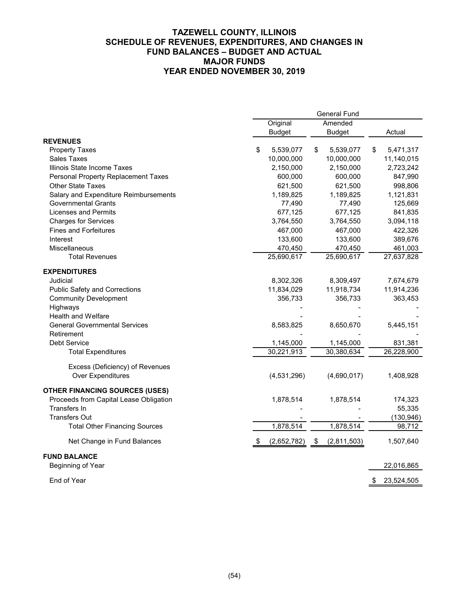## **TAZEWELL COUNTY, ILLINOIS SCHEDULE OF REVENUES, EXPENDITURES, AND CHANGES IN FUND BALANCES – BUDGET AND ACTUAL MAJOR FUNDS YEAR ENDED NOVEMBER 30, 2019**

|                                        | <b>General Fund</b> |                              |                  |  |  |  |  |  |
|----------------------------------------|---------------------|------------------------------|------------------|--|--|--|--|--|
|                                        | Original            | Amended                      |                  |  |  |  |  |  |
|                                        | <b>Budget</b>       | <b>Budget</b>                | Actual           |  |  |  |  |  |
| <b>REVENUES</b>                        |                     |                              |                  |  |  |  |  |  |
| <b>Property Taxes</b>                  | \$<br>5,539,077     | \$<br>5,539,077              | \$<br>5,471,317  |  |  |  |  |  |
| Sales Taxes                            | 10,000,000          | 10,000,000                   | 11,140,015       |  |  |  |  |  |
| Illinois State Income Taxes            | 2,150,000           | 2,150,000                    | 2,723,242        |  |  |  |  |  |
| Personal Property Replacement Taxes    | 600,000             | 600,000                      | 847,990          |  |  |  |  |  |
| <b>Other State Taxes</b>               | 621,500             | 621,500                      | 998,806          |  |  |  |  |  |
| Salary and Expenditure Reimbursements  | 1,189,825           | 1,189,825                    | 1,121,831        |  |  |  |  |  |
| <b>Governmental Grants</b>             | 77,490              | 77,490                       | 125,669          |  |  |  |  |  |
| <b>Licenses and Permits</b>            | 677,125             | 677,125                      | 841,835          |  |  |  |  |  |
| <b>Charges for Services</b>            | 3,764,550           | 3,764,550                    | 3,094,118        |  |  |  |  |  |
| <b>Fines and Forfeitures</b>           | 467,000             | 467,000                      | 422,326          |  |  |  |  |  |
| Interest                               | 133,600             | 133,600                      | 389,676          |  |  |  |  |  |
| Miscellaneous                          | 470,450             | 470,450                      | 461,003          |  |  |  |  |  |
| <b>Total Revenues</b>                  | 25,690,617          | 25,690,617                   | 27,637,828       |  |  |  |  |  |
| <b>EXPENDITURES</b>                    |                     |                              |                  |  |  |  |  |  |
| Judicial                               | 8,302,326           | 8,309,497                    | 7,674,679        |  |  |  |  |  |
| <b>Public Safety and Corrections</b>   | 11,834,029          | 11,918,734                   | 11,914,236       |  |  |  |  |  |
| <b>Community Development</b>           | 356,733             | 356,733                      | 363,453          |  |  |  |  |  |
| Highways                               |                     |                              |                  |  |  |  |  |  |
| <b>Health and Welfare</b>              |                     |                              |                  |  |  |  |  |  |
| <b>General Governmental Services</b>   | 8,583,825           | 8,650,670                    | 5,445,151        |  |  |  |  |  |
| Retirement                             |                     |                              |                  |  |  |  |  |  |
| <b>Debt Service</b>                    | 1,145,000           | 1,145,000                    | 831,381          |  |  |  |  |  |
| <b>Total Expenditures</b>              | 30,221,913          | 30,380,634                   | 26,228,900       |  |  |  |  |  |
|                                        |                     |                              |                  |  |  |  |  |  |
| Excess (Deficiency) of Revenues        |                     |                              |                  |  |  |  |  |  |
| <b>Over Expenditures</b>               | (4,531,296)         | (4,690,017)                  | 1,408,928        |  |  |  |  |  |
|                                        |                     |                              |                  |  |  |  |  |  |
| <b>OTHER FINANCING SOURCES (USES)</b>  |                     |                              |                  |  |  |  |  |  |
| Proceeds from Capital Lease Obligation | 1,878,514           | 1,878,514                    | 174,323          |  |  |  |  |  |
| Transfers In                           |                     |                              | 55,335           |  |  |  |  |  |
| <b>Transfers Out</b>                   |                     |                              | (130, 946)       |  |  |  |  |  |
| <b>Total Other Financing Sources</b>   | 1,878,514           | 1,878,514                    | 98,712           |  |  |  |  |  |
| Net Change in Fund Balances            | (2,652,782)         | (2,811,503)<br>$\sqrt[6]{3}$ | 1,507,640        |  |  |  |  |  |
| <b>FUND BALANCE</b>                    |                     |                              |                  |  |  |  |  |  |
| Beginning of Year                      |                     |                              | 22,016,865       |  |  |  |  |  |
| End of Year                            |                     |                              | 23,524,505<br>\$ |  |  |  |  |  |
|                                        |                     |                              |                  |  |  |  |  |  |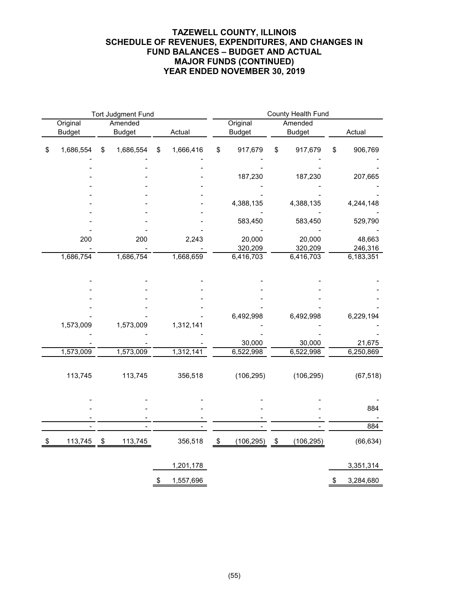# **TAZEWELL COUNTY, ILLINOIS SCHEDULE OF REVENUES, EXPENDITURES, AND CHANGES IN FUND BALANCES – BUDGET AND ACTUAL MAJOR FUNDS (CONTINUED) YEAR ENDED NOVEMBER 30, 2019**

|                 | <b>Tort Judgment Fund</b> |               |           | County Health Fund |                      |    |                      |    |                      |  |
|-----------------|---------------------------|---------------|-----------|--------------------|----------------------|----|----------------------|----|----------------------|--|
| Original        | Amended                   |               |           |                    | Original             |    | Amended              |    |                      |  |
| <b>Budget</b>   | <b>Budget</b>             |               | Actual    |                    | <b>Budget</b>        |    | <b>Budget</b>        |    | Actual               |  |
| \$<br>1,686,554 | \$<br>1,686,554           | \$            | 1,666,416 | \$                 | 917,679              | \$ | 917,679              | \$ | 906,769              |  |
|                 |                           |               |           |                    |                      |    |                      |    |                      |  |
|                 |                           |               |           |                    | 187,230              |    | 187,230              |    | 207,665              |  |
|                 |                           |               |           |                    |                      |    |                      |    |                      |  |
|                 |                           |               |           |                    |                      |    |                      |    |                      |  |
|                 |                           |               |           |                    | 4,388,135            |    | 4,388,135            |    | 4,244,148            |  |
|                 |                           |               |           |                    |                      |    |                      |    |                      |  |
|                 |                           |               |           |                    | 583,450              |    | 583,450              |    | 529,790              |  |
|                 |                           |               |           |                    |                      |    |                      |    |                      |  |
| 200             | 200                       |               | 2,243     |                    | 20,000               |    | 20,000               |    | 48,663               |  |
| 1,686,754       | 1,686,754                 |               | 1,668,659 |                    | 320,209<br>6,416,703 |    | 320,209<br>6,416,703 |    | 246,316<br>6,183,351 |  |
|                 |                           |               |           |                    |                      |    |                      |    |                      |  |
|                 |                           |               |           |                    |                      |    |                      |    |                      |  |
|                 |                           |               |           |                    |                      |    |                      |    |                      |  |
|                 |                           |               |           |                    |                      |    |                      |    |                      |  |
|                 |                           |               |           |                    |                      |    |                      |    |                      |  |
|                 |                           |               |           |                    |                      |    |                      |    |                      |  |
|                 |                           |               |           |                    | 6,492,998            |    | 6,492,998            |    | 6,229,194            |  |
| 1,573,009       | 1,573,009                 |               | 1,312,141 |                    |                      |    |                      |    |                      |  |
|                 |                           |               |           |                    | 30,000               |    | 30,000               |    | 21,675               |  |
| 1,573,009       | 1,573,009                 |               | 1,312,141 |                    | 6,522,998            |    | 6,522,998            |    | 6,250,869            |  |
|                 |                           |               |           |                    |                      |    |                      |    |                      |  |
| 113,745         | 113,745                   |               | 356,518   |                    | (106, 295)           |    | (106, 295)           |    | (67, 518)            |  |
|                 |                           |               |           |                    |                      |    |                      |    |                      |  |
|                 |                           |               |           |                    |                      |    |                      |    | 884                  |  |
|                 |                           |               |           |                    |                      |    |                      |    |                      |  |
|                 |                           |               |           |                    |                      |    |                      |    | 884                  |  |
| \$<br>113,745   | \$<br>113,745             |               | 356,518   | $\frac{1}{2}$      | (106, 295)           | \$ | (106, 295)           |    | (66, 634)            |  |
|                 |                           |               | 1,201,178 |                    |                      |    |                      |    | 3,351,314            |  |
|                 |                           |               |           |                    |                      |    |                      |    |                      |  |
|                 |                           | $\frac{1}{2}$ | 1,557,696 |                    |                      |    |                      | \$ | 3,284,680            |  |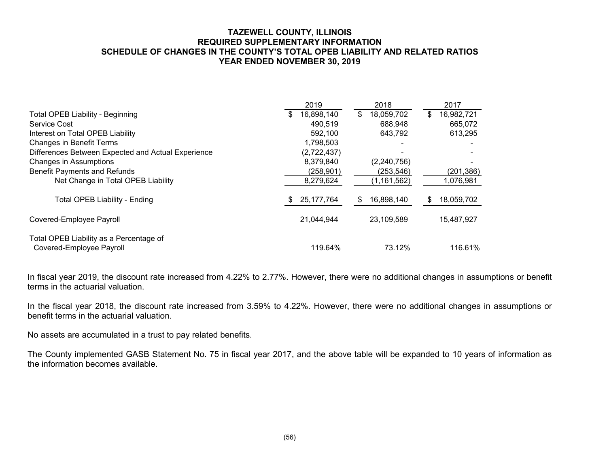#### **TAZEWELL COUNTY, ILLINOIS REQUIRED SUPPLEMENTARY INFORMATION SCHEDULE OF CHANGES IN THE COUNTY'S TOTAL OPEB LIABILITY AND RELATED RATIOS YEAR ENDED NOVEMBER 30, 2019**

|                                                                     | 2019             | 2018             | 2017             |
|---------------------------------------------------------------------|------------------|------------------|------------------|
| <b>Total OPEB Liability - Beginning</b>                             | 16,898,140<br>\$ | 18,059,702<br>\$ | \$<br>16,982,721 |
| Service Cost                                                        | 490,519          | 688,948          | 665,072          |
| Interest on Total OPEB Liability                                    | 592,100          | 643,792          | 613,295          |
| <b>Changes in Benefit Terms</b>                                     | 1,798,503        |                  |                  |
| Differences Between Expected and Actual Experience                  | (2,722,437)      |                  |                  |
| Changes in Assumptions                                              | 8,379,840        | (2, 240, 756)    |                  |
| <b>Benefit Payments and Refunds</b>                                 | (258, 901)       | (253, 546)       | (201, 386)       |
| Net Change in Total OPEB Liability                                  | 8,279,624        | (1,161,562)      | 1,076,981        |
| <b>Total OPEB Liability - Ending</b>                                | 25, 177, 764     | 16,898,140<br>\$ | 18,059,702<br>S  |
| Covered-Employee Payroll                                            | 21,044,944       | 23,109,589       | 15,487,927       |
| Total OPEB Liability as a Percentage of<br>Covered-Employee Payroll | 119.64%          | 73.12%           | 116.61%          |
|                                                                     |                  |                  |                  |

In fiscal year 2019, the discount rate increased from 4.22% to 2.77%. However, there were no additional changes in assumptions or benefit terms in the actuarial valuation.

In the fiscal year 2018, the discount rate increased from 3.59% to 4.22%. However, there were no additional changes in assumptions or benefit terms in the actuarial valuation.

No assets are accumulated in a trust to pay related benefits.

The County implemented GASB Statement No. 75 in fiscal year 2017, and the above table will be expanded to 10 years of information as the information becomes available.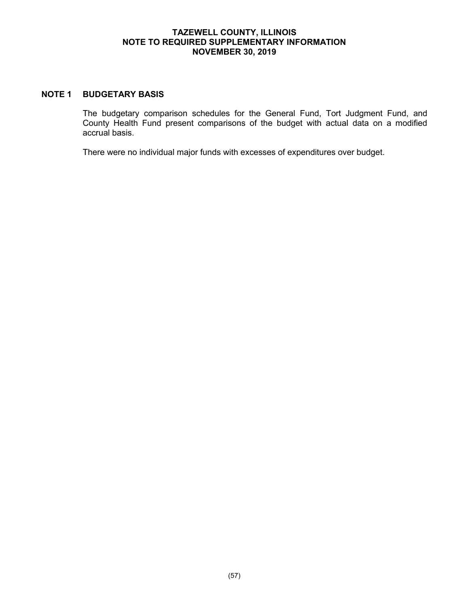### **TAZEWELL COUNTY, ILLINOIS NOTE TO REQUIRED SUPPLEMENTARY INFORMATION NOVEMBER 30, 2019**

# **NOTE 1 BUDGETARY BASIS**

The budgetary comparison schedules for the General Fund, Tort Judgment Fund, and County Health Fund present comparisons of the budget with actual data on a modified accrual basis.

There were no individual major funds with excesses of expenditures over budget.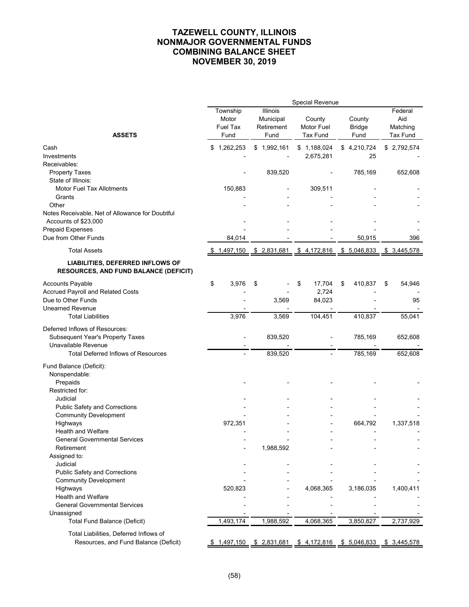|                                                                                  |                                       |                                                    | Special Revenue                                                  |                                 |                                               |
|----------------------------------------------------------------------------------|---------------------------------------|----------------------------------------------------|------------------------------------------------------------------|---------------------------------|-----------------------------------------------|
| <b>ASSETS</b>                                                                    | Township<br>Motor<br>Fuel Tax<br>Fund | <b>Illinois</b><br>Municipal<br>Retirement<br>Fund | County<br><b>Motor Fuel</b><br><b>Tax Fund</b>                   | County<br><b>Bridge</b><br>Fund | Federal<br>Aid<br>Matching<br><b>Tax Fund</b> |
| Cash                                                                             | \$1,262,253                           | \$1,992,161                                        | \$1,188,024                                                      | \$4,210,724                     | \$2,792,574                                   |
| Investments                                                                      |                                       |                                                    | 2,675,281                                                        | 25                              |                                               |
| Receivables:                                                                     |                                       |                                                    |                                                                  |                                 |                                               |
| <b>Property Taxes</b>                                                            |                                       | 839,520                                            |                                                                  | 785,169                         | 652,608                                       |
| State of Illinois:                                                               |                                       |                                                    |                                                                  |                                 |                                               |
| <b>Motor Fuel Tax Allotments</b>                                                 | 150,883                               |                                                    | 309,511                                                          |                                 |                                               |
| Grants                                                                           |                                       |                                                    |                                                                  |                                 |                                               |
| Other                                                                            |                                       |                                                    |                                                                  |                                 |                                               |
| Notes Receivable, Net of Allowance for Doubtful                                  |                                       |                                                    |                                                                  |                                 |                                               |
| Accounts of \$23,000                                                             |                                       |                                                    |                                                                  |                                 |                                               |
| <b>Prepaid Expenses</b>                                                          |                                       |                                                    |                                                                  |                                 |                                               |
| Due from Other Funds                                                             | 84,014                                |                                                    |                                                                  | 50,915                          | 396                                           |
| <b>Total Assets</b>                                                              |                                       |                                                    | \$ 1,497,150 \$ 2,831,681 \$ 4,172,816 \$ 5,046,833 \$ 3,445,578 |                                 |                                               |
| LIABILITIES, DEFERRED INFLOWS OF<br><b>RESOURCES, AND FUND BALANCE (DEFICIT)</b> |                                       |                                                    |                                                                  |                                 |                                               |
| <b>Accounts Payable</b>                                                          | \$<br>3,976                           | \$                                                 | 17,704<br>\$                                                     | 410,837<br>\$                   | \$<br>54,946                                  |
| Accrued Payroll and Related Costs                                                |                                       |                                                    | 2,724                                                            |                                 |                                               |
| Due to Other Funds                                                               |                                       | 3,569                                              | 84,023                                                           |                                 | 95                                            |
| <b>Unearned Revenue</b>                                                          |                                       |                                                    |                                                                  |                                 |                                               |
| <b>Total Liabilities</b>                                                         | 3,976                                 | 3,569                                              | 104,451                                                          | 410,837                         | 55,041                                        |
| Deferred Inflows of Resources:                                                   |                                       |                                                    |                                                                  |                                 |                                               |
| Subsequent Year's Property Taxes                                                 |                                       | 839,520                                            |                                                                  | 785,169                         | 652,608                                       |
| Unavailable Revenue                                                              |                                       |                                                    |                                                                  |                                 |                                               |
| <b>Total Deferred Inflows of Resources</b>                                       |                                       | 839,520                                            |                                                                  | 785,169                         | 652,608                                       |
| Fund Balance (Deficit):                                                          |                                       |                                                    |                                                                  |                                 |                                               |
| Nonspendable:                                                                    |                                       |                                                    |                                                                  |                                 |                                               |
| Prepaids                                                                         |                                       |                                                    |                                                                  |                                 |                                               |
| Restricted for:                                                                  |                                       |                                                    |                                                                  |                                 |                                               |
| Judicial                                                                         |                                       |                                                    |                                                                  |                                 |                                               |
| <b>Public Safety and Corrections</b>                                             |                                       |                                                    |                                                                  |                                 |                                               |
| <b>Community Development</b>                                                     |                                       |                                                    |                                                                  |                                 |                                               |
| Highways                                                                         | 972,351                               |                                                    |                                                                  | 664,792                         | 1,337,518                                     |
| Health and Welfare                                                               |                                       |                                                    |                                                                  |                                 |                                               |
| <b>General Governmental Services</b>                                             |                                       |                                                    |                                                                  |                                 |                                               |
| Retirement                                                                       |                                       | 1,988,592                                          |                                                                  |                                 |                                               |
| Assigned to:                                                                     |                                       |                                                    |                                                                  |                                 |                                               |
| Judicial                                                                         |                                       |                                                    |                                                                  |                                 |                                               |
| Public Safety and Corrections                                                    |                                       |                                                    |                                                                  |                                 |                                               |
| <b>Community Development</b>                                                     |                                       |                                                    |                                                                  |                                 |                                               |
| Highways                                                                         | 520,823                               |                                                    | 4,068,365                                                        | 3,186,035                       | 1,400,411                                     |
| <b>Health and Welfare</b>                                                        |                                       |                                                    |                                                                  |                                 |                                               |
| <b>General Governmental Services</b>                                             |                                       |                                                    |                                                                  |                                 |                                               |
| Unassigned                                                                       |                                       |                                                    |                                                                  |                                 |                                               |
| <b>Total Fund Balance (Deficit)</b>                                              | 1,493,174                             | 1,988,592                                          | 4,068,365                                                        | 3,850,827                       | 2,737,929                                     |
| Total Liabilities, Deferred Inflows of                                           |                                       |                                                    |                                                                  |                                 |                                               |
| Resources, and Fund Balance (Deficit)                                            |                                       |                                                    | $$1,497,150$ $$2,831,681$ $$4,172,816$ $$5,046,833$ $$3,445,578$ |                                 |                                               |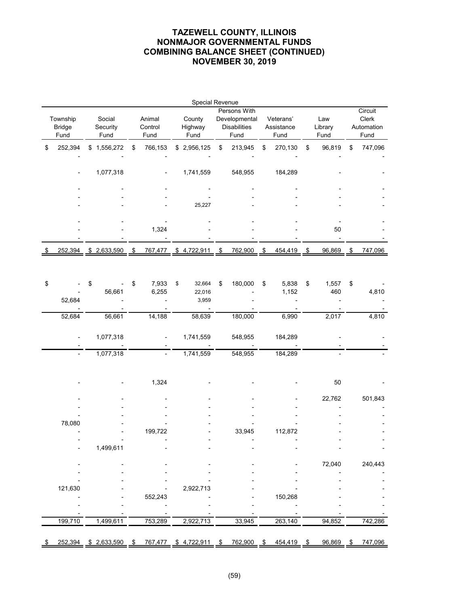|                                   |                            |                           | Special Revenue           |                |                                                              |                                 |      |                        |     |                                        |
|-----------------------------------|----------------------------|---------------------------|---------------------------|----------------|--------------------------------------------------------------|---------------------------------|------|------------------------|-----|----------------------------------------|
| Township<br><b>Bridge</b><br>Fund | Social<br>Security<br>Fund | Animal<br>Control<br>Fund | County<br>Highway<br>Fund |                | Persons With<br>Developmental<br><b>Disabilities</b><br>Fund | Veterans'<br>Assistance<br>Fund |      | Law<br>Library<br>Fund |     | Circuit<br>Clerk<br>Automation<br>Fund |
| \$<br>252,394                     | \$1,556,272                | \$<br>766,153             | \$2,956,125               | \$             | 213,945                                                      | \$<br>270,130                   | \$   | 96,819                 | \$  | 747,096                                |
|                                   |                            |                           |                           |                |                                                              |                                 |      |                        |     |                                        |
|                                   | 1,077,318                  |                           | 1,741,559                 |                | 548,955                                                      | 184,289                         |      |                        |     |                                        |
|                                   |                            |                           |                           |                |                                                              |                                 |      |                        |     |                                        |
|                                   |                            |                           | 25,227                    |                |                                                              |                                 |      |                        |     |                                        |
|                                   |                            |                           |                           |                |                                                              |                                 |      |                        |     |                                        |
|                                   |                            |                           |                           |                |                                                              |                                 |      |                        |     |                                        |
|                                   |                            | 1,324                     |                           |                |                                                              |                                 |      | 50                     |     |                                        |
| 252,394                           | \$2,633,590                | \$                        | 767,477 \$4,722,911       | $\mathfrak{s}$ | 762,900                                                      | \$<br>454,419                   | - \$ | 96,869                 | \$. | 747,096                                |
|                                   |                            |                           |                           |                |                                                              |                                 |      |                        |     |                                        |
|                                   |                            |                           |                           |                |                                                              |                                 |      |                        |     |                                        |
| \$                                | \$                         | \$<br>7,933               | \$<br>32,664              | \$             | 180,000                                                      | \$<br>5,838                     | \$   | 1,557                  | \$  |                                        |
|                                   | 56,661                     | 6,255                     | 22,016                    |                |                                                              | 1,152                           |      | 460                    |     | 4,810                                  |
| 52,684                            |                            |                           | 3,959                     |                |                                                              |                                 |      |                        |     |                                        |
| 52,684                            | 56,661                     | 14,188                    | 58,639                    |                | 180,000                                                      | 6,990                           |      | 2,017                  |     | 4,810                                  |
|                                   |                            |                           |                           |                |                                                              |                                 |      |                        |     |                                        |
|                                   | 1,077,318                  |                           | 1,741,559                 |                | 548,955                                                      | 184,289                         |      |                        |     |                                        |
|                                   | 1,077,318                  | $\overline{a}$            | 1,741,559                 |                | 548,955                                                      | 184,289                         |      |                        |     |                                        |
|                                   |                            |                           |                           |                |                                                              |                                 |      |                        |     |                                        |
|                                   |                            |                           |                           |                |                                                              |                                 |      |                        |     |                                        |
|                                   |                            | 1,324                     |                           |                |                                                              |                                 |      | 50                     |     |                                        |
|                                   |                            |                           |                           |                |                                                              |                                 |      | 22,762                 |     | 501,843                                |
|                                   |                            |                           |                           |                |                                                              |                                 |      |                        |     |                                        |
|                                   |                            |                           |                           |                |                                                              |                                 |      |                        |     |                                        |
| 78,080                            |                            |                           |                           |                |                                                              |                                 |      |                        |     |                                        |
|                                   |                            | 199,722                   |                           |                | 33,945                                                       | 112,872                         |      |                        |     |                                        |
|                                   | 1,499,611                  |                           |                           |                |                                                              |                                 |      |                        |     |                                        |
|                                   |                            |                           |                           |                |                                                              |                                 |      |                        |     |                                        |
|                                   |                            |                           |                           |                |                                                              |                                 |      | 72,040                 |     | 240,443                                |
|                                   |                            |                           |                           |                |                                                              |                                 |      |                        |     |                                        |
| 121,630                           |                            |                           | 2,922,713                 |                |                                                              |                                 |      |                        |     |                                        |
|                                   |                            | 552,243                   |                           |                |                                                              | 150,268                         |      |                        |     |                                        |
|                                   |                            |                           |                           |                |                                                              |                                 |      |                        |     |                                        |
|                                   |                            |                           |                           |                |                                                              |                                 |      |                        |     |                                        |
| 199,710                           | 1,499,611                  | 753,289                   | 2,922,713                 |                | 33,945                                                       | 263,140                         |      | 94,852                 |     | 742,286                                |
|                                   |                            |                           |                           |                |                                                              |                                 |      |                        |     |                                        |
|                                   | 252,394 \$ 2,633,590 \$    |                           | 767,477 \$4,722,911 \$    |                | 762,900 \$                                                   | 454,419 \$                      |      | 96,869                 | S   | 747,096                                |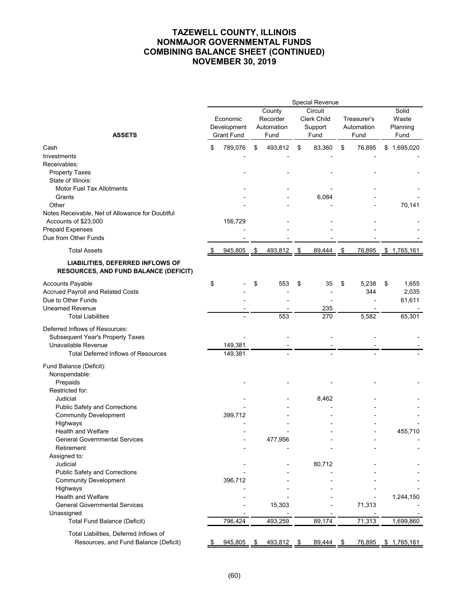|                                                                                  | Special Revenue |                                              |    |                                          |                          |                                                  |    |                                   |                                    |
|----------------------------------------------------------------------------------|-----------------|----------------------------------------------|----|------------------------------------------|--------------------------|--------------------------------------------------|----|-----------------------------------|------------------------------------|
| <b>ASSETS</b>                                                                    |                 | Economic<br>Development<br><b>Grant Fund</b> |    | County<br>Recorder<br>Automation<br>Fund |                          | Circuit<br><b>Clerk Child</b><br>Support<br>Fund |    | Treasurer's<br>Automation<br>Fund | Solid<br>Waste<br>Planning<br>Fund |
| Cash                                                                             | \$              | 789,076                                      | \$ | 493,812                                  | \$                       | 83,360                                           | \$ | 76,895                            | \$<br>1,695,020                    |
| Investments                                                                      |                 |                                              |    |                                          |                          |                                                  |    |                                   |                                    |
| Receivables:                                                                     |                 |                                              |    |                                          |                          |                                                  |    |                                   |                                    |
| <b>Property Taxes</b>                                                            |                 |                                              |    |                                          |                          |                                                  |    |                                   |                                    |
| State of Illinois:                                                               |                 |                                              |    |                                          |                          |                                                  |    |                                   |                                    |
| <b>Motor Fuel Tax Allotments</b>                                                 |                 |                                              |    |                                          |                          |                                                  |    |                                   |                                    |
| Grants                                                                           |                 |                                              |    |                                          |                          | 6,084                                            |    |                                   |                                    |
| Other                                                                            |                 |                                              |    |                                          |                          |                                                  |    |                                   | 70,141                             |
| Notes Receivable, Net of Allowance for Doubtful                                  |                 |                                              |    |                                          |                          |                                                  |    |                                   |                                    |
| Accounts of \$23,000                                                             |                 | 156,729                                      |    |                                          |                          |                                                  |    |                                   |                                    |
| <b>Prepaid Expenses</b>                                                          |                 |                                              |    |                                          |                          |                                                  |    |                                   |                                    |
| Due from Other Funds                                                             |                 |                                              |    |                                          |                          |                                                  |    |                                   |                                    |
| <b>Total Assets</b>                                                              |                 | 945,805                                      | \$ | 493,812                                  | $\overline{\mathcal{S}}$ | 89,444                                           | \$ | 76,895                            | \$ 1,765,161                       |
|                                                                                  |                 |                                              |    |                                          |                          |                                                  |    |                                   |                                    |
| LIABILITIES, DEFERRED INFLOWS OF<br><b>RESOURCES, AND FUND BALANCE (DEFICIT)</b> |                 |                                              |    |                                          |                          |                                                  |    |                                   |                                    |
| <b>Accounts Payable</b>                                                          | \$              |                                              | \$ | 553                                      | \$                       | 35                                               | \$ | 5,238                             | \$<br>1,655                        |
| Accrued Payroll and Related Costs                                                |                 |                                              |    |                                          |                          |                                                  |    | 344                               | 2,035                              |
| Due to Other Funds                                                               |                 |                                              |    |                                          |                          |                                                  |    |                                   | 61,611                             |
| <b>Unearned Revenue</b>                                                          |                 |                                              |    |                                          |                          | 235                                              |    |                                   |                                    |
| <b>Total Liabilities</b>                                                         |                 |                                              |    | 553                                      |                          | 270                                              |    | 5,582                             | 65,301                             |
| Deferred Inflows of Resources:                                                   |                 |                                              |    |                                          |                          |                                                  |    |                                   |                                    |
| <b>Subsequent Year's Property Taxes</b>                                          |                 |                                              |    |                                          |                          |                                                  |    |                                   |                                    |
| Unavailable Revenue                                                              |                 | 149,381                                      |    |                                          |                          |                                                  |    |                                   |                                    |
| <b>Total Deferred Inflows of Resources</b>                                       |                 | 149,381                                      |    |                                          |                          |                                                  |    |                                   |                                    |
| Fund Balance (Deficit):                                                          |                 |                                              |    |                                          |                          |                                                  |    |                                   |                                    |
| Nonspendable:                                                                    |                 |                                              |    |                                          |                          |                                                  |    |                                   |                                    |
| Prepaids                                                                         |                 |                                              |    |                                          |                          |                                                  |    |                                   |                                    |
| Restricted for:                                                                  |                 |                                              |    |                                          |                          |                                                  |    |                                   |                                    |
| Judicial                                                                         |                 |                                              |    |                                          |                          | 8,462                                            |    |                                   |                                    |
| <b>Public Safety and Corrections</b>                                             |                 |                                              |    |                                          |                          |                                                  |    |                                   |                                    |
| <b>Community Development</b>                                                     |                 | 399,712                                      |    |                                          |                          |                                                  |    |                                   |                                    |
| Highways                                                                         |                 |                                              |    |                                          |                          |                                                  |    |                                   |                                    |
| <b>Health and Welfare</b>                                                        |                 |                                              |    |                                          |                          |                                                  |    |                                   | 455,710                            |
| <b>General Governmental Services</b>                                             |                 |                                              |    | 477,956                                  |                          |                                                  |    |                                   |                                    |
| Retirement                                                                       |                 |                                              |    |                                          |                          |                                                  |    |                                   |                                    |
| Assigned to:                                                                     |                 |                                              |    |                                          |                          |                                                  |    |                                   |                                    |
| Judicial                                                                         |                 |                                              |    |                                          |                          | 80,712                                           |    |                                   |                                    |
| <b>Public Safety and Corrections</b>                                             |                 |                                              |    |                                          |                          |                                                  |    |                                   |                                    |
| <b>Community Development</b>                                                     |                 | 396,712                                      |    |                                          |                          |                                                  |    |                                   |                                    |
| Highways                                                                         |                 |                                              |    |                                          |                          |                                                  |    |                                   |                                    |
| <b>Health and Welfare</b>                                                        |                 |                                              |    |                                          |                          |                                                  |    |                                   | 1,244,150                          |
| <b>General Governmental Services</b>                                             |                 |                                              |    | 15,303                                   |                          |                                                  |    | 71,313                            |                                    |
| Unassigned                                                                       |                 |                                              |    |                                          |                          |                                                  |    |                                   |                                    |
| Total Fund Balance (Deficit)                                                     |                 | 796,424                                      |    | 493,259                                  |                          | 89,174                                           |    | 71,313                            | 1,699,860                          |
| Total Liabilities, Deferred Inflows of                                           |                 |                                              |    |                                          |                          |                                                  |    |                                   |                                    |
| Resources, and Fund Balance (Deficit)                                            |                 | <u>945,805 </u>                              | \$ | 493,812                                  | \$                       | 89,444                                           | \$ |                                   | <u>76,895 \$1,765,161</u>          |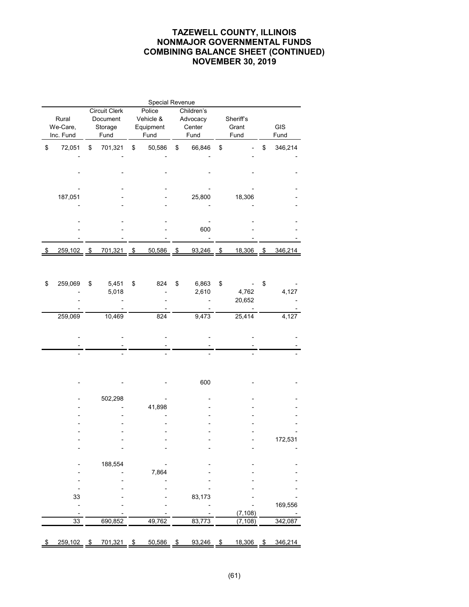| Special Revenue   |      |                      |            |                        |                          |                    |        |                                    |  |         |  |
|-------------------|------|----------------------|------------|------------------------|--------------------------|--------------------|--------|------------------------------------|--|---------|--|
|                   |      | <b>Circuit Clerk</b> |            | Police                 |                          | Children's         |        |                                    |  |         |  |
| Rural<br>We-Care, |      | Document<br>Storage  |            | Vehicle &<br>Equipment |                          | Advocacy<br>Center |        | Sheriff's<br>Grant                 |  | GIS     |  |
| Inc. Fund         |      | Fund                 |            | Fund                   |                          | Fund               |        | Fund                               |  | Fund    |  |
|                   |      |                      |            |                        |                          |                    |        |                                    |  |         |  |
| \$<br>72,051      | \$   | 701,321              | \$         | 50,586                 | \$                       | 66,846             | \$     | \$                                 |  | 346,214 |  |
|                   |      |                      |            |                        |                          |                    |        |                                    |  |         |  |
|                   |      |                      |            |                        |                          |                    |        |                                    |  |         |  |
|                   |      |                      |            |                        |                          |                    |        |                                    |  |         |  |
|                   |      |                      |            |                        |                          |                    |        |                                    |  |         |  |
| 187,051           |      |                      |            |                        |                          | 25,800             |        | 18,306                             |  |         |  |
|                   |      |                      |            |                        |                          |                    |        |                                    |  |         |  |
|                   |      |                      |            |                        |                          |                    |        |                                    |  |         |  |
|                   |      |                      |            |                        |                          | 600                |        |                                    |  |         |  |
|                   |      |                      |            |                        |                          |                    |        |                                    |  |         |  |
| 259,102           | - \$ | 701,321              | $\sqrt{2}$ | 50,586                 | $\overline{\mathcal{S}}$ | $93,246$ \$        |        | 18,306<br>$\overline{\mathcal{L}}$ |  | 346,214 |  |
|                   |      |                      |            |                        |                          |                    |        |                                    |  |         |  |
|                   |      |                      |            |                        |                          |                    |        |                                    |  |         |  |
| \$<br>259,069     | \$   | 5,451                | \$         | 824                    | \$                       | 6,863              | \$     | \$                                 |  |         |  |
|                   |      | 5,018                |            |                        |                          | 2,610              |        | 4,762                              |  | 4,127   |  |
|                   |      |                      |            |                        |                          |                    |        | 20,652                             |  |         |  |
|                   |      |                      |            |                        |                          |                    |        |                                    |  |         |  |
| 259,069           |      | 10,469               |            | $\overline{824}$       |                          | 9,473              | 25,414 |                                    |  | 4,127   |  |
|                   |      |                      |            |                        |                          |                    |        |                                    |  |         |  |
|                   |      |                      |            |                        |                          |                    |        |                                    |  |         |  |
|                   |      |                      |            |                        |                          |                    |        |                                    |  |         |  |
|                   |      |                      |            |                        |                          |                    |        |                                    |  |         |  |
|                   |      |                      |            |                        |                          |                    |        |                                    |  |         |  |
|                   |      |                      |            |                        |                          | 600                |        |                                    |  |         |  |
|                   |      |                      |            |                        |                          |                    |        |                                    |  |         |  |
|                   |      | 502,298              |            |                        |                          |                    |        |                                    |  |         |  |
|                   |      |                      |            | 41,898                 |                          |                    |        |                                    |  |         |  |
|                   |      |                      |            |                        |                          |                    |        |                                    |  |         |  |
|                   |      |                      |            |                        |                          |                    |        |                                    |  |         |  |
|                   |      |                      |            |                        |                          |                    |        |                                    |  | 172,531 |  |
|                   |      |                      |            |                        |                          |                    |        |                                    |  |         |  |
|                   |      |                      |            |                        |                          |                    |        |                                    |  |         |  |
|                   |      | 188,554              |            |                        |                          |                    |        |                                    |  |         |  |
|                   |      |                      |            | 7,864                  |                          |                    |        |                                    |  |         |  |
|                   |      |                      |            |                        |                          |                    |        |                                    |  |         |  |
| 33                |      |                      |            |                        |                          | 83,173             |        |                                    |  |         |  |
|                   |      |                      |            |                        |                          |                    |        |                                    |  | 169,556 |  |
|                   |      |                      |            |                        |                          |                    |        | (7, 108)                           |  |         |  |
| 33                |      | 690,852              |            | 49,762                 |                          | 83,773             |        | (7, 108)                           |  | 342,087 |  |
|                   |      |                      |            |                        |                          |                    |        |                                    |  |         |  |
| $259,102$ \$      |      | 701,321 \$           |            | 50,586                 | \$                       | 93,246             | \$     | 18,306<br>\$                       |  | 346,214 |  |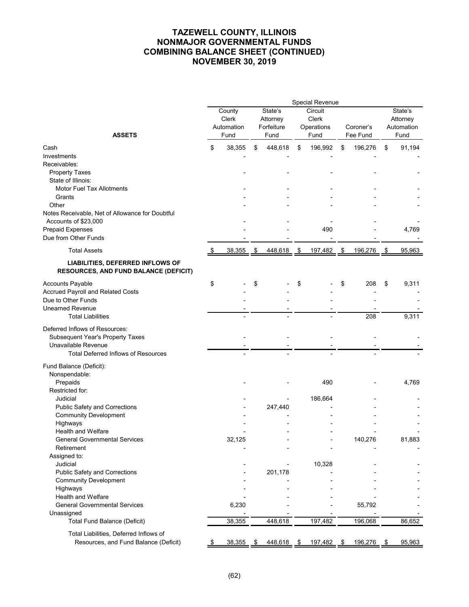|                                                                                  |                                       |                                           |              |                                               | Special Revenue |                       |         |                                           |        |
|----------------------------------------------------------------------------------|---------------------------------------|-------------------------------------------|--------------|-----------------------------------------------|-----------------|-----------------------|---------|-------------------------------------------|--------|
| <b>ASSETS</b>                                                                    | County<br>Clerk<br>Automation<br>Fund | State's<br>Attorney<br>Forfeiture<br>Fund |              | Circuit<br><b>Clerk</b><br>Operations<br>Fund |                 | Coroner's<br>Fee Fund |         | State's<br>Attorney<br>Automation<br>Fund |        |
| Cash                                                                             | \$<br>38,355                          | \$                                        | 448,618      | \$                                            | 196,992         | \$                    | 196,276 | \$                                        | 91,194 |
| Investments                                                                      |                                       |                                           |              |                                               |                 |                       |         |                                           |        |
| Receivables:                                                                     |                                       |                                           |              |                                               |                 |                       |         |                                           |        |
| <b>Property Taxes</b>                                                            |                                       |                                           |              |                                               |                 |                       |         |                                           |        |
| State of Illinois:                                                               |                                       |                                           |              |                                               |                 |                       |         |                                           |        |
| <b>Motor Fuel Tax Allotments</b>                                                 |                                       |                                           |              |                                               |                 |                       |         |                                           |        |
| Grants                                                                           |                                       |                                           |              |                                               |                 |                       |         |                                           |        |
| Other                                                                            |                                       |                                           |              |                                               |                 |                       |         |                                           |        |
| Notes Receivable, Net of Allowance for Doubtful                                  |                                       |                                           |              |                                               |                 |                       |         |                                           |        |
| Accounts of \$23,000                                                             |                                       |                                           |              |                                               |                 |                       |         |                                           |        |
| <b>Prepaid Expenses</b>                                                          |                                       |                                           |              |                                               | 490             |                       |         |                                           | 4,769  |
| Due from Other Funds                                                             |                                       |                                           |              |                                               |                 |                       |         |                                           |        |
| <b>Total Assets</b>                                                              | 38,355                                | \$                                        | 448,618      | - \$                                          | 197,482         | \$                    | 196,276 | \$                                        | 95,963 |
|                                                                                  |                                       |                                           |              |                                               |                 |                       |         |                                           |        |
| LIABILITIES, DEFERRED INFLOWS OF<br><b>RESOURCES, AND FUND BALANCE (DEFICIT)</b> |                                       |                                           |              |                                               |                 |                       |         |                                           |        |
| <b>Accounts Payable</b>                                                          | \$                                    | \$                                        |              | \$                                            |                 | \$                    | 208     | \$                                        | 9,311  |
| <b>Accrued Payroll and Related Costs</b>                                         |                                       |                                           |              |                                               |                 |                       |         |                                           |        |
| Due to Other Funds                                                               |                                       |                                           |              |                                               |                 |                       |         |                                           |        |
| <b>Unearned Revenue</b>                                                          |                                       |                                           |              |                                               |                 |                       |         |                                           |        |
| <b>Total Liabilities</b>                                                         |                                       |                                           |              |                                               |                 |                       | 208     |                                           | 9,311  |
| Deferred Inflows of Resources:                                                   |                                       |                                           |              |                                               |                 |                       |         |                                           |        |
| <b>Subsequent Year's Property Taxes</b>                                          |                                       |                                           |              |                                               |                 |                       |         |                                           |        |
| Unavailable Revenue                                                              |                                       |                                           |              |                                               |                 |                       |         |                                           |        |
| <b>Total Deferred Inflows of Resources</b>                                       |                                       |                                           |              |                                               |                 |                       |         |                                           |        |
|                                                                                  |                                       |                                           |              |                                               |                 |                       |         |                                           |        |
| Fund Balance (Deficit):                                                          |                                       |                                           |              |                                               |                 |                       |         |                                           |        |
| Nonspendable:                                                                    |                                       |                                           |              |                                               | 490             |                       |         |                                           |        |
| Prepaids<br>Restricted for:                                                      |                                       |                                           |              |                                               |                 |                       |         |                                           | 4,769  |
| Judicial                                                                         |                                       |                                           |              |                                               | 186,664         |                       |         |                                           |        |
| <b>Public Safety and Corrections</b>                                             |                                       |                                           | 247,440      |                                               |                 |                       |         |                                           |        |
| <b>Community Development</b>                                                     |                                       |                                           |              |                                               |                 |                       |         |                                           |        |
| Highways                                                                         |                                       |                                           |              |                                               |                 |                       |         |                                           |        |
| Health and Welfare                                                               |                                       |                                           |              |                                               |                 |                       |         |                                           |        |
| <b>General Governmental Services</b>                                             | 32,125                                |                                           |              |                                               |                 |                       | 140,276 |                                           | 81,883 |
| Retirement                                                                       |                                       |                                           |              |                                               |                 |                       |         |                                           |        |
| Assigned to:                                                                     |                                       |                                           |              |                                               |                 |                       |         |                                           |        |
| Judicial                                                                         |                                       |                                           |              |                                               | 10,328          |                       |         |                                           |        |
| <b>Public Safety and Corrections</b>                                             |                                       |                                           | 201,178      |                                               |                 |                       |         |                                           |        |
| <b>Community Development</b>                                                     |                                       |                                           |              |                                               |                 |                       |         |                                           |        |
| Highways                                                                         |                                       |                                           |              |                                               |                 |                       |         |                                           |        |
| <b>Health and Welfare</b>                                                        |                                       |                                           |              |                                               |                 |                       |         |                                           |        |
| <b>General Governmental Services</b>                                             | 6,230                                 |                                           |              |                                               |                 |                       | 55,792  |                                           |        |
| Unassigned                                                                       |                                       |                                           |              |                                               |                 |                       |         |                                           |        |
| <b>Total Fund Balance (Deficit)</b>                                              | 38,355                                |                                           | 448,618      |                                               | 197,482         |                       | 196,068 |                                           | 86,652 |
| Total Liabilities, Deferred Inflows of                                           |                                       |                                           |              |                                               |                 |                       |         |                                           |        |
| Resources, and Fund Balance (Deficit)                                            | 38,355                                | - \$                                      | $448,618$ \$ |                                               | 197,482         | - \$                  | 196,276 | - \$                                      | 95,963 |
|                                                                                  |                                       |                                           |              |                                               |                 |                       |         |                                           |        |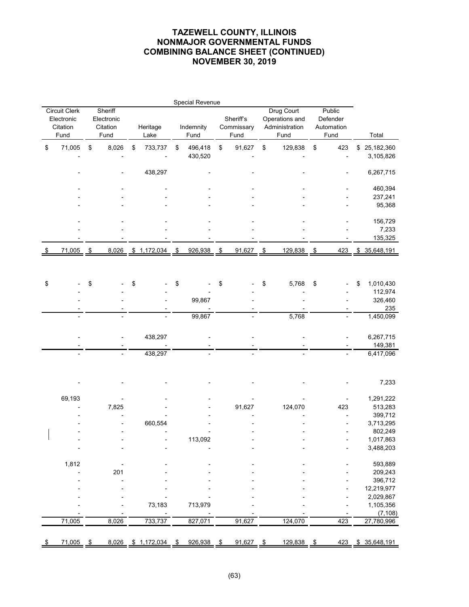|                                                        |                                           |                       |    | Special Revenue    |                                 |                         |                                                        |                                          |     |                               |
|--------------------------------------------------------|-------------------------------------------|-----------------------|----|--------------------|---------------------------------|-------------------------|--------------------------------------------------------|------------------------------------------|-----|-------------------------------|
| <b>Circuit Clerk</b><br>Electronic<br>Citation<br>Fund | Sheriff<br>Electronic<br>Citation<br>Fund | Heritage<br>Lake      |    | Indemnity<br>Fund  | Sheriff's<br>Commissary<br>Fund |                         | Drug Court<br>Operations and<br>Administration<br>Fund | Public<br>Defender<br>Automation<br>Fund |     | Total                         |
| \$<br>71,005                                           | 8,026<br>\$                               | \$<br>733,737         | \$ | 496,418<br>430,520 | \$<br>91,627                    | \$                      | 129,838                                                | \$                                       | 423 | \$<br>25,182,360<br>3,105,826 |
|                                                        |                                           | 438,297               |    |                    |                                 |                         |                                                        |                                          |     | 6,267,715                     |
|                                                        |                                           |                       |    |                    |                                 |                         |                                                        |                                          |     | 460,394                       |
|                                                        |                                           |                       |    |                    |                                 |                         |                                                        |                                          |     | 237,241                       |
|                                                        |                                           |                       |    |                    |                                 |                         |                                                        |                                          |     | 95,368                        |
|                                                        |                                           |                       |    |                    |                                 |                         |                                                        |                                          |     | 156,729                       |
|                                                        |                                           |                       |    |                    |                                 |                         |                                                        |                                          |     | 7,233                         |
|                                                        | 8,026                                     |                       |    |                    |                                 |                         |                                                        |                                          |     | 135,325                       |
| \$<br>71,005                                           | $\frac{1}{2}$                             | \$1,172,034           | \$ | 926,938            | \$<br>91,627                    | $\sqrt[6]{\frac{1}{2}}$ | 129,838                                                | \$                                       | 423 | \$35,648,191                  |
| \$                                                     | \$                                        | \$                    | \$ |                    | \$                              | \$                      | 5,768                                                  | \$                                       |     | \$<br>1,010,430               |
|                                                        |                                           |                       |    |                    |                                 |                         |                                                        |                                          |     | 112,974                       |
|                                                        |                                           |                       |    | 99,867             |                                 |                         |                                                        |                                          |     | 326,460                       |
|                                                        |                                           |                       |    |                    |                                 |                         |                                                        |                                          |     | 235                           |
|                                                        |                                           |                       |    | 99,867             |                                 |                         | 5,768                                                  |                                          |     | 1,450,099                     |
|                                                        |                                           | 438,297               |    |                    |                                 |                         |                                                        |                                          |     | 6,267,715                     |
|                                                        |                                           | 438,297               |    |                    |                                 |                         |                                                        |                                          |     | 149,381<br>6,417,096          |
|                                                        |                                           |                       |    |                    |                                 |                         |                                                        |                                          |     |                               |
|                                                        |                                           |                       |    |                    |                                 |                         |                                                        |                                          |     | 7,233                         |
| 69,193                                                 |                                           |                       |    |                    |                                 |                         |                                                        |                                          |     | 1,291,222                     |
|                                                        | 7,825                                     |                       |    |                    | 91,627                          |                         | 124,070                                                |                                          | 423 | 513,283                       |
|                                                        |                                           |                       |    |                    |                                 |                         |                                                        |                                          |     | 399,712                       |
|                                                        |                                           | 660,554               |    |                    |                                 |                         |                                                        |                                          |     | 3,713,295                     |
|                                                        |                                           |                       |    |                    |                                 |                         |                                                        |                                          |     | 802,249                       |
|                                                        |                                           |                       |    | 113,092            |                                 |                         |                                                        |                                          |     | 1,017,863                     |
|                                                        |                                           |                       |    |                    |                                 |                         |                                                        |                                          |     | 3,488,203                     |
| 1,812                                                  |                                           |                       |    |                    |                                 |                         |                                                        |                                          |     | 593,889                       |
|                                                        | 201                                       |                       |    |                    |                                 |                         |                                                        |                                          |     | 209,243                       |
|                                                        |                                           |                       |    |                    |                                 |                         |                                                        |                                          |     | 396,712                       |
|                                                        |                                           |                       |    |                    |                                 |                         |                                                        |                                          |     | 12,219,977<br>2,029,867       |
|                                                        |                                           | 73,183                |    | 713,979            |                                 |                         |                                                        |                                          |     | 1,105,356                     |
|                                                        |                                           |                       |    |                    |                                 |                         |                                                        |                                          |     | (7, 108)                      |
| 71,005                                                 | 8,026                                     | 733,737               |    | 827,071            | 91,627                          |                         | 124,070                                                |                                          | 423 | 27,780,996                    |
|                                                        |                                           |                       |    |                    |                                 |                         |                                                        |                                          |     |                               |
| $71,005$ \$                                            |                                           | 8,026 \$ 1,172,034 \$ |    | $926,938$ \$       | $91,627$ \$                     |                         | 129,838 \$                                             |                                          |     | 423 \$ 35,648,191             |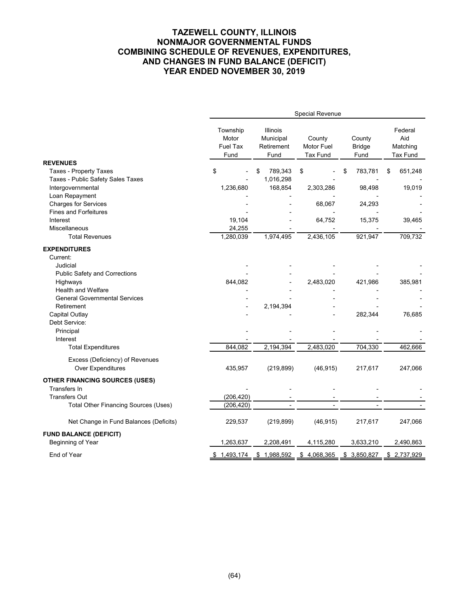|                                                             | Special Revenue                       |                                             |                                         |                                 |                                               |  |  |  |
|-------------------------------------------------------------|---------------------------------------|---------------------------------------------|-----------------------------------------|---------------------------------|-----------------------------------------------|--|--|--|
|                                                             | Township<br>Motor<br>Fuel Tax<br>Fund | Illinois<br>Municipal<br>Retirement<br>Fund | County<br>Motor Fuel<br><b>Tax Fund</b> | County<br><b>Bridge</b><br>Fund | Federal<br>Aid<br>Matching<br><b>Tax Fund</b> |  |  |  |
| <b>REVENUES</b>                                             |                                       |                                             |                                         |                                 |                                               |  |  |  |
| <b>Taxes - Property Taxes</b>                               | \$                                    | 789,343<br>\$                               | \$                                      | \$<br>783,781                   | 651,248<br>\$                                 |  |  |  |
| Taxes - Public Safety Sales Taxes                           |                                       | 1,016,298                                   |                                         |                                 |                                               |  |  |  |
| Intergovernmental                                           | 1,236,680                             | 168,854                                     | 2,303,286                               | 98,498                          | 19,019                                        |  |  |  |
| Loan Repayment                                              |                                       |                                             |                                         |                                 |                                               |  |  |  |
| <b>Charges for Services</b>                                 |                                       |                                             | 68,067                                  | 24,293                          |                                               |  |  |  |
| <b>Fines and Forfeitures</b>                                |                                       |                                             |                                         |                                 |                                               |  |  |  |
| Interest<br>Miscellaneous                                   | 19,104                                |                                             | 64,752                                  | 15,375                          | 39,465                                        |  |  |  |
| <b>Total Revenues</b>                                       | 24,255<br>1,280,039                   | 1,974,495                                   | 2,436,105                               | 921,947                         | 709,732                                       |  |  |  |
|                                                             |                                       |                                             |                                         |                                 |                                               |  |  |  |
| <b>EXPENDITURES</b>                                         |                                       |                                             |                                         |                                 |                                               |  |  |  |
| Current:                                                    |                                       |                                             |                                         |                                 |                                               |  |  |  |
| Judicial                                                    |                                       |                                             |                                         |                                 |                                               |  |  |  |
| <b>Public Safety and Corrections</b>                        |                                       |                                             |                                         |                                 |                                               |  |  |  |
| Highways<br>Health and Welfare                              | 844,082                               |                                             | 2,483,020                               | 421,986                         | 385,981                                       |  |  |  |
| <b>General Governmental Services</b>                        |                                       |                                             |                                         |                                 |                                               |  |  |  |
| Retirement                                                  |                                       | 2,194,394                                   |                                         |                                 |                                               |  |  |  |
| Capital Outlay                                              |                                       |                                             |                                         | 282,344                         | 76,685                                        |  |  |  |
| Debt Service:                                               |                                       |                                             |                                         |                                 |                                               |  |  |  |
| Principal                                                   |                                       |                                             |                                         |                                 |                                               |  |  |  |
| Interest                                                    |                                       |                                             |                                         |                                 |                                               |  |  |  |
| <b>Total Expenditures</b>                                   | 844.082                               | 2,194,394                                   | 2,483,020                               | 704,330                         | 462,666                                       |  |  |  |
|                                                             |                                       |                                             |                                         |                                 |                                               |  |  |  |
| Excess (Deficiency) of Revenues<br><b>Over Expenditures</b> | 435,957                               | (219, 899)                                  | (46, 915)                               | 217,617                         | 247,066                                       |  |  |  |
|                                                             |                                       |                                             |                                         |                                 |                                               |  |  |  |
| <b>OTHER FINANCING SOURCES (USES)</b>                       |                                       |                                             |                                         |                                 |                                               |  |  |  |
| Transfers In                                                |                                       |                                             |                                         |                                 |                                               |  |  |  |
| <b>Transfers Out</b>                                        | (206, 420)                            |                                             |                                         |                                 |                                               |  |  |  |
| <b>Total Other Financing Sources (Uses)</b>                 | (206, 420)                            |                                             |                                         |                                 |                                               |  |  |  |
| Net Change in Fund Balances (Deficits)                      | 229,537                               | (219, 899)                                  | (46, 915)                               | 217,617                         | 247,066                                       |  |  |  |
| <b>FUND BALANCE (DEFICIT)</b>                               |                                       |                                             |                                         |                                 |                                               |  |  |  |
| Beginning of Year                                           | 1,263,637                             | 2,208,491                                   | 4,115,280                               | 3,633,210                       | 2,490,863                                     |  |  |  |
| End of Year                                                 | \$1,493,174                           | \$1,988,592                                 | \$4,068,365                             | \$3,850,827                     | \$2,737,929                                   |  |  |  |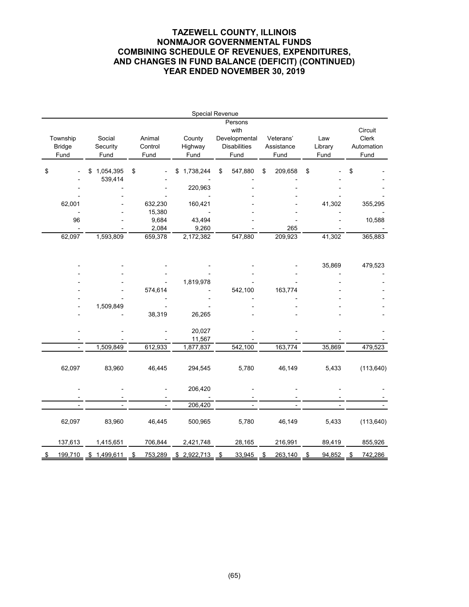|                                   |                            |                           |                            | Special Revenue                                      |                                 |                        |                                        |
|-----------------------------------|----------------------------|---------------------------|----------------------------|------------------------------------------------------|---------------------------------|------------------------|----------------------------------------|
|                                   |                            |                           |                            | Persons                                              |                                 |                        |                                        |
| Township<br><b>Bridge</b><br>Fund | Social<br>Security<br>Fund | Animal<br>Control<br>Fund | County<br>Highway<br>Fund  | with<br>Developmental<br><b>Disabilities</b><br>Fund | Veterans'<br>Assistance<br>Fund | Law<br>Library<br>Fund | Circuit<br>Clerk<br>Automation<br>Fund |
| \$                                | 1,054,395<br>\$<br>539,414 | \$                        | 1,738,244<br>\$<br>220,963 | \$<br>547,880                                        | \$<br>209,658                   | \$                     | \$                                     |
| 62,001                            |                            | 632,230<br>15,380         | 160,421                    |                                                      |                                 | 41,302                 | 355,295                                |
| 96                                |                            | 9,684<br>2,084            | 43,494<br>9,260            |                                                      | 265                             |                        | 10,588                                 |
| 62,097                            | 1,593,809                  | 659,378                   | 2,172,382                  | 547,880                                              | 209,923                         | 41,302                 | 365,883                                |
|                                   |                            |                           |                            |                                                      |                                 | 35,869                 | 479,523                                |
|                                   |                            | 574,614                   | 1,819,978                  | 542,100                                              | 163,774                         |                        |                                        |
|                                   | 1,509,849                  | 38,319                    | 26,265                     |                                                      |                                 |                        |                                        |
|                                   |                            |                           | 20,027<br>11,567           |                                                      |                                 |                        |                                        |
| $\overline{a}$                    | 1,509,849                  | 612,933                   | 1,877,837                  | 542,100                                              | 163,774                         | 35,869                 | 479,523                                |
| 62,097                            | 83,960                     | 46,445                    | 294,545                    | 5,780                                                | 46,149                          | 5,433                  | (113, 640)                             |
|                                   |                            |                           | 206,420                    |                                                      |                                 |                        |                                        |
|                                   |                            |                           | 206,420                    |                                                      |                                 |                        |                                        |
| 62,097                            | 83,960                     | 46,445                    | 500,965                    | 5,780                                                | 46,149                          | 5,433                  | (113, 640)                             |
| 137,613                           | 1,415,651                  | 706,844                   | 2,421,748                  | 28,165                                               | 216,991                         | 89,419                 | 855,926                                |
| 199,710<br>S                      | \$1,499,611                | 753,289<br>\$             | \$2,922,713                | 33,945<br>\$                                         | 263,140<br>\$                   | 94,852<br>\$           | 742,286<br>\$                          |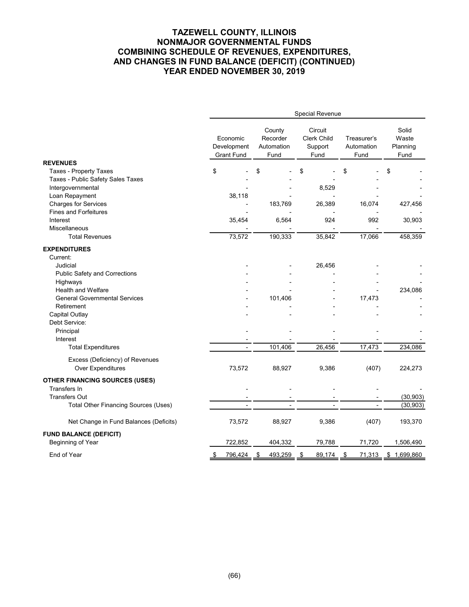|                                                             | <b>Special Revenue</b>                       |                                          |                                                  |                                   |                                    |  |  |  |
|-------------------------------------------------------------|----------------------------------------------|------------------------------------------|--------------------------------------------------|-----------------------------------|------------------------------------|--|--|--|
|                                                             | Economic<br>Development<br><b>Grant Fund</b> | County<br>Recorder<br>Automation<br>Fund | Circuit<br><b>Clerk Child</b><br>Support<br>Fund | Treasurer's<br>Automation<br>Fund | Solid<br>Waste<br>Planning<br>Fund |  |  |  |
| <b>REVENUES</b>                                             |                                              |                                          |                                                  |                                   |                                    |  |  |  |
| <b>Taxes - Property Taxes</b>                               | \$                                           | \$                                       | \$                                               | \$                                | \$                                 |  |  |  |
| Taxes - Public Safety Sales Taxes                           |                                              |                                          |                                                  |                                   |                                    |  |  |  |
| Intergovernmental                                           |                                              |                                          | 8,529                                            |                                   |                                    |  |  |  |
| Loan Repayment                                              | 38,118                                       |                                          |                                                  |                                   |                                    |  |  |  |
| <b>Charges for Services</b><br><b>Fines and Forfeitures</b> |                                              | 183,769                                  | 26,389                                           | 16,074                            | 427,456                            |  |  |  |
| Interest                                                    | 35,454                                       | 6,564                                    | 924                                              | 992                               | 30,903                             |  |  |  |
| Miscellaneous                                               |                                              |                                          |                                                  |                                   |                                    |  |  |  |
| <b>Total Revenues</b>                                       | 73,572                                       | 190,333                                  | 35,842                                           | 17,066                            | 458,359                            |  |  |  |
|                                                             |                                              |                                          |                                                  |                                   |                                    |  |  |  |
| <b>EXPENDITURES</b>                                         |                                              |                                          |                                                  |                                   |                                    |  |  |  |
| Current:                                                    |                                              |                                          |                                                  |                                   |                                    |  |  |  |
| Judicial                                                    |                                              |                                          | 26,456                                           |                                   |                                    |  |  |  |
| <b>Public Safety and Corrections</b>                        |                                              |                                          |                                                  |                                   |                                    |  |  |  |
| Highways<br><b>Health and Welfare</b>                       |                                              |                                          |                                                  |                                   |                                    |  |  |  |
| <b>General Governmental Services</b>                        |                                              |                                          |                                                  |                                   | 234,086                            |  |  |  |
| Retirement                                                  |                                              | 101,406                                  |                                                  | 17,473                            |                                    |  |  |  |
| Capital Outlay                                              |                                              |                                          |                                                  |                                   |                                    |  |  |  |
| Debt Service:                                               |                                              |                                          |                                                  |                                   |                                    |  |  |  |
| Principal                                                   |                                              |                                          |                                                  |                                   |                                    |  |  |  |
| Interest                                                    |                                              |                                          |                                                  |                                   |                                    |  |  |  |
| <b>Total Expenditures</b>                                   | $\overline{a}$                               | 101,406                                  | 26,456                                           | 17,473                            | 234,086                            |  |  |  |
|                                                             |                                              |                                          |                                                  |                                   |                                    |  |  |  |
| Excess (Deficiency) of Revenues                             |                                              |                                          |                                                  |                                   |                                    |  |  |  |
| Over Expenditures                                           | 73,572                                       | 88,927                                   | 9,386                                            | (407)                             | 224,273                            |  |  |  |
| <b>OTHER FINANCING SOURCES (USES)</b>                       |                                              |                                          |                                                  |                                   |                                    |  |  |  |
| Transfers In                                                |                                              |                                          |                                                  |                                   |                                    |  |  |  |
| <b>Transfers Out</b>                                        |                                              |                                          |                                                  |                                   | (30, 903)                          |  |  |  |
| Total Other Financing Sources (Uses)                        |                                              |                                          |                                                  |                                   | (30, 903)                          |  |  |  |
| Net Change in Fund Balances (Deficits)                      | 73,572                                       | 88,927                                   | 9,386                                            | (407)                             | 193,370                            |  |  |  |
| <b>FUND BALANCE (DEFICIT)</b>                               |                                              |                                          |                                                  |                                   |                                    |  |  |  |
| Beginning of Year                                           | 722,852                                      | 404,332                                  | 79,788                                           | 71,720                            | 1,506,490                          |  |  |  |
|                                                             |                                              |                                          |                                                  |                                   |                                    |  |  |  |
| End of Year                                                 | 796,424<br>S                                 | 493,259<br>\$                            | 89,174<br>\$                                     | 71,313<br>\$                      | \$1,699,860                        |  |  |  |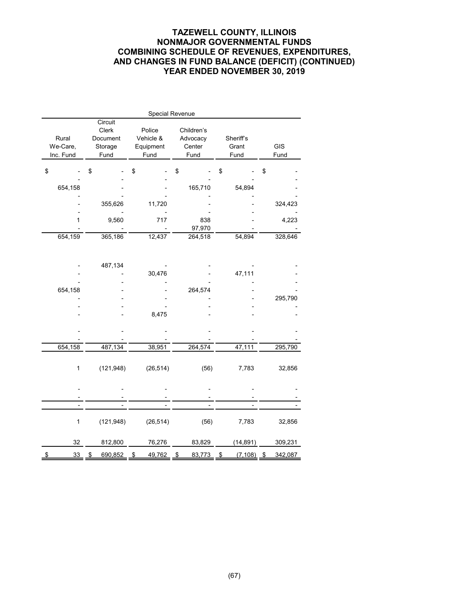| Special Revenue                |                                                 |                                          |                                          |                            |                                     |  |  |  |  |  |
|--------------------------------|-------------------------------------------------|------------------------------------------|------------------------------------------|----------------------------|-------------------------------------|--|--|--|--|--|
| Rural<br>We-Care,<br>Inc. Fund | Circuit<br>Clerk<br>Document<br>Storage<br>Fund | Police<br>Vehicle &<br>Equipment<br>Fund | Children's<br>Advocacy<br>Center<br>Fund | Sheriff's<br>Grant<br>Fund | GIS<br>Fund                         |  |  |  |  |  |
| \$                             | \$                                              | \$                                       | \$                                       | \$                         | \$                                  |  |  |  |  |  |
|                                |                                                 |                                          |                                          |                            |                                     |  |  |  |  |  |
| 654,158                        |                                                 |                                          | 165,710                                  | 54,894                     |                                     |  |  |  |  |  |
|                                | 355,626                                         | 11,720                                   |                                          |                            | 324,423                             |  |  |  |  |  |
| 1                              | 9,560                                           | 717                                      | 838<br>97,970                            |                            | 4,223                               |  |  |  |  |  |
| 654,159                        | 365,186                                         | 12,437                                   | 264,518                                  | 54,894                     | 328,646                             |  |  |  |  |  |
|                                |                                                 |                                          |                                          |                            |                                     |  |  |  |  |  |
|                                | 487,134                                         |                                          |                                          |                            |                                     |  |  |  |  |  |
|                                |                                                 | 30,476                                   |                                          | 47,111                     |                                     |  |  |  |  |  |
| 654,158                        |                                                 |                                          | 264,574                                  |                            |                                     |  |  |  |  |  |
|                                |                                                 |                                          |                                          |                            | 295,790                             |  |  |  |  |  |
|                                |                                                 | 8,475                                    |                                          |                            |                                     |  |  |  |  |  |
|                                |                                                 |                                          |                                          |                            |                                     |  |  |  |  |  |
|                                |                                                 |                                          |                                          |                            |                                     |  |  |  |  |  |
| 654,158                        | 487,134                                         | 38,951                                   | 264,574                                  | 47,111                     | 295,790                             |  |  |  |  |  |
| $\mathbf{1}$                   | (121, 948)                                      | (26, 514)                                | (56)                                     | 7,783                      | 32,856                              |  |  |  |  |  |
|                                |                                                 |                                          |                                          |                            |                                     |  |  |  |  |  |
|                                |                                                 |                                          |                                          |                            |                                     |  |  |  |  |  |
| $\mathbf{1}$                   | (121, 948)                                      | (26, 514)                                | (56)                                     | 7,783                      | 32,856                              |  |  |  |  |  |
| 32                             | 812,800                                         | 76,276                                   | 83,829                                   | (14, 891)                  | 309,231                             |  |  |  |  |  |
| 33<br>\$                       | \$<br>690,852                                   | $$\mathfrak{F}$$<br>49,762               | \$<br>83,773                             | \$<br>(7, 108)             | 342,087<br>$\overline{\mathcal{L}}$ |  |  |  |  |  |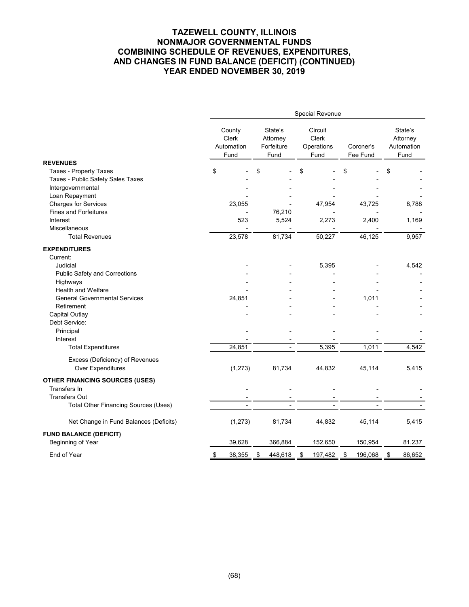|                                                      | <b>Special Revenue</b>                       |                                           |                                        |                       |                                           |  |  |
|------------------------------------------------------|----------------------------------------------|-------------------------------------------|----------------------------------------|-----------------------|-------------------------------------------|--|--|
|                                                      | County<br><b>Clerk</b><br>Automation<br>Fund | State's<br>Attorney<br>Forfeiture<br>Fund | Circuit<br>Clerk<br>Operations<br>Fund | Coroner's<br>Fee Fund | State's<br>Attorney<br>Automation<br>Fund |  |  |
| <b>REVENUES</b>                                      |                                              |                                           |                                        |                       |                                           |  |  |
| <b>Taxes - Property Taxes</b>                        | \$                                           | \$                                        | \$                                     | \$                    | \$                                        |  |  |
| Taxes - Public Safety Sales Taxes                    |                                              |                                           |                                        |                       |                                           |  |  |
| Intergovernmental                                    |                                              |                                           |                                        |                       |                                           |  |  |
| Loan Repayment<br><b>Charges for Services</b>        |                                              |                                           |                                        |                       | 8,788                                     |  |  |
| <b>Fines and Forfeitures</b>                         | 23,055                                       | 76,210                                    | 47,954                                 | 43,725                |                                           |  |  |
| Interest                                             | 523                                          | 5,524                                     | 2,273                                  | 2,400                 | 1,169                                     |  |  |
| Miscellaneous                                        |                                              |                                           |                                        |                       |                                           |  |  |
| <b>Total Revenues</b>                                | 23,578                                       | 81,734                                    | 50,227                                 | 46,125                | 9,957                                     |  |  |
|                                                      |                                              |                                           |                                        |                       |                                           |  |  |
| <b>EXPENDITURES</b>                                  |                                              |                                           |                                        |                       |                                           |  |  |
| Current:                                             |                                              |                                           |                                        |                       |                                           |  |  |
| Judicial                                             |                                              |                                           | 5,395                                  |                       | 4,542                                     |  |  |
| <b>Public Safety and Corrections</b>                 |                                              |                                           |                                        |                       |                                           |  |  |
| Highways                                             |                                              |                                           |                                        |                       |                                           |  |  |
| Health and Welfare                                   |                                              |                                           |                                        |                       |                                           |  |  |
| <b>General Governmental Services</b>                 | 24,851                                       |                                           |                                        | 1,011                 |                                           |  |  |
| Retirement                                           |                                              |                                           |                                        |                       |                                           |  |  |
| Capital Outlay                                       |                                              |                                           |                                        |                       |                                           |  |  |
| Debt Service:                                        |                                              |                                           |                                        |                       |                                           |  |  |
| Principal<br>Interest                                |                                              |                                           |                                        |                       |                                           |  |  |
| <b>Total Expenditures</b>                            | 24,851                                       |                                           | 5,395                                  | 1,011                 | 4,542                                     |  |  |
|                                                      |                                              |                                           |                                        |                       |                                           |  |  |
| Excess (Deficiency) of Revenues<br>Over Expenditures | (1, 273)                                     | 81,734                                    | 44,832                                 | 45,114                | 5,415                                     |  |  |
| <b>OTHER FINANCING SOURCES (USES)</b>                |                                              |                                           |                                        |                       |                                           |  |  |
| Transfers In                                         |                                              |                                           |                                        |                       |                                           |  |  |
| <b>Transfers Out</b>                                 |                                              |                                           |                                        |                       |                                           |  |  |
| <b>Total Other Financing Sources (Uses)</b>          |                                              |                                           |                                        |                       |                                           |  |  |
| Net Change in Fund Balances (Deficits)               | (1, 273)                                     | 81,734                                    | 44,832                                 | 45,114                | 5,415                                     |  |  |
| <b>FUND BALANCE (DEFICIT)</b>                        |                                              |                                           |                                        |                       |                                           |  |  |
| Beginning of Year                                    | 39,628                                       | 366,884                                   | 152,650                                | 150,954               | 81,237                                    |  |  |
|                                                      |                                              |                                           |                                        |                       |                                           |  |  |
| End of Year                                          | 38,355<br>\$                                 | 448,618<br>\$                             | 197,482<br>\$                          | 196,068<br>\$         | \$<br>86,652                              |  |  |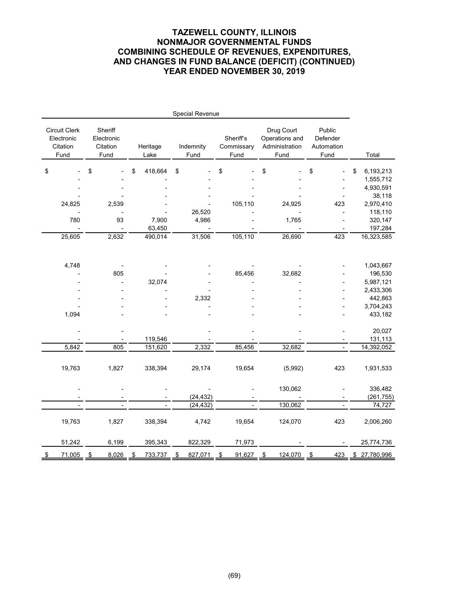## **TAZEWELL COUNTY, ILLINOIS NONMAJOR GOVERNMENTAL FUNDS COMBINING SCHEDULE OF REVENUES, EXPENDITURES, AND CHANGES IN FUND BALANCE (DEFICIT) (CONTINUED) YEAR ENDED NOVEMBER 30, 2019**

| Special Revenue                                 |                                           |                  |                   |                                 |                                                        |                                          |                  |  |
|-------------------------------------------------|-------------------------------------------|------------------|-------------------|---------------------------------|--------------------------------------------------------|------------------------------------------|------------------|--|
| Circuit Clerk<br>Electronic<br>Citation<br>Fund | Sheriff<br>Electronic<br>Citation<br>Fund | Heritage<br>Lake | Indemnity<br>Fund | Sheriff's<br>Commissary<br>Fund | Drug Court<br>Operations and<br>Administration<br>Fund | Public<br>Defender<br>Automation<br>Fund | Total            |  |
| \$                                              | \$                                        | 418,664<br>\$    | \$                | \$                              | \$                                                     | \$                                       | 6,193,213<br>\$  |  |
|                                                 |                                           |                  |                   |                                 |                                                        |                                          | 1,555,712        |  |
|                                                 |                                           |                  |                   |                                 |                                                        |                                          | 4,930,591        |  |
|                                                 |                                           |                  |                   |                                 |                                                        |                                          | 38,118           |  |
| 24,825                                          | 2,539                                     |                  |                   | 105,110                         | 24,925                                                 | 423                                      | 2,970,410        |  |
|                                                 |                                           |                  | 26,520            |                                 |                                                        |                                          | 118,110          |  |
| 780                                             | 93                                        | 7,900            | 4,986             |                                 | 1,765                                                  |                                          | 320,147          |  |
|                                                 |                                           | 63,450           |                   |                                 |                                                        |                                          | 197,284          |  |
| 25,605                                          | 2,632                                     | 490,014          | 31,506            | 105,110                         | 26,690                                                 | 423                                      | 16,323,585       |  |
|                                                 |                                           |                  |                   |                                 |                                                        |                                          |                  |  |
| 4,748                                           |                                           |                  |                   |                                 |                                                        |                                          | 1,043,667        |  |
|                                                 | 805                                       |                  |                   | 85,456                          | 32,682                                                 |                                          | 196,530          |  |
|                                                 |                                           | 32,074           |                   |                                 |                                                        |                                          | 5,987,121        |  |
|                                                 |                                           |                  |                   |                                 |                                                        |                                          | 2,433,306        |  |
|                                                 |                                           |                  | 2,332             |                                 |                                                        |                                          | 442,863          |  |
|                                                 |                                           |                  |                   |                                 |                                                        |                                          | 3,704,243        |  |
| 1,094                                           |                                           |                  |                   |                                 |                                                        |                                          | 433,182          |  |
|                                                 |                                           |                  |                   |                                 |                                                        |                                          |                  |  |
|                                                 |                                           |                  |                   |                                 |                                                        |                                          | 20,027           |  |
|                                                 |                                           | 119,546          |                   |                                 |                                                        |                                          | 131,113          |  |
| 5,842                                           | 805                                       | 151,620          | 2,332             | 85,456                          | 32,682                                                 |                                          | 14,392,052       |  |
| 19,763                                          | 1,827                                     | 338,394          | 29,174            | 19,654                          | (5,992)                                                | 423                                      | 1,931,533        |  |
|                                                 |                                           |                  |                   |                                 | 130,062                                                |                                          | 336,482          |  |
|                                                 |                                           |                  | (24, 432)         |                                 |                                                        |                                          | (261, 755)       |  |
|                                                 |                                           |                  | (24, 432)         |                                 | 130,062                                                |                                          | 74,727           |  |
| 19,763                                          | 1,827                                     | 338,394          | 4,742             | 19,654                          | 124,070                                                | 423                                      | 2,006,260        |  |
|                                                 |                                           |                  |                   |                                 |                                                        |                                          |                  |  |
| 51,242                                          | 6,199                                     | 395,343          | 822,329           | 71,973                          |                                                        |                                          | 25,774,736       |  |
| 71,005<br>\$                                    | 8,026<br>$\frac{1}{2}$                    | \$<br>733,737    | 827,071<br>\$     | \$<br>91,627                    | \$<br>124,070                                          | \$<br>423                                | \$<br>27,780,996 |  |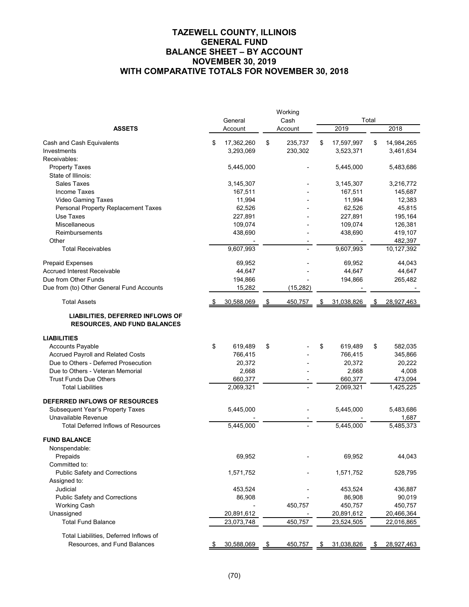# **TAZEWELL COUNTY, ILLINOIS GENERAL FUND BALANCE SHEET – BY ACCOUNT NOVEMBER 30, 2019 WITH COMPARATIVE TOTALS FOR NOVEMBER 30, 2018**

|                                                                                | General |            | Working<br>Cash |           | Total |            |    |            |
|--------------------------------------------------------------------------------|---------|------------|-----------------|-----------|-------|------------|----|------------|
| <b>ASSETS</b>                                                                  |         | Account    | Account         |           |       | 2019       |    | 2018       |
| Cash and Cash Equivalents                                                      | \$      | 17,362,260 | \$              | 235,737   | \$    | 17,597,997 | \$ | 14,984,265 |
| Investments                                                                    |         | 3,293,069  |                 | 230,302   |       | 3,523,371  |    | 3,461,634  |
| Receivables:                                                                   |         |            |                 |           |       |            |    |            |
| <b>Property Taxes</b>                                                          |         | 5,445,000  |                 |           |       | 5,445,000  |    | 5,483,686  |
| State of Illinois:                                                             |         |            |                 |           |       |            |    |            |
| <b>Sales Taxes</b>                                                             |         | 3,145,307  |                 |           |       | 3,145,307  |    | 3,216,772  |
| <b>Income Taxes</b>                                                            |         | 167,511    |                 |           |       | 167,511    |    | 145,687    |
| <b>Video Gaming Taxes</b>                                                      |         | 11,994     |                 |           |       | 11,994     |    | 12,383     |
| Personal Property Replacement Taxes                                            |         | 62,526     |                 |           |       | 62,526     |    | 45,815     |
| Use Taxes                                                                      |         | 227,891    |                 |           |       | 227,891    |    | 195,164    |
| Miscellaneous                                                                  |         | 109,074    |                 |           |       | 109,074    |    | 126,381    |
| Reimbursements                                                                 |         | 438,690    |                 |           |       | 438,690    |    | 419,107    |
| Other                                                                          |         |            |                 |           |       |            |    | 482,397    |
| <b>Total Receivables</b>                                                       |         | 9,607,993  |                 |           |       | 9,607,993  |    | 10,127,392 |
| <b>Prepaid Expenses</b>                                                        |         | 69,952     |                 |           |       | 69,952     |    | 44,043     |
| <b>Accrued Interest Receivable</b>                                             |         | 44,647     |                 |           |       | 44,647     |    | 44,647     |
| Due from Other Funds                                                           |         | 194,866    |                 |           |       | 194,866    |    | 265,482    |
| Due from (to) Other General Fund Accounts                                      |         | 15,282     |                 | (15, 282) |       |            |    |            |
| <b>Total Assets</b>                                                            |         | 30,588,069 | \$              | 450,757   | \$    | 31,038,826 | \$ | 28,927,463 |
| <b>LIABILITIES, DEFERRED INFLOWS OF</b><br><b>RESOURCES, AND FUND BALANCES</b> |         |            |                 |           |       |            |    |            |
| <b>LIABILITIES</b>                                                             |         |            |                 |           |       |            |    |            |
| Accounts Payable                                                               | \$      | 619,489    | \$              |           | \$    | 619,489    | \$ | 582,035    |
| <b>Accrued Payroll and Related Costs</b>                                       |         | 766,415    |                 |           |       | 766,415    |    | 345,866    |
| Due to Others - Deferred Prosecution                                           |         | 20,372     |                 |           |       | 20,372     |    | 20,222     |
| Due to Others - Veteran Memorial                                               |         | 2,668      |                 |           |       | 2,668      |    | 4,008      |
| <b>Trust Funds Due Others</b>                                                  |         | 660,377    |                 |           |       | 660,377    |    | 473,094    |
| <b>Total Liabilities</b>                                                       |         | 2,069,321  |                 |           |       | 2,069,321  |    | 1,425,225  |
| DEFERRED INFLOWS OF RESOURCES                                                  |         |            |                 |           |       |            |    |            |
| Subsequent Year's Property Taxes                                               |         | 5,445,000  |                 |           |       | 5,445,000  |    | 5,483,686  |
| Unavailable Revenue                                                            |         |            |                 |           |       |            |    | 1,687      |
| <b>Total Deferred Inflows of Resources</b>                                     |         | 5,445,000  |                 |           |       | 5,445,000  |    | 5,485,373  |
| <b>FUND BALANCE</b>                                                            |         |            |                 |           |       |            |    |            |
| Nonspendable:                                                                  |         |            |                 |           |       |            |    |            |
| Prepaids                                                                       |         | 69,952     |                 |           |       | 69,952     |    | 44,043     |
| Committed to:                                                                  |         |            |                 |           |       |            |    |            |
| <b>Public Safety and Corrections</b>                                           |         | 1,571,752  |                 |           |       | 1,571,752  |    | 528,795    |
| Assigned to:                                                                   |         |            |                 |           |       |            |    |            |
| Judicial                                                                       |         | 453,524    |                 |           |       | 453,524    |    | 436,887    |
| <b>Public Safety and Corrections</b>                                           |         | 86,908     |                 |           |       | 86,908     |    | 90,019     |
| <b>Working Cash</b>                                                            |         |            |                 | 450,757   |       | 450,757    |    | 450,757    |
| Unassigned                                                                     |         | 20,891,612 |                 |           |       | 20,891,612 |    | 20,466,364 |
| <b>Total Fund Balance</b>                                                      |         | 23,073,748 |                 | 450,757   |       | 23,524,505 |    | 22,016,865 |
| Total Liabilities, Deferred Inflows of                                         |         |            |                 |           |       |            |    |            |
| Resources, and Fund Balances                                                   |         | 30,588,069 |                 | 450,757   | \$    | 31,038,826 |    | 28,927,463 |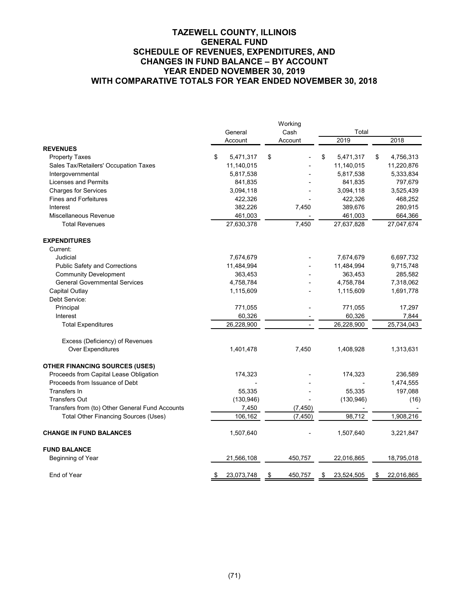|                                                 | General |            | Working<br>Cash |    | Total      |    |            |  |
|-------------------------------------------------|---------|------------|-----------------|----|------------|----|------------|--|
|                                                 |         | Account    | Account         |    | 2019       |    | 2018       |  |
| <b>REVENUES</b>                                 |         |            |                 |    |            |    |            |  |
| <b>Property Taxes</b>                           | \$      | 5,471,317  | \$              | \$ | 5,471,317  | \$ | 4,756,313  |  |
| Sales Tax/Retailers' Occupation Taxes           |         | 11,140,015 |                 |    | 11,140,015 |    | 11,220,876 |  |
| Intergovernmental                               |         | 5,817,538  |                 |    | 5,817,538  |    | 5,333,834  |  |
| <b>Licenses and Permits</b>                     |         | 841,835    |                 |    | 841,835    |    | 797,679    |  |
| <b>Charges for Services</b>                     |         | 3,094,118  |                 |    | 3,094,118  |    | 3,525,439  |  |
| <b>Fines and Forfeitures</b>                    |         | 422,326    |                 |    | 422,326    |    | 468,252    |  |
| Interest                                        |         | 382,226    | 7,450           |    | 389,676    |    | 280,915    |  |
| Miscellaneous Revenue                           |         | 461,003    |                 |    | 461,003    |    | 664,366    |  |
| <b>Total Revenues</b>                           |         | 27,630,378 | 7,450           |    | 27,637,828 |    | 27,047,674 |  |
| <b>EXPENDITURES</b>                             |         |            |                 |    |            |    |            |  |
| Current:                                        |         |            |                 |    |            |    |            |  |
| Judicial                                        |         | 7,674,679  |                 |    | 7,674,679  |    | 6,697,732  |  |
| <b>Public Safety and Corrections</b>            |         | 11,484,994 |                 |    | 11,484,994 |    | 9,715,748  |  |
| <b>Community Development</b>                    |         | 363,453    |                 |    | 363,453    |    | 285,582    |  |
| <b>General Governmental Services</b>            |         | 4,758,784  |                 |    | 4,758,784  |    | 7,318,062  |  |
| Capital Outlay                                  |         | 1,115,609  |                 |    | 1,115,609  |    | 1,691,778  |  |
| Debt Service:                                   |         |            |                 |    |            |    |            |  |
| Principal                                       |         | 771,055    |                 |    | 771,055    |    | 17,297     |  |
| Interest                                        |         | 60,326     |                 |    | 60,326     |    | 7,844      |  |
| <b>Total Expenditures</b>                       |         | 26,228,900 |                 |    | 26,228,900 |    | 25,734,043 |  |
| Excess (Deficiency) of Revenues                 |         |            |                 |    |            |    |            |  |
| <b>Over Expenditures</b>                        |         | 1,401,478  | 7,450           |    | 1,408,928  |    | 1,313,631  |  |
| <b>OTHER FINANCING SOURCES (USES)</b>           |         |            |                 |    |            |    |            |  |
| Proceeds from Capital Lease Obligation          |         | 174,323    |                 |    | 174,323    |    | 236,589    |  |
| Proceeds from Issuance of Debt                  |         |            |                 |    |            |    | 1,474,555  |  |
| Transfers In                                    |         | 55,335     |                 |    | 55,335     |    | 197,088    |  |
| <b>Transfers Out</b>                            |         | (130, 946) |                 |    | (130, 946) |    | (16)       |  |
| Transfers from (to) Other General Fund Accounts |         | 7,450      | (7, 450)        |    |            |    |            |  |
| Total Other Financing Sources (Uses)            |         | 106,162    | (7, 450)        |    | 98,712     |    | 1,908,216  |  |
| <b>CHANGE IN FUND BALANCES</b>                  |         | 1,507,640  |                 |    | 1,507,640  |    | 3,221,847  |  |
| <b>FUND BALANCE</b>                             |         |            |                 |    |            |    |            |  |
| Beginning of Year                               |         | 21,566,108 | 450,757         |    | 22,016,865 |    | 18,795,018 |  |
| End of Year                                     | \$      | 23,073,748 | \$<br>450,757   | \$ | 23,524,505 | \$ | 22,016,865 |  |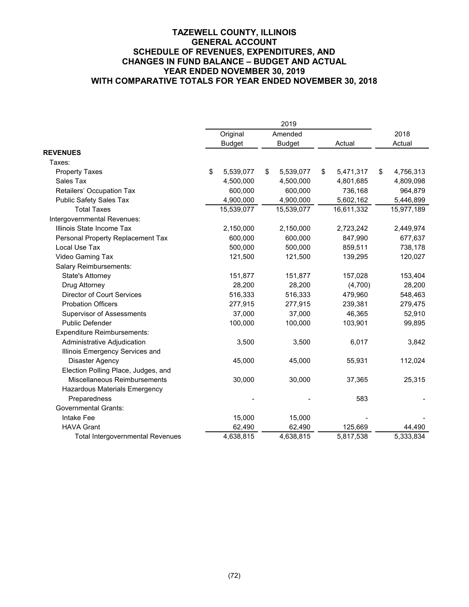|                                         | Original        | Amended         |    |            | 2018            |
|-----------------------------------------|-----------------|-----------------|----|------------|-----------------|
|                                         | <b>Budget</b>   | <b>Budget</b>   |    | Actual     | Actual          |
| <b>REVENUES</b>                         |                 |                 |    |            |                 |
| Taxes:                                  |                 |                 |    |            |                 |
| <b>Property Taxes</b>                   | \$<br>5,539,077 | \$<br>5,539,077 | \$ | 5,471,317  | \$<br>4,756,313 |
| Sales Tax                               | 4,500,000       | 4,500,000       |    | 4,801,685  | 4,809,098       |
| Retailers' Occupation Tax               | 600,000         | 600,000         |    | 736,168    | 964,879         |
| <b>Public Safety Sales Tax</b>          | 4,900,000       | 4,900,000       |    | 5,602,162  | 5,446,899       |
| <b>Total Taxes</b>                      | 15,539,077      | 15,539,077      |    | 16,611,332 | 15,977,189      |
| Intergovernmental Revenues:             |                 |                 |    |            |                 |
| Illinois State Income Tax               | 2,150,000       | 2,150,000       |    | 2,723,242  | 2,449,974       |
| Personal Property Replacement Tax       | 600,000         | 600,000         |    | 847,990    | 677,637         |
| Local Use Tax                           | 500,000         | 500,000         |    | 859,511    | 738,178         |
| Video Gaming Tax                        | 121,500         | 121,500         |    | 139,295    | 120,027         |
| Salary Reimbursements:                  |                 |                 |    |            |                 |
| <b>State's Attorney</b>                 | 151,877         | 151,877         |    | 157,028    | 153,404         |
| Drug Attorney                           | 28,200          | 28,200          |    | (4,700)    | 28,200          |
| <b>Director of Court Services</b>       | 516,333         | 516,333         |    | 479,960    | 548,463         |
| <b>Probation Officers</b>               | 277,915         | 277,915         |    | 239,381    | 279,475         |
| <b>Supervisor of Assessments</b>        | 37,000          | 37,000          |    | 46,365     | 52,910          |
| <b>Public Defender</b>                  | 100,000         | 100,000         |    | 103,901    | 99,895          |
| Expenditure Reimbursements:             |                 |                 |    |            |                 |
| Administrative Adjudication             | 3,500           | 3,500           |    | 6,017      | 3,842           |
| Illinois Emergency Services and         |                 |                 |    |            |                 |
| Disaster Agency                         | 45,000          | 45,000          |    | 55,931     | 112,024         |
| Election Polling Place, Judges, and     |                 |                 |    |            |                 |
| Miscellaneous Reimbursements            | 30,000          | 30,000          |    | 37,365     | 25,315          |
| Hazardous Materials Emergency           |                 |                 |    |            |                 |
| Preparedness                            |                 |                 |    | 583        |                 |
| <b>Governmental Grants:</b>             |                 |                 |    |            |                 |
| Intake Fee                              | 15,000          | 15,000          |    |            |                 |
| <b>HAVA Grant</b>                       | 62,490          | 62,490          |    | 125,669    | 44.490          |
| <b>Total Intergovernmental Revenues</b> | 4,638,815       | 4,638,815       |    | 5,817,538  | 5,333,834       |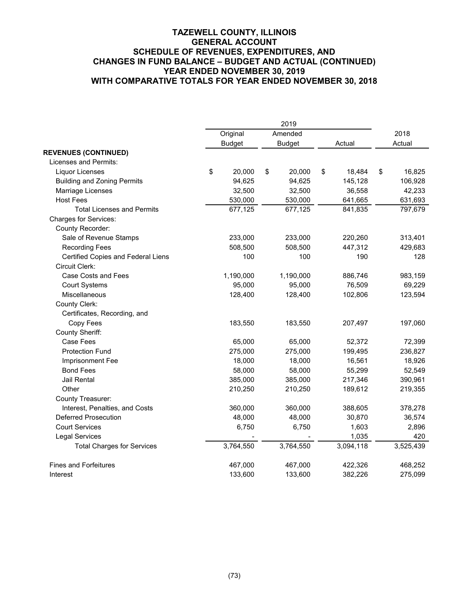|                                    | 2019 |               |    |               |    |           |    |           |
|------------------------------------|------|---------------|----|---------------|----|-----------|----|-----------|
|                                    |      | Original      |    | Amended       |    |           |    | 2018      |
|                                    |      | <b>Budget</b> |    | <b>Budget</b> |    | Actual    |    | Actual    |
| <b>REVENUES (CONTINUED)</b>        |      |               |    |               |    |           |    |           |
| Licenses and Permits:              |      |               |    |               |    |           |    |           |
| <b>Liquor Licenses</b>             | \$   | 20,000        | \$ | 20,000        | \$ | 18,484    | \$ | 16,825    |
| <b>Building and Zoning Permits</b> |      | 94,625        |    | 94,625        |    | 145,128   |    | 106,928   |
| Marriage Licenses                  |      | 32,500        |    | 32,500        |    | 36,558    |    | 42,233    |
| <b>Host Fees</b>                   |      | 530,000       |    | 530,000       |    | 641,665   |    | 631,693   |
| <b>Total Licenses and Permits</b>  |      | 677,125       |    | 677,125       |    | 841,835   |    | 797,679   |
| <b>Charges for Services:</b>       |      |               |    |               |    |           |    |           |
| County Recorder:                   |      |               |    |               |    |           |    |           |
| Sale of Revenue Stamps             |      | 233,000       |    | 233,000       |    | 220,260   |    | 313,401   |
| <b>Recording Fees</b>              |      | 508,500       |    | 508,500       |    | 447,312   |    | 429,683   |
| Certified Copies and Federal Liens |      | 100           |    | 100           |    | 190       |    | 128       |
| Circuit Clerk:                     |      |               |    |               |    |           |    |           |
| <b>Case Costs and Fees</b>         |      | 1,190,000     |    | 1,190,000     |    | 886,746   |    | 983,159   |
| <b>Court Systems</b>               |      | 95,000        |    | 95,000        |    | 76,509    |    | 69,229    |
| Miscellaneous                      |      | 128,400       |    | 128,400       |    | 102,806   |    | 123,594   |
| <b>County Clerk:</b>               |      |               |    |               |    |           |    |           |
| Certificates, Recording, and       |      |               |    |               |    |           |    |           |
| Copy Fees                          |      | 183,550       |    | 183,550       |    | 207,497   |    | 197,060   |
| <b>County Sheriff:</b>             |      |               |    |               |    |           |    |           |
| <b>Case Fees</b>                   |      | 65,000        |    | 65,000        |    | 52,372    |    | 72,399    |
| <b>Protection Fund</b>             |      | 275,000       |    | 275,000       |    | 199,495   |    | 236,827   |
| Imprisonment Fee                   |      | 18,000        |    | 18,000        |    | 16,561    |    | 18,926    |
| <b>Bond Fees</b>                   |      | 58,000        |    | 58,000        |    | 55,299    |    | 52,549    |
| Jail Rental                        |      | 385,000       |    | 385,000       |    | 217,346   |    | 390,961   |
| Other                              |      | 210,250       |    | 210,250       |    | 189,612   |    | 219,355   |
| County Treasurer:                  |      |               |    |               |    |           |    |           |
| Interest, Penalties, and Costs     |      | 360,000       |    | 360,000       |    | 388,605   |    | 378,278   |
| <b>Deferred Prosecution</b>        |      | 48,000        |    | 48,000        |    | 30,870    |    | 36,574    |
| <b>Court Services</b>              |      | 6,750         |    | 6,750         |    | 1,603     |    | 2,896     |
| <b>Legal Services</b>              |      |               |    |               |    | 1,035     |    | 420       |
| <b>Total Charges for Services</b>  |      | 3,764,550     |    | 3,764,550     |    | 3,094,118 |    | 3,525,439 |
| <b>Fines and Forfeitures</b>       |      | 467,000       |    | 467,000       |    | 422,326   |    | 468,252   |
| Interest                           |      | 133,600       |    | 133,600       |    | 382,226   |    | 275,099   |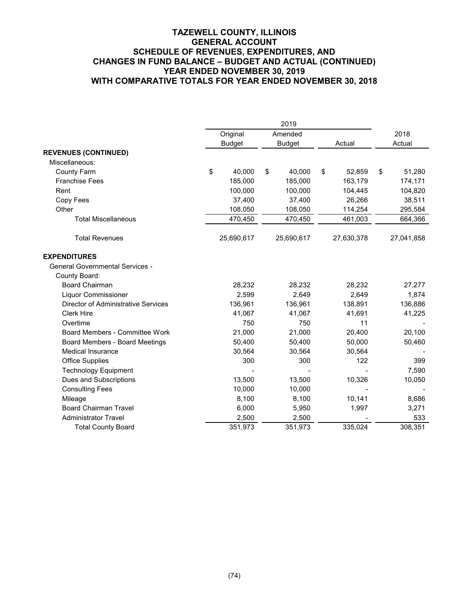|                                            | 2019          |    |               |    |            |        |            |
|--------------------------------------------|---------------|----|---------------|----|------------|--------|------------|
|                                            | Original      |    | Amended       |    |            |        | 2018       |
|                                            | <b>Budget</b> |    | <b>Budget</b> |    | Actual     | Actual |            |
| <b>REVENUES (CONTINUED)</b>                |               |    |               |    |            |        |            |
| Miscellaneous:                             |               |    |               |    |            |        |            |
| <b>County Farm</b>                         | \$<br>40,000  | \$ | 40,000        | \$ | 52,859     | \$     | 51,280     |
| <b>Franchise Fees</b>                      | 185,000       |    | 185,000       |    | 163,179    |        | 174,171    |
| Rent                                       | 100,000       |    | 100,000       |    | 104,445    |        | 104,820    |
| Copy Fees                                  | 37,400        |    | 37,400        |    | 26,266     |        | 38,511     |
| Other                                      | 108,050       |    | 108,050       |    | 114,254    |        | 295,584    |
| <b>Total Miscellaneous</b>                 | 470,450       |    | 470,450       |    | 461,003    |        | 664,366    |
| <b>Total Revenues</b>                      | 25,690,617    |    | 25,690,617    |    | 27,630,378 |        | 27,041,858 |
| <b>EXPENDITURES</b>                        |               |    |               |    |            |        |            |
| <b>General Governmental Services -</b>     |               |    |               |    |            |        |            |
| County Board:                              |               |    |               |    |            |        |            |
| <b>Board Chairman</b>                      | 28,232        |    | 28,232        |    | 28,232     |        | 27,277     |
| Liquor Commissioner                        | 2,599         |    | 2,649         |    | 2,649      |        | 1,874      |
| <b>Director of Administrative Services</b> | 136,961       |    | 136,961       |    | 138,891    |        | 136,886    |
| <b>Clerk Hire</b>                          | 41,067        |    | 41,067        |    | 41,691     |        | 41,225     |
| Overtime                                   | 750           |    | 750           |    | 11         |        |            |
| Board Members - Committee Work             | 21,000        |    | 21,000        |    | 20,400     |        | 20,100     |
| Board Members - Board Meetings             | 50,400        |    | 50,400        |    | 50,000     |        | 50,460     |
| Medical Insurance                          | 30,564        |    | 30,564        |    | 30,564     |        |            |
| <b>Office Supplies</b>                     | 300           |    | 300           |    | 122        |        | 399        |
| <b>Technology Equipment</b>                |               |    |               |    |            |        | 7,590      |
| <b>Dues and Subscriptions</b>              | 13,500        |    | 13,500        |    | 10,326     |        | 10,050     |
| <b>Consulting Fees</b>                     | 10,000        |    | 10,000        |    |            |        |            |
| Mileage                                    | 8,100         |    | 8,100         |    | 10,141     |        | 8,686      |
| <b>Board Chairman Travel</b>               | 6,000         |    | 5,950         |    | 1,997      |        | 3,271      |
| <b>Administrator Travel</b>                | 2,500         |    | 2,500         |    |            |        | 533        |
| <b>Total County Board</b>                  | 351,973       |    | 351,973       |    | 335,024    |        | 308,351    |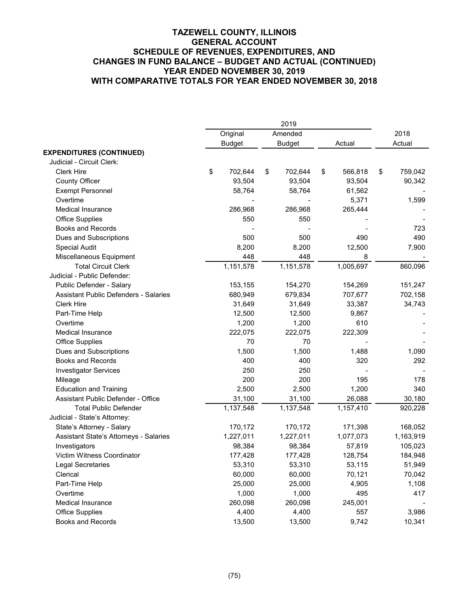|                                              |               | 2019          |    |           |    |           |  |
|----------------------------------------------|---------------|---------------|----|-----------|----|-----------|--|
|                                              | Original      | Amended       |    |           |    | 2018      |  |
|                                              | <b>Budget</b> | <b>Budget</b> |    | Actual    |    | Actual    |  |
| <b>EXPENDITURES (CONTINUED)</b>              |               |               |    |           |    |           |  |
| Judicial - Circuit Clerk:                    |               |               |    |           |    |           |  |
| <b>Clerk Hire</b>                            | \$<br>702,644 | \$<br>702,644 | \$ | 566,818   | \$ | 759,042   |  |
| <b>County Officer</b>                        | 93,504        | 93,504        |    | 93,504    |    | 90,342    |  |
| <b>Exempt Personnel</b>                      | 58,764        | 58,764        |    | 61,562    |    |           |  |
| Overtime                                     |               |               |    | 5,371     |    | 1,599     |  |
| <b>Medical Insurance</b>                     | 286,968       | 286,968       |    | 265,444   |    |           |  |
| <b>Office Supplies</b>                       | 550           | 550           |    |           |    |           |  |
| <b>Books and Records</b>                     |               |               |    |           |    | 723       |  |
| Dues and Subscriptions                       | 500           | 500           |    | 490       |    | 490       |  |
| <b>Special Audit</b>                         | 8,200         | 8,200         |    | 12,500    |    | 7,900     |  |
| Miscellaneous Equipment                      | 448           | 448           |    | 8         |    |           |  |
| <b>Total Circuit Clerk</b>                   | 1,151,578     | 1,151,578     |    | 1,005,697 |    | 860,096   |  |
| Judicial - Public Defender:                  |               |               |    |           |    |           |  |
| Public Defender - Salary                     | 153,155       | 154,270       |    | 154,269   |    | 151,247   |  |
| <b>Assistant Public Defenders - Salaries</b> | 680,949       | 679,834       |    | 707,677   |    | 702,158   |  |
| <b>Clerk Hire</b>                            | 31,649        | 31,649        |    | 33,387    |    | 34,743    |  |
| Part-Time Help                               | 12,500        | 12,500        |    | 9,867     |    |           |  |
| Overtime                                     | 1,200         | 1,200         |    | 610       |    |           |  |
| <b>Medical Insurance</b>                     | 222,075       | 222,075       |    | 222,309   |    |           |  |
| <b>Office Supplies</b>                       | 70            | 70            |    |           |    |           |  |
| Dues and Subscriptions                       | 1,500         | 1,500         |    | 1,488     |    | 1,090     |  |
| <b>Books and Records</b>                     | 400           | 400           |    | 320       |    | 292       |  |
| <b>Investigator Services</b>                 | 250           | 250           |    |           |    |           |  |
| Mileage                                      | 200           | 200           |    | 195       |    | 178       |  |
| <b>Education and Training</b>                | 2,500         | 2,500         |    | 1,200     |    | 340       |  |
| Assistant Public Defender - Office           | 31,100        | 31,100        |    | 26,088    |    | 30,180    |  |
| <b>Total Public Defender</b>                 | 1,137,548     | 1,137,548     |    | 1,157,410 |    | 920,228   |  |
| Judicial - State's Attorney:                 |               |               |    |           |    |           |  |
| State's Attorney - Salary                    | 170,172       | 170,172       |    | 171,398   |    | 168,052   |  |
| Assistant State's Attorneys - Salaries       | 1,227,011     | 1,227,011     |    | 1,077,073 |    | 1,163,919 |  |
| Investigators                                | 98,384        | 98,384        |    | 57,819    |    | 105,023   |  |
| Victim Witness Coordinator                   | 177,428       | 177,428       |    | 128,754   |    | 184,948   |  |
| Legal Secretaries                            | 53,310        | 53,310        |    | 53,115    |    | 51,949    |  |
| Clerical                                     | 60,000        | 60,000        |    | 70,121    |    | 70,042    |  |
| Part-Time Help                               | 25,000        | 25,000        |    | 4,905     |    | 1,108     |  |
| Overtime                                     | 1,000         | 1,000         |    | 495       |    | 417       |  |
| <b>Medical Insurance</b>                     | 260,098       | 260,098       |    | 245,001   |    |           |  |
| <b>Office Supplies</b>                       | 4,400         | 4,400         |    | 557       |    | 3,986     |  |
| <b>Books and Records</b>                     | 13,500        | 13,500        |    | 9,742     |    | 10,341    |  |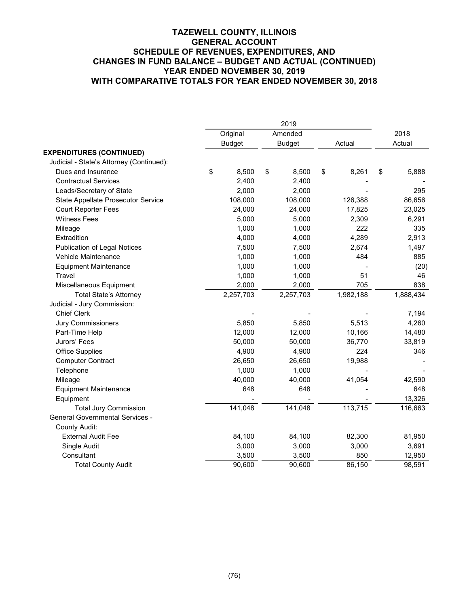|                                          | Original      | Amended       |             | 2018        |
|------------------------------------------|---------------|---------------|-------------|-------------|
|                                          | <b>Budget</b> | <b>Budget</b> | Actual      | Actual      |
| <b>EXPENDITURES (CONTINUED)</b>          |               |               |             |             |
| Judicial - State's Attorney (Continued): |               |               |             |             |
| Dues and Insurance                       | \$<br>8,500   | \$<br>8,500   | \$<br>8,261 | \$<br>5,888 |
| <b>Contractual Services</b>              | 2,400         | 2,400         |             |             |
| Leads/Secretary of State                 | 2,000         | 2,000         |             | 295         |
| State Appellate Prosecutor Service       | 108,000       | 108,000       | 126,388     | 86,656      |
| <b>Court Reporter Fees</b>               | 24,000        | 24,000        | 17,825      | 23,025      |
| <b>Witness Fees</b>                      | 5,000         | 5,000         | 2,309       | 6,291       |
| Mileage                                  | 1,000         | 1,000         | 222         | 335         |
| Extradition                              | 4,000         | 4,000         | 4,289       | 2,913       |
| <b>Publication of Legal Notices</b>      | 7,500         | 7,500         | 2,674       | 1,497       |
| Vehicle Maintenance                      | 1,000         | 1,000         | 484         | 885         |
| <b>Equipment Maintenance</b>             | 1,000         | 1,000         |             | (20)        |
| Travel                                   | 1,000         | 1,000         | 51          | 46          |
| Miscellaneous Equipment                  | 2,000         | 2,000         | 705         | 838         |
| <b>Total State's Attorney</b>            | 2,257,703     | 2,257,703     | 1,982,188   | 1,888,434   |
| Judicial - Jury Commission:              |               |               |             |             |
| <b>Chief Clerk</b>                       |               |               |             | 7,194       |
| <b>Jury Commissioners</b>                | 5,850         | 5,850         | 5,513       | 4,260       |
| Part-Time Help                           | 12,000        | 12,000        | 10,166      | 14,480      |
| Jurors' Fees                             | 50,000        | 50,000        | 36,770      | 33,819      |
| Office Supplies                          | 4,900         | 4,900         | 224         | 346         |
| <b>Computer Contract</b>                 | 26,650        | 26,650        | 19,988      |             |
| Telephone                                | 1,000         | 1,000         |             |             |
| Mileage                                  | 40,000        | 40,000        | 41,054      | 42,590      |
| <b>Equipment Maintenance</b>             | 648           | 648           |             | 648         |
| Equipment                                |               |               |             | 13,326      |
| <b>Total Jury Commission</b>             | 141,048       | 141,048       | 113,715     | 116,663     |
| <b>General Governmental Services -</b>   |               |               |             |             |
| <b>County Audit:</b>                     |               |               |             |             |
| <b>External Audit Fee</b>                | 84,100        | 84,100        | 82,300      | 81,950      |
| Single Audit                             | 3,000         | 3,000         | 3,000       | 3,691       |
| Consultant                               | 3,500         | 3,500         | 850         | 12,950      |
| <b>Total County Audit</b>                | 90,600        | 90,600        | 86,150      | 98,591      |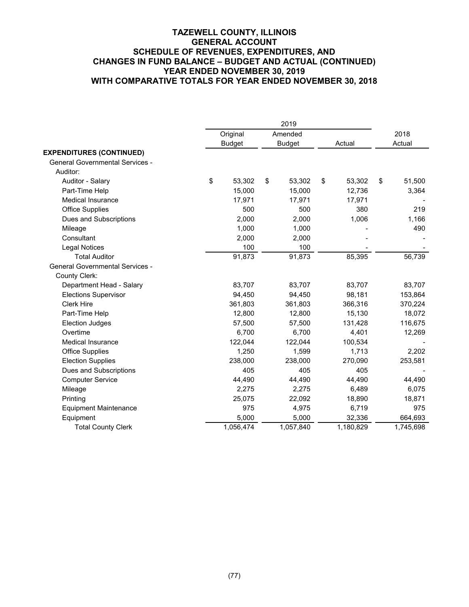|                                        |               | 2019          |              |    |           |
|----------------------------------------|---------------|---------------|--------------|----|-----------|
|                                        | Original      | Amended       |              |    | 2018      |
|                                        | <b>Budget</b> | <b>Budget</b> | Actual       |    | Actual    |
| <b>EXPENDITURES (CONTINUED)</b>        |               |               |              |    |           |
| <b>General Governmental Services -</b> |               |               |              |    |           |
| Auditor:                               |               |               |              |    |           |
| Auditor - Salary                       | \$<br>53,302  | \$<br>53,302  | \$<br>53,302 | \$ | 51,500    |
| Part-Time Help                         | 15,000        | 15,000        | 12,736       |    | 3,364     |
| Medical Insurance                      | 17,971        | 17,971        | 17,971       |    |           |
| <b>Office Supplies</b>                 | 500           | 500           | 380          |    | 219       |
| Dues and Subscriptions                 | 2,000         | 2,000         | 1,006        |    | 1,166     |
| Mileage                                | 1,000         | 1,000         |              |    | 490       |
| Consultant                             | 2,000         | 2,000         |              |    |           |
| <b>Legal Notices</b>                   | 100           | 100           |              |    |           |
| <b>Total Auditor</b>                   | 91,873        | 91,873        | 85,395       |    | 56,739    |
| <b>General Governmental Services -</b> |               |               |              |    |           |
| County Clerk:                          |               |               |              |    |           |
| Department Head - Salary               | 83,707        | 83,707        | 83,707       |    | 83,707    |
| <b>Elections Supervisor</b>            | 94,450        | 94,450        | 98,181       |    | 153,864   |
| <b>Clerk Hire</b>                      | 361,803       | 361,803       | 366,316      |    | 370,224   |
| Part-Time Help                         | 12,800        | 12,800        | 15,130       |    | 18,072    |
| <b>Election Judges</b>                 | 57,500        | 57,500        | 131,428      |    | 116,675   |
| Overtime                               | 6,700         | 6,700         | 4,401        |    | 12,269    |
| <b>Medical Insurance</b>               | 122,044       | 122,044       | 100,534      |    |           |
| <b>Office Supplies</b>                 | 1,250         | 1,599         | 1,713        |    | 2,202     |
| <b>Election Supplies</b>               | 238,000       | 238,000       | 270,090      |    | 253,581   |
| Dues and Subscriptions                 | 405           | 405           | 405          |    |           |
| <b>Computer Service</b>                | 44,490        | 44,490        | 44,490       |    | 44,490    |
| Mileage                                | 2,275         | 2,275         | 6,489        |    | 6,075     |
| Printing                               | 25,075        | 22,092        | 18,890       |    | 18,871    |
| <b>Equipment Maintenance</b>           | 975           | 4,975         | 6,719        |    | 975       |
| Equipment                              | 5,000         | 5,000         | 32,336       |    | 664,693   |
| <b>Total County Clerk</b>              | 1,056,474     | 1,057,840     | 1,180,829    |    | 1,745,698 |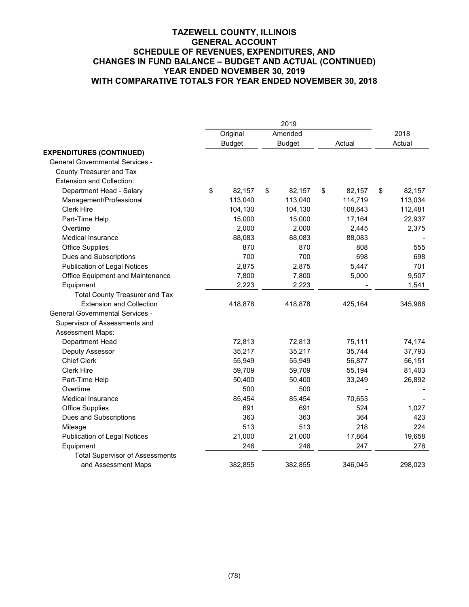|                                        | 2019          |    |               |    |         |    |         |
|----------------------------------------|---------------|----|---------------|----|---------|----|---------|
|                                        | Original      |    | Amended       |    |         |    | 2018    |
|                                        | <b>Budget</b> |    | <b>Budget</b> |    | Actual  |    | Actual  |
| <b>EXPENDITURES (CONTINUED)</b>        |               |    |               |    |         |    |         |
| <b>General Governmental Services -</b> |               |    |               |    |         |    |         |
| County Treasurer and Tax               |               |    |               |    |         |    |         |
| <b>Extension and Collection:</b>       |               |    |               |    |         |    |         |
| Department Head - Salary               | \$<br>82,157  | \$ | 82,157        | \$ | 82,157  | \$ | 82,157  |
| Management/Professional                | 113,040       |    | 113,040       |    | 114,719 |    | 113,034 |
| <b>Clerk Hire</b>                      | 104,130       |    | 104,130       |    | 108,643 |    | 112,481 |
| Part-Time Help                         | 15,000        |    | 15,000        |    | 17,164  |    | 22,937  |
| Overtime                               | 2,000         |    | 2,000         |    | 2,445   |    | 2,375   |
| <b>Medical Insurance</b>               | 88,083        |    | 88,083        |    | 88,083  |    |         |
| <b>Office Supplies</b>                 | 870           |    | 870           |    | 808     |    | 555     |
| Dues and Subscriptions                 | 700           |    | 700           |    | 698     |    | 698     |
| <b>Publication of Legal Notices</b>    | 2,875         |    | 2,875         |    | 5,447   |    | 701     |
| Office Equipment and Maintenance       | 7,800         |    | 7,800         |    | 5,000   |    | 9,507   |
| Equipment                              | 2,223         |    | 2,223         |    |         |    | 1,541   |
| <b>Total County Treasurer and Tax</b>  |               |    |               |    |         |    |         |
| <b>Extension and Collection</b>        | 418,878       |    | 418,878       |    | 425,164 |    | 345,986 |
| <b>General Governmental Services -</b> |               |    |               |    |         |    |         |
| Supervisor of Assessments and          |               |    |               |    |         |    |         |
| Assessment Maps:                       |               |    |               |    |         |    |         |
| Department Head                        | 72,813        |    | 72,813        |    | 75,111  |    | 74,174  |
| Deputy Assessor                        | 35,217        |    | 35,217        |    | 35,744  |    | 37,793  |
| <b>Chief Clerk</b>                     | 55,949        |    | 55,949        |    | 56,877  |    | 56,151  |
| <b>Clerk Hire</b>                      | 59,709        |    | 59,709        |    | 55,194  |    | 81,403  |
| Part-Time Help                         | 50,400        |    | 50,400        |    | 33,249  |    | 26,892  |
| Overtime                               | 500           |    | 500           |    |         |    |         |
| <b>Medical Insurance</b>               | 85,454        |    | 85,454        |    | 70,653  |    |         |
| <b>Office Supplies</b>                 | 691           |    | 691           |    | 524     |    | 1,027   |
| Dues and Subscriptions                 | 363           |    | 363           |    | 364     |    | 423     |
| Mileage                                | 513           |    | 513           |    | 218     |    | 224     |
| <b>Publication of Legal Notices</b>    | 21,000        |    | 21,000        |    | 17,864  |    | 19,658  |
| Equipment                              | 246           |    | 246           |    | 247     |    | 278     |
| <b>Total Supervisor of Assessments</b> |               |    |               |    |         |    |         |
| and Assessment Maps                    | 382,855       |    | 382,855       |    | 346,045 |    | 298,023 |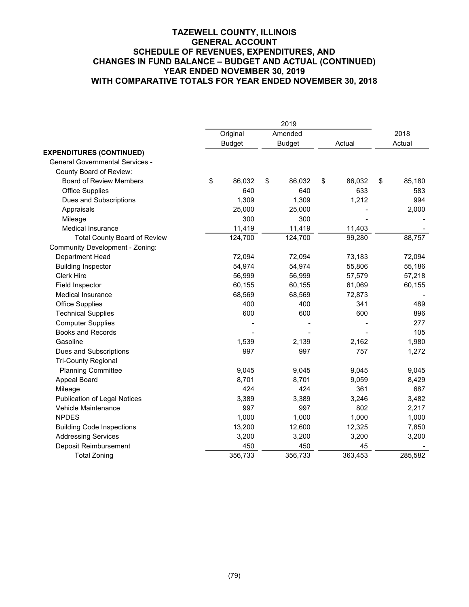|                                        |               | 2019          |              |              |
|----------------------------------------|---------------|---------------|--------------|--------------|
|                                        | Original      | Amended       |              | 2018         |
|                                        | <b>Budget</b> | <b>Budget</b> | Actual       | Actual       |
| <b>EXPENDITURES (CONTINUED)</b>        |               |               |              |              |
| <b>General Governmental Services -</b> |               |               |              |              |
| County Board of Review:                |               |               |              |              |
| <b>Board of Review Members</b>         | \$<br>86,032  | \$<br>86,032  | \$<br>86,032 | \$<br>85,180 |
| <b>Office Supplies</b>                 | 640           | 640           | 633          | 583          |
| Dues and Subscriptions                 | 1,309         | 1,309         | 1,212        | 994          |
| Appraisals                             | 25,000        | 25,000        |              | 2,000        |
| Mileage                                | 300           | 300           |              |              |
| <b>Medical Insurance</b>               | 11,419        | 11,419        | 11,403       |              |
| <b>Total County Board of Review</b>    | 124,700       | 124,700       | 99,280       | 88,757       |
| <b>Community Development - Zoning:</b> |               |               |              |              |
| Department Head                        | 72,094        | 72,094        | 73,183       | 72,094       |
| <b>Building Inspector</b>              | 54,974        | 54,974        | 55,806       | 55,186       |
| <b>Clerk Hire</b>                      | 56,999        | 56,999        | 57,579       | 57,218       |
| Field Inspector                        | 60,155        | 60,155        | 61,069       | 60,155       |
| <b>Medical Insurance</b>               | 68,569        | 68,569        | 72,873       |              |
| <b>Office Supplies</b>                 | 400           | 400           | 341          | 489          |
| <b>Technical Supplies</b>              | 600           | 600           | 600          | 896          |
| <b>Computer Supplies</b>               |               |               |              | 277          |
| <b>Books and Records</b>               |               |               |              | 105          |
| Gasoline                               | 1,539         | 2,139         | 2,162        | 1,980        |
| Dues and Subscriptions                 | 997           | 997           | 757          | 1,272        |
| <b>Tri-County Regional</b>             |               |               |              |              |
| <b>Planning Committee</b>              | 9,045         | 9,045         | 9,045        | 9,045        |
| Appeal Board                           | 8,701         | 8,701         | 9,059        | 8,429        |
| Mileage                                | 424           | 424           | 361          | 687          |
| <b>Publication of Legal Notices</b>    | 3,389         | 3,389         | 3,246        | 3,482        |
| Vehicle Maintenance                    | 997           | 997           | 802          | 2,217        |
| <b>NPDES</b>                           | 1,000         | 1,000         | 1,000        | 1,000        |
| <b>Building Code Inspections</b>       | 13,200        | 12,600        | 12,325       | 7,850        |
| <b>Addressing Services</b>             | 3,200         | 3,200         | 3,200        | 3,200        |
| Deposit Reimbursement                  | 450           | 450           | 45           |              |
| <b>Total Zoning</b>                    | 356,733       | 356,733       | 363,453      | 285,582      |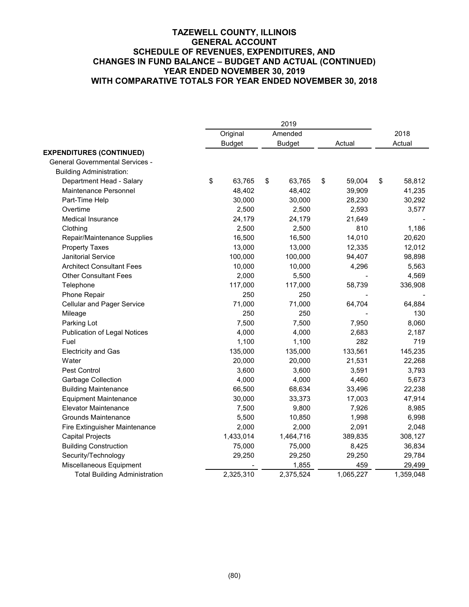|                                        |               | 2019          |              |              |
|----------------------------------------|---------------|---------------|--------------|--------------|
|                                        | Original      | Amended       |              | 2018         |
|                                        | <b>Budget</b> | <b>Budget</b> | Actual       | Actual       |
| <b>EXPENDITURES (CONTINUED)</b>        |               |               |              |              |
| <b>General Governmental Services -</b> |               |               |              |              |
| <b>Building Administration:</b>        |               |               |              |              |
| Department Head - Salary               | \$<br>63,765  | \$<br>63,765  | \$<br>59,004 | \$<br>58,812 |
| Maintenance Personnel                  | 48,402        | 48,402        | 39,909       | 41,235       |
| Part-Time Help                         | 30,000        | 30,000        | 28,230       | 30,292       |
| Overtime                               | 2,500         | 2,500         | 2,593        | 3,577        |
| Medical Insurance                      | 24,179        | 24,179        | 21,649       |              |
| Clothing                               | 2,500         | 2,500         | 810          | 1,186        |
| Repair/Maintenance Supplies            | 16,500        | 16,500        | 14,010       | 20,620       |
| <b>Property Taxes</b>                  | 13,000        | 13,000        | 12,335       | 12,012       |
| Janitorial Service                     | 100,000       | 100,000       | 94,407       | 98,898       |
| <b>Architect Consultant Fees</b>       | 10,000        | 10,000        | 4,296        | 5,563        |
| <b>Other Consultant Fees</b>           | 2,000         | 5,500         |              | 4,569        |
| Telephone                              | 117,000       | 117,000       | 58,739       | 336,908      |
| Phone Repair                           | 250           | 250           |              |              |
| <b>Cellular and Pager Service</b>      | 71,000        | 71,000        | 64,704       | 64,884       |
| Mileage                                | 250           | 250           |              | 130          |
| Parking Lot                            | 7,500         | 7,500         | 7,950        | 8,060        |
| <b>Publication of Legal Notices</b>    | 4,000         | 4,000         | 2,683        | 2,187        |
| Fuel                                   | 1,100         | 1,100         | 282          | 719          |
| <b>Electricity and Gas</b>             | 135,000       | 135,000       | 133,561      | 145,235      |
| Water                                  | 20,000        | 20,000        | 21,531       | 22,268       |
| Pest Control                           | 3,600         | 3,600         | 3,591        | 3,793        |
| Garbage Collection                     | 4,000         | 4,000         | 4,460        | 5,673        |
| <b>Building Maintenance</b>            | 66,500        | 68,634        | 33,496       | 22,238       |
| <b>Equipment Maintenance</b>           | 30,000        | 33,373        | 17,003       | 47,914       |
| <b>Elevator Maintenance</b>            | 7,500         | 9,800         | 7,926        | 8,985        |
| Grounds Maintenance                    | 5,500         | 10,850        | 1,998        | 6,998        |
| Fire Extinguisher Maintenance          | 2,000         | 2,000         | 2,091        | 2,048        |
| <b>Capital Projects</b>                | 1,433,014     | 1,464,716     | 389,835      | 308,127      |
| <b>Building Construction</b>           | 75,000        | 75,000        | 8,425        | 36,834       |
| Security/Technology                    | 29,250        | 29,250        | 29,250       | 29,784       |
| Miscellaneous Equipment                |               | 1,855         | 459          | 29,499       |
| <b>Total Building Administration</b>   | 2,325,310     | 2,375,524     | 1,065,227    | 1,359,048    |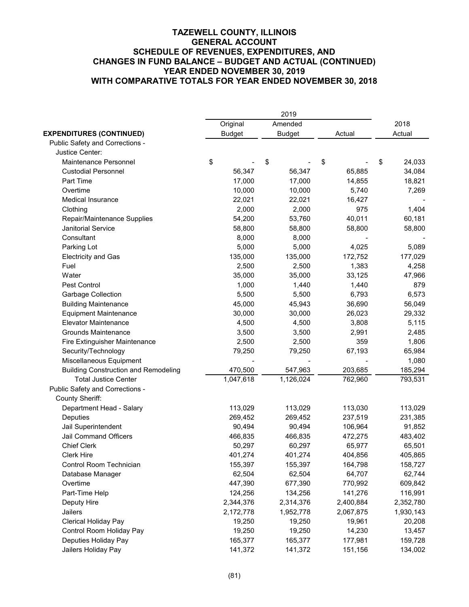|                                             | Original      | Amended       |           | 2018         |  |  |
|---------------------------------------------|---------------|---------------|-----------|--------------|--|--|
| <b>EXPENDITURES (CONTINUED)</b>             | <b>Budget</b> | <b>Budget</b> | Actual    | Actual       |  |  |
| Public Safety and Corrections -             |               |               |           |              |  |  |
| Justice Center:                             |               |               |           |              |  |  |
| Maintenance Personnel                       | \$            | \$            | \$        | \$<br>24,033 |  |  |
| <b>Custodial Personnel</b>                  | 56,347        | 56,347        | 65,885    | 34,084       |  |  |
| Part Time                                   | 17,000        | 17,000        | 14,855    | 18,821       |  |  |
| Overtime                                    | 10,000        | 10,000        | 5,740     | 7,269        |  |  |
| <b>Medical Insurance</b>                    | 22,021        | 22,021        | 16,427    |              |  |  |
| Clothing                                    | 2,000         | 2,000         | 975       | 1,404        |  |  |
| Repair/Maintenance Supplies                 | 54,200        | 53,760        | 40,011    | 60,181       |  |  |
| Janitorial Service                          | 58,800        | 58,800        | 58,800    | 58,800       |  |  |
| Consultant                                  | 8,000         | 8,000         |           |              |  |  |
| Parking Lot                                 | 5,000         | 5,000         | 4,025     | 5,089        |  |  |
| <b>Electricity and Gas</b>                  | 135,000       | 135,000       | 172,752   | 177,029      |  |  |
| Fuel                                        | 2,500         | 2,500         | 1,383     | 4,258        |  |  |
| Water                                       | 35,000        | 35,000        | 33,125    | 47,966       |  |  |
| Pest Control                                | 1,000         | 1,440         | 1,440     | 879          |  |  |
| Garbage Collection                          | 5,500         | 5,500         | 6,793     | 6,573        |  |  |
| <b>Building Maintenance</b>                 | 45,000        | 45,943        | 36,690    | 56,049       |  |  |
| <b>Equipment Maintenance</b>                | 30,000        | 30,000        | 26,023    | 29,332       |  |  |
| Elevator Maintenance                        | 4,500         | 4,500         | 3,808     | 5,115        |  |  |
| <b>Grounds Maintenance</b>                  | 3,500         | 3,500         | 2,991     | 2,485        |  |  |
| Fire Extinguisher Maintenance               | 2,500         | 2,500         | 359       | 1,806        |  |  |
| Security/Technology                         | 79,250        |               | 67,193    | 65,984       |  |  |
|                                             |               | 79,250        |           |              |  |  |
| Miscellaneous Equipment                     |               |               |           | 1,080        |  |  |
| <b>Building Construction and Remodeling</b> | 470,500       | 547,963       | 203,685   | 185,294      |  |  |
| <b>Total Justice Center</b>                 | 1,047,618     | 1,126,024     | 762,960   | 793,531      |  |  |
| Public Safety and Corrections -             |               |               |           |              |  |  |
| <b>County Sheriff:</b>                      |               |               |           |              |  |  |
| Department Head - Salary                    | 113,029       | 113,029       | 113,030   | 113,029      |  |  |
| <b>Deputies</b>                             | 269,452       | 269,452       | 237,519   | 231,385      |  |  |
| Jail Superintendent                         | 90,494        | 90,494        | 106,964   | 91,852       |  |  |
| <b>Jail Command Officers</b>                | 466,835       | 466,835       | 472,275   | 483,402      |  |  |
| <b>Chief Clerk</b>                          | 50,297        | 60,297        | 65,977    | 65,501       |  |  |
| Clerk Hire                                  | 401,274       | 401,274       | 404,856   | 405,865      |  |  |
| Control Room Technician                     | 155,397       | 155,397       | 164,798   | 158,727      |  |  |
| Database Manager                            | 62,504        | 62,504        | 64,707    | 62,744       |  |  |
| Overtime                                    | 447,390       | 677,390       | 770,992   | 609,842      |  |  |
| Part-Time Help                              | 124,256       | 134,256       | 141,276   | 116,991      |  |  |
| Deputy Hire                                 | 2,344,376     | 2,314,376     | 2,400,884 | 2,352,780    |  |  |
| Jailers                                     | 2,172,778     | 1,952,778     | 2,067,875 | 1,930,143    |  |  |
| Clerical Holiday Pay                        | 19,250        | 19,250        | 19,961    | 20,208       |  |  |
| Control Room Holiday Pay                    | 19,250        | 19,250        | 14,230    | 13,457       |  |  |
| Deputies Holiday Pay                        | 165,377       | 165,377       | 177,981   | 159,728      |  |  |
| Jailers Holiday Pay                         | 141,372       | 141,372       | 151,156   | 134,002      |  |  |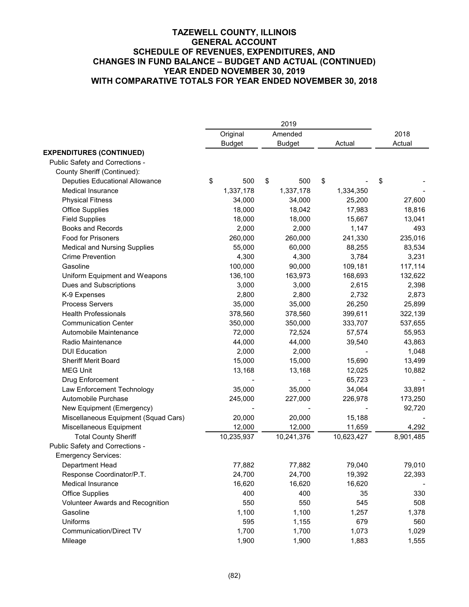|                                       |    | Original      | Amended       |            | 2018      |
|---------------------------------------|----|---------------|---------------|------------|-----------|
|                                       |    | <b>Budget</b> | <b>Budget</b> | Actual     | Actual    |
| <b>EXPENDITURES (CONTINUED)</b>       |    |               |               |            |           |
| Public Safety and Corrections -       |    |               |               |            |           |
| County Sheriff (Continued):           |    |               |               |            |           |
| <b>Deputies Educational Allowance</b> | \$ | 500           | \$<br>500     | \$         | \$        |
| <b>Medical Insurance</b>              |    | 1,337,178     | 1,337,178     | 1,334,350  |           |
| <b>Physical Fitness</b>               |    | 34,000        | 34,000        | 25,200     | 27,600    |
| <b>Office Supplies</b>                |    | 18,000        | 18,042        | 17,983     | 18,816    |
| <b>Field Supplies</b>                 |    | 18,000        | 18,000        | 15,667     | 13,041    |
| <b>Books and Records</b>              |    | 2,000         | 2,000         | 1,147      | 493       |
| <b>Food for Prisoners</b>             |    | 260,000       | 260,000       | 241,330    | 235,016   |
| <b>Medical and Nursing Supplies</b>   |    | 55,000        | 60,000        | 88,255     | 83,534    |
| <b>Crime Prevention</b>               |    | 4,300         | 4,300         | 3,784      | 3,231     |
| Gasoline                              |    | 100,000       | 90,000        | 109,181    | 117,114   |
| Uniform Equipment and Weapons         |    | 136,100       | 163,973       | 168,693    | 132,622   |
| Dues and Subscriptions                |    | 3,000         | 3,000         | 2,615      | 2,398     |
| K-9 Expenses                          |    | 2,800         | 2,800         | 2,732      | 2,873     |
| Process Servers                       |    | 35,000        | 35,000        | 26,250     | 25,899    |
| <b>Health Professionals</b>           |    | 378,560       | 378,560       | 399,611    | 322,139   |
| <b>Communication Center</b>           |    | 350,000       | 350,000       | 333,707    | 537,655   |
| Automobile Maintenance                |    | 72,000        | 72,524        | 57,574     | 55,953    |
| Radio Maintenance                     |    | 44,000        | 44,000        | 39,540     | 43,863    |
| <b>DUI Education</b>                  |    | 2,000         | 2,000         |            | 1,048     |
| <b>Sheriff Merit Board</b>            |    | 15,000        | 15,000        | 15,690     | 13,499    |
| <b>MEG Unit</b>                       |    | 13,168        | 13,168        | 12,025     | 10,882    |
| Drug Enforcement                      |    |               |               | 65,723     |           |
| Law Enforcement Technology            |    | 35,000        | 35,000        | 34,064     | 33,891    |
| Automobile Purchase                   |    | 245,000       | 227,000       | 226,978    | 173,250   |
| New Equipment (Emergency)             |    |               |               |            | 92,720    |
| Miscellaneous Equipment (Squad Cars)  |    | 20,000        | 20,000        | 15,188     |           |
| Miscellaneous Equipment               |    | 12,000        | 12,000        | 11,659     | 4,292     |
| <b>Total County Sheriff</b>           |    | 10,235,937    | 10,241,376    | 10,623,427 | 8,901,485 |
| Public Safety and Corrections -       |    |               |               |            |           |
| <b>Emergency Services:</b>            |    |               |               |            |           |
| Department Head                       |    | 77,882        | 77,882        | 79,040     | 79,010    |
| Response Coordinator/P.T.             |    | 24,700        | 24,700        | 19,392     | 22,393    |
| Medical Insurance                     |    | 16,620        | 16,620        | 16,620     |           |
| <b>Office Supplies</b>                |    | 400           | 400           | 35         | 330       |
| Volunteer Awards and Recognition      |    | 550           | 550           | 545        | 508       |
| Gasoline                              |    | 1,100         | 1,100         | 1,257      | 1,378     |
| Uniforms                              |    | 595           | 1,155         | 679        | 560       |
| <b>Communication/Direct TV</b>        |    | 1,700         | 1,700         | 1,073      | 1,029     |
| Mileage                               |    | 1,900         | 1,900         | 1,883      | 1,555     |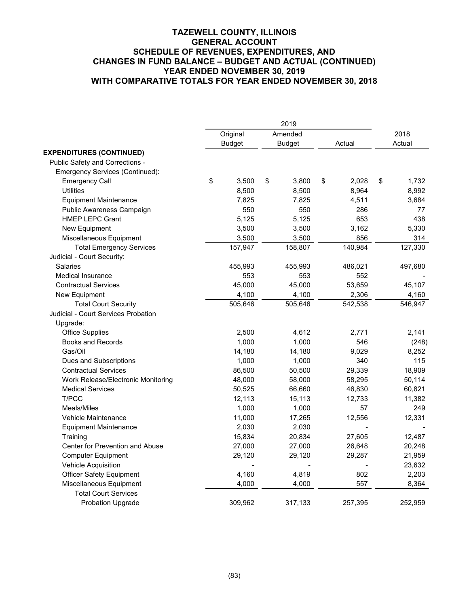|                                        |               | 2019          |             |             |
|----------------------------------------|---------------|---------------|-------------|-------------|
|                                        | Original      | Amended       |             | 2018        |
|                                        | <b>Budget</b> | <b>Budget</b> | Actual      | Actual      |
| <b>EXPENDITURES (CONTINUED)</b>        |               |               |             |             |
| Public Safety and Corrections -        |               |               |             |             |
| <b>Emergency Services (Continued):</b> |               |               |             |             |
| <b>Emergency Call</b>                  | \$<br>3,500   | \$<br>3,800   | \$<br>2,028 | \$<br>1,732 |
| <b>Utilities</b>                       | 8,500         | 8,500         | 8,964       | 8,992       |
| <b>Equipment Maintenance</b>           | 7,825         | 7,825         | 4,511       | 3,684       |
| Public Awareness Campaign              | 550           | 550           | 286         | 77          |
| <b>HMEP LEPC Grant</b>                 | 5,125         | 5,125         | 653         | 438         |
| New Equipment                          | 3,500         | 3,500         | 3,162       | 5,330       |
| Miscellaneous Equipment                | 3,500         | 3,500         | 856         | 314         |
| <b>Total Emergency Services</b>        | 157,947       | 158,807       | 140,984     | 127,330     |
| Judicial - Court Security:             |               |               |             |             |
| <b>Salaries</b>                        | 455,993       | 455,993       | 486,021     | 497,680     |
| <b>Medical Insurance</b>               | 553           | 553           | 552         |             |
| <b>Contractual Services</b>            | 45,000        | 45,000        | 53,659      | 45,107      |
| New Equipment                          | 4,100         | 4,100         | 2,306       | 4,160       |
| <b>Total Court Security</b>            | 505,646       | 505,646       | 542,538     | 546,947     |
| Judicial - Court Services Probation    |               |               |             |             |
| Upgrade:                               |               |               |             |             |
| <b>Office Supplies</b>                 | 2,500         | 4,612         | 2,771       | 2,141       |
| <b>Books and Records</b>               | 1,000         | 1,000         | 546         | (248)       |
| Gas/Oil                                | 14,180        | 14,180        | 9,029       | 8,252       |
| Dues and Subscriptions                 | 1,000         | 1,000         | 340         | 115         |
| <b>Contractual Services</b>            | 86,500        | 50,500        | 29,339      | 18,909      |
| Work Release/Electronic Monitoring     | 48,000        | 58,000        | 58,295      | 50,114      |
| <b>Medical Services</b>                | 50,525        | 66,660        | 46,830      | 60,821      |
| T/PCC                                  | 12,113        | 15,113        | 12,733      | 11,382      |
| Meals/Miles                            | 1,000         | 1,000         | 57          | 249         |
| Vehicle Maintenance                    | 11,000        | 17,265        | 12,556      | 12,331      |
| <b>Equipment Maintenance</b>           | 2,030         | 2,030         |             |             |
| Training                               | 15,834        | 20,834        | 27,605      | 12,487      |
| Center for Prevention and Abuse        | 27,000        | 27,000        | 26,648      | 20,248      |
| <b>Computer Equipment</b>              | 29,120        | 29,120        | 29,287      | 21,959      |
| Vehicle Acquisition                    |               |               |             | 23,632      |
| <b>Officer Safety Equipment</b>        | 4,160         | 4,819         | 802         | 2,203       |
| Miscellaneous Equipment                | 4,000         | 4,000         | 557         | 8,364       |
| <b>Total Court Services</b>            |               |               |             |             |
| <b>Probation Upgrade</b>               | 309,962       | 317,133       | 257,395     | 252,959     |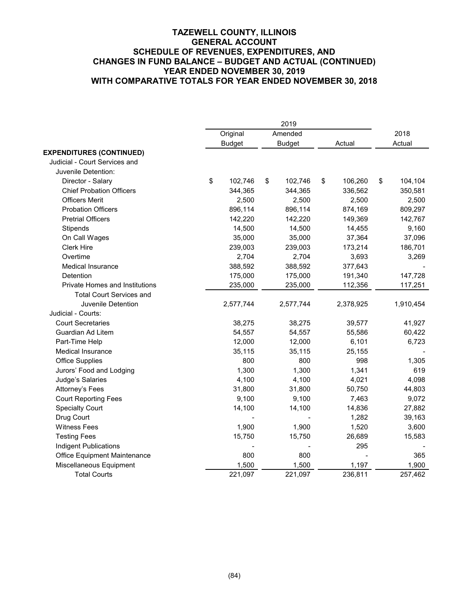|                                       |               | 2019          |               |               |  |  |  |  |  |
|---------------------------------------|---------------|---------------|---------------|---------------|--|--|--|--|--|
|                                       | Original      | Amended       |               | 2018          |  |  |  |  |  |
|                                       | <b>Budget</b> | <b>Budget</b> | Actual        | Actual        |  |  |  |  |  |
| <b>EXPENDITURES (CONTINUED)</b>       |               |               |               |               |  |  |  |  |  |
| Judicial - Court Services and         |               |               |               |               |  |  |  |  |  |
| Juvenile Detention:                   |               |               |               |               |  |  |  |  |  |
| Director - Salary                     | \$<br>102,746 | \$<br>102,746 | \$<br>106,260 | \$<br>104,104 |  |  |  |  |  |
| <b>Chief Probation Officers</b>       | 344,365       | 344,365       | 336,562       | 350,581       |  |  |  |  |  |
| <b>Officers Merit</b>                 | 2,500         | 2,500         | 2,500         | 2,500         |  |  |  |  |  |
| <b>Probation Officers</b>             | 896,114       | 896,114       | 874,169       | 809,297       |  |  |  |  |  |
| <b>Pretrial Officers</b>              | 142,220       | 142,220       | 149,369       | 142,767       |  |  |  |  |  |
| Stipends                              | 14,500        | 14,500        | 14,455        | 9,160         |  |  |  |  |  |
| On Call Wages                         | 35,000        | 35,000        | 37,364        | 37,096        |  |  |  |  |  |
| Clerk Hire                            | 239,003       | 239,003       | 173,214       | 186,701       |  |  |  |  |  |
| Overtime                              | 2,704         | 2,704         | 3,693         | 3,269         |  |  |  |  |  |
| <b>Medical Insurance</b>              | 388,592       | 388,592       | 377,643       |               |  |  |  |  |  |
| Detention                             | 175,000       | 175,000       | 191,340       | 147,728       |  |  |  |  |  |
| <b>Private Homes and Institutions</b> | 235,000       | 235,000       | 112,356       | 117,251       |  |  |  |  |  |
| <b>Total Court Services and</b>       |               |               |               |               |  |  |  |  |  |
| Juvenile Detention                    | 2,577,744     | 2,577,744     | 2,378,925     | 1,910,454     |  |  |  |  |  |
| Judicial - Courts:                    |               |               |               |               |  |  |  |  |  |
| <b>Court Secretaries</b>              | 38,275        | 38,275        | 39,577        | 41,927        |  |  |  |  |  |
| Guardian Ad Litem                     | 54,557        | 54,557        | 55,586        | 60,422        |  |  |  |  |  |
| Part-Time Help                        | 12,000        | 12,000        | 6,101         | 6,723         |  |  |  |  |  |
| <b>Medical Insurance</b>              | 35,115        | 35,115        | 25,155        |               |  |  |  |  |  |
| <b>Office Supplies</b>                | 800           | 800           | 998           | 1,305         |  |  |  |  |  |
| Jurors' Food and Lodging              | 1,300         | 1,300         | 1,341         | 619           |  |  |  |  |  |
| Judge's Salaries                      | 4,100         | 4,100         | 4,021         | 4,098         |  |  |  |  |  |
| Attorney's Fees                       | 31,800        | 31,800        | 50,750        | 44,803        |  |  |  |  |  |
| <b>Court Reporting Fees</b>           | 9,100         | 9,100         | 7,463         | 9,072         |  |  |  |  |  |
| <b>Specialty Court</b>                | 14,100        | 14,100        | 14,836        | 27,882        |  |  |  |  |  |
| Drug Court                            |               |               | 1,282         | 39,163        |  |  |  |  |  |
| <b>Witness Fees</b>                   | 1,900         | 1,900         | 1,520         | 3,600         |  |  |  |  |  |
| <b>Testing Fees</b>                   | 15,750        | 15,750        | 26,689        | 15,583        |  |  |  |  |  |
| Indigent Publications                 |               |               | 295           |               |  |  |  |  |  |
| Office Equipment Maintenance          | 800           | 800           |               | 365           |  |  |  |  |  |
| Miscellaneous Equipment               | 1,500         | 1,500         | 1,197         | 1,900         |  |  |  |  |  |
| <b>Total Courts</b>                   | 221,097       | 221,097       | 236,811       | 257,462       |  |  |  |  |  |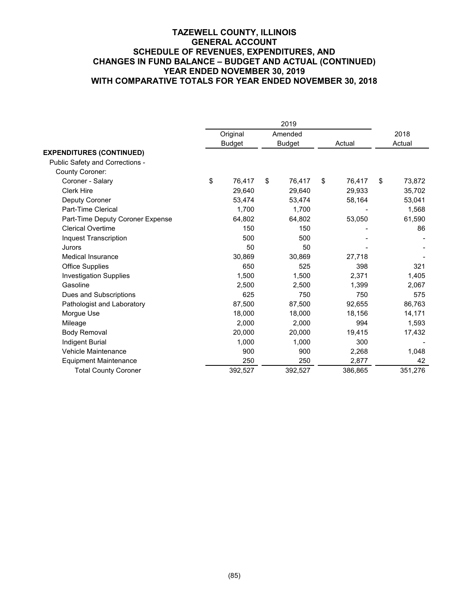|                                        |    | Original      |               | Amended |        |         |        | 2018    |
|----------------------------------------|----|---------------|---------------|---------|--------|---------|--------|---------|
|                                        |    | <b>Budget</b> | <b>Budget</b> |         | Actual |         | Actual |         |
| <b>EXPENDITURES (CONTINUED)</b>        |    |               |               |         |        |         |        |         |
| <b>Public Safety and Corrections -</b> |    |               |               |         |        |         |        |         |
| <b>County Coroner:</b>                 |    |               |               |         |        |         |        |         |
| Coroner - Salary                       | \$ | 76.417        | \$            | 76.417  | \$     | 76.417  | \$     | 73,872  |
| <b>Clerk Hire</b>                      |    | 29,640        |               | 29,640  |        | 29,933  |        | 35,702  |
| Deputy Coroner                         |    | 53,474        |               | 53,474  |        | 58,164  |        | 53,041  |
| Part-Time Clerical                     |    | 1,700         |               | 1,700   |        |         |        | 1,568   |
| Part-Time Deputy Coroner Expense       |    | 64,802        |               | 64,802  |        | 53,050  |        | 61,590  |
| <b>Clerical Overtime</b>               |    | 150           |               | 150     |        |         |        | 86      |
| <b>Inquest Transcription</b>           |    | 500           |               | 500     |        |         |        |         |
| Jurors                                 |    | 50            |               | 50      |        |         |        |         |
| <b>Medical Insurance</b>               |    | 30,869        |               | 30,869  |        | 27,718  |        |         |
| <b>Office Supplies</b>                 |    | 650           |               | 525     |        | 398     |        | 321     |
| <b>Investigation Supplies</b>          |    | 1,500         |               | 1,500   |        | 2,371   |        | 1,405   |
| Gasoline                               |    | 2,500         |               | 2,500   |        | 1,399   |        | 2,067   |
| Dues and Subscriptions                 |    | 625           |               | 750     |        | 750     |        | 575     |
| Pathologist and Laboratory             |    | 87,500        |               | 87,500  |        | 92,655  |        | 86,763  |
| Morque Use                             |    | 18,000        |               | 18,000  |        | 18,156  |        | 14,171  |
| Mileage                                |    | 2,000         |               | 2,000   |        | 994     |        | 1,593   |
| <b>Body Removal</b>                    |    | 20,000        |               | 20,000  |        | 19,415  |        | 17,432  |
| <b>Indigent Burial</b>                 |    | 1,000         |               | 1,000   |        | 300     |        |         |
| Vehicle Maintenance                    |    | 900           |               | 900     |        | 2,268   |        | 1,048   |
| <b>Equipment Maintenance</b>           |    | 250           |               | 250     |        | 2,877   |        | 42      |
| <b>Total County Coroner</b>            |    | 392,527       |               | 392,527 |        | 386,865 |        | 351,276 |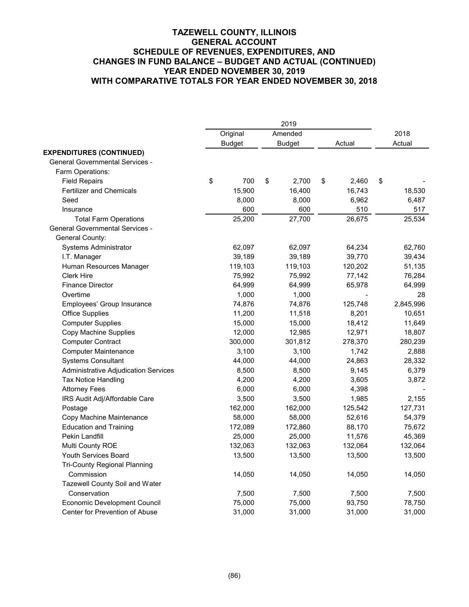|                                        | 2019 |               |         |               |    |         |    |           |  |
|----------------------------------------|------|---------------|---------|---------------|----|---------|----|-----------|--|
|                                        |      | Original      | Amended |               |    |         |    | 2018      |  |
|                                        |      | <b>Budget</b> |         | <b>Budget</b> |    | Actual  |    | Actual    |  |
| <b>EXPENDITURES (CONTINUED)</b>        |      |               |         |               |    |         |    |           |  |
| <b>General Governmental Services -</b> |      |               |         |               |    |         |    |           |  |
| Farm Operations:                       |      |               |         |               |    |         |    |           |  |
| <b>Field Repairs</b>                   | \$   | 700           | \$      | 2.700         | \$ | 2.460   | \$ |           |  |
| <b>Fertilizer and Chemicals</b>        |      | 15,900        |         | 16,400        |    | 16,743  |    | 18,530    |  |
| Seed                                   |      | 8,000         |         | 8,000         |    | 6,962   |    | 6,487     |  |
| Insurance                              |      | 600           |         | 600           |    | 510     |    | 517       |  |
| <b>Total Farm Operations</b>           |      | 25,200        |         | 27,700        |    | 26,675  |    | 25,534    |  |
| <b>General Governmental Services -</b> |      |               |         |               |    |         |    |           |  |
| General County:                        |      |               |         |               |    |         |    |           |  |
| <b>Systems Administrator</b>           |      | 62,097        |         | 62,097        |    | 64,234  |    | 62,760    |  |
| I.T. Manager                           |      | 39,189        |         | 39,189        |    | 39,770  |    | 39,434    |  |
| Human Resources Manager                |      | 119,103       |         | 119,103       |    | 120,202 |    | 51,135    |  |
| <b>Clerk Hire</b>                      |      | 75,992        |         | 75,992        |    | 77,142  |    | 76,284    |  |
| <b>Finance Director</b>                |      | 64,999        |         | 64,999        |    | 65,978  |    | 64,999    |  |
| Overtime                               |      | 1,000         |         | 1,000         |    |         |    | 28        |  |
| Employees' Group Insurance             |      | 74,876        |         | 74,876        |    | 125,748 |    | 2,845,996 |  |
| <b>Office Supplies</b>                 |      | 11,200        |         | 11,518        |    | 8,201   |    | 10,651    |  |
| <b>Computer Supplies</b>               |      | 15,000        |         | 15,000        |    | 18,412  |    | 11,649    |  |
| Copy Machine Supplies                  |      | 12,000        |         | 12,985        |    | 12,971  |    | 18,807    |  |
| <b>Computer Contract</b>               |      | 300,000       |         | 301,812       |    | 278,370 |    | 280,239   |  |
| <b>Computer Maintenance</b>            |      | 3,100         |         | 3,100         |    | 1,742   |    | 2,888     |  |
| <b>Systems Consultant</b>              |      | 44,000        |         | 44,000        |    | 24,863  |    | 28,332    |  |
| Administrative Adjudication Services   |      | 8,500         |         | 8,500         |    | 9,145   |    | 6,379     |  |
| Tax Notice Handling                    |      | 4,200         |         | 4,200         |    | 3,605   |    | 3,872     |  |
| <b>Attorney Fees</b>                   |      | 6,000         |         | 6,000         |    | 4,398   |    |           |  |
| IRS Audit Adj/Affordable Care          |      | 3,500         |         | 3,500         |    | 1,985   |    | 2,155     |  |
| Postage                                |      | 162,000       |         | 162,000       |    | 125,542 |    | 127,731   |  |
| Copy Machine Maintenance               |      | 58,000        |         | 58,000        |    | 52,616  |    | 54,379    |  |
| <b>Education and Training</b>          |      | 172,089       |         | 172,860       |    | 88,170  |    | 75,672    |  |
| Pekin Landfill                         |      | 25,000        |         | 25,000        |    | 11,576  |    | 45,369    |  |
| Multi County ROE                       |      | 132,063       |         | 132,063       |    | 132,064 |    | 132,064   |  |
| <b>Youth Services Board</b>            |      | 13,500        |         | 13,500        |    | 13,500  |    | 13,500    |  |
| <b>Tri-County Regional Planning</b>    |      |               |         |               |    |         |    |           |  |
| Commission                             |      | 14,050        |         | 14,050        |    | 14,050  |    | 14,050    |  |
| Tazewell County Soil and Water         |      |               |         |               |    |         |    |           |  |
| Conservation                           |      | 7,500         |         | 7,500         |    | 7,500   |    | 7,500     |  |
| <b>Economic Development Council</b>    |      | 75,000        |         | 75,000        |    | 93,750  |    | 78,750    |  |
| Center for Prevention of Abuse         |      | 31,000        |         | 31,000        |    | 31,000  |    | 31,000    |  |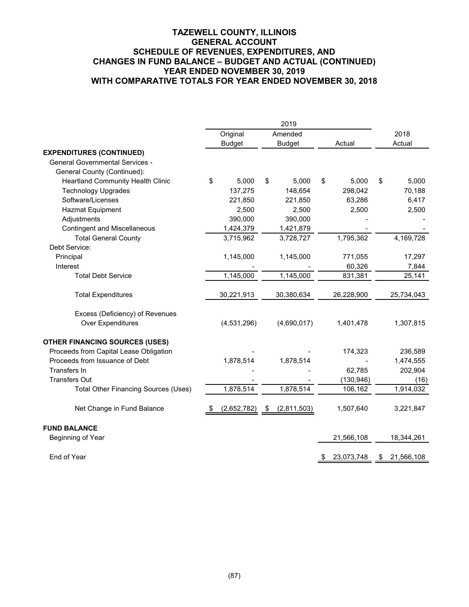|                                             | 2019          |             |    |               |        |            |    |            |
|---------------------------------------------|---------------|-------------|----|---------------|--------|------------|----|------------|
|                                             |               | Original    |    | Amended       |        |            |    | 2018       |
|                                             | <b>Budget</b> |             |    | <b>Budget</b> | Actual |            |    | Actual     |
| <b>EXPENDITURES (CONTINUED)</b>             |               |             |    |               |        |            |    |            |
| <b>General Governmental Services -</b>      |               |             |    |               |        |            |    |            |
| General County (Continued):                 |               |             |    |               |        |            |    |            |
| <b>Heartland Community Health Clinic</b>    | \$            | 5,000       | \$ | 5,000         | \$     | 5,000      | \$ | 5,000      |
| <b>Technology Upgrades</b>                  |               | 137,275     |    | 148,654       |        | 298,042    |    | 70,188     |
| Software/Licenses                           |               | 221,850     |    | 221,850       |        | 63,286     |    | 6,417      |
| <b>Hazmat Equipment</b>                     |               | 2,500       |    | 2,500         |        | 2,500      |    | 2,500      |
| Adjustments                                 |               | 390,000     |    | 390,000       |        |            |    |            |
| <b>Contingent and Miscellaneous</b>         |               | 1,424,379   |    | 1,421,879     |        |            |    |            |
| <b>Total General County</b>                 |               | 3,715,962   |    | 3,728,727     |        | 1,795,362  |    | 4,169,728  |
| Debt Service:                               |               |             |    |               |        |            |    |            |
| Principal                                   |               | 1,145,000   |    | 1,145,000     |        | 771,055    |    | 17,297     |
| Interest                                    |               |             |    |               |        | 60,326     |    | 7,844      |
| <b>Total Debt Service</b>                   |               | 1,145,000   |    | 1,145,000     |        | 831,381    |    | 25,141     |
| <b>Total Expenditures</b>                   |               | 30,221,913  |    | 30,380,634    |        | 26,228,900 |    | 25,734,043 |
| Excess (Deficiency) of Revenues             |               |             |    |               |        |            |    |            |
| <b>Over Expenditures</b>                    |               | (4,531,296) |    | (4,690,017)   |        | 1,401,478  |    | 1,307,815  |
| <b>OTHER FINANCING SOURCES (USES)</b>       |               |             |    |               |        |            |    |            |
| Proceeds from Capital Lease Obligation      |               |             |    |               |        | 174,323    |    | 236,589    |
| Proceeds from Issuance of Debt              |               | 1,878,514   |    | 1,878,514     |        |            |    | 1,474,555  |
| <b>Transfers In</b>                         |               |             |    |               |        | 62,785     |    | 202,904    |
| <b>Transfers Out</b>                        |               |             |    |               |        | (130, 946) |    | (16)       |
| <b>Total Other Financing Sources (Uses)</b> |               | 1,878,514   |    | 1,878,514     |        | 106,162    |    | 1,914,032  |
| Net Change in Fund Balance                  | \$            | (2,652,782) | \$ | (2,811,503)   |        | 1,507,640  |    | 3,221,847  |
| <b>FUND BALANCE</b>                         |               |             |    |               |        |            |    |            |
| Beginning of Year                           |               |             |    |               |        | 21,566,108 |    | 18,344,261 |
| End of Year                                 |               |             |    |               | \$     | 23,073,748 | \$ | 21,566,108 |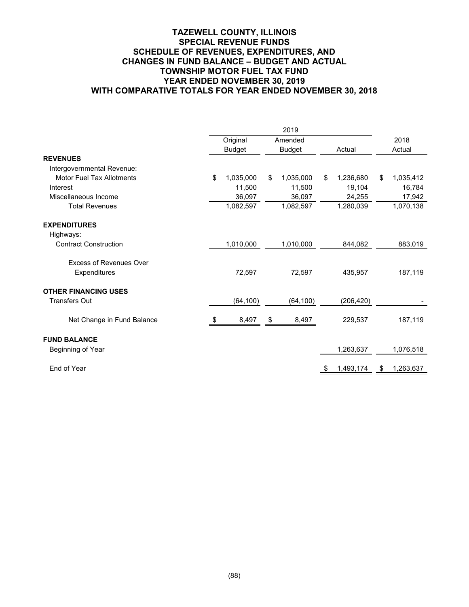## **TAZEWELL COUNTY, ILLINOIS SPECIAL REVENUE FUNDS SCHEDULE OF REVENUES, EXPENDITURES, AND CHANGES IN FUND BALANCE – BUDGET AND ACTUAL TOWNSHIP MOTOR FUEL TAX FUND YEAR ENDED NOVEMBER 30, 2019 WITH COMPARATIVE TOTALS FOR YEAR ENDED NOVEMBER 30, 2018**

|                                  | 2019            |     |               |        |            |        |           |  |
|----------------------------------|-----------------|-----|---------------|--------|------------|--------|-----------|--|
|                                  | Original        |     | Amended       | Actual |            |        | 2018      |  |
|                                  | <b>Budget</b>   |     | <b>Budget</b> |        |            | Actual |           |  |
| <b>REVENUES</b>                  |                 |     |               |        |            |        |           |  |
| Intergovernmental Revenue:       |                 |     |               |        |            |        |           |  |
| <b>Motor Fuel Tax Allotments</b> | \$<br>1,035,000 | \$  | 1,035,000     | \$     | 1,236,680  | \$     | 1,035,412 |  |
| Interest                         | 11,500          |     | 11,500        |        | 19,104     |        | 16,784    |  |
| Miscellaneous Income             | 36,097          |     | 36,097        |        | 24,255     |        | 17,942    |  |
| <b>Total Revenues</b>            | 1,082,597       |     | 1,082,597     |        | 1,280,039  |        | 1,070,138 |  |
| <b>EXPENDITURES</b>              |                 |     |               |        |            |        |           |  |
| Highways:                        |                 |     |               |        |            |        |           |  |
| <b>Contract Construction</b>     | 1,010,000       |     | 1,010,000     |        | 844,082    |        | 883,019   |  |
| <b>Excess of Revenues Over</b>   |                 |     |               |        |            |        |           |  |
| Expenditures                     | 72,597          |     | 72,597        |        | 435,957    |        | 187,119   |  |
| <b>OTHER FINANCING USES</b>      |                 |     |               |        |            |        |           |  |
| <b>Transfers Out</b>             | (64, 100)       |     | (64, 100)     |        | (206, 420) |        |           |  |
| Net Change in Fund Balance       | 8,497           | -\$ | 8,497         |        | 229,537    |        | 187,119   |  |
| <b>FUND BALANCE</b>              |                 |     |               |        |            |        |           |  |
| Beginning of Year                |                 |     |               |        | 1,263,637  |        | 1,076,518 |  |
| End of Year                      |                 |     |               |        | 1,493,174  | \$     | 1,263,637 |  |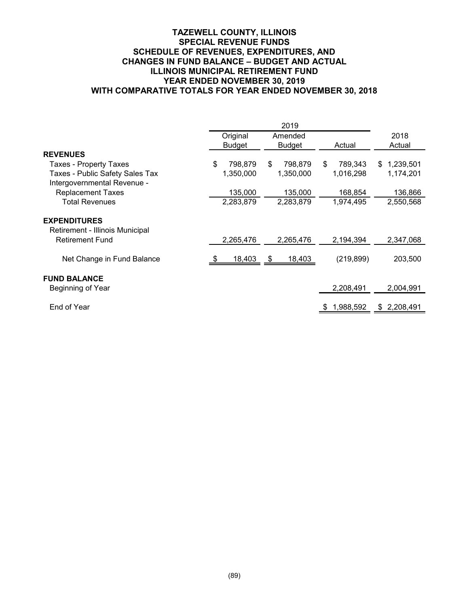## **TAZEWELL COUNTY, ILLINOIS SPECIAL REVENUE FUNDS SCHEDULE OF REVENUES, EXPENDITURES, AND CHANGES IN FUND BALANCE – BUDGET AND ACTUAL ILLINOIS MUNICIPAL RETIREMENT FUND YEAR ENDED NOVEMBER 30, 2019 WITH COMPARATIVE TOTALS FOR YEAR ENDED NOVEMBER 30, 2018**

|                                                                | Original      | Amended       |               | 2018            |
|----------------------------------------------------------------|---------------|---------------|---------------|-----------------|
|                                                                | <b>Budget</b> | <b>Budget</b> | Actual        | Actual          |
| <b>REVENUES</b>                                                |               |               |               |                 |
| <b>Taxes - Property Taxes</b>                                  | \$<br>798,879 | \$<br>798,879 | 789,343<br>\$ | 1,239,501<br>S. |
| Taxes - Public Safety Sales Tax<br>Intergovernmental Revenue - | 1,350,000     | 1,350,000     | 1,016,298     | 1,174,201       |
| <b>Replacement Taxes</b>                                       | 135,000       | 135,000       | 168,854       | 136,866         |
| <b>Total Revenues</b>                                          | 2,283,879     | 2,283,879     | 1,974,495     | 2,550,568       |
| <b>EXPENDITURES</b><br>Retirement - Illinois Municipal         |               |               |               |                 |
| <b>Retirement Fund</b>                                         | 2,265,476     | 2,265,476     | 2,194,394     | 2,347,068       |
| Net Change in Fund Balance                                     | 18,403        | 18,403<br>\$  | (219, 899)    | 203,500         |
| <b>FUND BALANCE</b>                                            |               |               |               |                 |
| Beginning of Year                                              |               |               | 2,208,491     | 2,004,991       |
| End of Year                                                    |               |               | 1,988,592     | 2,208,491<br>S  |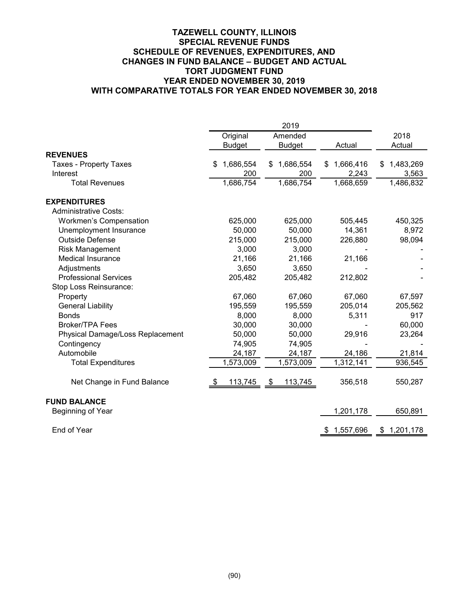## **TAZEWELL COUNTY, ILLINOIS SPECIAL REVENUE FUNDS SCHEDULE OF REVENUES, EXPENDITURES, AND CHANGES IN FUND BALANCE – BUDGET AND ACTUAL TORT JUDGMENT FUND YEAR ENDED NOVEMBER 30, 2019 WITH COMPARATIVE TOTALS FOR YEAR ENDED NOVEMBER 30, 2018**

|                                  |      | Original      |     | Amended       |                 | 2018            |
|----------------------------------|------|---------------|-----|---------------|-----------------|-----------------|
|                                  |      | <b>Budget</b> |     | <b>Budget</b> | Actual          | Actual          |
| <b>REVENUES</b>                  |      |               |     |               |                 |                 |
| <b>Taxes - Property Taxes</b>    | \$   | 1,686,554     | \$. | 1,686,554     | \$<br>1,666,416 | \$<br>1,483,269 |
| Interest                         |      | 200           |     | 200           | 2,243           | 3,563           |
| <b>Total Revenues</b>            |      | 1,686,754     |     | 1,686,754     | 1,668,659       | 1,486,832       |
| <b>EXPENDITURES</b>              |      |               |     |               |                 |                 |
| <b>Administrative Costs:</b>     |      |               |     |               |                 |                 |
| Workmen's Compensation           |      | 625,000       |     | 625,000       | 505,445         | 450,325         |
| Unemployment Insurance           |      | 50,000        |     | 50,000        | 14,361          | 8,972           |
| <b>Outside Defense</b>           |      | 215,000       |     | 215,000       | 226,880         | 98,094          |
| <b>Risk Management</b>           |      | 3,000         |     | 3,000         |                 |                 |
| <b>Medical Insurance</b>         |      | 21,166        |     | 21,166        | 21,166          |                 |
| Adjustments                      |      | 3,650         |     | 3,650         |                 |                 |
| <b>Professional Services</b>     |      | 205,482       |     | 205,482       | 212,802         |                 |
| Stop Loss Reinsurance:           |      |               |     |               |                 |                 |
| Property                         |      | 67,060        |     | 67,060        | 67,060          | 67,597          |
| <b>General Liability</b>         |      | 195,559       |     | 195,559       | 205,014         | 205,562         |
| <b>Bonds</b>                     |      | 8,000         |     | 8,000         | 5,311           | 917             |
| <b>Broker/TPA Fees</b>           |      | 30,000        |     | 30,000        |                 | 60,000          |
| Physical Damage/Loss Replacement |      | 50,000        |     | 50,000        | 29,916          | 23,264          |
| Contingency                      |      | 74,905        |     | 74,905        |                 |                 |
| Automobile                       |      | 24,187        |     | 24,187        | 24,186          | 21,814          |
| <b>Total Expenditures</b>        |      | 1,573,009     |     | 1,573,009     | 1,312,141       | 936,545         |
| Net Change in Fund Balance       | - \$ | 113,745       | \$  | 113,745       | 356,518         | 550,287         |
| <b>FUND BALANCE</b>              |      |               |     |               |                 |                 |
| Beginning of Year                |      |               |     |               | 1,201,178       | 650,891         |
| End of Year                      |      |               |     |               | \$<br>1,557,696 | \$<br>1,201,178 |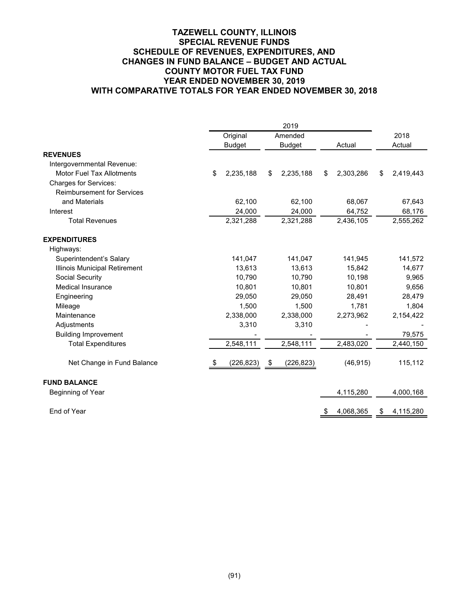## **TAZEWELL COUNTY, ILLINOIS SPECIAL REVENUE FUNDS SCHEDULE OF REVENUES, EXPENDITURES, AND CHANGES IN FUND BALANCE – BUDGET AND ACTUAL COUNTY MOTOR FUEL TAX FUND YEAR ENDED NOVEMBER 30, 2019 WITH COMPARATIVE TOTALS FOR YEAR ENDED NOVEMBER 30, 2018**

|                                   | 2019            |    |               |    |           |    |           |
|-----------------------------------|-----------------|----|---------------|----|-----------|----|-----------|
|                                   | Original        |    | Amended       |    |           |    | 2018      |
|                                   | <b>Budget</b>   |    | <b>Budget</b> |    | Actual    |    | Actual    |
| <b>REVENUES</b>                   |                 |    |               |    |           |    |           |
| Intergovernmental Revenue:        |                 |    |               |    |           |    |           |
| <b>Motor Fuel Tax Allotments</b>  | \$<br>2,235,188 | \$ | 2,235,188     | \$ | 2,303,286 | \$ | 2,419,443 |
| <b>Charges for Services:</b>      |                 |    |               |    |           |    |           |
| <b>Reimbursement for Services</b> |                 |    |               |    |           |    |           |
| and Materials                     | 62,100          |    | 62,100        |    | 68,067    |    | 67,643    |
| Interest                          | 24,000          |    | 24,000        |    | 64,752    |    | 68,176    |
| <b>Total Revenues</b>             | 2,321,288       |    | 2,321,288     |    | 2,436,105 |    | 2,555,262 |
| <b>EXPENDITURES</b>               |                 |    |               |    |           |    |           |
| Highways:                         |                 |    |               |    |           |    |           |
| Superintendent's Salary           | 141,047         |    | 141,047       |    | 141,945   |    | 141,572   |
| Illinois Municipal Retirement     | 13,613          |    | 13,613        |    | 15,842    |    | 14,677    |
| Social Security                   | 10,790          |    | 10,790        |    | 10,198    |    | 9,965     |
| <b>Medical Insurance</b>          | 10,801          |    | 10,801        |    | 10,801    |    | 9,656     |
| Engineering                       | 29,050          |    | 29,050        |    | 28,491    |    | 28,479    |
| Mileage                           | 1,500           |    | 1,500         |    | 1,781     |    | 1,804     |
| Maintenance                       | 2,338,000       |    | 2,338,000     |    | 2,273,962 |    | 2,154,422 |
| Adjustments                       | 3,310           |    | 3,310         |    |           |    |           |
| <b>Building Improvement</b>       |                 |    |               |    |           |    | 79,575    |
| <b>Total Expenditures</b>         | 2,548,111       |    | 2,548,111     |    | 2,483,020 |    | 2,440,150 |
| Net Change in Fund Balance        | (226,823)       | \$ | (226, 823)    |    | (46, 915) |    | 115,112   |
| <b>FUND BALANCE</b>               |                 |    |               |    |           |    |           |
| Beginning of Year                 |                 |    |               |    | 4,115,280 |    | 4,000,168 |
| End of Year                       |                 |    |               | \$ | 4,068,365 | S  | 4,115,280 |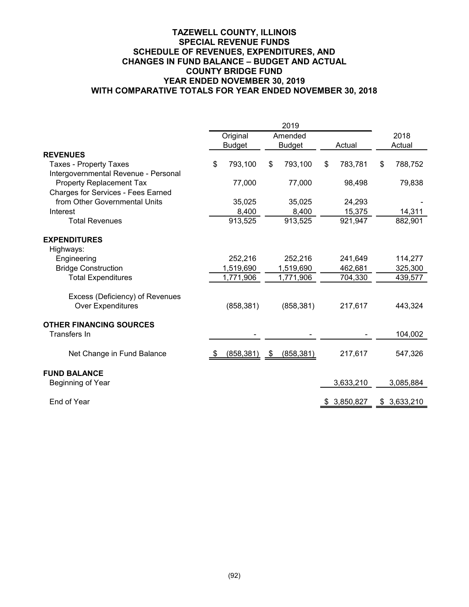|                                           | Original      |               | Amended    |        |           | 2018          |
|-------------------------------------------|---------------|---------------|------------|--------|-----------|---------------|
|                                           | <b>Budget</b> | <b>Budget</b> |            | Actual |           | Actual        |
| <b>REVENUES</b>                           |               |               |            |        |           |               |
| <b>Taxes - Property Taxes</b>             | \$<br>793,100 | \$            | 793,100    | \$     | 783,781   | \$<br>788,752 |
| Intergovernmental Revenue - Personal      |               |               |            |        |           |               |
| <b>Property Replacement Tax</b>           | 77,000        |               | 77,000     |        | 98,498    | 79,838        |
| <b>Charges for Services - Fees Earned</b> |               |               |            |        |           |               |
| from Other Governmental Units             | 35,025        |               | 35,025     |        | 24,293    |               |
| Interest                                  | 8,400         |               | 8,400      |        | 15,375    | 14,311        |
| <b>Total Revenues</b>                     | 913,525       |               | 913,525    |        | 921,947   | 882,901       |
| <b>EXPENDITURES</b>                       |               |               |            |        |           |               |
| Highways:                                 |               |               |            |        |           |               |
| Engineering                               | 252,216       |               | 252,216    |        | 241,649   | 114,277       |
| <b>Bridge Construction</b>                | 1,519,690     |               | 1,519,690  |        | 462,681   | 325,300       |
| <b>Total Expenditures</b>                 | 1,771,906     |               | 1,771,906  |        | 704,330   | 439,577       |
| Excess (Deficiency) of Revenues           |               |               |            |        |           |               |
| <b>Over Expenditures</b>                  | (858, 381)    |               | (858, 381) |        | 217,617   | 443,324       |
| <b>OTHER FINANCING SOURCES</b>            |               |               |            |        |           |               |
| Transfers In                              |               |               |            |        |           | 104,002       |
| Net Change in Fund Balance                | (858, 381)    | \$            | (858, 381) |        | 217,617   | 547,326       |
| <b>FUND BALANCE</b>                       |               |               |            |        |           |               |
| Beginning of Year                         |               |               |            |        | 3,633,210 | 3,085,884     |
| End of Year                               |               |               |            | \$     | 3,850,827 | \$3,633,210   |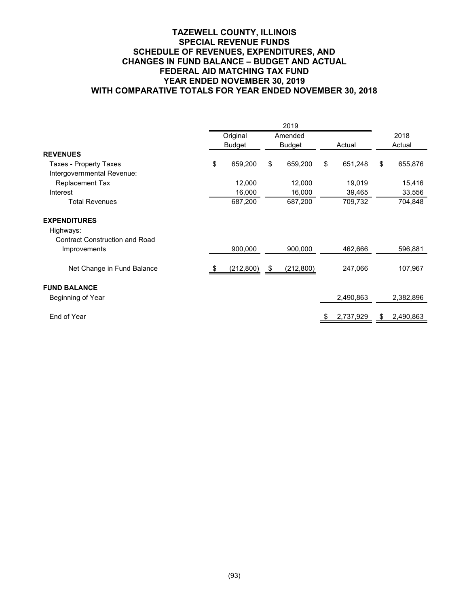## **TAZEWELL COUNTY, ILLINOIS SPECIAL REVENUE FUNDS SCHEDULE OF REVENUES, EXPENDITURES, AND CHANGES IN FUND BALANCE – BUDGET AND ACTUAL FEDERAL AID MATCHING TAX FUND YEAR ENDED NOVEMBER 30, 2019 WITH COMPARATIVE TOTALS FOR YEAR ENDED NOVEMBER 30, 2018**

|                                       | 2019 |            |    |               |        |           |      |           |
|---------------------------------------|------|------------|----|---------------|--------|-----------|------|-----------|
|                                       |      | Original   |    | Amended       |        |           | 2018 |           |
|                                       |      | Budget     |    | <b>Budget</b> | Actual |           |      | Actual    |
| <b>REVENUES</b>                       |      |            |    |               |        |           |      |           |
| Taxes - Property Taxes                | \$   | 659,200    | \$ | 659,200       | \$     | 651,248   | \$   | 655,876   |
| Intergovernmental Revenue:            |      |            |    |               |        |           |      |           |
| <b>Replacement Tax</b>                |      | 12,000     |    | 12,000        |        | 19,019    |      | 15,416    |
| Interest                              |      | 16,000     |    | 16,000        |        | 39,465    |      | 33,556    |
| <b>Total Revenues</b>                 |      | 687,200    |    | 687,200       |        | 709,732   |      | 704,848   |
| <b>EXPENDITURES</b>                   |      |            |    |               |        |           |      |           |
| Highways:                             |      |            |    |               |        |           |      |           |
| <b>Contract Construction and Road</b> |      |            |    |               |        |           |      |           |
| Improvements                          |      | 900,000    |    | 900,000       |        | 462,666   |      | 596,881   |
| Net Change in Fund Balance            |      | (212, 800) | \$ | (212, 800)    |        | 247,066   |      | 107,967   |
| <b>FUND BALANCE</b>                   |      |            |    |               |        |           |      |           |
| Beginning of Year                     |      |            |    |               |        | 2,490,863 |      | 2,382,896 |
| End of Year                           |      |            |    |               |        | 2,737,929 | \$   | 2,490,863 |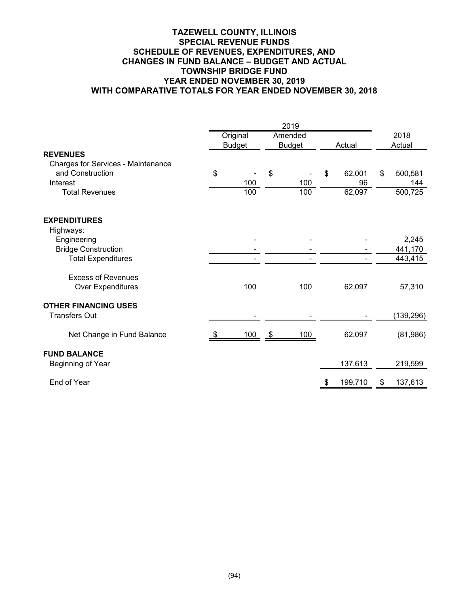## **TAZEWELL COUNTY, ILLINOIS SPECIAL REVENUE FUNDS SCHEDULE OF REVENUES, EXPENDITURES, AND CHANGES IN FUND BALANCE – BUDGET AND ACTUAL TOWNSHIP BRIDGE FUND YEAR ENDED NOVEMBER 30, 2019 WITH COMPARATIVE TOTALS FOR YEAR ENDED NOVEMBER 30, 2018**

|                                           |    | Original      |               | Amended |        |         |                | 2018             |
|-------------------------------------------|----|---------------|---------------|---------|--------|---------|----------------|------------------|
| <b>REVENUES</b>                           |    | <b>Budget</b> | <b>Budget</b> |         | Actual |         | Actual         |                  |
| Charges for Services - Maintenance        |    |               |               |         |        |         |                |                  |
| and Construction                          | \$ |               | \$            |         | S      | 62,001  | $\mathfrak{S}$ | 500,581          |
| Interest                                  |    | 100           |               | 100     |        | 96      |                | 144              |
| <b>Total Revenues</b>                     |    | 100           |               | 100     |        | 62,097  |                | 500,725          |
| <b>EXPENDITURES</b>                       |    |               |               |         |        |         |                |                  |
| Highways:                                 |    |               |               |         |        |         |                |                  |
| Engineering<br><b>Bridge Construction</b> |    |               |               |         |        |         |                | 2,245<br>441,170 |
| <b>Total Expenditures</b>                 |    |               |               |         |        |         |                | 443,415          |
| <b>Excess of Revenues</b>                 |    |               |               |         |        |         |                |                  |
| Over Expenditures                         |    | 100           |               | 100     |        | 62,097  |                | 57,310           |
| <b>OTHER FINANCING USES</b>               |    |               |               |         |        |         |                |                  |
| <b>Transfers Out</b>                      |    |               |               |         |        |         |                | (139, 296)       |
| Net Change in Fund Balance                |    | 100           | $\sqrt{3}$    | 100     |        | 62,097  |                | (81,986)         |
| <b>FUND BALANCE</b>                       |    |               |               |         |        |         |                |                  |
| Beginning of Year                         |    |               |               |         |        | 137,613 |                | 219,599          |
| End of Year                               |    |               |               |         | £.     | 199,710 | \$             | 137,613          |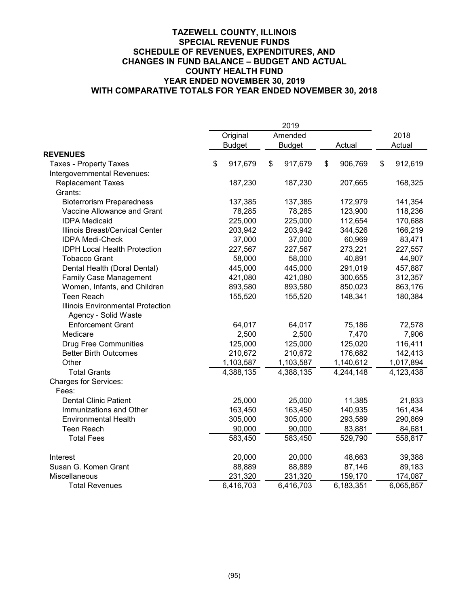|                                     | 2019          |    |               |        |           |    |           |  |
|-------------------------------------|---------------|----|---------------|--------|-----------|----|-----------|--|
|                                     | Original      |    | Amended       | Actual |           |    | 2018      |  |
|                                     | <b>Budget</b> |    | <b>Budget</b> |        |           |    | Actual    |  |
| <b>REVENUES</b>                     |               |    |               |        |           |    |           |  |
| <b>Taxes - Property Taxes</b>       | \$<br>917,679 | \$ | 917,679       | \$     | 906,769   | \$ | 912,619   |  |
| Intergovernmental Revenues:         |               |    |               |        |           |    |           |  |
| <b>Replacement Taxes</b>            | 187,230       |    | 187,230       |        | 207,665   |    | 168,325   |  |
| Grants:                             |               |    |               |        |           |    |           |  |
| <b>Bioterrorism Preparedness</b>    | 137,385       |    | 137,385       |        | 172,979   |    | 141,354   |  |
| Vaccine Allowance and Grant         | 78,285        |    | 78,285        |        | 123,900   |    | 118,236   |  |
| <b>IDPA Medicaid</b>                | 225,000       |    | 225,000       |        | 112,654   |    | 170,688   |  |
| Illinois Breast/Cervical Center     | 203,942       |    | 203,942       |        | 344,526   |    | 166,219   |  |
| <b>IDPA Medi-Check</b>              | 37,000        |    | 37,000        |        | 60,969    |    | 83,471    |  |
| <b>IDPH Local Health Protection</b> | 227,567       |    | 227,567       |        | 273,221   |    | 227,557   |  |
| <b>Tobacco Grant</b>                | 58,000        |    | 58,000        |        | 40,891    |    | 44,907    |  |
| Dental Health (Doral Dental)        | 445,000       |    | 445,000       |        | 291,019   |    | 457,887   |  |
| <b>Family Case Management</b>       | 421,080       |    | 421,080       |        | 300,655   |    | 312,357   |  |
| Women, Infants, and Children        | 893,580       |    | 893,580       |        | 850,023   |    | 863,176   |  |
| <b>Teen Reach</b>                   | 155,520       |    | 155,520       |        | 148,341   |    | 180,384   |  |
| Illinois Environmental Protection   |               |    |               |        |           |    |           |  |
| Agency - Solid Waste                |               |    |               |        |           |    |           |  |
| <b>Enforcement Grant</b>            | 64,017        |    | 64,017        |        | 75,186    |    | 72,578    |  |
| Medicare                            | 2,500         |    | 2,500         |        | 7,470     |    | 7,906     |  |
| <b>Drug Free Communities</b>        | 125,000       |    | 125,000       |        | 125,020   |    | 116,411   |  |
| <b>Better Birth Outcomes</b>        | 210,672       |    | 210,672       |        | 176,682   |    | 142,413   |  |
| Other                               | 1,103,587     |    | 1,103,587     |        | 1,140,612 |    | 1,017,894 |  |
| <b>Total Grants</b>                 | 4,388,135     |    | 4,388,135     |        | 4,244,148 |    | 4,123,438 |  |
| <b>Charges for Services:</b>        |               |    |               |        |           |    |           |  |
| Fees:                               |               |    |               |        |           |    |           |  |
| <b>Dental Clinic Patient</b>        | 25,000        |    | 25,000        |        | 11,385    |    | 21,833    |  |
| Immunizations and Other             | 163,450       |    | 163,450       |        | 140,935   |    | 161,434   |  |
| <b>Environmental Health</b>         | 305,000       |    | 305,000       |        | 293,589   |    | 290,869   |  |
| <b>Teen Reach</b>                   | 90,000        |    | 90,000        |        | 83,881    |    | 84,681    |  |
| <b>Total Fees</b>                   | 583,450       |    | 583,450       |        | 529,790   |    | 558,817   |  |
| Interest                            | 20,000        |    | 20,000        |        | 48,663    |    | 39,388    |  |
| Susan G. Komen Grant                | 88,889        |    | 88,889        |        | 87,146    |    | 89,183    |  |
| Miscellaneous                       | 231,320       |    | 231,320       |        | 159,170   |    | 174,087   |  |
| <b>Total Revenues</b>               | 6,416,703     |    | 6,416,703     |        | 6,183,351 |    | 6,065,857 |  |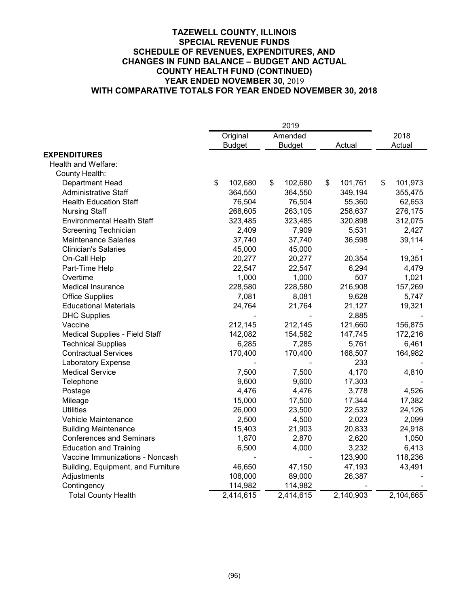|                                    | Original      | Amended       |               | 2018          |
|------------------------------------|---------------|---------------|---------------|---------------|
|                                    | <b>Budget</b> | <b>Budget</b> | Actual        | Actual        |
| <b>EXPENDITURES</b>                |               |               |               |               |
| Health and Welfare:                |               |               |               |               |
| County Health:                     |               |               |               |               |
| <b>Department Head</b>             | \$<br>102,680 | \$<br>102,680 | \$<br>101,761 | \$<br>101,973 |
| <b>Administrative Staff</b>        | 364,550       | 364,550       | 349,194       | 355,475       |
| <b>Health Education Staff</b>      | 76,504        | 76,504        | 55,360        | 62,653        |
| <b>Nursing Staff</b>               | 268,605       | 263,105       | 258,637       | 276,175       |
| <b>Environmental Health Staff</b>  | 323,485       | 323,485       | 320,898       | 312,075       |
| Screening Technician               | 2,409         | 7,909         | 5,531         | 2,427         |
| <b>Maintenance Salaries</b>        | 37,740        | 37,740        | 36,598        | 39,114        |
| <b>Clinician's Salaries</b>        | 45,000        | 45,000        |               |               |
| On-Call Help                       | 20,277        | 20,277        | 20,354        | 19,351        |
| Part-Time Help                     | 22,547        | 22,547        | 6,294         | 4,479         |
| Overtime                           | 1,000         | 1,000         | 507           | 1,021         |
| Medical Insurance                  | 228,580       | 228,580       | 216,908       | 157,269       |
| <b>Office Supplies</b>             | 7,081         | 8,081         | 9,628         | 5,747         |
| <b>Educational Materials</b>       | 24,764        | 21,764        | 21,127        | 19,321        |
| <b>DHC Supplies</b>                |               |               | 2,885         |               |
| Vaccine                            | 212,145       | 212,145       | 121,660       | 156,875       |
| Medical Supplies - Field Staff     | 142,082       | 154,582       | 147,745       | 172,216       |
| <b>Technical Supplies</b>          | 6,285         | 7,285         | 5,761         | 6,461         |
| <b>Contractual Services</b>        | 170,400       | 170,400       | 168,507       | 164,982       |
| Laboratory Expense                 |               |               | 233           |               |
| <b>Medical Service</b>             | 7,500         | 7,500         | 4,170         | 4,810         |
| Telephone                          | 9,600         | 9,600         | 17,303        |               |
| Postage                            | 4,476         | 4,476         | 3,778         | 4,526         |
| Mileage                            | 15,000        | 17,500        | 17,344        | 17,382        |
| <b>Utilities</b>                   | 26,000        | 23,500        | 22,532        | 24,126        |
| Vehicle Maintenance                | 2,500         | 4,500         | 2,023         | 2,099         |
| <b>Building Maintenance</b>        | 15,403        | 21,903        | 20,833        | 24,918        |
| <b>Conferences and Seminars</b>    | 1,870         | 2,870         | 2,620         | 1,050         |
| <b>Education and Training</b>      | 6,500         | 4,000         | 3,232         | 6,413         |
| Vaccine Immunizations - Noncash    |               |               | 123,900       | 118,236       |
| Building, Equipment, and Furniture | 46,650        | 47,150        | 47,193        | 43,491        |
| Adjustments                        | 108,000       | 89,000        | 26,387        |               |
| Contingency                        | 114,982       | 114,982       |               |               |
| <b>Total County Health</b>         | 2,414,615     | 2,414,615     | 2,140,903     | 2,104,665     |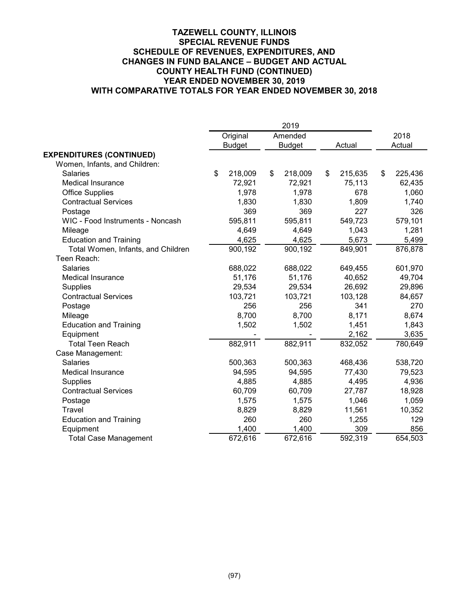|                                    | 2019 |               |    |               |    |         |      |         |
|------------------------------------|------|---------------|----|---------------|----|---------|------|---------|
|                                    |      | Original      |    | Amended       |    |         | 2018 |         |
|                                    |      | <b>Budget</b> |    | <b>Budget</b> |    | Actual  |      | Actual  |
| <b>EXPENDITURES (CONTINUED)</b>    |      |               |    |               |    |         |      |         |
| Women, Infants, and Children:      |      |               |    |               |    |         |      |         |
| <b>Salaries</b>                    | \$   | 218,009       | \$ | 218,009       | \$ | 215,635 | \$   | 225,436 |
| <b>Medical Insurance</b>           |      | 72,921        |    | 72,921        |    | 75,113  |      | 62,435  |
| <b>Office Supplies</b>             |      | 1,978         |    | 1,978         |    | 678     |      | 1,060   |
| <b>Contractual Services</b>        |      | 1,830         |    | 1,830         |    | 1,809   |      | 1,740   |
| Postage                            |      | 369           |    | 369           |    | 227     |      | 326     |
| WIC - Food Instruments - Noncash   |      | 595,811       |    | 595,811       |    | 549,723 |      | 579,101 |
| Mileage                            |      | 4,649         |    | 4,649         |    | 1,043   |      | 1,281   |
| <b>Education and Training</b>      |      | 4,625         |    | 4,625         |    | 5,673   |      | 5,499   |
| Total Women, Infants, and Children |      | 900,192       |    | 900,192       |    | 849,901 |      | 876,878 |
| Teen Reach:                        |      |               |    |               |    |         |      |         |
| <b>Salaries</b>                    |      | 688,022       |    | 688,022       |    | 649,455 |      | 601,970 |
| <b>Medical Insurance</b>           |      | 51,176        |    | 51,176        |    | 40,652  |      | 49,704  |
| Supplies                           |      | 29,534        |    | 29,534        |    | 26,692  |      | 29,896  |
| <b>Contractual Services</b>        |      | 103,721       |    | 103,721       |    | 103,128 |      | 84,657  |
| Postage                            |      | 256           |    | 256           |    | 341     |      | 270     |
| Mileage                            |      | 8,700         |    | 8,700         |    | 8,171   |      | 8,674   |
| <b>Education and Training</b>      |      | 1,502         |    | 1,502         |    | 1,451   |      | 1,843   |
| Equipment                          |      |               |    |               |    | 2,162   |      | 3,635   |
| <b>Total Teen Reach</b>            |      | 882,911       |    | 882,911       |    | 832,052 |      | 780,649 |
| Case Management:                   |      |               |    |               |    |         |      |         |
| <b>Salaries</b>                    |      | 500,363       |    | 500,363       |    | 468,436 |      | 538,720 |
| <b>Medical Insurance</b>           |      | 94,595        |    | 94,595        |    | 77,430  |      | 79,523  |
| <b>Supplies</b>                    |      | 4,885         |    | 4,885         |    | 4,495   |      | 4,936   |
| <b>Contractual Services</b>        |      | 60,709        |    | 60,709        |    | 27,787  |      | 18,928  |
| Postage                            |      | 1,575         |    | 1,575         |    | 1,046   |      | 1,059   |
| <b>Travel</b>                      |      | 8,829         |    | 8,829         |    | 11,561  |      | 10,352  |
| <b>Education and Training</b>      |      | 260           |    | 260           |    | 1,255   |      | 129     |
| Equipment                          |      | 1,400         |    | 1,400         |    | 309     |      | 856     |
| <b>Total Case Management</b>       |      | 672,616       |    | 672,616       |    | 592,319 |      | 654,503 |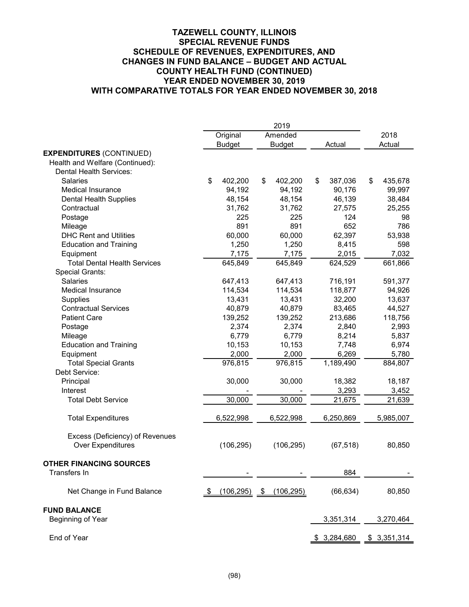|                                          | Original        | Amended       |               | 2018          |
|------------------------------------------|-----------------|---------------|---------------|---------------|
|                                          | <b>Budget</b>   | <b>Budget</b> | Actual        | Actual        |
| <b>EXPENDITURES (CONTINUED)</b>          |                 |               |               |               |
| Health and Welfare (Continued):          |                 |               |               |               |
| <b>Dental Health Services:</b>           |                 |               |               |               |
| <b>Salaries</b>                          | \$<br>402,200   | \$<br>402,200 | \$<br>387,036 | \$<br>435,678 |
| Medical Insurance                        | 94,192          | 94,192        | 90,176        | 99,997        |
| <b>Dental Health Supplies</b>            | 48,154          | 48,154        | 46,139        | 38,484        |
| Contractual                              | 31,762          | 31,762        | 27,575        | 25,255        |
| Postage                                  | 225             | 225           | 124           | 98            |
| Mileage                                  | 891             | 891           | 652           | 786           |
| <b>DHC Rent and Utilities</b>            | 60,000          | 60,000        | 62,397        | 53,938        |
| <b>Education and Training</b>            | 1,250           | 1,250         | 8,415         | 598           |
| Equipment                                | 7,175           | 7,175         | 2,015         | 7,032         |
| <b>Total Dental Health Services</b>      | 645,849         | 645,849       | 624,529       | 661,866       |
| <b>Special Grants:</b>                   |                 |               |               |               |
| <b>Salaries</b>                          | 647,413         | 647,413       | 716,191       | 591,377       |
| <b>Medical Insurance</b>                 | 114,534         | 114,534       | 118,877       | 94,926        |
| Supplies                                 | 13,431          | 13,431        | 32,200        | 13,637        |
| <b>Contractual Services</b>              | 40,879          | 40,879        | 83,465        | 44,527        |
| <b>Patient Care</b>                      | 139,252         | 139,252       | 213,686       | 118,756       |
| Postage                                  | 2,374           | 2,374         | 2,840         | 2,993         |
| Mileage                                  | 6,779           | 6,779         | 8,214         | 5,837         |
| <b>Education and Training</b>            | 10,153          | 10,153        | 7,748         | 6,974         |
| Equipment                                | 2,000           | 2,000         | 6,269         | 5,780         |
| <b>Total Special Grants</b>              | 976,815         | 976,815       | 1,189,490     | 884,807       |
| Debt Service:                            |                 |               |               |               |
| Principal                                | 30,000          | 30,000        | 18,382        | 18,187        |
| Interest                                 |                 |               | 3,293         | 3,452         |
| <b>Total Debt Service</b>                | 30,000          | 30,000        | 21,675        | 21,639        |
| <b>Total Expenditures</b>                | 6,522,998       | 6,522,998     | 6,250,869     | 5,985,007     |
| Excess (Deficiency) of Revenues          |                 |               |               |               |
| <b>Over Expenditures</b>                 | (106, 295)      | (106, 295)    | (67, 518)     | 80,850        |
| OTHER FINANCING SOURCES                  |                 |               |               |               |
| Transfers In                             |                 |               | 884           |               |
| Net Change in Fund Balance               | $(106, 295)$ \$ | (106, 295)    | (66, 634)     | 80,850        |
| <b>FUND BALANCE</b><br>Beginning of Year |                 |               | 3,351,314     | 3,270,464     |
|                                          |                 |               |               |               |
| End of Year                              |                 |               | \$3,284,680   | \$3,351,314   |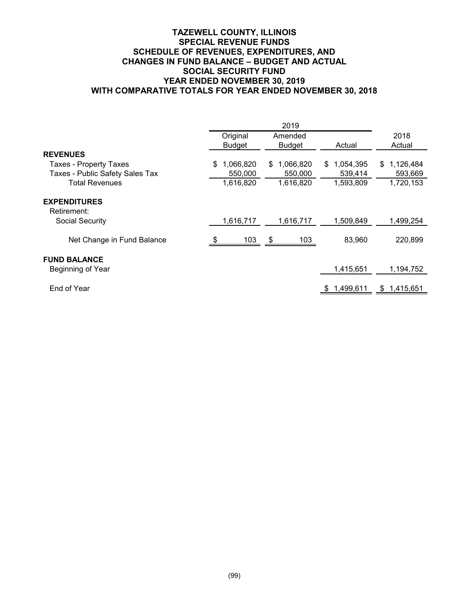## **TAZEWELL COUNTY, ILLINOIS SPECIAL REVENUE FUNDS SCHEDULE OF REVENUES, EXPENDITURES, AND CHANGES IN FUND BALANCE – BUDGET AND ACTUAL SOCIAL SECURITY FUND YEAR ENDED NOVEMBER 30, 2019 WITH COMPARATIVE TOTALS FOR YEAR ENDED NOVEMBER 30, 2018**

|                                          |                 | 2019            |                 |                  |  |  |  |  |  |  |
|------------------------------------------|-----------------|-----------------|-----------------|------------------|--|--|--|--|--|--|
|                                          | Original        | Amended         |                 | 2018             |  |  |  |  |  |  |
|                                          | <b>Budget</b>   | <b>Budget</b>   | Actual          | Actual           |  |  |  |  |  |  |
| <b>REVENUES</b>                          |                 |                 |                 |                  |  |  |  |  |  |  |
| <b>Taxes - Property Taxes</b>            | 1,066,820<br>\$ | 1,066,820<br>\$ | 1,054,395<br>\$ | 1,126,484<br>\$. |  |  |  |  |  |  |
| Taxes - Public Safety Sales Tax          | 550,000         | 550,000         | 539,414         | 593,669          |  |  |  |  |  |  |
| <b>Total Revenues</b>                    | 1,616,820       | 1,616,820       | 1,593,809       | 1,720,153        |  |  |  |  |  |  |
| <b>EXPENDITURES</b><br>Retirement:       |                 |                 |                 |                  |  |  |  |  |  |  |
| Social Security                          | 1,616,717       | 1,616,717       | 1,509,849       | 1,499,254        |  |  |  |  |  |  |
| Net Change in Fund Balance               | 103             | \$<br>103       | 83,960          | 220,899          |  |  |  |  |  |  |
| <b>FUND BALANCE</b><br>Beginning of Year |                 |                 | 1,415,651       | 1,194,752        |  |  |  |  |  |  |
| End of Year                              |                 |                 | 1,499,611<br>æ. | 1,415,651<br>\$  |  |  |  |  |  |  |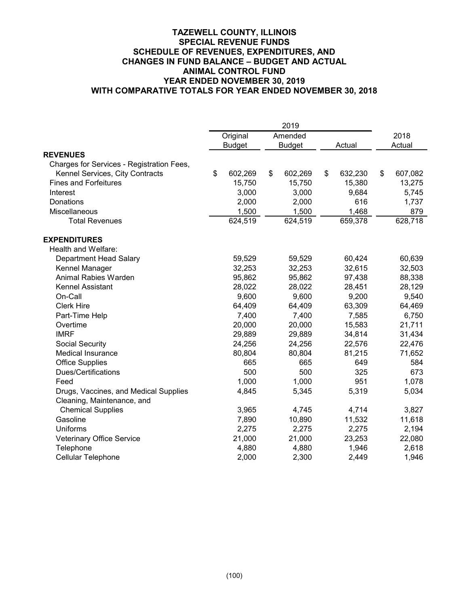|                                           |               | 2019          |    |         |               |
|-------------------------------------------|---------------|---------------|----|---------|---------------|
|                                           | Original      | Amended       |    |         | 2018          |
|                                           | <b>Budget</b> | <b>Budget</b> |    | Actual  | Actual        |
| <b>REVENUES</b>                           |               |               |    |         |               |
| Charges for Services - Registration Fees, |               |               |    |         |               |
| Kennel Services, City Contracts           | \$<br>602,269 | \$<br>602,269 | \$ | 632,230 | \$<br>607,082 |
| <b>Fines and Forfeitures</b>              | 15,750        | 15,750        |    | 15,380  | 13,275        |
| Interest                                  | 3,000         | 3,000         |    | 9,684   | 5,745         |
| Donations                                 | 2,000         | 2,000         |    | 616     | 1,737         |
| Miscellaneous                             | 1,500         | 1,500         |    | 1,468   | 879           |
| <b>Total Revenues</b>                     | 624,519       | 624,519       |    | 659,378 | 628,718       |
| <b>EXPENDITURES</b>                       |               |               |    |         |               |
| Health and Welfare:                       |               |               |    |         |               |
| Department Head Salary                    | 59,529        | 59,529        |    | 60,424  | 60,639        |
| Kennel Manager                            | 32,253        | 32,253        |    | 32,615  | 32,503        |
| Animal Rabies Warden                      | 95,862        | 95,862        |    | 97,438  | 88,338        |
| Kennel Assistant                          | 28,022        | 28,022        |    | 28,451  | 28,129        |
| On-Call                                   | 9,600         | 9,600         |    | 9,200   | 9,540         |
| <b>Clerk Hire</b>                         | 64,409        | 64,409        |    | 63,309  | 64,469        |
| Part-Time Help                            | 7,400         | 7,400         |    | 7,585   | 6,750         |
| Overtime                                  | 20,000        | 20,000        |    | 15,583  | 21,711        |
| <b>IMRF</b>                               | 29,889        | 29,889        |    | 34,814  | 31,434        |
| Social Security                           | 24,256        | 24,256        |    | 22,576  | 22,476        |
| Medical Insurance                         | 80,804        | 80,804        |    | 81,215  | 71,652        |
| <b>Office Supplies</b>                    | 665           | 665           |    | 649     | 584           |
| <b>Dues/Certifications</b>                | 500           | 500           |    | 325     | 673           |
| Feed                                      | 1,000         | 1,000         |    | 951     | 1,078         |
| Drugs, Vaccines, and Medical Supplies     | 4,845         | 5,345         |    | 5,319   | 5,034         |
| Cleaning, Maintenance, and                |               |               |    |         |               |
| <b>Chemical Supplies</b>                  | 3,965         | 4,745         |    | 4,714   | 3,827         |
| Gasoline                                  | 7,890         | 10,890        |    | 11,532  | 11,618        |
| Uniforms                                  | 2,275         | 2,275         |    | 2,275   | 2,194         |
| <b>Veterinary Office Service</b>          | 21,000        | 21,000        |    | 23,253  | 22,080        |
| Telephone                                 | 4,880         | 4,880         |    | 1,946   | 2,618         |
| Cellular Telephone                        | 2,000         | 2,300         |    | 2,449   | 1,946         |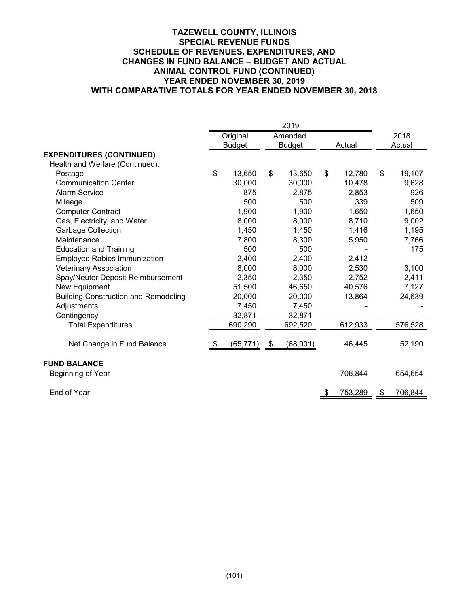|                                             |               |      | 2019          |    |         |    |         |  |  |  |
|---------------------------------------------|---------------|------|---------------|----|---------|----|---------|--|--|--|
|                                             | Original      |      | Amended       |    |         |    | 2018    |  |  |  |
|                                             | <b>Budget</b> |      | <b>Budget</b> |    | Actual  |    | Actual  |  |  |  |
| <b>EXPENDITURES (CONTINUED)</b>             |               |      |               |    |         |    |         |  |  |  |
| Health and Welfare (Continued):             |               |      |               |    |         |    |         |  |  |  |
| Postage                                     | \$<br>13,650  | \$   | 13,650        | \$ | 12,780  | \$ | 19,107  |  |  |  |
| <b>Communication Center</b>                 | 30,000        |      | 30,000        |    | 10,478  |    | 9,628   |  |  |  |
| <b>Alarm Service</b>                        | 875           |      | 2,875         |    | 2,853   |    | 926     |  |  |  |
| Mileage                                     | 500           |      | 500           |    | 339     |    | 509     |  |  |  |
| <b>Computer Contract</b>                    | 1,900         |      | 1,900         |    | 1,650   |    | 1,650   |  |  |  |
| Gas, Electricity, and Water                 | 8,000         |      | 8,000         |    | 8,710   |    | 9,002   |  |  |  |
| <b>Garbage Collection</b>                   | 1,450         |      | 1,450         |    | 1,416   |    | 1,195   |  |  |  |
| Maintenance                                 | 7,800         |      | 8,300         |    | 5,950   |    | 7,766   |  |  |  |
| <b>Education and Training</b>               | 500           |      | 500           |    |         |    | 175     |  |  |  |
| <b>Employee Rabies Immunization</b>         | 2,400         |      | 2,400         |    | 2,412   |    |         |  |  |  |
| <b>Veterinary Association</b>               | 8,000         |      | 8,000         |    | 2,530   |    | 3,100   |  |  |  |
| Spay/Neuter Deposit Reimbursement           | 2,350         |      | 2,350         |    | 2,752   |    | 2,411   |  |  |  |
| New Equipment                               | 51,500        |      | 46,650        |    | 40,576  |    | 7,127   |  |  |  |
| <b>Building Construction and Remodeling</b> | 20,000        |      | 20,000        |    | 13,864  |    | 24,639  |  |  |  |
| Adjustments                                 | 7,450         |      | 7,450         |    |         |    |         |  |  |  |
| Contingency                                 | 32,871        |      | 32,871        |    |         |    |         |  |  |  |
| <b>Total Expenditures</b>                   | 690,290       |      | 692,520       |    | 612,933 |    | 576,528 |  |  |  |
| Net Change in Fund Balance                  | (65, 771)     | - \$ | (68,001)      |    | 46,445  |    | 52,190  |  |  |  |
| <b>FUND BALANCE</b>                         |               |      |               |    |         |    |         |  |  |  |
| Beginning of Year                           |               |      |               |    | 706,844 |    | 654,654 |  |  |  |
| End of Year                                 |               |      |               | \$ | 753,289 | \$ | 706,844 |  |  |  |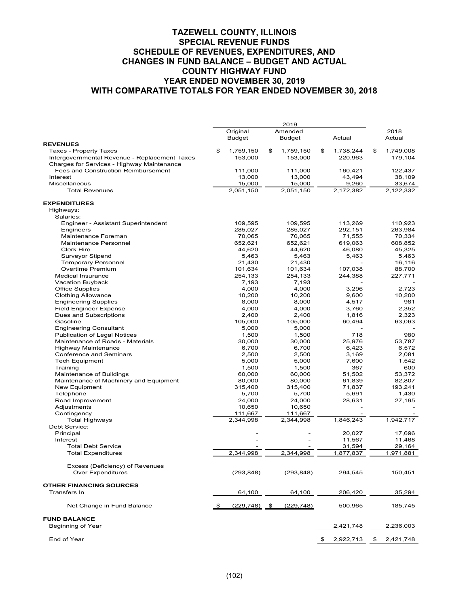|                                               | 2019 |               |    |               |    |                               |                 |  |
|-----------------------------------------------|------|---------------|----|---------------|----|-------------------------------|-----------------|--|
|                                               |      | Original      |    | Amended       |    |                               | 2018            |  |
|                                               |      | <b>Budget</b> |    | <b>Budget</b> |    | Actual                        | Actual          |  |
| <b>REVENUES</b>                               |      |               |    |               |    |                               |                 |  |
| <b>Taxes - Property Taxes</b>                 | \$   | 1,759,150     | \$ | 1,759,150     | \$ | 1,738,244                     | \$<br>1,749,008 |  |
| Intergovernmental Revenue - Replacement Taxes |      | 153,000       |    | 153,000       |    | 220,963                       | 179,104         |  |
| Charges for Services - Highway Maintenance    |      |               |    |               |    |                               |                 |  |
| <b>Fees and Construction Reimbursement</b>    |      | 111,000       |    | 111,000       |    | 160,421                       | 122,437         |  |
| Interest                                      |      | 13,000        |    | 13,000        |    | 43,494                        | 38,109          |  |
| Miscellaneous                                 |      | 15,000        |    | 15,000        |    | 9,260                         | 33,674          |  |
| <b>Total Revenues</b>                         |      | 2,051,150     |    | 2,051,150     |    | 2,172,382                     | 2,122,332       |  |
| <b>EXPENDITURES</b>                           |      |               |    |               |    |                               |                 |  |
| Highways:                                     |      |               |    |               |    |                               |                 |  |
| Salaries:                                     |      |               |    |               |    |                               |                 |  |
| Engineer - Assistant Superintendent           |      | 109,595       |    | 109,595       |    | 113,269                       | 110,923         |  |
| Engineers                                     |      | 285,027       |    | 285,027       |    | 292,151                       | 263,984         |  |
| Maintenance Foreman                           |      | 70,065        |    | 70,065        |    | 71,555                        | 70,334          |  |
| Maintenance Personnel                         |      | 652,621       |    | 652,621       |    | 619,063                       | 608,852         |  |
|                                               |      |               |    |               |    |                               |                 |  |
| <b>Clerk Hire</b>                             |      | 44,620        |    | 44,620        |    | 46,080                        | 45,325          |  |
| Surveyor Stipend                              |      | 5,463         |    | 5,463         |    | 5,463                         | 5,463           |  |
| <b>Temporary Personnel</b>                    |      | 21,430        |    | 21,430        |    |                               | 16,116          |  |
| Overtime Premium                              |      | 101,634       |    | 101,634       |    | 107,038                       | 88,700          |  |
| <b>Medical Insurance</b>                      |      | 254,133       |    | 254,133       |    | 244,388                       | 227,771         |  |
| Vacation Buyback                              |      | 7,193         |    | 7,193         |    |                               |                 |  |
| <b>Office Supplies</b>                        |      | 4,000         |    | 4,000         |    | 3,296                         | 2,723           |  |
| <b>Clothing Allowance</b>                     |      | 10,200        |    | 10,200        |    | 9,600                         | 10,200          |  |
| <b>Engineering Supplies</b>                   |      | 8,000         |    | 8,000         |    | 4,517                         | 981             |  |
| <b>Field Engineer Expense</b>                 |      | 4,000         |    | 4,000         |    | 3,760                         | 2,352           |  |
| Dues and Subscriptions                        |      | 2,400         |    | 2,400         |    | 1,816                         | 2,323           |  |
| Gasoline                                      |      | 105,000       |    | 105,000       |    | 60,494                        | 63,063          |  |
| <b>Engineering Consultant</b>                 |      | 5,000         |    | 5,000         |    |                               |                 |  |
| <b>Publication of Legal Notices</b>           |      | 1,500         |    | 1,500         |    | 718                           | 980             |  |
| Maintenance of Roads - Materials              |      | 30,000        |    | 30,000        |    | 25,976                        | 53,787          |  |
| <b>Highway Maintenance</b>                    |      | 6,700         |    | 6,700         |    | 6,423                         | 6,572           |  |
| <b>Conference and Seminars</b>                |      | 2,500         |    | 2,500         |    | 3,169                         | 2,081           |  |
| <b>Tech Equipment</b>                         |      | 5,000         |    | 5,000         |    | 7,600                         | 1,542           |  |
| Training                                      |      | 1,500         |    | 1,500         |    | 367                           | 600             |  |
|                                               |      | 60,000        |    | 60,000        |    | 51,502                        |                 |  |
| Maintenance of Buildings                      |      |               |    |               |    |                               | 53,372          |  |
| Maintenance of Machinery and Equipment        |      | 80,000        |    | 80,000        |    | 61,839                        | 82,807          |  |
| <b>New Equipment</b>                          |      | 315,400       |    | 315,400       |    | 71,837                        | 193,241         |  |
| Telephone                                     |      | 5,700         |    | 5,700         |    | 5,691                         | 1,430           |  |
| Road Improvement                              |      | 24,000        |    | 24,000        |    | 28,631                        | 27,195          |  |
| Adjustments                                   |      | 10,650        |    | 10,650        |    |                               |                 |  |
| Contingency                                   |      | 111,667       |    | 111,667       |    |                               |                 |  |
| <b>Total Highways</b>                         |      | 2,344,998     |    | 2,344,998     |    | 1.846.243                     | 1,942,717       |  |
| Debt Service:                                 |      |               |    |               |    |                               |                 |  |
| Principal                                     |      |               |    |               |    | 20.027                        | 17,696          |  |
| Interest                                      |      |               |    |               |    | 11,567                        | 11,468          |  |
| <b>Total Debt Service</b>                     |      |               |    |               |    | 31,594                        | 29,164          |  |
| <b>Total Expenditures</b>                     |      | 2.344.998     |    | 2,344,998     |    | 1,877,837                     | 1,971,881       |  |
|                                               |      |               |    |               |    |                               |                 |  |
| Excess (Deficiency) of Revenues               |      |               |    |               |    |                               |                 |  |
| <b>Over Expenditures</b>                      |      | (293, 848)    |    | (293, 848)    |    | 294,545                       | 150,451         |  |
| <b>OTHER FINANCING SOURCES</b>                |      |               |    |               |    |                               |                 |  |
| Transfers In                                  |      | 64,100        |    | 64,100        |    | 206,420                       | 35,294          |  |
|                                               |      |               |    |               |    |                               |                 |  |
| Net Change in Fund Balance                    | -\$  | (229, 748)    | \$ | (229, 748)    |    | 500,965                       | 185,745         |  |
| <b>FUND BALANCE</b>                           |      |               |    |               |    |                               |                 |  |
| Beginning of Year                             |      |               |    |               |    | 2,421,748                     | 2,236,003       |  |
| End of Year                                   |      |               |    |               |    | <u>2,922,713 \$ 2,421,748</u> |                 |  |
|                                               |      |               |    |               |    |                               |                 |  |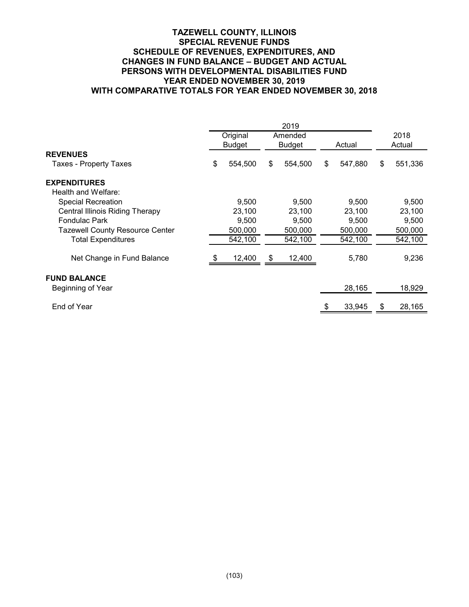## **TAZEWELL COUNTY, ILLINOIS SPECIAL REVENUE FUNDS SCHEDULE OF REVENUES, EXPENDITURES, AND CHANGES IN FUND BALANCE – BUDGET AND ACTUAL PERSONS WITH DEVELOPMENTAL DISABILITIES FUND YEAR ENDED NOVEMBER 30, 2019 WITH COMPARATIVE TOTALS FOR YEAR ENDED NOVEMBER 30, 2018**

|                                          | Original      |               | Amended |        |         | 2018 |         |
|------------------------------------------|---------------|---------------|---------|--------|---------|------|---------|
|                                          | <b>Budget</b> | <b>Budget</b> |         | Actual |         |      | Actual  |
| <b>REVENUES</b>                          |               |               |         |        |         |      |         |
| Taxes - Property Taxes                   | \$<br>554,500 | \$            | 554,500 | \$.    | 547,880 | \$   | 551,336 |
| <b>EXPENDITURES</b>                      |               |               |         |        |         |      |         |
| Health and Welfare:                      |               |               |         |        |         |      |         |
| <b>Special Recreation</b>                | 9,500         |               | 9,500   |        | 9,500   |      | 9,500   |
| <b>Central Illinois Riding Therapy</b>   | 23,100        |               | 23,100  |        | 23,100  |      | 23,100  |
| <b>Fondulac Park</b>                     | 9,500         |               | 9,500   |        | 9,500   |      | 9,500   |
| Tazewell County Resource Center          | 500,000       |               | 500,000 |        | 500,000 |      | 500,000 |
| <b>Total Expenditures</b>                | 542,100       |               | 542,100 |        | 542,100 |      | 542,100 |
| Net Change in Fund Balance               | 12,400        | \$            | 12,400  |        | 5,780   |      | 9,236   |
| <b>FUND BALANCE</b><br>Beginning of Year |               |               |         |        | 28,165  |      | 18,929  |
|                                          |               |               |         |        |         |      |         |
| End of Year                              |               |               |         |        | 33,945  | \$   | 28,165  |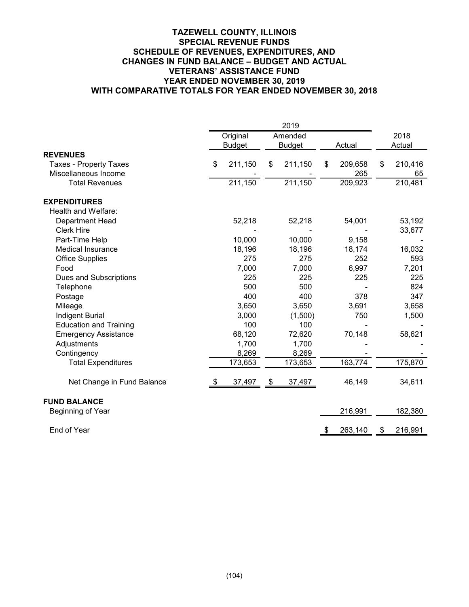## **TAZEWELL COUNTY, ILLINOIS SPECIAL REVENUE FUNDS SCHEDULE OF REVENUES, EXPENDITURES, AND CHANGES IN FUND BALANCE – BUDGET AND ACTUAL VETERANS' ASSISTANCE FUND YEAR ENDED NOVEMBER 30, 2019 WITH COMPARATIVE TOTALS FOR YEAR ENDED NOVEMBER 30, 2018**

| 2019                          |    |               |    |               |               |         |    |         |
|-------------------------------|----|---------------|----|---------------|---------------|---------|----|---------|
|                               |    | Original      |    | Amended       |               |         |    | 2018    |
|                               |    | <b>Budget</b> |    | <b>Budget</b> |               | Actual  |    | Actual  |
| <b>REVENUES</b>               |    |               |    |               |               |         |    |         |
| <b>Taxes - Property Taxes</b> | \$ | 211,150       | \$ | 211,150       | \$            | 209,658 | \$ | 210,416 |
| Miscellaneous Income          |    |               |    |               |               | 265     |    | 65      |
| <b>Total Revenues</b>         |    | 211,150       |    | 211,150       |               | 209,923 |    | 210,481 |
| <b>EXPENDITURES</b>           |    |               |    |               |               |         |    |         |
| Health and Welfare:           |    |               |    |               |               |         |    |         |
| <b>Department Head</b>        |    | 52,218        |    | 52,218        |               | 54,001  |    | 53,192  |
| <b>Clerk Hire</b>             |    |               |    |               |               |         |    | 33,677  |
| Part-Time Help                |    | 10,000        |    | 10,000        |               | 9,158   |    |         |
| <b>Medical Insurance</b>      |    | 18,196        |    | 18,196        |               | 18,174  |    | 16,032  |
| <b>Office Supplies</b>        |    | 275           |    | 275           |               | 252     |    | 593     |
| Food                          |    | 7,000         |    | 7,000         |               | 6,997   |    | 7,201   |
| Dues and Subscriptions        |    | 225           |    | 225           |               | 225     |    | 225     |
| Telephone                     |    | 500           |    | 500           |               |         |    | 824     |
| Postage                       |    | 400           |    | 400           |               | 378     |    | 347     |
| Mileage                       |    | 3,650         |    | 3,650         |               | 3,691   |    | 3,658   |
| <b>Indigent Burial</b>        |    | 3,000         |    | (1,500)       |               | 750     |    | 1,500   |
| <b>Education and Training</b> |    | 100           |    | 100           |               |         |    |         |
| <b>Emergency Assistance</b>   |    | 68,120        |    | 72,620        |               | 70,148  |    | 58,621  |
| Adjustments                   |    | 1,700         |    | 1,700         |               |         |    |         |
| Contingency                   |    | 8,269         |    | 8,269         |               |         |    |         |
| <b>Total Expenditures</b>     |    | 173,653       |    | 173,653       |               | 163,774 |    | 175,870 |
| Net Change in Fund Balance    |    | 37,497        | \$ | 37,497        |               | 46,149  |    | 34,611  |
| <b>FUND BALANCE</b>           |    |               |    |               |               |         |    |         |
| Beginning of Year             |    |               |    |               |               | 216,991 |    | 182,380 |
| End of Year                   |    |               |    |               | $\frac{1}{2}$ | 263,140 | \$ | 216,991 |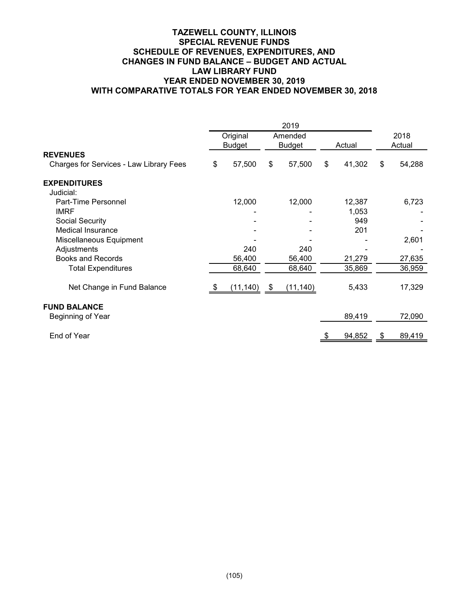# **TAZEWELL COUNTY, ILLINOIS SPECIAL REVENUE FUNDS SCHEDULE OF REVENUES, EXPENDITURES, AND CHANGES IN FUND BALANCE – BUDGET AND ACTUAL LAW LIBRARY FUND YEAR ENDED NOVEMBER 30, 2019 WITH COMPARATIVE TOTALS FOR YEAR ENDED NOVEMBER 30, 2018**

|                                         | Original<br><b>Budget</b> |                | Amended<br><b>Budget</b> | Actual    |    | 2018<br>Actual |    |        |
|-----------------------------------------|---------------------------|----------------|--------------------------|-----------|----|----------------|----|--------|
| <b>REVENUES</b>                         |                           |                |                          |           |    |                |    |        |
| Charges for Services - Law Library Fees | \$                        | 57,500         | \$                       | 57,500    | \$ | 41,302         | \$ | 54,288 |
| <b>EXPENDITURES</b><br>Judicial:        |                           |                |                          |           |    |                |    |        |
| Part-Time Personnel                     |                           | 12,000         |                          | 12,000    |    | 12,387         |    | 6,723  |
| <b>IMRF</b>                             |                           |                |                          |           |    | 1,053          |    |        |
| Social Security                         |                           |                |                          |           |    | 949            |    |        |
| <b>Medical Insurance</b>                |                           |                |                          |           |    | 201            |    |        |
| Miscellaneous Equipment                 |                           |                |                          |           |    |                |    | 2,601  |
| Adjustments                             |                           | 240            |                          | 240       |    |                |    |        |
| <b>Books and Records</b>                |                           | 56,400         |                          | 56,400    |    | 21,279         |    | 27,635 |
| <b>Total Expenditures</b>               |                           | 68,640         |                          | 68,640    |    | 35,869         |    | 36,959 |
| Net Change in Fund Balance              |                           | $(11, 140)$ \$ |                          | (11, 140) |    | 5,433          |    | 17,329 |
| <b>FUND BALANCE</b>                     |                           |                |                          |           |    |                |    |        |
| Beginning of Year                       |                           |                |                          |           |    | 89,419         |    | 72,090 |
| End of Year                             |                           |                |                          |           |    | 94,852         | S  | 89,419 |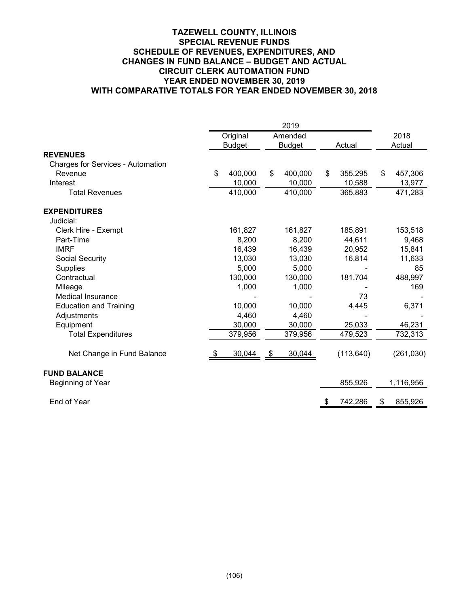# **TAZEWELL COUNTY, ILLINOIS SPECIAL REVENUE FUNDS SCHEDULE OF REVENUES, EXPENDITURES, AND CHANGES IN FUND BALANCE – BUDGET AND ACTUAL CIRCUIT CLERK AUTOMATION FUND YEAR ENDED NOVEMBER 30, 2019 WITH COMPARATIVE TOTALS FOR YEAR ENDED NOVEMBER 30, 2018**

|                                   | 2019 |               |    |               |    |            |    |            |
|-----------------------------------|------|---------------|----|---------------|----|------------|----|------------|
|                                   |      | Original      |    | Amended       |    |            |    | 2018       |
|                                   |      | <b>Budget</b> |    | <b>Budget</b> |    | Actual     |    | Actual     |
| <b>REVENUES</b>                   |      |               |    |               |    |            |    |            |
| Charges for Services - Automation |      |               |    |               |    |            |    |            |
| Revenue                           | \$   | 400,000       | \$ | 400,000       | \$ | 355,295    | \$ | 457,306    |
| Interest                          |      | 10,000        |    | 10,000        |    | 10,588     |    | 13,977     |
| <b>Total Revenues</b>             |      | 410,000       |    | 410,000       |    | 365,883    |    | 471,283    |
| <b>EXPENDITURES</b>               |      |               |    |               |    |            |    |            |
| Judicial:                         |      |               |    |               |    |            |    |            |
| Clerk Hire - Exempt               |      | 161,827       |    | 161,827       |    | 185,891    |    | 153,518    |
| Part-Time                         |      | 8,200         |    | 8,200         |    | 44,611     |    | 9,468      |
| <b>IMRF</b>                       |      | 16,439        |    | 16,439        |    | 20,952     |    | 15,841     |
| Social Security                   |      | 13,030        |    | 13,030        |    | 16,814     |    | 11,633     |
| <b>Supplies</b>                   |      | 5,000         |    | 5,000         |    |            |    | 85         |
| Contractual                       |      | 130,000       |    | 130,000       |    | 181,704    |    | 488,997    |
| Mileage                           |      | 1,000         |    | 1,000         |    |            |    | 169        |
| <b>Medical Insurance</b>          |      |               |    |               |    | 73         |    |            |
| <b>Education and Training</b>     |      | 10,000        |    | 10,000        |    | 4,445      |    | 6,371      |
| Adjustments                       |      | 4,460         |    | 4,460         |    |            |    |            |
| Equipment                         |      | 30,000        |    | 30,000        |    | 25,033     |    | 46,231     |
| <b>Total Expenditures</b>         |      | 379,956       |    | 379,956       |    | 479,523    |    | 732,313    |
| Net Change in Fund Balance        | - \$ | 30,044        | \$ | 30,044        |    | (113, 640) |    | (261, 030) |
| <b>FUND BALANCE</b>               |      |               |    |               |    |            |    |            |
| Beginning of Year                 |      |               |    |               |    | 855,926    |    | 1,116,956  |
| End of Year                       |      |               |    |               | \$ | 742,286    | \$ | 855,926    |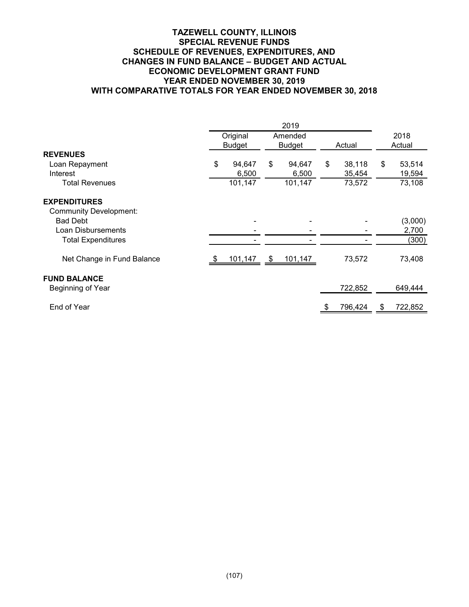# **TAZEWELL COUNTY, ILLINOIS SPECIAL REVENUE FUNDS SCHEDULE OF REVENUES, EXPENDITURES, AND CHANGES IN FUND BALANCE – BUDGET AND ACTUAL ECONOMIC DEVELOPMENT GRANT FUND YEAR ENDED NOVEMBER 30, 2019 WITH COMPARATIVE TOTALS FOR YEAR ENDED NOVEMBER 30, 2018**

|                               | 2019          |                |               |    |         |    |         |  |
|-------------------------------|---------------|----------------|---------------|----|---------|----|---------|--|
|                               | Original      |                | Amended       |    | Actual  |    | 2018    |  |
| <b>REVENUES</b>               | <b>Budget</b> |                | <b>Budget</b> |    |         |    | Actual  |  |
| Loan Repayment                | \$<br>94,647  | \$             | 94,647        | \$ | 38,118  | \$ | 53,514  |  |
| Interest                      | 6,500         |                | 6,500         |    | 35,454  |    | 19,594  |  |
| <b>Total Revenues</b>         | 101,147       |                | 101,147       |    | 73,572  |    | 73,108  |  |
| <b>EXPENDITURES</b>           |               |                |               |    |         |    |         |  |
| <b>Community Development:</b> |               |                |               |    |         |    |         |  |
| <b>Bad Debt</b>               |               |                |               |    |         |    | (3,000) |  |
| Loan Disbursements            |               |                |               |    |         |    | 2,700   |  |
| <b>Total Expenditures</b>     |               |                |               |    |         |    | (300)   |  |
| Net Change in Fund Balance    | 101,147       | $\mathfrak{D}$ | 101,147       |    | 73,572  |    | 73,408  |  |
| <b>FUND BALANCE</b>           |               |                |               |    |         |    |         |  |
| Beginning of Year             |               |                |               |    | 722,852 |    | 649,444 |  |
| End of Year                   |               |                |               |    | 796,424 | \$ | 722,852 |  |
|                               |               |                |               |    |         |    |         |  |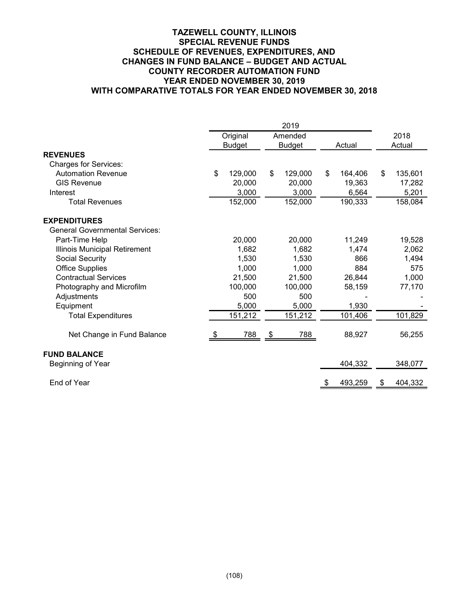# **TAZEWELL COUNTY, ILLINOIS SPECIAL REVENUE FUNDS SCHEDULE OF REVENUES, EXPENDITURES, AND CHANGES IN FUND BALANCE – BUDGET AND ACTUAL COUNTY RECORDER AUTOMATION FUND YEAR ENDED NOVEMBER 30, 2019 WITH COMPARATIVE TOTALS FOR YEAR ENDED NOVEMBER 30, 2018**

|                                       | Original      | Amended       |        |         |        | 2018    |
|---------------------------------------|---------------|---------------|--------|---------|--------|---------|
|                                       | <b>Budget</b> | <b>Budget</b> | Actual |         | Actual |         |
| <b>REVENUES</b>                       |               |               |        |         |        |         |
| <b>Charges for Services:</b>          |               |               |        |         |        |         |
| <b>Automation Revenue</b>             | \$<br>129,000 | \$<br>129,000 | \$     | 164,406 | \$     | 135,601 |
| <b>GIS Revenue</b>                    | 20,000        | 20,000        |        | 19,363  |        | 17,282  |
| Interest                              | 3,000         | 3,000         |        | 6,564   |        | 5,201   |
| <b>Total Revenues</b>                 | 152,000       | 152,000       |        | 190,333 |        | 158,084 |
| <b>EXPENDITURES</b>                   |               |               |        |         |        |         |
| <b>General Governmental Services:</b> |               |               |        |         |        |         |
| Part-Time Help                        | 20,000        | 20,000        |        | 11,249  |        | 19,528  |
| Illinois Municipal Retirement         | 1,682         | 1,682         |        | 1,474   |        | 2,062   |
| Social Security                       | 1,530         | 1,530         |        | 866     |        | 1,494   |
| <b>Office Supplies</b>                | 1,000         | 1,000         |        | 884     |        | 575     |
| <b>Contractual Services</b>           | 21,500        | 21,500        |        | 26,844  |        | 1,000   |
| Photography and Microfilm             | 100,000       | 100,000       |        | 58,159  |        | 77,170  |
| Adjustments                           | 500           | 500           |        |         |        |         |
| Equipment                             | 5,000         | 5,000         |        | 1,930   |        |         |
| <b>Total Expenditures</b>             | 151,212       | 151,212       |        | 101,406 |        | 101,829 |
| Net Change in Fund Balance            | \$<br>788     | \$<br>788     |        | 88,927  |        | 56,255  |
| <b>FUND BALANCE</b>                   |               |               |        |         |        |         |
| Beginning of Year                     |               |               |        | 404,332 |        | 348,077 |
| End of Year                           |               |               | \$     | 493,259 | \$     | 404,332 |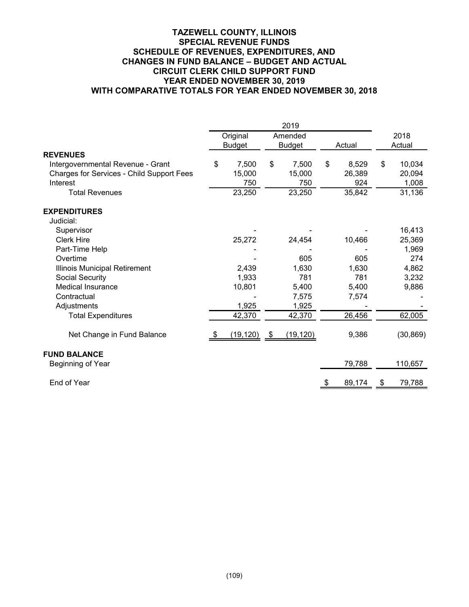# **TAZEWELL COUNTY, ILLINOIS SPECIAL REVENUE FUNDS SCHEDULE OF REVENUES, EXPENDITURES, AND CHANGES IN FUND BALANCE – BUDGET AND ACTUAL CIRCUIT CLERK CHILD SUPPORT FUND YEAR ENDED NOVEMBER 30, 2019 WITH COMPARATIVE TOTALS FOR YEAR ENDED NOVEMBER 30, 2018**

|                                                  | Original       |                | Amended   |              |        | 2018      |  |
|--------------------------------------------------|----------------|----------------|-----------|--------------|--------|-----------|--|
|                                                  | <b>Budget</b>  | <b>Budget</b>  |           | Actual       | Actual |           |  |
| <b>REVENUES</b>                                  |                |                |           |              |        |           |  |
| Intergovernmental Revenue - Grant                | \$<br>7,500    | $\mathfrak{S}$ | 7,500     | \$<br>8,529  | \$     | 10,034    |  |
| <b>Charges for Services - Child Support Fees</b> | 15,000         |                | 15,000    | 26,389       |        | 20,094    |  |
| Interest                                         | 750            |                | 750       | 924          |        | 1,008     |  |
| <b>Total Revenues</b>                            | 23,250         |                | 23,250    | 35,842       |        | 31,136    |  |
| <b>EXPENDITURES</b>                              |                |                |           |              |        |           |  |
| Judicial:                                        |                |                |           |              |        |           |  |
| Supervisor                                       |                |                |           |              |        | 16,413    |  |
| <b>Clerk Hire</b>                                | 25,272         |                | 24,454    | 10,466       |        | 25,369    |  |
| Part-Time Help                                   |                |                |           |              |        | 1,969     |  |
| Overtime                                         |                |                | 605       | 605          |        | 274       |  |
| Illinois Municipal Retirement                    | 2,439          |                | 1,630     | 1,630        |        | 4,862     |  |
| Social Security                                  | 1,933          |                | 781       | 781          |        | 3,232     |  |
| <b>Medical Insurance</b>                         | 10,801         |                | 5,400     | 5,400        |        | 9,886     |  |
| Contractual                                      |                |                | 7,575     | 7,574        |        |           |  |
| Adjustments                                      | 1,925          |                | 1,925     |              |        |           |  |
| <b>Total Expenditures</b>                        | 42,370         |                | 42,370    | 26,456       |        | 62,005    |  |
| Net Change in Fund Balance                       | $(19, 120)$ \$ |                | (19, 120) | 9,386        |        | (30, 869) |  |
| <b>FUND BALANCE</b>                              |                |                |           |              |        |           |  |
| Beginning of Year                                |                |                |           | 79,788       |        | 110,657   |  |
| End of Year                                      |                |                |           | \$<br>89,174 | \$     | 79,788    |  |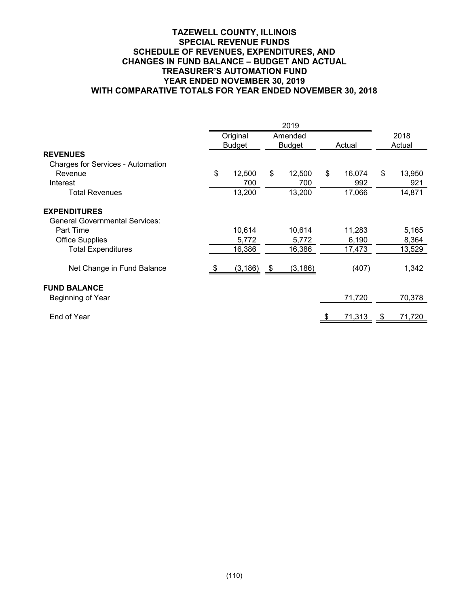# **TAZEWELL COUNTY, ILLINOIS SPECIAL REVENUE FUNDS SCHEDULE OF REVENUES, EXPENDITURES, AND CHANGES IN FUND BALANCE – BUDGET AND ACTUAL TREASURER'S AUTOMATION FUND YEAR ENDED NOVEMBER 30, 2019 WITH COMPARATIVE TOTALS FOR YEAR ENDED NOVEMBER 30, 2018**

|                                                              | Original<br>Amended<br><b>Budget</b><br><b>Budget</b> |                 |    | Actual          |    | 2018<br>Actual  |    |                |
|--------------------------------------------------------------|-------------------------------------------------------|-----------------|----|-----------------|----|-----------------|----|----------------|
| <b>REVENUES</b><br><b>Charges for Services - Automation</b>  |                                                       |                 |    |                 |    |                 |    |                |
| Revenue<br>Interest                                          | \$                                                    | 12,500<br>700   | \$ | 12,500<br>700   | \$ | 16,074<br>992   | \$ | 13,950<br>921  |
| <b>Total Revenues</b>                                        |                                                       | 13,200          |    | 13,200          |    | 17,066          |    | 14,871         |
| <b>EXPENDITURES</b><br><b>General Governmental Services:</b> |                                                       |                 |    |                 |    |                 |    |                |
| Part Time<br><b>Office Supplies</b>                          |                                                       | 10,614<br>5,772 |    | 10,614<br>5,772 |    | 11,283<br>6,190 |    | 5,165<br>8,364 |
| <b>Total Expenditures</b>                                    |                                                       | 16,386          |    | 16,386          |    | 17,473          |    | 13,529         |
| Net Change in Fund Balance                                   |                                                       | $(3, 186)$ \$   |    | (3, 186)        |    | (407)           |    | 1,342          |
| <b>FUND BALANCE</b><br>Beginning of Year                     |                                                       |                 |    |                 |    | 71,720          |    | 70,378         |
| End of Year                                                  |                                                       |                 |    |                 |    | 71,313          | \$ | 71,720         |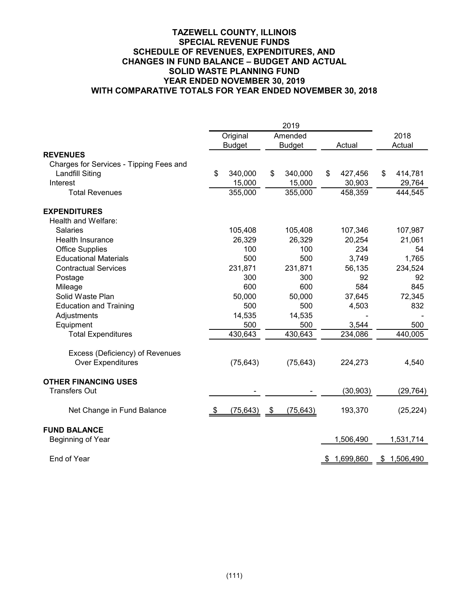# **TAZEWELL COUNTY, ILLINOIS SPECIAL REVENUE FUNDS SCHEDULE OF REVENUES, EXPENDITURES, AND CHANGES IN FUND BALANCE – BUDGET AND ACTUAL SOLID WASTE PLANNING FUND YEAR ENDED NOVEMBER 30, 2019 WITH COMPARATIVE TOTALS FOR YEAR ENDED NOVEMBER 30, 2018**

|                                                                   |                 |                     | 2019          |                 |                 |
|-------------------------------------------------------------------|-----------------|---------------------|---------------|-----------------|-----------------|
|                                                                   | Original        |                     | Amended       |                 | 2018            |
|                                                                   | <b>Budget</b>   |                     | <b>Budget</b> | Actual          | Actual          |
| <b>REVENUES</b>                                                   |                 |                     |               |                 |                 |
| Charges for Services - Tipping Fees and<br><b>Landfill Siting</b> | \$<br>340,000   | \$                  | 340,000       | \$<br>427,456   | \$<br>414,781   |
| Interest                                                          | 15,000          |                     | 15,000        | 30,903          | 29,764          |
| <b>Total Revenues</b>                                             | 355,000         |                     | 355,000       | 458,359         | 444,545         |
|                                                                   |                 |                     |               |                 |                 |
| <b>EXPENDITURES</b>                                               |                 |                     |               |                 |                 |
| Health and Welfare:                                               |                 |                     |               |                 |                 |
| <b>Salaries</b>                                                   | 105,408         |                     | 105,408       | 107,346         | 107,987         |
| <b>Health Insurance</b>                                           | 26,329          |                     | 26,329        | 20,254          | 21,061          |
| <b>Office Supplies</b>                                            | 100             |                     | 100           | 234             | 54              |
| <b>Educational Materials</b>                                      | 500             |                     | 500           | 3,749           | 1,765           |
| <b>Contractual Services</b>                                       | 231,871         |                     | 231,871       | 56,135          | 234,524         |
| Postage                                                           | 300             |                     | 300           | 92              | 92              |
| Mileage                                                           | 600             |                     | 600           | 584             | 845             |
| Solid Waste Plan                                                  | 50,000          |                     | 50,000        | 37,645          | 72,345          |
| <b>Education and Training</b>                                     | 500             |                     | 500           | 4,503           | 832             |
| Adjustments                                                       | 14,535          |                     | 14,535        |                 |                 |
| Equipment                                                         | 500             |                     | 500           | 3,544           | 500             |
| <b>Total Expenditures</b>                                         | 430,643         |                     | 430,643       | 234,086         | 440,005         |
| Excess (Deficiency) of Revenues                                   |                 |                     |               |                 |                 |
| <b>Over Expenditures</b>                                          | (75, 643)       |                     | (75, 643)     | 224,273         | 4,540           |
| <b>OTHER FINANCING USES</b>                                       |                 |                     |               |                 |                 |
| <b>Transfers Out</b>                                              |                 |                     |               | (30, 903)       | (29, 764)       |
| Net Change in Fund Balance                                        | \$<br>(75, 643) | $\hat{\mathcal{F}}$ | (75, 643)     | 193,370         | (25, 224)       |
| <b>FUND BALANCE</b>                                               |                 |                     |               |                 |                 |
| Beginning of Year                                                 |                 |                     |               | 1,506,490       | 1,531,714       |
| End of Year                                                       |                 |                     |               | \$<br>1,699,860 | \$<br>1,506,490 |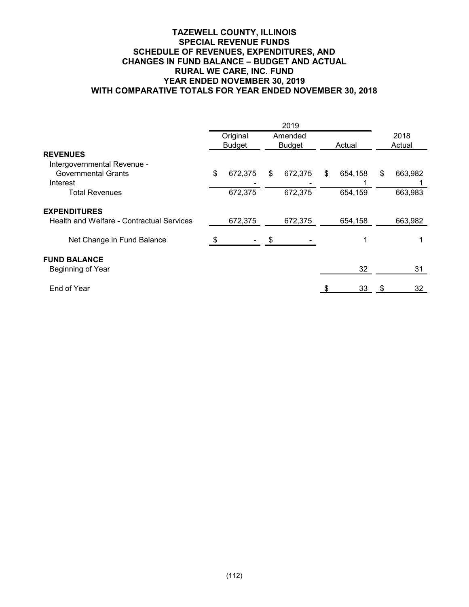# **TAZEWELL COUNTY, ILLINOIS SPECIAL REVENUE FUNDS SCHEDULE OF REVENUES, EXPENDITURES, AND CHANGES IN FUND BALANCE – BUDGET AND ACTUAL RURAL WE CARE, INC. FUND YEAR ENDED NOVEMBER 30, 2019 WITH COMPARATIVE TOTALS FOR YEAR ENDED NOVEMBER 30, 2018**

| 2018<br>Original<br>Amended<br><b>Budget</b><br><b>Budget</b><br>Actual<br>Actual<br><b>REVENUES</b><br>Intergovernmental Revenue -<br><b>Governmental Grants</b><br>\$<br>672,375<br>\$<br>672,375<br>\$<br>654,158<br>\$<br>Interest<br>672,375<br>672,375<br>654,159<br><b>Total Revenues</b><br><b>EXPENDITURES</b><br><b>Health and Welfare - Contractual Services</b><br>672,375<br>654,158<br>672,375<br>Net Change in Fund Balance<br><b>FUND BALANCE</b><br>32<br>Beginning of Year<br>End of Year<br>33 |  |  |  |  |  |  |  |         |
|-------------------------------------------------------------------------------------------------------------------------------------------------------------------------------------------------------------------------------------------------------------------------------------------------------------------------------------------------------------------------------------------------------------------------------------------------------------------------------------------------------------------|--|--|--|--|--|--|--|---------|
|                                                                                                                                                                                                                                                                                                                                                                                                                                                                                                                   |  |  |  |  |  |  |  |         |
|                                                                                                                                                                                                                                                                                                                                                                                                                                                                                                                   |  |  |  |  |  |  |  |         |
|                                                                                                                                                                                                                                                                                                                                                                                                                                                                                                                   |  |  |  |  |  |  |  |         |
|                                                                                                                                                                                                                                                                                                                                                                                                                                                                                                                   |  |  |  |  |  |  |  |         |
|                                                                                                                                                                                                                                                                                                                                                                                                                                                                                                                   |  |  |  |  |  |  |  | 663,982 |
|                                                                                                                                                                                                                                                                                                                                                                                                                                                                                                                   |  |  |  |  |  |  |  |         |
|                                                                                                                                                                                                                                                                                                                                                                                                                                                                                                                   |  |  |  |  |  |  |  | 663,983 |
|                                                                                                                                                                                                                                                                                                                                                                                                                                                                                                                   |  |  |  |  |  |  |  |         |
|                                                                                                                                                                                                                                                                                                                                                                                                                                                                                                                   |  |  |  |  |  |  |  | 663,982 |
|                                                                                                                                                                                                                                                                                                                                                                                                                                                                                                                   |  |  |  |  |  |  |  |         |
|                                                                                                                                                                                                                                                                                                                                                                                                                                                                                                                   |  |  |  |  |  |  |  |         |
|                                                                                                                                                                                                                                                                                                                                                                                                                                                                                                                   |  |  |  |  |  |  |  | 31      |
|                                                                                                                                                                                                                                                                                                                                                                                                                                                                                                                   |  |  |  |  |  |  |  | 32      |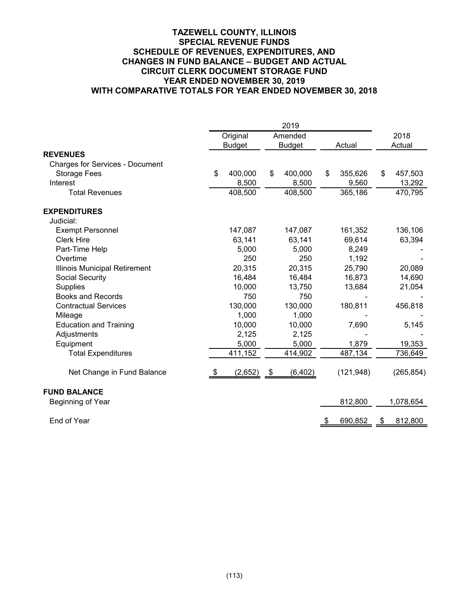# **TAZEWELL COUNTY, ILLINOIS SPECIAL REVENUE FUNDS SCHEDULE OF REVENUES, EXPENDITURES, AND CHANGES IN FUND BALANCE – BUDGET AND ACTUAL CIRCUIT CLERK DOCUMENT STORAGE FUND YEAR ENDED NOVEMBER 30, 2019 WITH COMPARATIVE TOTALS FOR YEAR ENDED NOVEMBER 30, 2018**

|                                        | 2019 |               |      |               |    |            |    |            |  |
|----------------------------------------|------|---------------|------|---------------|----|------------|----|------------|--|
|                                        |      | Original      |      | Amended       |    |            |    | 2018       |  |
|                                        |      | <b>Budget</b> |      | <b>Budget</b> |    | Actual     |    | Actual     |  |
| <b>REVENUES</b>                        |      |               |      |               |    |            |    |            |  |
| <b>Charges for Services - Document</b> |      |               |      |               |    |            |    |            |  |
| <b>Storage Fees</b>                    | \$   | 400,000       | \$   | 400,000       | \$ | 355,626    | \$ | 457,503    |  |
| Interest                               |      | 8,500         |      | 8,500         |    | 9,560      |    | 13,292     |  |
| <b>Total Revenues</b>                  |      | 408,500       |      | 408,500       |    | 365,186    |    | 470,795    |  |
| <b>EXPENDITURES</b>                    |      |               |      |               |    |            |    |            |  |
| Judicial:                              |      |               |      |               |    |            |    |            |  |
| <b>Exempt Personnel</b>                |      | 147,087       |      | 147,087       |    | 161,352    |    | 136,106    |  |
| <b>Clerk Hire</b>                      |      | 63,141        |      | 63,141        |    | 69,614     |    | 63,394     |  |
| Part-Time Help                         |      | 5,000         |      | 5,000         |    | 8,249      |    |            |  |
| Overtime                               |      | 250           |      | 250           |    | 1,192      |    |            |  |
| Illinois Municipal Retirement          |      | 20,315        |      | 20,315        |    | 25,790     |    | 20,089     |  |
| Social Security                        |      | 16,484        |      | 16,484        |    | 16,873     |    | 14,690     |  |
| Supplies                               |      | 10,000        |      | 13,750        |    | 13,684     |    | 21,054     |  |
| <b>Books and Records</b>               |      | 750           |      | 750           |    |            |    |            |  |
| <b>Contractual Services</b>            |      | 130,000       |      | 130,000       |    | 180,811    |    | 456,818    |  |
| Mileage                                |      | 1,000         |      | 1,000         |    |            |    |            |  |
| <b>Education and Training</b>          |      | 10,000        |      | 10,000        |    | 7,690      |    | 5,145      |  |
| Adjustments                            |      | 2,125         |      | 2,125         |    |            |    |            |  |
| Equipment                              |      | 5,000         |      | 5,000         |    | 1,879      |    | 19,353     |  |
| <b>Total Expenditures</b>              |      | 411,152       |      | 414,902       |    | 487,134    |    | 736,649    |  |
| Net Change in Fund Balance             | P.   | (2,652)       | - \$ | (6, 402)      |    | (121, 948) |    | (265, 854) |  |
| <b>FUND BALANCE</b>                    |      |               |      |               |    |            |    |            |  |
| Beginning of Year                      |      |               |      |               |    | 812,800    |    | 1,078,654  |  |
| End of Year                            |      |               |      |               | \$ | 690,852    | \$ | 812,800    |  |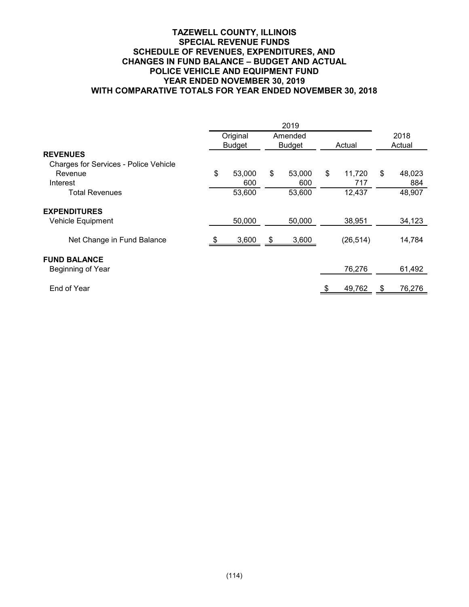# **TAZEWELL COUNTY, ILLINOIS SPECIAL REVENUE FUNDS SCHEDULE OF REVENUES, EXPENDITURES, AND CHANGES IN FUND BALANCE – BUDGET AND ACTUAL POLICE VEHICLE AND EQUIPMENT FUND YEAR ENDED NOVEMBER 30, 2019 WITH COMPARATIVE TOTALS FOR YEAR ENDED NOVEMBER 30, 2018**

|                                       |    | Original      | Amended       |    |           |        | 2018   |
|---------------------------------------|----|---------------|---------------|----|-----------|--------|--------|
|                                       |    | <b>Budget</b> | <b>Budget</b> |    | Actual    | Actual |        |
| <b>REVENUES</b>                       |    |               |               |    |           |        |        |
| Charges for Services - Police Vehicle |    |               |               |    |           |        |        |
| Revenue                               | \$ | 53,000        | \$<br>53,000  | \$ | 11,720    | \$     | 48,023 |
| Interest                              |    | 600           | 600           |    | 717       |        | 884    |
| Total Revenues                        |    | 53,600        | 53,600        |    | 12,437    |        | 48,907 |
| <b>EXPENDITURES</b>                   |    |               |               |    |           |        |        |
| Vehicle Equipment                     |    | 50,000        | 50,000        |    | 38,951    |        | 34,123 |
| Net Change in Fund Balance            |    | 3,600         | \$<br>3,600   |    | (26, 514) |        | 14,784 |
| <b>FUND BALANCE</b>                   |    |               |               |    |           |        |        |
| Beginning of Year                     |    |               |               |    | 76,276    |        | 61,492 |
| End of Year                           |    |               |               |    | 49,762    |        | 76,276 |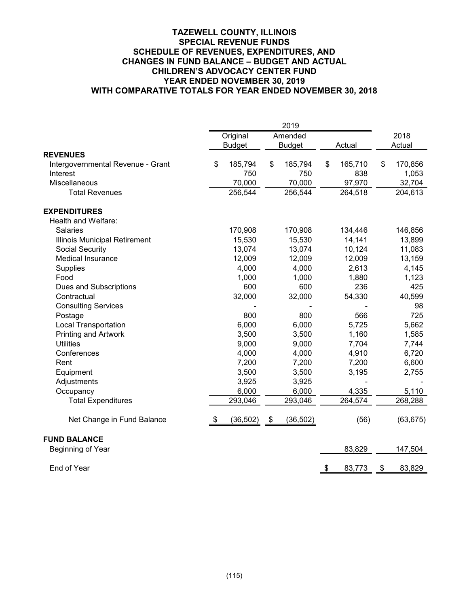# **TAZEWELL COUNTY, ILLINOIS SPECIAL REVENUE FUNDS SCHEDULE OF REVENUES, EXPENDITURES, AND CHANGES IN FUND BALANCE – BUDGET AND ACTUAL CHILDREN'S ADVOCACY CENTER FUND YEAR ENDED NOVEMBER 30, 2019 WITH COMPARATIVE TOTALS FOR YEAR ENDED NOVEMBER 30, 2018**

|                                   |    | Original      | Amended         |    |         | 2018          |
|-----------------------------------|----|---------------|-----------------|----|---------|---------------|
|                                   |    | <b>Budget</b> | <b>Budget</b>   |    | Actual  | Actual        |
| <b>REVENUES</b>                   |    |               |                 |    |         |               |
| Intergovernmental Revenue - Grant | \$ | 185,794       | \$<br>185,794   | \$ | 165,710 | \$<br>170,856 |
| Interest                          |    | 750           | 750             |    | 838     | 1,053         |
| Miscellaneous                     |    | 70,000        | 70,000          |    | 97,970  | 32,704        |
| <b>Total Revenues</b>             |    | 256,544       | 256,544         |    | 264,518 | 204,613       |
| <b>EXPENDITURES</b>               |    |               |                 |    |         |               |
| Health and Welfare:               |    |               |                 |    |         |               |
| <b>Salaries</b>                   |    | 170,908       | 170,908         |    | 134,446 | 146,856       |
| Illinois Municipal Retirement     |    | 15,530        | 15,530          |    | 14,141  | 13,899        |
| Social Security                   |    | 13,074        | 13,074          |    | 10,124  | 11,083        |
| <b>Medical Insurance</b>          |    | 12,009        | 12,009          |    | 12,009  | 13,159        |
| Supplies                          |    | 4,000         | 4,000           |    | 2,613   | 4,145         |
| Food                              |    | 1,000         | 1,000           |    | 1,880   | 1,123         |
| Dues and Subscriptions            |    | 600           | 600             |    | 236     | 425           |
| Contractual                       |    | 32,000        | 32,000          |    | 54,330  | 40,599        |
| <b>Consulting Services</b>        |    |               |                 |    |         | 98            |
| Postage                           |    | 800           | 800             |    | 566     | 725           |
| <b>Local Transportation</b>       |    | 6,000         | 6,000           |    | 5,725   | 5,662         |
| <b>Printing and Artwork</b>       |    | 3,500         | 3,500           |    | 1,160   | 1,585         |
| <b>Utilities</b>                  |    | 9,000         | 9,000           |    | 7,704   | 7,744         |
| Conferences                       |    | 4,000         | 4,000           |    | 4,910   | 6,720         |
| Rent                              |    | 7,200         | 7,200           |    | 7,200   | 6,600         |
| Equipment                         |    | 3,500         | 3,500           |    | 3,195   | 2,755         |
| Adjustments                       |    | 3,925         | 3,925           |    |         |               |
| Occupancy                         |    | 6,000         | 6,000           |    | 4,335   | 5,110         |
| <b>Total Expenditures</b>         |    | 293,046       | 293,046         |    | 264,574 | 268,288       |
| Net Change in Fund Balance        | S. | (36, 502)     | \$<br>(36, 502) |    | (56)    | (63, 675)     |
| <b>FUND BALANCE</b>               |    |               |                 |    |         |               |
| Beginning of Year                 |    |               |                 |    | 83,829  | 147,504       |
| End of Year                       |    |               |                 | \$ | 83,773  | \$<br>83,829  |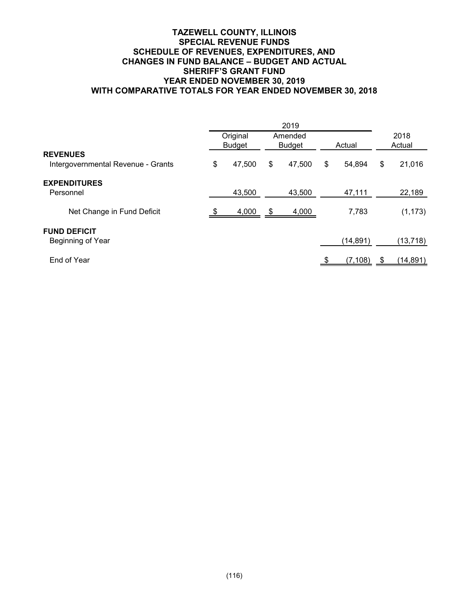# **TAZEWELL COUNTY, ILLINOIS SPECIAL REVENUE FUNDS SCHEDULE OF REVENUES, EXPENDITURES, AND CHANGES IN FUND BALANCE – BUDGET AND ACTUAL SHERIFF'S GRANT FUND YEAR ENDED NOVEMBER 30, 2019 WITH COMPARATIVE TOTALS FOR YEAR ENDED NOVEMBER 30, 2018**

|                                                       | Original<br>Amended<br><b>Budget</b><br><b>Budget</b> |        |    | Actual |    | 2018<br>Actual |    |           |
|-------------------------------------------------------|-------------------------------------------------------|--------|----|--------|----|----------------|----|-----------|
| <b>REVENUES</b><br>Intergovernmental Revenue - Grants | \$                                                    | 47,500 | \$ | 47,500 | \$ | 54,894         | \$ | 21,016    |
| <b>EXPENDITURES</b><br>Personnel                      |                                                       | 43,500 |    | 43,500 |    | 47,111         |    | 22,189    |
| Net Change in Fund Deficit                            |                                                       | 4,000  | \$ | 4,000  |    | 7,783          |    | (1, 173)  |
| <b>FUND DEFICIT</b><br>Beginning of Year              |                                                       |        |    |        |    | (14, 891)      |    | (13, 718) |
| End of Year                                           |                                                       |        |    |        |    | (7, 108)       | \$ | (14, 891) |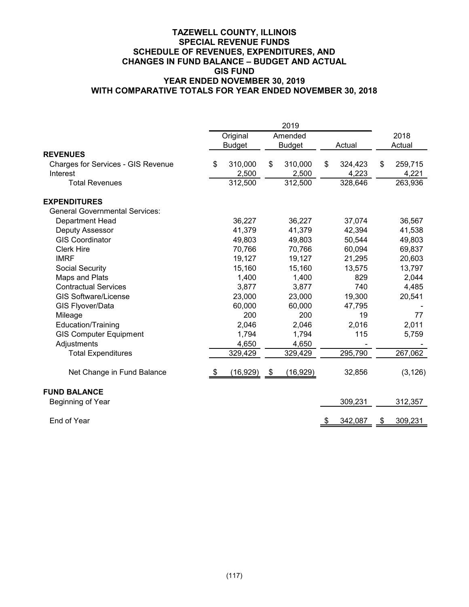# **TAZEWELL COUNTY, ILLINOIS SPECIAL REVENUE FUNDS SCHEDULE OF REVENUES, EXPENDITURES, AND CHANGES IN FUND BALANCE – BUDGET AND ACTUAL GIS FUND YEAR ENDED NOVEMBER 30, 2019 WITH COMPARATIVE TOTALS FOR YEAR ENDED NOVEMBER 30, 2018**

|                                           | 2019 |               |    |               |    |         |    |          |
|-------------------------------------------|------|---------------|----|---------------|----|---------|----|----------|
|                                           |      | Original      |    | Amended       |    |         |    | 2018     |
|                                           |      | <b>Budget</b> |    | <b>Budget</b> |    | Actual  |    | Actual   |
| <b>REVENUES</b>                           |      |               |    |               |    |         |    |          |
| <b>Charges for Services - GIS Revenue</b> | \$   | 310,000       | \$ | 310,000       | \$ | 324,423 | \$ | 259,715  |
| Interest                                  |      | 2,500         |    | 2,500         |    | 4,223   |    | 4,221    |
| <b>Total Revenues</b>                     |      | 312,500       |    | 312,500       |    | 328,646 |    | 263,936  |
| <b>EXPENDITURES</b>                       |      |               |    |               |    |         |    |          |
| <b>General Governmental Services:</b>     |      |               |    |               |    |         |    |          |
| Department Head                           |      | 36,227        |    | 36,227        |    | 37,074  |    | 36,567   |
| Deputy Assessor                           |      | 41,379        |    | 41,379        |    | 42,394  |    | 41,538   |
| <b>GIS Coordinator</b>                    |      | 49,803        |    | 49,803        |    | 50,544  |    | 49,803   |
| <b>Clerk Hire</b>                         |      | 70,766        |    | 70,766        |    | 60,094  |    | 69,837   |
| <b>IMRF</b>                               |      | 19,127        |    | 19,127        |    | 21,295  |    | 20,603   |
| Social Security                           |      | 15,160        |    | 15,160        |    | 13,575  |    | 13,797   |
| Maps and Plats                            |      | 1,400         |    | 1,400         |    | 829     |    | 2,044    |
| <b>Contractual Services</b>               |      | 3,877         |    | 3,877         |    | 740     |    | 4,485    |
| <b>GIS Software/License</b>               |      | 23,000        |    | 23,000        |    | 19,300  |    | 20,541   |
| GIS Flyover/Data                          |      | 60,000        |    | 60,000        |    | 47,795  |    |          |
| Mileage                                   |      | 200           |    | 200           |    | 19      |    | 77       |
| Education/Training                        |      | 2,046         |    | 2,046         |    | 2,016   |    | 2,011    |
| <b>GIS Computer Equipment</b>             |      | 1,794         |    | 1,794         |    | 115     |    | 5,759    |
| Adjustments                               |      | 4,650         |    | 4,650         |    |         |    |          |
| <b>Total Expenditures</b>                 |      | 329,429       |    | 329,429       |    | 295,790 |    | 267,062  |
| Net Change in Fund Balance                | \$   | (16, 929)     | \$ | (16, 929)     |    | 32,856  |    | (3, 126) |
| <b>FUND BALANCE</b>                       |      |               |    |               |    |         |    |          |
| Beginning of Year                         |      |               |    |               |    | 309,231 |    | 312,357  |
| End of Year                               |      |               |    |               | \$ | 342,087 | \$ | 309,231  |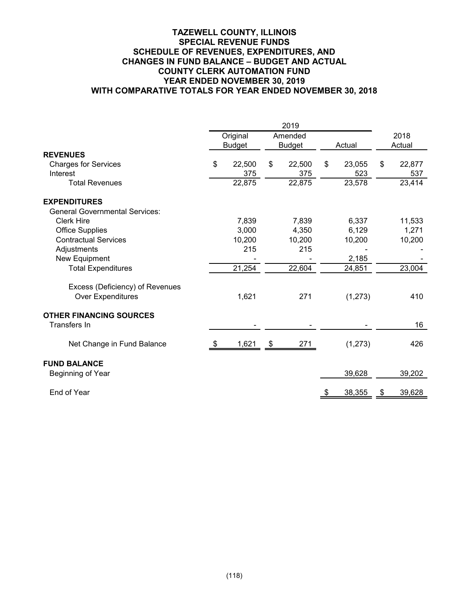# **TAZEWELL COUNTY, ILLINOIS SPECIAL REVENUE FUNDS SCHEDULE OF REVENUES, EXPENDITURES, AND CHANGES IN FUND BALANCE – BUDGET AND ACTUAL COUNTY CLERK AUTOMATION FUND YEAR ENDED NOVEMBER 30, 2019 WITH COMPARATIVE TOTALS FOR YEAR ENDED NOVEMBER 30, 2018**

|                                       |    | Original      |               | Amended |        |          | 2018         |
|---------------------------------------|----|---------------|---------------|---------|--------|----------|--------------|
|                                       |    | <b>Budget</b> | <b>Budget</b> |         | Actual |          | Actual       |
| <b>REVENUES</b>                       |    |               |               |         |        |          |              |
| <b>Charges for Services</b>           | \$ | 22,500        | \$            | 22,500  | \$     | 23,055   | \$<br>22,877 |
| Interest                              |    | 375           |               | 375     |        | 523      | 537          |
| <b>Total Revenues</b>                 |    | 22,875        |               | 22,875  |        | 23,578   | 23,414       |
| <b>EXPENDITURES</b>                   |    |               |               |         |        |          |              |
| <b>General Governmental Services:</b> |    |               |               |         |        |          |              |
| <b>Clerk Hire</b>                     |    | 7,839         |               | 7,839   |        | 6,337    | 11,533       |
| <b>Office Supplies</b>                |    | 3,000         |               | 4,350   |        | 6,129    | 1,271        |
| <b>Contractual Services</b>           |    | 10,200        |               | 10,200  |        | 10,200   | 10,200       |
| Adjustments                           |    | 215           |               | 215     |        |          |              |
| New Equipment                         |    |               |               |         |        | 2,185    |              |
| <b>Total Expenditures</b>             |    | 21,254        |               | 22,604  |        | 24,851   | 23,004       |
| Excess (Deficiency) of Revenues       |    |               |               |         |        |          |              |
| <b>Over Expenditures</b>              |    | 1,621         |               | 271     |        | (1, 273) | 410          |
| <b>OTHER FINANCING SOURCES</b>        |    |               |               |         |        |          |              |
| Transfers In                          |    |               |               |         |        |          | 16           |
| Net Change in Fund Balance            |    | 1,621         | $\frac{1}{2}$ | 271     |        | (1, 273) | 426          |
| <b>FUND BALANCE</b>                   |    |               |               |         |        |          |              |
| Beginning of Year                     |    |               |               |         |        | 39,628   | 39,202       |
| End of Year                           |    |               |               |         |        | 38,355   | \$<br>39,628 |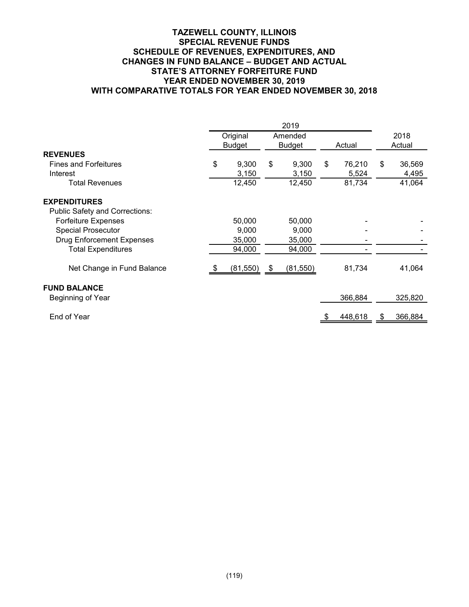# **TAZEWELL COUNTY, ILLINOIS SPECIAL REVENUE FUNDS SCHEDULE OF REVENUES, EXPENDITURES, AND CHANGES IN FUND BALANCE – BUDGET AND ACTUAL STATE'S ATTORNEY FORFEITURE FUND YEAR ENDED NOVEMBER 30, 2019 WITH COMPARATIVE TOTALS FOR YEAR ENDED NOVEMBER 30, 2018**

|                                       | 2019                      |           |                          |           |        |         |    |                |
|---------------------------------------|---------------------------|-----------|--------------------------|-----------|--------|---------|----|----------------|
|                                       | Original<br><b>Budget</b> |           | Amended<br><b>Budget</b> |           | Actual |         |    | 2018<br>Actual |
| <b>REVENUES</b>                       |                           |           |                          |           |        |         |    |                |
| <b>Fines and Forfeitures</b>          | \$                        | 9,300     | \$                       | 9,300     | \$     | 76,210  | \$ | 36,569         |
| Interest                              |                           | 3,150     |                          | 3,150     |        | 5,524   |    | 4,495          |
| Total Revenues                        |                           | 12,450    |                          | 12,450    |        | 81,734  |    | 41,064         |
| <b>EXPENDITURES</b>                   |                           |           |                          |           |        |         |    |                |
| <b>Public Safety and Corrections:</b> |                           |           |                          |           |        |         |    |                |
| <b>Forfeiture Expenses</b>            |                           | 50,000    |                          | 50,000    |        |         |    |                |
| <b>Special Prosecutor</b>             |                           | 9,000     |                          | 9,000     |        |         |    |                |
| <b>Drug Enforcement Expenses</b>      |                           | 35,000    |                          | 35,000    |        |         |    |                |
| <b>Total Expenditures</b>             |                           | 94,000    |                          | 94,000    |        |         |    |                |
|                                       |                           |           |                          |           |        |         |    |                |
| Net Change in Fund Balance            |                           | (81, 550) | \$                       | (81, 550) |        | 81,734  |    | 41,064         |
| <b>FUND BALANCE</b>                   |                           |           |                          |           |        |         |    |                |
| Beginning of Year                     |                           |           |                          |           |        | 366,884 |    | 325,820        |
| End of Year                           |                           |           |                          |           |        | 448,618 | P. | 366,884        |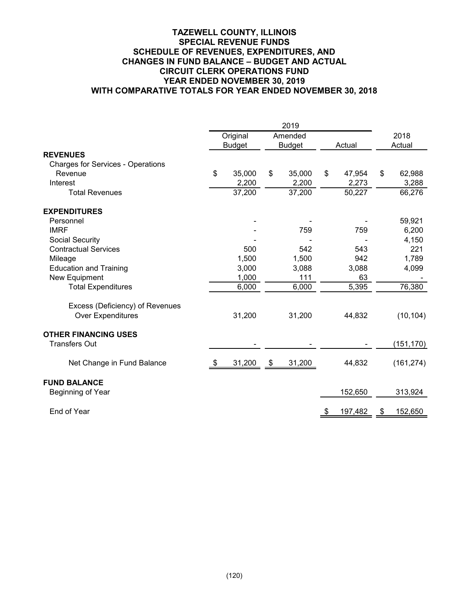# **TAZEWELL COUNTY, ILLINOIS SPECIAL REVENUE FUNDS SCHEDULE OF REVENUES, EXPENDITURES, AND CHANGES IN FUND BALANCE – BUDGET AND ACTUAL CIRCUIT CLERK OPERATIONS FUND YEAR ENDED NOVEMBER 30, 2019 WITH COMPARATIVE TOTALS FOR YEAR ENDED NOVEMBER 30, 2018**

|                                          |                     | 2019 |                     |        |         |        |            |
|------------------------------------------|---------------------|------|---------------------|--------|---------|--------|------------|
|                                          | Original            |      | Amended             |        |         |        | 2018       |
|                                          | <b>Budget</b>       |      | <b>Budget</b>       | Actual |         | Actual |            |
| <b>REVENUES</b>                          |                     |      |                     |        |         |        |            |
| <b>Charges for Services - Operations</b> |                     |      |                     |        |         |        |            |
| Revenue                                  | \$<br>35,000        | \$   | 35,000              | \$     | 47,954  | \$     | 62,988     |
| Interest                                 | 2,200               |      | 2,200               |        | 2,273   |        | 3,288      |
| <b>Total Revenues</b>                    | $\overline{37,200}$ |      | $\overline{37,200}$ |        | 50,227  |        | 66,276     |
| <b>EXPENDITURES</b>                      |                     |      |                     |        |         |        |            |
| Personnel                                |                     |      |                     |        |         |        | 59,921     |
| <b>IMRF</b>                              |                     |      | 759                 |        | 759     |        | 6,200      |
| Social Security                          |                     |      |                     |        |         |        | 4,150      |
| <b>Contractual Services</b>              | 500                 |      | 542                 |        | 543     |        | 221        |
| Mileage                                  | 1,500               |      | 1,500               |        | 942     |        | 1,789      |
| <b>Education and Training</b>            | 3,000               |      | 3,088               |        | 3,088   |        | 4,099      |
| New Equipment                            | 1,000               |      | 111                 |        | 63      |        |            |
| <b>Total Expenditures</b>                | 6,000               |      | 6,000               |        | 5,395   |        | 76,380     |
| Excess (Deficiency) of Revenues          |                     |      |                     |        |         |        |            |
| <b>Over Expenditures</b>                 | 31,200              |      | 31,200              |        | 44,832  |        | (10, 104)  |
| <b>OTHER FINANCING USES</b>              |                     |      |                     |        |         |        |            |
| <b>Transfers Out</b>                     |                     |      |                     |        |         |        | (151, 170) |
| Net Change in Fund Balance               | 31,200              | - \$ | 31,200              |        | 44,832  |        | (161, 274) |
| <b>FUND BALANCE</b>                      |                     |      |                     |        |         |        |            |
| Beginning of Year                        |                     |      |                     |        | 152,650 |        | 313,924    |
| End of Year                              |                     |      |                     |        | 197,482 | \$     | 152,650    |
|                                          |                     |      |                     |        |         |        |            |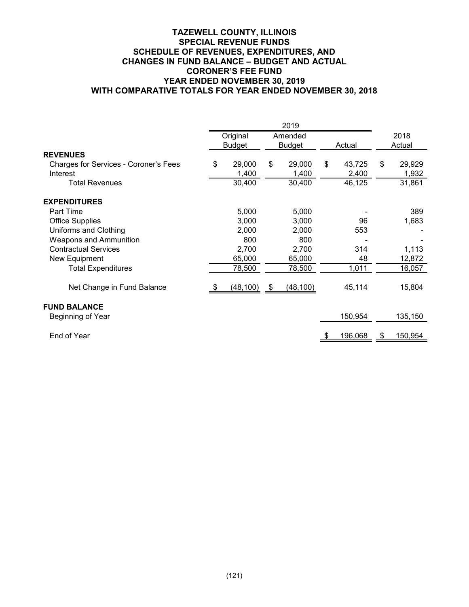# **TAZEWELL COUNTY, ILLINOIS SPECIAL REVENUE FUNDS SCHEDULE OF REVENUES, EXPENDITURES, AND CHANGES IN FUND BALANCE – BUDGET AND ACTUAL CORONER'S FEE FUND YEAR ENDED NOVEMBER 30, 2019 WITH COMPARATIVE TOTALS FOR YEAR ENDED NOVEMBER 30, 2018**

|                                       | Original<br>Amended |                 |                |           |    |         | 2018   |         |
|---------------------------------------|---------------------|-----------------|----------------|-----------|----|---------|--------|---------|
|                                       | <b>Budget</b>       |                 | <b>Budget</b>  |           |    | Actual  | Actual |         |
| <b>REVENUES</b>                       |                     |                 |                |           |    |         |        |         |
| Charges for Services - Coroner's Fees | \$                  | 29,000          | \$             | 29,000    | \$ | 43,725  | \$     | 29,929  |
| Interest                              |                     | 1,400           |                | 1,400     |    | 2,400   |        | 1,932   |
| <b>Total Revenues</b>                 |                     | 30,400          |                | 30,400    |    | 46,125  |        | 31,861  |
| <b>EXPENDITURES</b>                   |                     |                 |                |           |    |         |        |         |
| Part Time                             |                     | 5,000           |                | 5,000     |    |         |        | 389     |
| <b>Office Supplies</b>                |                     | 3,000           |                | 3,000     |    | 96      |        | 1,683   |
| Uniforms and Clothing                 |                     | 2,000           |                | 2,000     |    | 553     |        |         |
| <b>Weapons and Ammunition</b>         |                     | 800             |                | 800       |    |         |        |         |
| <b>Contractual Services</b>           |                     | 2,700           |                | 2,700     |    | 314     |        | 1,113   |
| New Equipment                         |                     | 65,000          |                | 65,000    |    | 48      |        | 12,872  |
| <b>Total Expenditures</b>             |                     | 78,500          |                | 78,500    |    | 1,011   |        | 16,057  |
| Net Change in Fund Balance            |                     | <u>(48,100)</u> | $\mathfrak{S}$ | (48, 100) |    | 45,114  |        | 15,804  |
| <b>FUND BALANCE</b>                   |                     |                 |                |           |    |         |        |         |
| Beginning of Year                     |                     |                 |                |           |    | 150,954 |        | 135,150 |
| End of Year                           |                     |                 |                |           |    | 196,068 | S      | 150,954 |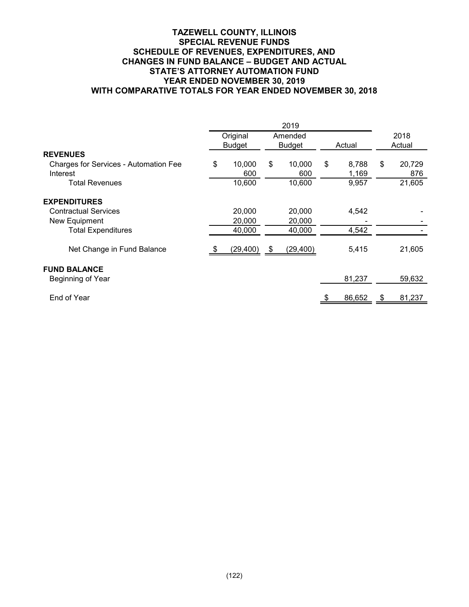# **TAZEWELL COUNTY, ILLINOIS SPECIAL REVENUE FUNDS SCHEDULE OF REVENUES, EXPENDITURES, AND CHANGES IN FUND BALANCE – BUDGET AND ACTUAL STATE'S ATTORNEY AUTOMATION FUND YEAR ENDED NOVEMBER 30, 2019 WITH COMPARATIVE TOTALS FOR YEAR ENDED NOVEMBER 30, 2018**

|                                              |    | Original      | Amended         |             | 2018         |
|----------------------------------------------|----|---------------|-----------------|-------------|--------------|
|                                              |    | <b>Budget</b> | <b>Budget</b>   | Actual      | Actual       |
| <b>REVENUES</b>                              |    |               |                 |             |              |
| <b>Charges for Services - Automation Fee</b> | \$ | 10,000        | \$<br>10,000    | \$<br>8,788 | \$<br>20,729 |
| Interest                                     |    | 600           | 600             | 1,169       | 876          |
| Total Revenues                               |    | 10,600        | 10,600          | 9,957       | 21,605       |
| <b>EXPENDITURES</b>                          |    |               |                 |             |              |
| <b>Contractual Services</b>                  |    | 20,000        | 20,000          | 4,542       |              |
| New Equipment                                |    | 20,000        | 20,000          |             |              |
| <b>Total Expenditures</b>                    |    | 40,000        | 40,000          | 4,542       |              |
| Net Change in Fund Balance                   |    | (29, 400)     | \$<br>(29, 400) | 5,415       | 21,605       |
| <b>FUND BALANCE</b>                          |    |               |                 |             |              |
| Beginning of Year                            |    |               |                 | 81,237      | 59,632       |
| End of Year                                  |    |               |                 | 86,652      | \$<br>81,237 |
|                                              |    |               |                 |             |              |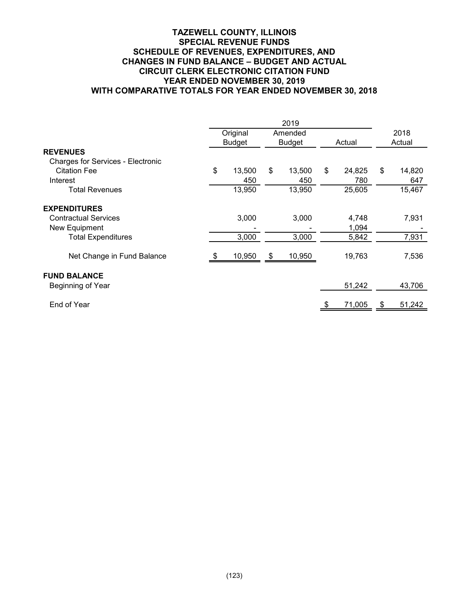# **TAZEWELL COUNTY, ILLINOIS SPECIAL REVENUE FUNDS SCHEDULE OF REVENUES, EXPENDITURES, AND CHANGES IN FUND BALANCE – BUDGET AND ACTUAL CIRCUIT CLERK ELECTRONIC CITATION FUND YEAR ENDED NOVEMBER 30, 2019 WITH COMPARATIVE TOTALS FOR YEAR ENDED NOVEMBER 30, 2018**

|                                          |    | Original<br><b>Budget</b> | Amended<br>Budget |        | Actual |        | 2018<br>Actual |        |
|------------------------------------------|----|---------------------------|-------------------|--------|--------|--------|----------------|--------|
| <b>REVENUES</b>                          |    |                           |                   |        |        |        |                |        |
| <b>Charges for Services - Electronic</b> |    |                           |                   |        |        |        |                |        |
| <b>Citation Fee</b>                      | \$ | 13,500                    | \$                | 13,500 | \$     | 24,825 | \$             | 14,820 |
| Interest                                 |    | 450                       |                   | 450    |        | 780    |                | 647    |
| <b>Total Revenues</b>                    |    | 13,950                    |                   | 13,950 |        | 25,605 |                | 15,467 |
| <b>EXPENDITURES</b>                      |    |                           |                   |        |        |        |                |        |
| <b>Contractual Services</b>              |    | 3,000                     |                   | 3,000  |        | 4,748  |                | 7,931  |
| New Equipment                            |    |                           |                   |        |        | 1,094  |                |        |
| <b>Total Expenditures</b>                |    | 3,000                     |                   | 3,000  |        | 5,842  |                | 7,931  |
| Net Change in Fund Balance               |    | 10,950                    | \$                | 10,950 |        | 19,763 |                | 7,536  |
| <b>FUND BALANCE</b><br>Beginning of Year |    |                           |                   |        |        | 51,242 |                | 43,706 |
|                                          |    |                           |                   |        |        |        |                |        |
| End of Year                              |    |                           |                   |        |        | 71,005 | \$             | 51,242 |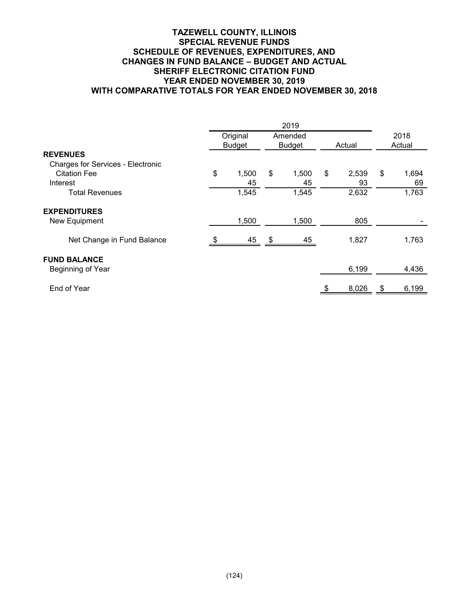# **TAZEWELL COUNTY, ILLINOIS SPECIAL REVENUE FUNDS SCHEDULE OF REVENUES, EXPENDITURES, AND CHANGES IN FUND BALANCE – BUDGET AND ACTUAL SHERIFF ELECTRONIC CITATION FUND YEAR ENDED NOVEMBER 30, 2019 WITH COMPARATIVE TOTALS FOR YEAR ENDED NOVEMBER 30, 2018**

|                                          |    | Original      |     | Amended       |             |      | 2018   |
|------------------------------------------|----|---------------|-----|---------------|-------------|------|--------|
|                                          |    | <b>Budget</b> |     | <b>Budget</b> | Actual      |      | Actual |
| <b>REVENUES</b>                          |    |               |     |               |             |      |        |
| <b>Charges for Services - Electronic</b> |    |               |     |               |             |      |        |
| <b>Citation Fee</b>                      | \$ | 1,500         | \$  | 1,500         | \$<br>2,539 | \$   | 1,694  |
| Interest                                 |    | 45            |     | 45            | 93          |      | 69     |
| <b>Total Revenues</b>                    |    | 1,545         |     | 1,545         | 2,632       |      | 1,763  |
| <b>EXPENDITURES</b>                      |    |               |     |               |             |      |        |
| New Equipment                            |    | 1,500         |     | 1,500         | 805         |      |        |
| Net Change in Fund Balance               |    | 45            | -\$ | 45            | 1,827       |      | 1,763  |
| <b>FUND BALANCE</b>                      |    |               |     |               |             |      |        |
| Beginning of Year                        |    |               |     |               | 6,199       |      | 4,436  |
| End of Year                              |    |               |     |               | 8,026       | - \$ | 6,199  |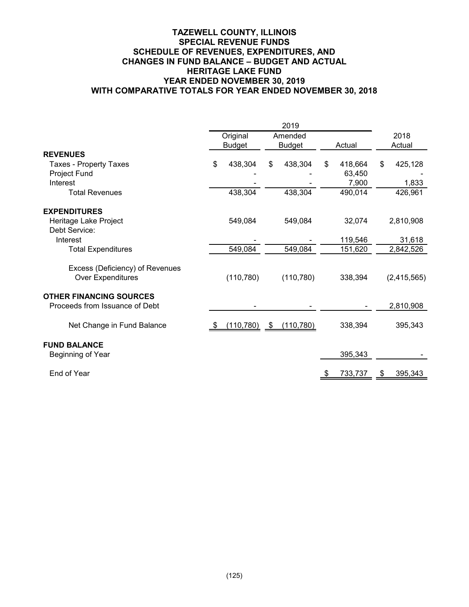# **TAZEWELL COUNTY, ILLINOIS SPECIAL REVENUE FUNDS SCHEDULE OF REVENUES, EXPENDITURES, AND CHANGES IN FUND BALANCE – BUDGET AND ACTUAL HERITAGE LAKE FUND YEAR ENDED NOVEMBER 30, 2019 WITH COMPARATIVE TOTALS FOR YEAR ENDED NOVEMBER 30, 2018**

|                                          |               | Original   |               | Amended    |        |         |                | 2018        |
|------------------------------------------|---------------|------------|---------------|------------|--------|---------|----------------|-------------|
|                                          | <b>Budget</b> |            | <b>Budget</b> |            | Actual |         |                | Actual      |
| <b>REVENUES</b>                          |               |            |               |            |        |         |                |             |
| Taxes - Property Taxes                   | \$            | 438,304    | \$            | 438,304    | \$     | 418,664 | $\mathfrak{S}$ | 425,128     |
| Project Fund                             |               |            |               |            |        | 63,450  |                |             |
| Interest                                 |               |            |               |            |        | 7,900   |                | 1,833       |
| <b>Total Revenues</b>                    |               | 438,304    |               | 438,304    |        | 490,014 |                | 426,961     |
| <b>EXPENDITURES</b>                      |               |            |               |            |        |         |                |             |
| Heritage Lake Project                    |               | 549,084    |               | 549,084    |        | 32,074  |                | 2,810,908   |
| Debt Service:                            |               |            |               |            |        |         |                |             |
| Interest                                 |               |            |               |            |        | 119,546 |                | 31,618      |
| <b>Total Expenditures</b>                |               | 549,084    |               | 549,084    |        | 151,620 |                | 2,842,526   |
| Excess (Deficiency) of Revenues          |               |            |               |            |        |         |                |             |
| <b>Over Expenditures</b>                 |               | (110, 780) |               | (110, 780) |        | 338,394 |                | (2,415,565) |
| <b>OTHER FINANCING SOURCES</b>           |               |            |               |            |        |         |                |             |
| Proceeds from Issuance of Debt           |               |            |               |            |        |         |                | 2,810,908   |
| Net Change in Fund Balance               |               | (110, 780) | $\sqrt{ }$    | (110, 780) |        | 338,394 |                | 395,343     |
| <b>FUND BALANCE</b><br>Beginning of Year |               |            |               |            |        | 395,343 |                |             |
|                                          |               |            |               |            |        |         |                |             |
| End of Year                              |               |            |               |            |        | 733,737 | \$             | 395,343     |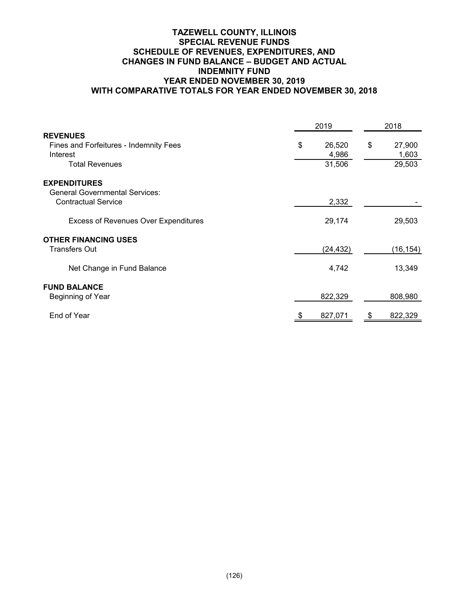# **TAZEWELL COUNTY, ILLINOIS SPECIAL REVENUE FUNDS SCHEDULE OF REVENUES, EXPENDITURES, AND CHANGES IN FUND BALANCE – BUDGET AND ACTUAL INDEMNITY FUND YEAR ENDED NOVEMBER 30, 2019 WITH COMPARATIVE TOTALS FOR YEAR ENDED NOVEMBER 30, 2018**

|                                             | 2019         | 2018         |  |  |
|---------------------------------------------|--------------|--------------|--|--|
| <b>REVENUES</b>                             |              |              |  |  |
| Fines and Forfeitures - Indemnity Fees      | \$<br>26,520 | \$<br>27,900 |  |  |
| Interest                                    | 4,986        | 1,603        |  |  |
| <b>Total Revenues</b>                       | 31,506       | 29,503       |  |  |
| <b>EXPENDITURES</b>                         |              |              |  |  |
| <b>General Governmental Services:</b>       |              |              |  |  |
| <b>Contractual Service</b>                  | 2,332        |              |  |  |
| <b>Excess of Revenues Over Expenditures</b> | 29,174       | 29,503       |  |  |
| <b>OTHER FINANCING USES</b>                 |              |              |  |  |
| <b>Transfers Out</b>                        | (24, 432)    | (16, 154)    |  |  |
| Net Change in Fund Balance                  | 4,742        | 13,349       |  |  |
| <b>FUND BALANCE</b>                         |              |              |  |  |
| Beginning of Year                           | 822,329      | 808,980      |  |  |
| End of Year                                 | 827,071      | 822,329      |  |  |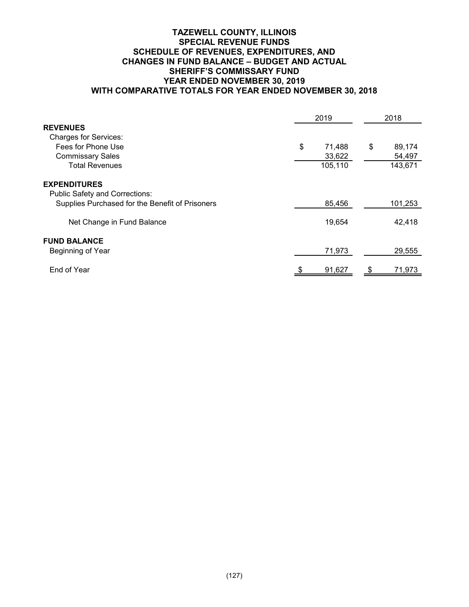# **TAZEWELL COUNTY, ILLINOIS SPECIAL REVENUE FUNDS SCHEDULE OF REVENUES, EXPENDITURES, AND CHANGES IN FUND BALANCE – BUDGET AND ACTUAL SHERIFF'S COMMISSARY FUND YEAR ENDED NOVEMBER 30, 2019 WITH COMPARATIVE TOTALS FOR YEAR ENDED NOVEMBER 30, 2018**

|                                                 | 2019         | 2018         |
|-------------------------------------------------|--------------|--------------|
| <b>REVENUES</b>                                 |              |              |
| <b>Charges for Services:</b>                    |              |              |
| Fees for Phone Use                              | \$<br>71,488 | \$<br>89,174 |
| <b>Commissary Sales</b>                         | 33,622       | 54,497       |
| <b>Total Revenues</b>                           | 105,110      | 143,671      |
| <b>EXPENDITURES</b>                             |              |              |
| <b>Public Safety and Corrections:</b>           |              |              |
| Supplies Purchased for the Benefit of Prisoners | 85,456       | 101,253      |
| Net Change in Fund Balance                      | 19,654       | 42,418       |
| <b>FUND BALANCE</b>                             |              |              |
| Beginning of Year                               | 71,973       | 29,555       |
| End of Year                                     | 91,627       | 71,973<br>S  |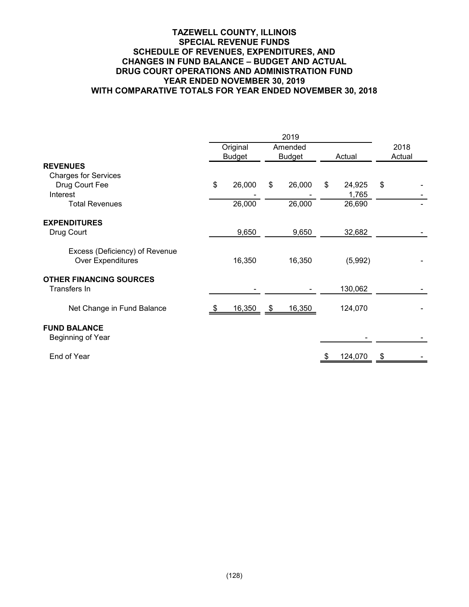# **TAZEWELL COUNTY, ILLINOIS SPECIAL REVENUE FUNDS SCHEDULE OF REVENUES, EXPENDITURES, AND CHANGES IN FUND BALANCE – BUDGET AND ACTUAL DRUG COURT OPERATIONS AND ADMINISTRATION FUND YEAR ENDED NOVEMBER 30, 2019 WITH COMPARATIVE TOTALS FOR YEAR ENDED NOVEMBER 30, 2018**

|                                                            | 2019 |               |    |               |        |         |      |        |  |
|------------------------------------------------------------|------|---------------|----|---------------|--------|---------|------|--------|--|
|                                                            |      | Original      |    | Amended       |        |         | 2018 |        |  |
|                                                            |      | <b>Budget</b> |    | <b>Budget</b> | Actual |         |      | Actual |  |
| <b>REVENUES</b>                                            |      |               |    |               |        |         |      |        |  |
| <b>Charges for Services</b>                                |      |               |    |               |        |         |      |        |  |
| Drug Court Fee                                             | \$   | 26,000        | \$ | 26,000        | \$     | 24,925  | \$   |        |  |
| Interest                                                   |      |               |    |               |        | 1,765   |      |        |  |
| <b>Total Revenues</b>                                      |      | 26,000        |    | 26,000        |        | 26,690  |      |        |  |
| <b>EXPENDITURES</b>                                        |      |               |    |               |        |         |      |        |  |
| Drug Court                                                 |      | 9,650         |    | 9,650         |        | 32,682  |      |        |  |
| Excess (Deficiency) of Revenue<br><b>Over Expenditures</b> |      | 16,350        |    | 16,350        |        | (5,992) |      |        |  |
| <b>OTHER FINANCING SOURCES</b>                             |      |               |    |               |        |         |      |        |  |
| Transfers In                                               |      |               |    |               |        | 130,062 |      |        |  |
| Net Change in Fund Balance                                 |      | 16,350        | \$ | 16,350        |        | 124,070 |      |        |  |
| <b>FUND BALANCE</b><br>Beginning of Year                   |      |               |    |               |        |         |      |        |  |
| End of Year                                                |      |               |    |               |        | 124,070 | \$   |        |  |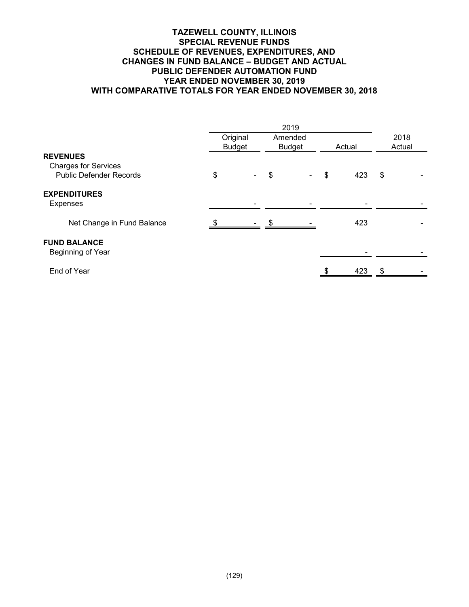# **TAZEWELL COUNTY, ILLINOIS SPECIAL REVENUE FUNDS SCHEDULE OF REVENUES, EXPENDITURES, AND CHANGES IN FUND BALANCE – BUDGET AND ACTUAL PUBLIC DEFENDER AUTOMATION FUND YEAR ENDED NOVEMBER 30, 2019 WITH COMPARATIVE TOTALS FOR YEAR ENDED NOVEMBER 30, 2018**

|                                                                                  | 2019                                                  |                |        |  |                |     |               |  |
|----------------------------------------------------------------------------------|-------------------------------------------------------|----------------|--------|--|----------------|-----|---------------|--|
|                                                                                  | Original<br>Amended<br><b>Budget</b><br><b>Budget</b> |                | Actual |  | 2018<br>Actual |     |               |  |
| <b>REVENUES</b><br><b>Charges for Services</b><br><b>Public Defender Records</b> | \$                                                    | $\blacksquare$ | \$     |  | \$             | 423 | $\frac{1}{2}$ |  |
| <b>EXPENDITURES</b><br>Expenses                                                  |                                                       |                |        |  |                |     |               |  |
| Net Change in Fund Balance                                                       |                                                       |                |        |  |                | 423 |               |  |
| <b>FUND BALANCE</b><br>Beginning of Year                                         |                                                       |                |        |  |                |     |               |  |
| End of Year                                                                      |                                                       |                |        |  |                | 423 | - \$          |  |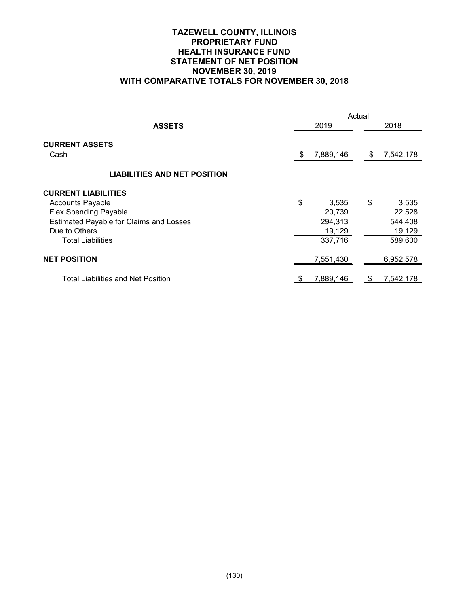# **TAZEWELL COUNTY, ILLINOIS PROPRIETARY FUND HEALTH INSURANCE FUND STATEMENT OF NET POSITION NOVEMBER 30, 2019 WITH COMPARATIVE TOTALS FOR NOVEMBER 30, 2018**

|                                                                                                                                                          | Actual |                                      |    |                                      |  |  |  |  |
|----------------------------------------------------------------------------------------------------------------------------------------------------------|--------|--------------------------------------|----|--------------------------------------|--|--|--|--|
| <b>ASSETS</b>                                                                                                                                            | 2019   |                                      |    | 2018                                 |  |  |  |  |
| <b>CURRENT ASSETS</b><br>Cash                                                                                                                            | -S     | 7,889,146                            | \$ | 7,542,178                            |  |  |  |  |
| <b>LIABILITIES AND NET POSITION</b>                                                                                                                      |        |                                      |    |                                      |  |  |  |  |
| <b>CURRENT LIABILITIES</b><br><b>Accounts Payable</b><br><b>Flex Spending Payable</b><br><b>Estimated Payable for Claims and Losses</b><br>Due to Others | \$     | 3,535<br>20,739<br>294,313<br>19,129 | \$ | 3,535<br>22,528<br>544,408<br>19,129 |  |  |  |  |
| <b>Total Liabilities</b><br><b>NET POSITION</b>                                                                                                          |        | 337,716<br>7,551,430                 |    | 589,600<br>6,952,578                 |  |  |  |  |
| <b>Total Liabilities and Net Position</b>                                                                                                                |        | 7,889,146                            |    | 7,542,178                            |  |  |  |  |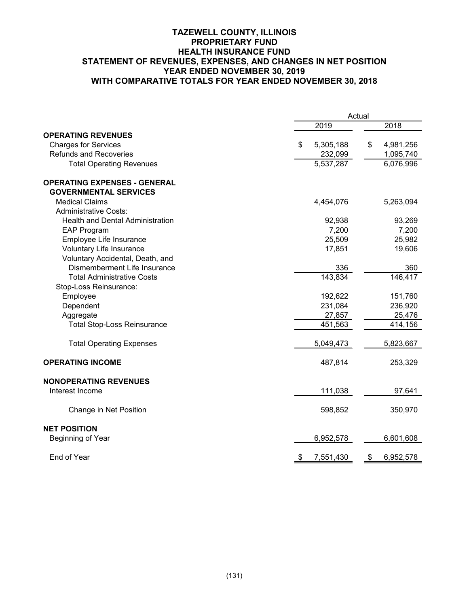# **TAZEWELL COUNTY, ILLINOIS PROPRIETARY FUND HEALTH INSURANCE FUND STATEMENT OF REVENUES, EXPENSES, AND CHANGES IN NET POSITION YEAR ENDED NOVEMBER 30, 2019 WITH COMPARATIVE TOTALS FOR YEAR ENDED NOVEMBER 30, 2018**

|                                         | Actual          |                 |  |  |  |  |  |
|-----------------------------------------|-----------------|-----------------|--|--|--|--|--|
|                                         | 2019            | 2018            |  |  |  |  |  |
| <b>OPERATING REVENUES</b>               |                 |                 |  |  |  |  |  |
| <b>Charges for Services</b>             | 5,305,188<br>\$ | \$<br>4,981,256 |  |  |  |  |  |
| <b>Refunds and Recoveries</b>           | 232,099         | 1,095,740       |  |  |  |  |  |
| <b>Total Operating Revenues</b>         | 5,537,287       | 6,076,996       |  |  |  |  |  |
| <b>OPERATING EXPENSES - GENERAL</b>     |                 |                 |  |  |  |  |  |
| <b>GOVERNMENTAL SERVICES</b>            |                 |                 |  |  |  |  |  |
| <b>Medical Claims</b>                   | 4,454,076       | 5,263,094       |  |  |  |  |  |
| <b>Administrative Costs:</b>            |                 |                 |  |  |  |  |  |
| <b>Health and Dental Administration</b> | 92,938          | 93,269          |  |  |  |  |  |
| <b>EAP Program</b>                      | 7,200           | 7,200           |  |  |  |  |  |
| Employee Life Insurance                 | 25,509          | 25,982          |  |  |  |  |  |
| Voluntary Life Insurance                | 17,851          | 19,606          |  |  |  |  |  |
| Voluntary Accidental, Death, and        |                 |                 |  |  |  |  |  |
| Dismemberment Life Insurance            | 336             | 360             |  |  |  |  |  |
| <b>Total Administrative Costs</b>       | 143,834         | 146,417         |  |  |  |  |  |
| Stop-Loss Reinsurance:                  |                 |                 |  |  |  |  |  |
| Employee                                | 192,622         | 151,760         |  |  |  |  |  |
| Dependent                               | 231,084         | 236,920         |  |  |  |  |  |
| Aggregate                               | 27,857          | 25,476          |  |  |  |  |  |
| <b>Total Stop-Loss Reinsurance</b>      | 451,563         | 414,156         |  |  |  |  |  |
| <b>Total Operating Expenses</b>         | 5,049,473       | 5,823,667       |  |  |  |  |  |
| <b>OPERATING INCOME</b>                 | 487,814         | 253,329         |  |  |  |  |  |
| <b>NONOPERATING REVENUES</b>            |                 |                 |  |  |  |  |  |
| Interest Income                         | 111,038         | 97,641          |  |  |  |  |  |
| Change in Net Position                  | 598,852         | 350,970         |  |  |  |  |  |
| <b>NET POSITION</b>                     |                 |                 |  |  |  |  |  |
| Beginning of Year                       | 6,952,578       | 6,601,608       |  |  |  |  |  |
| End of Year                             | 7,551,430<br>\$ | \$<br>6,952,578 |  |  |  |  |  |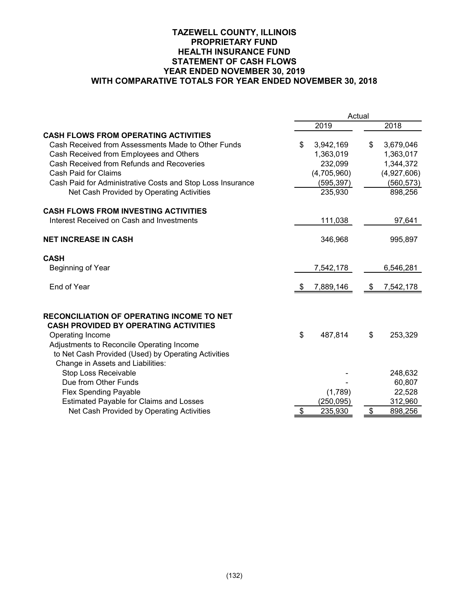# **TAZEWELL COUNTY, ILLINOIS PROPRIETARY FUND HEALTH INSURANCE FUND STATEMENT OF CASH FLOWS YEAR ENDED NOVEMBER 30, 2019 WITH COMPARATIVE TOTALS FOR YEAR ENDED NOVEMBER 30, 2018**

|                                                            | Actual |             |    |             |  |  |
|------------------------------------------------------------|--------|-------------|----|-------------|--|--|
|                                                            |        | 2019        |    | 2018        |  |  |
| <b>CASH FLOWS FROM OPERATING ACTIVITIES</b>                |        |             |    |             |  |  |
| Cash Received from Assessments Made to Other Funds         | \$     | 3,942,169   | \$ | 3,679,046   |  |  |
| Cash Received from Employees and Others                    |        | 1,363,019   |    | 1,363,017   |  |  |
| Cash Received from Refunds and Recoveries                  |        | 232,099     |    | 1,344,372   |  |  |
| <b>Cash Paid for Claims</b>                                |        | (4,705,960) |    | (4,927,606) |  |  |
| Cash Paid for Administrative Costs and Stop Loss Insurance |        | (595, 397)  |    | (560, 573)  |  |  |
| Net Cash Provided by Operating Activities                  |        | 235,930     |    | 898,256     |  |  |
| <b>CASH FLOWS FROM INVESTING ACTIVITIES</b>                |        |             |    |             |  |  |
| Interest Received on Cash and Investments                  |        | 111,038     |    | 97,641      |  |  |
| <b>NET INCREASE IN CASH</b>                                |        | 346,968     |    | 995,897     |  |  |
| <b>CASH</b>                                                |        |             |    |             |  |  |
| Beginning of Year                                          |        | 7,542,178   |    | 6,546,281   |  |  |
| End of Year                                                | \$     | 7,889,146   | \$ | 7,542,178   |  |  |
| <b>RECONCILIATION OF OPERATING INCOME TO NET</b>           |        |             |    |             |  |  |
| <b>CASH PROVIDED BY OPERATING ACTIVITIES</b>               |        |             |    |             |  |  |
| Operating Income                                           | \$     | 487,814     | \$ | 253,329     |  |  |
| Adjustments to Reconcile Operating Income                  |        |             |    |             |  |  |
| to Net Cash Provided (Used) by Operating Activities        |        |             |    |             |  |  |
| Change in Assets and Liabilities:                          |        |             |    |             |  |  |
| <b>Stop Loss Receivable</b>                                |        |             |    | 248,632     |  |  |
| Due from Other Funds                                       |        |             |    | 60,807      |  |  |
| <b>Flex Spending Payable</b>                               |        | (1,789)     |    | 22,528      |  |  |
| <b>Estimated Payable for Claims and Losses</b>             |        | (250,095)   |    | 312,960     |  |  |
| Net Cash Provided by Operating Activities                  | \$     | 235,930     | \$ | 898,256     |  |  |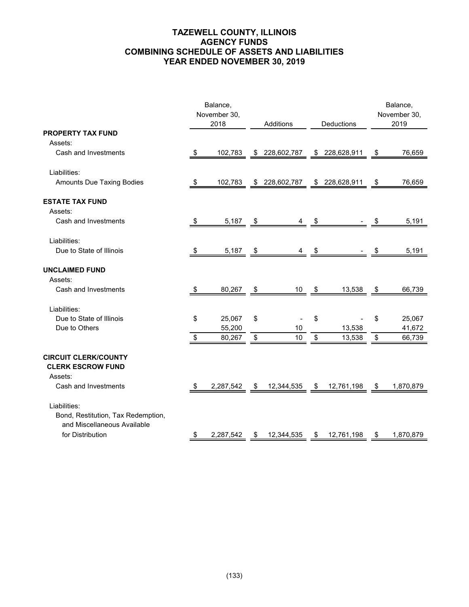# **TAZEWELL COUNTY, ILLINOIS AGENCY FUNDS COMBINING SCHEDULE OF ASSETS AND LIABILITIES YEAR ENDED NOVEMBER 30, 2019**

|                                                                                   |      | Balance,             |            |                               |    |                   |      | Balance,             |
|-----------------------------------------------------------------------------------|------|----------------------|------------|-------------------------------|----|-------------------|------|----------------------|
|                                                                                   |      | November 30,<br>2018 |            | Additions                     |    | <b>Deductions</b> |      | November 30,<br>2019 |
| <b>PROPERTY TAX FUND</b>                                                          |      |                      |            |                               |    |                   |      |                      |
| Assets:                                                                           |      |                      |            |                               |    |                   |      |                      |
| Cash and Investments                                                              | \$   | 102,783              |            | $$228,602,787$ $$228,628,911$ |    |                   | - \$ | 76,659               |
| Liabilities:                                                                      |      |                      |            |                               |    |                   |      |                      |
| Amounts Due Taxing Bodies                                                         | \$   | 102,783              |            | \$ 228,602,787                |    | \$ 228,628,911    | \$   | 76,659               |
| <b>ESTATE TAX FUND</b><br>Assets:                                                 |      |                      |            |                               |    |                   |      |                      |
| Cash and Investments                                                              | \$F  | 5,187                | $\sqrt{5}$ |                               |    |                   |      | 5,191                |
| Liabilities:                                                                      |      |                      |            |                               |    |                   |      |                      |
| Due to State of Illinois                                                          | \$   | 5,187                | \$         | 4                             | \$ |                   | \$   | 5,191                |
| <b>UNCLAIMED FUND</b><br>Assets:                                                  |      |                      |            |                               |    |                   |      |                      |
| Cash and Investments                                                              | S.   | 80,267               | \$         | 10                            | \$ | 13,538            | \$   | 66,739               |
| Liabilities:                                                                      |      |                      |            |                               |    |                   |      |                      |
| Due to State of Illinois                                                          | \$   | 25,067               | \$         |                               | \$ |                   | \$   | 25,067               |
| Due to Others                                                                     |      | 55,200               |            | 10                            |    | 13,538            |      | 41,672               |
|                                                                                   | \$   | 80,267               | \$         | 10                            | \$ | 13,538            | \$   | 66,739               |
| <b>CIRCUIT CLERK/COUNTY</b><br><b>CLERK ESCROW FUND</b><br>Assets:                |      |                      |            |                               |    |                   |      |                      |
| Cash and Investments                                                              | - \$ | 2,287,542            | \$         | 12,344,535                    | S  | 12,761,198        | S    | 1,870,879            |
| Liabilities:<br>Bond, Restitution, Tax Redemption,<br>and Miscellaneous Available |      |                      |            |                               |    |                   |      |                      |
| for Distribution                                                                  | \$   | 2,287,542            | \$         | 12,344,535                    | \$ | 12,761,198        | \$   | 1,870,879            |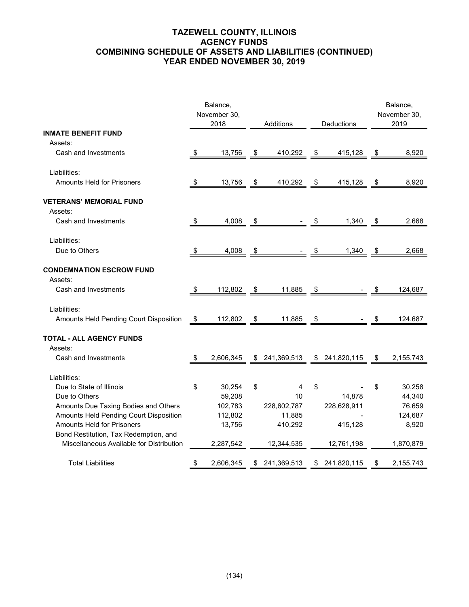# **TAZEWELL COUNTY, ILLINOIS AGENCY FUNDS COMBINING SCHEDULE OF ASSETS AND LIABILITIES (CONTINUED) YEAR ENDED NOVEMBER 30, 2019**

|                                                                            |      | Balance,     |      |                |                   | Balance,        |
|----------------------------------------------------------------------------|------|--------------|------|----------------|-------------------|-----------------|
|                                                                            |      | November 30, |      |                |                   | November 30,    |
| <b>INMATE BENEFIT FUND</b>                                                 |      | 2018         |      | Additions      | Deductions        | 2019            |
| Assets:                                                                    |      |              |      |                |                   |                 |
| Cash and Investments                                                       | S.   | 13,756       | \$   | 410,292        | \$<br>415,128     | \$<br>8,920     |
| Liabilities:                                                               |      |              |      |                |                   |                 |
| <b>Amounts Held for Prisoners</b>                                          | \$   | 13,756       | \$   | 410,292        | \$<br>415,128     | \$<br>8,920     |
| <b>VETERANS' MEMORIAL FUND</b><br>Assets:                                  |      |              |      |                |                   |                 |
| Cash and Investments                                                       | - \$ | 4,008        | - \$ |                | 1,340             | \$<br>2,668     |
| Liabilities:                                                               |      |              |      |                |                   |                 |
| Due to Others                                                              |      | 4,008        | \$   |                | 1,340             | \$<br>2,668     |
| <b>CONDEMNATION ESCROW FUND</b><br>Assets:                                 |      |              |      |                |                   |                 |
| Cash and Investments                                                       | \$   | 112,802      | - \$ | 11,885         | \$                | \$<br>124,687   |
| Liabilities:                                                               |      |              |      |                |                   |                 |
| Amounts Held Pending Court Disposition                                     | \$   | 112,802      | \$   | 11,885         | \$                | 124,687         |
| <b>TOTAL - ALL AGENCY FUNDS</b><br>Assets:                                 |      |              |      |                |                   |                 |
| Cash and Investments                                                       | \$   | 2,606,345    | \$   | 241,369,513    | \$<br>241,820,115 | \$<br>2,155,743 |
| Liabilities:                                                               |      |              |      |                |                   |                 |
| Due to State of Illinois                                                   | \$   | 30,254       | \$   | 4              | \$                | \$<br>30,258    |
| Due to Others                                                              |      | 59,208       |      | 10             | 14,878            | 44,340          |
| Amounts Due Taxing Bodies and Others                                       |      | 102,783      |      | 228,602,787    | 228,628,911       | 76,659          |
| Amounts Held Pending Court Disposition                                     |      | 112,802      |      | 11,885         |                   | 124,687         |
| <b>Amounts Held for Prisoners</b><br>Bond Restitution, Tax Redemption, and |      | 13,756       |      | 410,292        | 415,128           | 8,920           |
| Miscellaneous Available for Distribution                                   |      | 2,287,542    |      | 12,344,535     | 12,761,198        | 1,870,879       |
| <b>Total Liabilities</b>                                                   | \$   | 2,606,345    |      | \$ 241,369,513 | \$ 241,820,115    | \$<br>2,155,743 |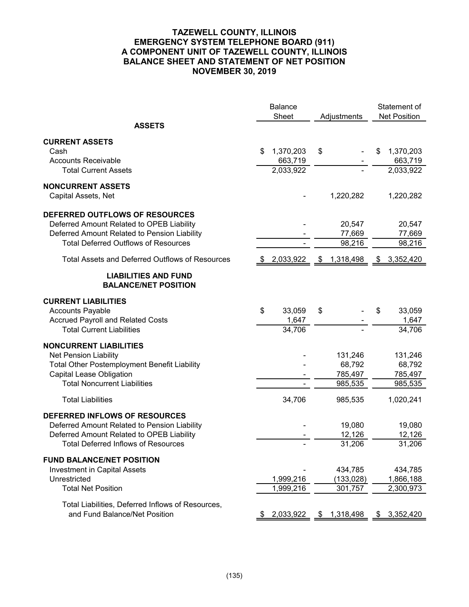# **TAZEWELL COUNTY, ILLINOIS EMERGENCY SYSTEM TELEPHONE BOARD (911) A COMPONENT UNIT OF TAZEWELL COUNTY, ILLINOIS BALANCE SHEET AND STATEMENT OF NET POSITION NOVEMBER 30, 2019**

|                                                                                                                                                                                         | <b>Balance</b><br>Sheet |                                   | Adjustments |                                         | Statement of<br><b>Net Position</b>     |
|-----------------------------------------------------------------------------------------------------------------------------------------------------------------------------------------|-------------------------|-----------------------------------|-------------|-----------------------------------------|-----------------------------------------|
| <b>ASSETS</b>                                                                                                                                                                           |                         |                                   |             |                                         |                                         |
| <b>CURRENT ASSETS</b><br>Cash<br><b>Accounts Receivable</b><br><b>Total Current Assets</b>                                                                                              | \$                      | 1,370,203<br>663,719<br>2,033,922 | \$          |                                         | \$<br>1,370,203<br>663,719<br>2,033,922 |
| <b>NONCURRENT ASSETS</b><br>Capital Assets, Net                                                                                                                                         |                         |                                   |             | 1,220,282                               | 1,220,282                               |
| DEFERRED OUTFLOWS OF RESOURCES<br>Deferred Amount Related to OPEB Liability<br>Deferred Amount Related to Pension Liability<br><b>Total Deferred Outflows of Resources</b>              |                         |                                   |             | 20,547<br>77,669<br>98,216              | 20,547<br>77,669<br>98,216              |
| Total Assets and Deferred Outflows of Resources                                                                                                                                         |                         | 2,033,922                         | \$          | 1,318,498                               | \$<br>3,352,420                         |
| <b>LIABILITIES AND FUND</b><br><b>BALANCE/NET POSITION</b>                                                                                                                              |                         |                                   |             |                                         |                                         |
| <b>CURRENT LIABILITIES</b><br><b>Accounts Payable</b><br><b>Accrued Payroll and Related Costs</b><br><b>Total Current Liabilities</b>                                                   | \$                      | 33,059<br>1,647<br>34,706         | \$          |                                         | \$<br>33,059<br>1,647<br>34,706         |
| <b>NONCURRENT LIABILITIES</b><br>Net Pension Liability<br><b>Total Other Postemployment Benefit Liability</b><br><b>Capital Lease Obligation</b><br><b>Total Noncurrent Liabilities</b> |                         |                                   |             | 131,246<br>68,792<br>785,497<br>985,535 | 131,246<br>68,792<br>785,497<br>985,535 |
| <b>Total Liabilities</b>                                                                                                                                                                |                         | 34,706                            |             | 985,535                                 | 1,020,241                               |
| DEFERRED INFLOWS OF RESOURCES<br>Deferred Amount Related to Pension Liability<br>Deferred Amount Related to OPEB Liability<br>Total Deferred Inflows of Resources                       |                         |                                   |             | 19,080<br>12,126<br>31,206              | 19,080<br>12,126<br>31,206              |
| <b>FUND BALANCE/NET POSITION</b><br><b>Investment in Capital Assets</b><br>Unrestricted<br><b>Total Net Position</b>                                                                    |                         | 1,999,216<br>1,999,216            |             | 434,785<br>(133, 028)<br>301,757        | 434,785<br>1,866,188<br>2,300,973       |
| Total Liabilities, Deferred Inflows of Resources,<br>and Fund Balance/Net Position                                                                                                      | \$                      | 2,033,922                         | \$          | 1,318,498                               | \$<br>3,352,420                         |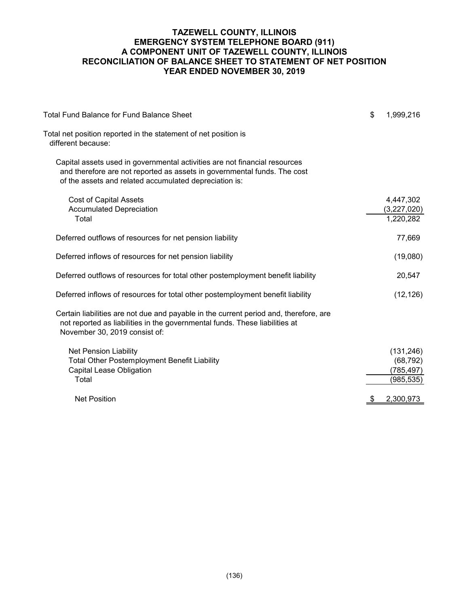# **TAZEWELL COUNTY, ILLINOIS EMERGENCY SYSTEM TELEPHONE BOARD (911) A COMPONENT UNIT OF TAZEWELL COUNTY, ILLINOIS RECONCILIATION OF BALANCE SHEET TO STATEMENT OF NET POSITION YEAR ENDED NOVEMBER 30, 2019**

| <b>Total Fund Balance for Fund Balance Sheet</b>                                                                                                                                                                 | \$<br>1,999,216                                     |
|------------------------------------------------------------------------------------------------------------------------------------------------------------------------------------------------------------------|-----------------------------------------------------|
| Total net position reported in the statement of net position is<br>different because:                                                                                                                            |                                                     |
| Capital assets used in governmental activities are not financial resources<br>and therefore are not reported as assets in governmental funds. The cost<br>of the assets and related accumulated depreciation is: |                                                     |
| <b>Cost of Capital Assets</b><br><b>Accumulated Depreciation</b><br>Total                                                                                                                                        | 4,447,302<br>(3,227,020)<br>1,220,282               |
| Deferred outflows of resources for net pension liability                                                                                                                                                         | 77,669                                              |
| Deferred inflows of resources for net pension liability                                                                                                                                                          | (19,080)                                            |
| Deferred outflows of resources for total other postemployment benefit liability                                                                                                                                  | 20,547                                              |
| Deferred inflows of resources for total other postemployment benefit liability                                                                                                                                   | (12, 126)                                           |
| Certain liabilities are not due and payable in the current period and, therefore, are<br>not reported as liabilities in the governmental funds. These liabilities at<br>November 30, 2019 consist of:            |                                                     |
| Net Pension Liability<br><b>Total Other Postemployment Benefit Liability</b><br><b>Capital Lease Obligation</b><br>Total                                                                                         | (131, 246)<br>(68, 792)<br>(785, 497)<br>(985, 535) |
| <b>Net Position</b>                                                                                                                                                                                              | 2,300,973                                           |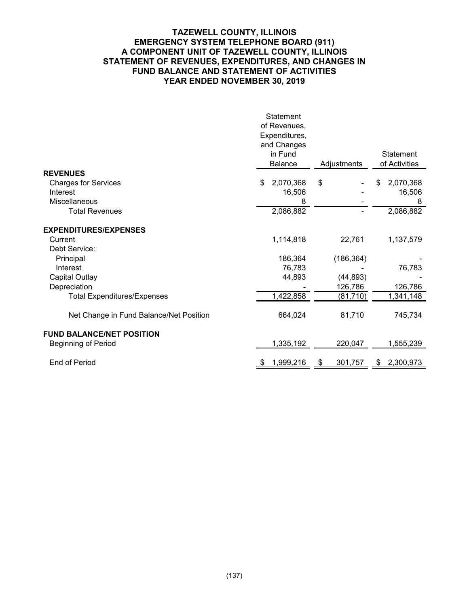# **TAZEWELL COUNTY, ILLINOIS EMERGENCY SYSTEM TELEPHONE BOARD (911) A COMPONENT UNIT OF TAZEWELL COUNTY, ILLINOIS STATEMENT OF REVENUES, EXPENDITURES, AND CHANGES IN FUND BALANCE AND STATEMENT OF ACTIVITIES YEAR ENDED NOVEMBER 30, 2019**

|                                         |     | Statement                     |    |             |     |                            |
|-----------------------------------------|-----|-------------------------------|----|-------------|-----|----------------------------|
|                                         |     | of Revenues,<br>Expenditures, |    |             |     |                            |
|                                         |     |                               |    |             |     |                            |
|                                         |     | and Changes<br>in Fund        |    |             |     |                            |
|                                         |     | <b>Balance</b>                |    | Adjustments |     | Statement<br>of Activities |
| <b>REVENUES</b>                         |     |                               |    |             |     |                            |
|                                         | \$  | 2,070,368                     | \$ |             | \$. | 2,070,368                  |
| <b>Charges for Services</b><br>Interest |     |                               |    |             |     |                            |
|                                         |     | 16,506                        |    |             |     | 16,506                     |
| Miscellaneous                           |     | 8                             |    |             |     | 8                          |
| <b>Total Revenues</b>                   |     | 2,086,882                     |    |             |     | 2,086,882                  |
| <b>EXPENDITURES/EXPENSES</b>            |     |                               |    |             |     |                            |
| Current                                 |     | 1,114,818                     |    | 22,761      |     | 1,137,579                  |
| Debt Service:                           |     |                               |    |             |     |                            |
| Principal                               |     | 186,364                       |    | (186, 364)  |     |                            |
| Interest                                |     | 76,783                        |    |             |     | 76,783                     |
| <b>Capital Outlay</b>                   |     | 44,893                        |    | (44, 893)   |     |                            |
| Depreciation                            |     |                               |    | 126,786     |     | 126,786                    |
| <b>Total Expenditures/Expenses</b>      |     | 1,422,858                     |    | (81, 710)   |     | 1,341,148                  |
| Net Change in Fund Balance/Net Position |     | 664,024                       |    | 81,710      |     | 745,734                    |
| <b>FUND BALANCE/NET POSITION</b>        |     |                               |    |             |     |                            |
|                                         |     |                               |    |             |     |                            |
| <b>Beginning of Period</b>              |     | 1,335,192                     |    | 220,047     |     | 1,555,239                  |
| <b>End of Period</b>                    | -SS | 1,999,216                     | \$ | 301,757     | \$  | 2,300,973                  |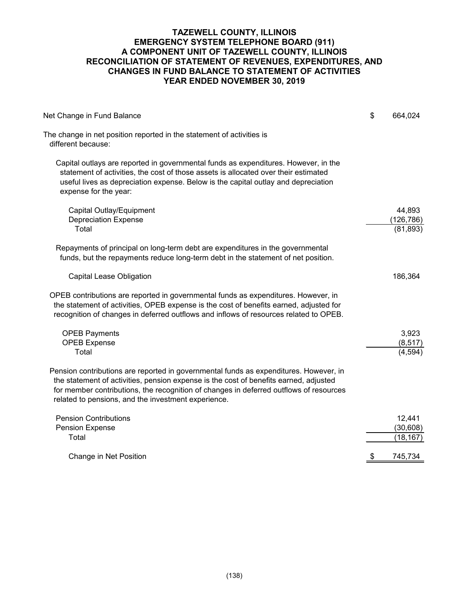# **TAZEWELL COUNTY, ILLINOIS EMERGENCY SYSTEM TELEPHONE BOARD (911) A COMPONENT UNIT OF TAZEWELL COUNTY, ILLINOIS RECONCILIATION OF STATEMENT OF REVENUES, EXPENDITURES, AND CHANGES IN FUND BALANCE TO STATEMENT OF ACTIVITIES YEAR ENDED NOVEMBER 30, 2019**

| Net Change in Fund Balance                                                                                                                                                                                                                                                                                                      | \$<br>664,024                     |
|---------------------------------------------------------------------------------------------------------------------------------------------------------------------------------------------------------------------------------------------------------------------------------------------------------------------------------|-----------------------------------|
| The change in net position reported in the statement of activities is<br>different because:                                                                                                                                                                                                                                     |                                   |
| Capital outlays are reported in governmental funds as expenditures. However, in the<br>statement of activities, the cost of those assets is allocated over their estimated<br>useful lives as depreciation expense. Below is the capital outlay and depreciation<br>expense for the year:                                       |                                   |
| Capital Outlay/Equipment<br><b>Depreciation Expense</b><br>Total                                                                                                                                                                                                                                                                | 44,893<br>(126, 786)<br>(81, 893) |
| Repayments of principal on long-term debt are expenditures in the governmental<br>funds, but the repayments reduce long-term debt in the statement of net position.                                                                                                                                                             |                                   |
| <b>Capital Lease Obligation</b>                                                                                                                                                                                                                                                                                                 | 186,364                           |
| OPEB contributions are reported in governmental funds as expenditures. However, in<br>the statement of activities, OPEB expense is the cost of benefits earned, adjusted for<br>recognition of changes in deferred outflows and inflows of resources related to OPEB.                                                           |                                   |
| <b>OPEB Payments</b><br><b>OPEB Expense</b><br>Total                                                                                                                                                                                                                                                                            | 3,923<br>(8, 517)<br>(4, 594)     |
| Pension contributions are reported in governmental funds as expenditures. However, in<br>the statement of activities, pension expense is the cost of benefits earned, adjusted<br>for member contributions, the recognition of changes in deferred outflows of resources<br>related to pensions, and the investment experience. |                                   |
| <b>Pension Contributions</b><br><b>Pension Expense</b><br>Total                                                                                                                                                                                                                                                                 | 12,441<br>(30, 608)<br>(18, 167)  |
| Change in Net Position                                                                                                                                                                                                                                                                                                          | \$<br>745,734                     |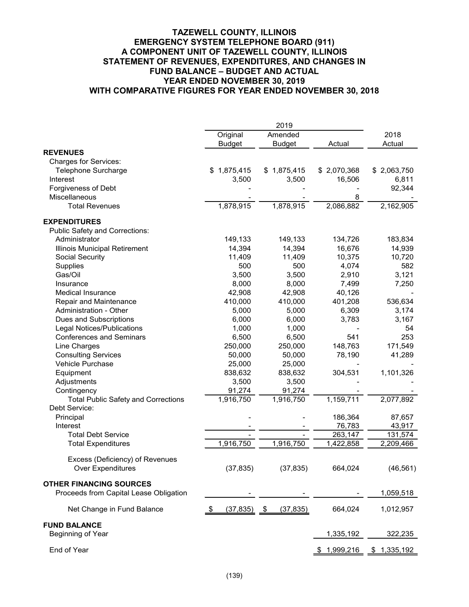# **TAZEWELL COUNTY, ILLINOIS EMERGENCY SYSTEM TELEPHONE BOARD (911) A COMPONENT UNIT OF TAZEWELL COUNTY, ILLINOIS STATEMENT OF REVENUES, EXPENDITURES, AND CHANGES IN FUND BALANCE – BUDGET AND ACTUAL YEAR ENDED NOVEMBER 30, 2019 WITH COMPARATIVE FIGURES FOR YEAR ENDED NOVEMBER 30, 2018**

|                                            | Original      | Amended       |                    |             |
|--------------------------------------------|---------------|---------------|--------------------|-------------|
|                                            |               |               |                    | 2018        |
|                                            | <b>Budget</b> | <b>Budget</b> | Actual             | Actual      |
| <b>REVENUES</b>                            |               |               |                    |             |
| <b>Charges for Services:</b>               |               |               |                    |             |
| Telephone Surcharge<br>\$                  | 1,875,415     | \$1,875,415   | \$2,070,368        | \$2,063,750 |
| Interest                                   | 3,500         | 3,500         | 16,506             | 6,811       |
| Forgiveness of Debt                        |               |               |                    | 92,344      |
| Miscellaneous                              |               |               | 8                  |             |
| <b>Total Revenues</b>                      | 1,878,915     | 1,878,915     | 2,086,882          | 2,162,905   |
| <b>EXPENDITURES</b>                        |               |               |                    |             |
| <b>Public Safety and Corrections:</b>      |               |               |                    |             |
| Administrator                              | 149,133       | 149,133       | 134,726            | 183,834     |
| Illinois Municipal Retirement              | 14,394        | 14,394        | 16,676             | 14,939      |
| Social Security                            | 11,409        | 11,409        | 10,375             | 10,720      |
| Supplies                                   | 500           | 500           | 4,074              | 582         |
| Gas/Oil                                    | 3,500         | 3,500         | 2,910              | 3,121       |
| Insurance                                  | 8,000         | 8,000         | 7,499              | 7,250       |
| <b>Medical Insurance</b>                   | 42,908        | 42,908        | 40,126             |             |
| Repair and Maintenance                     | 410,000       | 410,000       | 401,208            | 536,634     |
| Administration - Other                     | 5,000         | 5,000         | 6,309              | 3,174       |
| Dues and Subscriptions                     | 6,000         | 6,000         | 3,783              | 3,167       |
| Legal Notices/Publications                 | 1,000         | 1,000         |                    | 54          |
| <b>Conferences and Seminars</b>            | 6,500         | 6,500         | 541                | 253         |
| Line Charges                               | 250,000       | 250,000       | 148,763            | 171,549     |
| <b>Consulting Services</b>                 | 50,000        | 50,000        | 78,190             | 41,289      |
| Vehicle Purchase                           | 25,000        | 25,000        |                    |             |
| Equipment                                  | 838,632       | 838,632       | 304,531            | 1,101,326   |
| Adjustments                                | 3,500         | 3,500         |                    |             |
| Contingency                                | 91,274        | 91,274        |                    |             |
| <b>Total Public Safety and Corrections</b> | 1,916,750     | 1,916,750     | 1,159,711          | 2,077,892   |
| Debt Service:                              |               |               |                    |             |
| Principal                                  |               |               | 186,364            | 87,657      |
| Interest                                   |               |               | 76,783             | 43,917      |
| <b>Total Debt Service</b>                  |               |               | 263,147            | 131,574     |
| <b>Total Expenditures</b>                  | 1,916,750     | 1,916,750     | 1,422,858          | 2,209,466   |
| Excess (Deficiency) of Revenues            |               |               |                    |             |
| Over Expenditures                          | (37, 835)     | (37, 835)     | 664,024            | (46, 561)   |
| <b>OTHER FINANCING SOURCES</b>             |               |               |                    |             |
| Proceeds from Capital Lease Obligation     |               |               |                    | 1,059,518   |
| Net Change in Fund Balance<br>\$F          | $(37,835)$ \$ | (37, 835)     | 664,024            | 1,012,957   |
| <b>FUND BALANCE</b><br>Beginning of Year   |               |               | <u>1,335,192</u>   | 322,235     |
| End of Year                                |               |               | <u>\$1,999,216</u> | \$1,335,192 |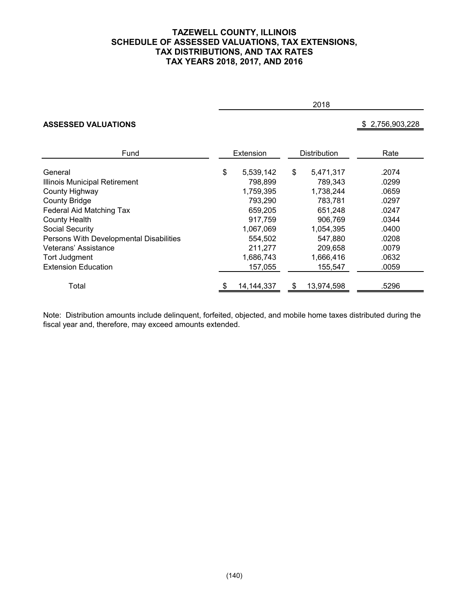# **TAZEWELL COUNTY, ILLINOIS SCHEDULE OF ASSESSED VALUATIONS, TAX EXTENSIONS, TAX DISTRIBUTIONS, AND TAX RATES TAX YEARS 2018, 2017, AND 2016**

|                                         | 2018 |                  |      |            |                 |  |  |  |  |  |
|-----------------------------------------|------|------------------|------|------------|-----------------|--|--|--|--|--|
| <b>ASSESSED VALUATIONS</b>              |      |                  |      |            | \$2,756,903,228 |  |  |  |  |  |
| Fund                                    |      | <b>Extension</b> | Rate |            |                 |  |  |  |  |  |
| General                                 | \$   | 5,539,142        | \$   | 5,471,317  | .2074           |  |  |  |  |  |
| Illinois Municipal Retirement           |      | 798,899          |      | 789,343    | .0299           |  |  |  |  |  |
| County Highway                          |      | 1,759,395        |      | 1,738,244  | .0659           |  |  |  |  |  |
| <b>County Bridge</b>                    |      | 793,290          |      | 783,781    | .0297           |  |  |  |  |  |
| Federal Aid Matching Tax                |      | 659,205          |      | 651,248    | .0247           |  |  |  |  |  |
| <b>County Health</b>                    |      | 917,759          |      | 906,769    | .0344           |  |  |  |  |  |
| Social Security                         |      | 1,067,069        |      | 1,054,395  | .0400           |  |  |  |  |  |
| Persons With Developmental Disabilities |      | 554,502          |      | 547,880    | .0208           |  |  |  |  |  |
| Veterans' Assistance                    |      | 211.277          |      | 209.658    | .0079           |  |  |  |  |  |
| Tort Judgment                           |      | 1,686,743        |      | 1,666,416  | .0632           |  |  |  |  |  |
| <b>Extension Education</b>              |      | 157,055          |      | 155,547    | .0059           |  |  |  |  |  |
| Total                                   |      | 14, 144, 337     | S    | 13,974,598 | .5296           |  |  |  |  |  |

Note: Distribution amounts include delinquent, forfeited, objected, and mobile home taxes distributed during the fiscal year and, therefore, may exceed amounts extended.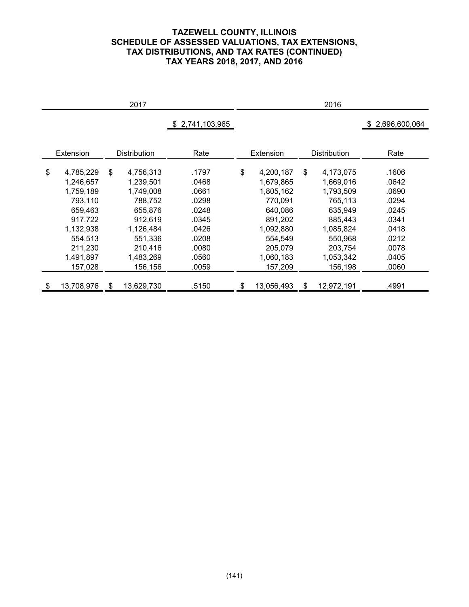## **TAZEWELL COUNTY, ILLINOIS SCHEDULE OF ASSESSED VALUATIONS, TAX EXTENSIONS, TAX DISTRIBUTIONS, AND TAX RATES (CONTINUED) TAX YEARS 2018, 2017, AND 2016**

| 2017      |            |                     |            |                 | 2016      |            |                     |            |               |  |
|-----------|------------|---------------------|------------|-----------------|-----------|------------|---------------------|------------|---------------|--|
|           |            |                     |            | \$2,741,103,965 |           |            |                     |            | 2,696,600,064 |  |
|           |            |                     |            |                 |           |            |                     |            |               |  |
| Extension |            | <b>Distribution</b> |            | Rate            | Extension |            | <b>Distribution</b> |            | Rate          |  |
|           |            |                     |            |                 |           |            |                     |            |               |  |
| \$        | 4,785,229  | \$                  | 4,756,313  | .1797           | \$        | 4,200,187  | \$                  | 4,173,075  | .1606         |  |
|           | 1,246,657  |                     | 1,239,501  | .0468           |           | 1,679,865  |                     | 1,669,016  | .0642         |  |
|           | 1,759,189  |                     | 1,749,008  | .0661           |           | 1,805,162  |                     | 1,793,509  | .0690         |  |
|           | 793,110    |                     | 788,752    | .0298           |           | 770,091    |                     | 765,113    | .0294         |  |
|           | 659,463    |                     | 655,876    | .0248           |           | 640,086    |                     | 635,949    | .0245         |  |
|           | 917,722    |                     | 912,619    | .0345           |           | 891,202    |                     | 885,443    | .0341         |  |
|           | 1,132,938  |                     | 1,126,484  | .0426           |           | 1,092,880  |                     | 1,085,824  | .0418         |  |
|           | 554,513    |                     | 551,336    | .0208           |           | 554,549    |                     | 550,968    | .0212         |  |
|           | 211,230    |                     | 210.416    | .0080           |           | 205,079    |                     | 203.754    | .0078         |  |
|           | 1,491,897  |                     | 1,483,269  | .0560           |           | 1,060,183  |                     | 1,053,342  | .0405         |  |
|           | 157,028    |                     | 156,156    | .0059           |           | 157,209    |                     | 156,198    | .0060         |  |
|           |            |                     |            |                 |           |            |                     |            |               |  |
| \$        | 13,708,976 | S                   | 13,629,730 | .5150           | \$        | 13,056,493 | \$                  | 12,972,191 | .4991         |  |